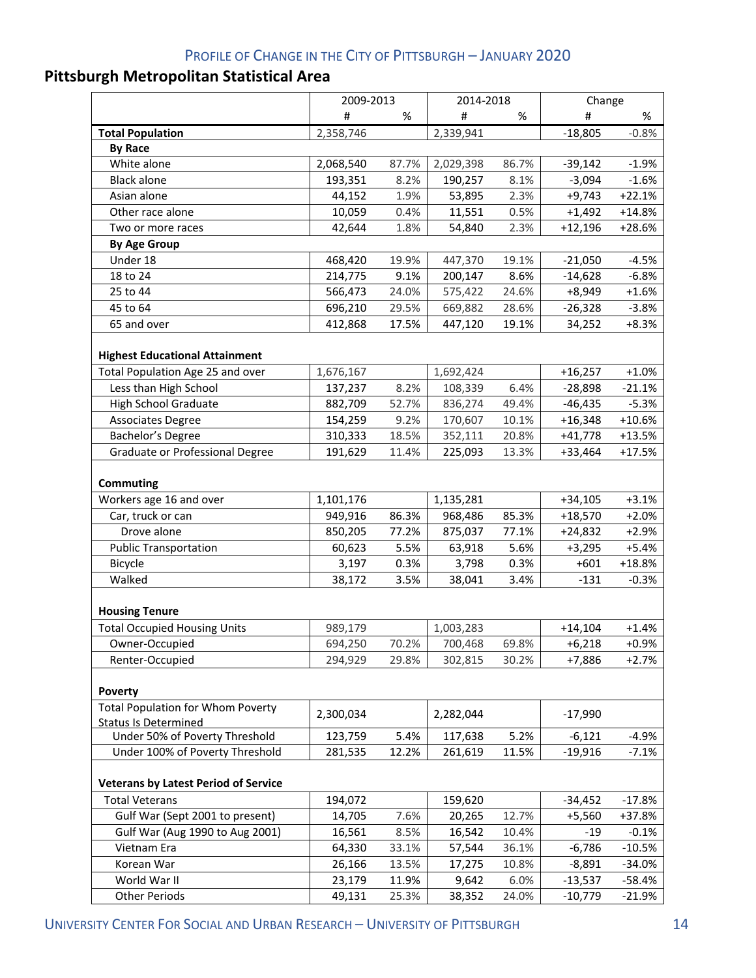## **Pittsburgh Metropolitan Statistical Area**

|                                                               | 2009-2013          |       | 2014-2018          |       | Change                |          |
|---------------------------------------------------------------|--------------------|-------|--------------------|-------|-----------------------|----------|
|                                                               | #                  | %     | #                  | %     | #                     | %        |
| <b>Total Population</b>                                       | 2,358,746          |       | 2,339,941          |       | $-18,805$             | $-0.8%$  |
| <b>By Race</b>                                                |                    |       |                    |       |                       |          |
| White alone                                                   | 2,068,540          | 87.7% | 2,029,398          | 86.7% | $-39,142$             | $-1.9%$  |
| <b>Black alone</b>                                            | 193,351            | 8.2%  | 190,257            | 8.1%  | $-3,094$              | $-1.6%$  |
| Asian alone                                                   | 44,152             | 1.9%  | 53,895             | 2.3%  | $+9,743$              | $+22.1%$ |
| Other race alone                                              | 10,059             | 0.4%  | 11,551             | 0.5%  | $+1,492$              | $+14.8%$ |
| Two or more races                                             | 42,644             | 1.8%  | 54,840             | 2.3%  | $+12,196$             | $+28.6%$ |
| <b>By Age Group</b>                                           |                    |       |                    |       |                       |          |
| Under 18                                                      | 468,420            | 19.9% | 447,370            | 19.1% | $-21,050$             | $-4.5%$  |
| 18 to 24                                                      | 214,775            | 9.1%  | 200,147            | 8.6%  | $-14,628$             | $-6.8%$  |
| 25 to 44                                                      | 566,473            | 24.0% | 575,422            | 24.6% | $+8,949$              | $+1.6%$  |
| 45 to 64                                                      | 696,210            | 29.5% | 669,882            | 28.6% | $-26,328$             | $-3.8%$  |
| 65 and over                                                   | 412,868            | 17.5% | 447,120            | 19.1% | 34,252                | $+8.3%$  |
| <b>Highest Educational Attainment</b>                         |                    |       |                    |       |                       |          |
| Total Population Age 25 and over                              | 1,676,167          |       | 1,692,424          |       | $+16,257$             | $+1.0%$  |
| Less than High School                                         | 137,237            | 8.2%  | 108,339            | 6.4%  | $-28,898$             | $-21.1%$ |
| <b>High School Graduate</b>                                   | 882,709            | 52.7% | 836,274            | 49.4% | $-46,435$             | $-5.3%$  |
| <b>Associates Degree</b>                                      | 154,259            | 9.2%  | 170,607            | 10.1% | $+16,348$             | $+10.6%$ |
| Bachelor's Degree                                             | 310,333            | 18.5% | 352,111            | 20.8% | $+41,778$             | $+13.5%$ |
| Graduate or Professional Degree                               | 191,629            | 11.4% | 225,093            | 13.3% | +33,464               | $+17.5%$ |
| <b>Commuting</b>                                              |                    |       |                    |       |                       |          |
| Workers age 16 and over                                       | 1,101,176          |       | 1,135,281          |       | $+34,105$             | $+3.1%$  |
| Car, truck or can                                             | 949,916            | 86.3% | 968,486            | 85.3% | $+18,570$             | $+2.0%$  |
| Drove alone                                                   | 850,205            | 77.2% | 875,037            | 77.1% | $+24,832$             | $+2.9%$  |
| <b>Public Transportation</b>                                  | 60,623             | 5.5%  | 63,918             | 5.6%  | $+3,295$              | $+5.4%$  |
| Bicycle                                                       | 3,197              | 0.3%  | 3,798              | 0.3%  | $+601$                | $+18.8%$ |
| Walked                                                        | 38,172             | 3.5%  | 38,041             | 3.4%  | $-131$                | $-0.3%$  |
| <b>Housing Tenure</b>                                         |                    |       |                    |       |                       |          |
| <b>Total Occupied Housing Units</b>                           | 989,179            |       | 1,003,283          |       | $+14,104$             | $+1.4%$  |
| Owner-Occupied                                                | 694,250            | 70.2% | 700,468            | 69.8% | $+6,218$              | $+0.9%$  |
| Renter-Occupied                                               | 294,929            | 29.8% | 302,815            | 30.2% | $+7,886$              | $+2.7%$  |
| <b>Poverty</b>                                                |                    |       |                    |       |                       |          |
| <b>Total Population for Whom Poverty</b>                      | 2,300,034          |       | 2,282,044          |       | $-17,990$             |          |
| <b>Status Is Determined</b><br>Under 50% of Poverty Threshold |                    | 5.4%  |                    |       |                       | $-4.9%$  |
| Under 100% of Poverty Threshold                               | 123,759<br>281,535 |       | 117,638<br>261,619 | 5.2%  | $-6,121$<br>$-19,916$ |          |
|                                                               |                    | 12.2% |                    | 11.5% |                       | $-7.1%$  |
| <b>Veterans by Latest Period of Service</b>                   |                    |       |                    |       |                       |          |
| <b>Total Veterans</b>                                         | 194,072            |       | 159,620            |       | $-34,452$             | $-17.8%$ |
| Gulf War (Sept 2001 to present)                               | 14,705             | 7.6%  | 20,265             | 12.7% | $+5,560$              | +37.8%   |
| Gulf War (Aug 1990 to Aug 2001)                               | 16,561             | 8.5%  | 16,542             | 10.4% | $-19$                 | $-0.1%$  |
| Vietnam Era                                                   | 64,330             | 33.1% | 57,544             | 36.1% | $-6,786$              | $-10.5%$ |
| Korean War                                                    | 26,166             | 13.5% | 17,275             | 10.8% | $-8,891$              | $-34.0%$ |
| World War II                                                  | 23,179             | 11.9% | 9,642              | 6.0%  | $-13,537$             | $-58.4%$ |
| <b>Other Periods</b>                                          | 49,131             | 25.3% | 38,352             | 24.0% | $-10,779$             | $-21.9%$ |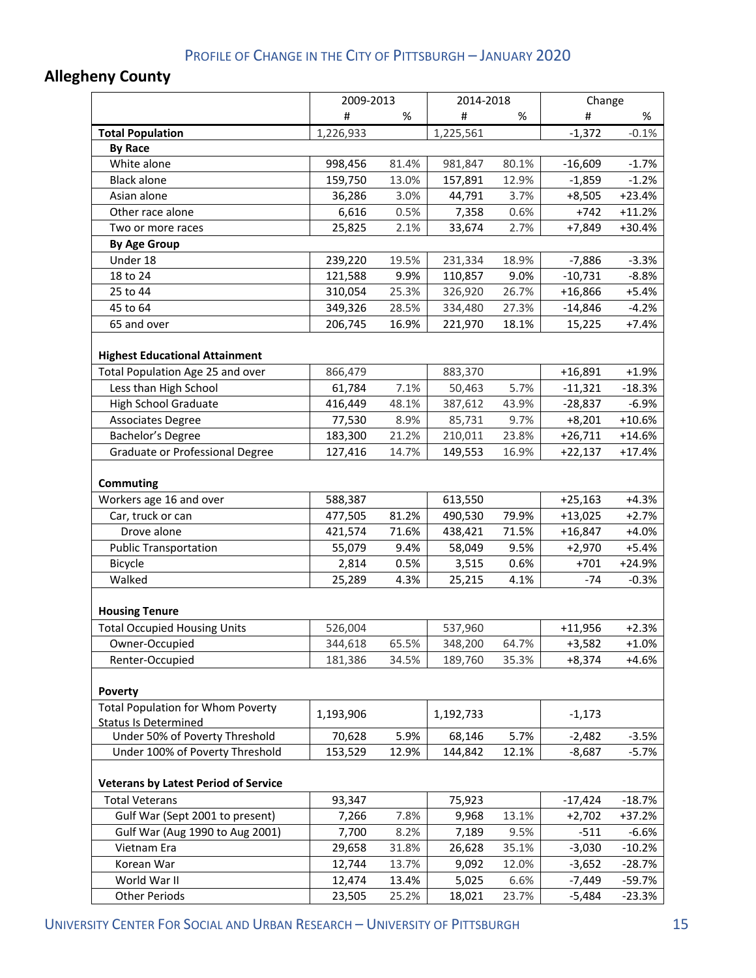## **Allegheny County**

|                                                                           | 2009-2013 |       | 2014-2018 |       | Change    |          |
|---------------------------------------------------------------------------|-----------|-------|-----------|-------|-----------|----------|
|                                                                           | #         | %     | #         | %     | #         | %        |
| <b>Total Population</b>                                                   | 1,226,933 |       | 1,225,561 |       | $-1,372$  | $-0.1%$  |
| <b>By Race</b>                                                            |           |       |           |       |           |          |
| White alone                                                               | 998,456   | 81.4% | 981,847   | 80.1% | $-16,609$ | $-1.7%$  |
| <b>Black alone</b>                                                        | 159,750   | 13.0% | 157,891   | 12.9% | $-1,859$  | $-1.2%$  |
| Asian alone                                                               | 36,286    | 3.0%  | 44,791    | 3.7%  | $+8,505$  | $+23.4%$ |
| Other race alone                                                          | 6,616     | 0.5%  | 7,358     | 0.6%  | $+742$    | $+11.2%$ |
| Two or more races                                                         | 25,825    | 2.1%  | 33,674    | 2.7%  | $+7,849$  | $+30.4%$ |
| <b>By Age Group</b>                                                       |           |       |           |       |           |          |
| Under 18                                                                  | 239,220   | 19.5% | 231,334   | 18.9% | $-7,886$  | $-3.3%$  |
| 18 to 24                                                                  | 121,588   | 9.9%  | 110,857   | 9.0%  | $-10,731$ | $-8.8%$  |
| 25 to 44                                                                  | 310,054   | 25.3% | 326,920   | 26.7% | $+16,866$ | $+5.4%$  |
| 45 to 64                                                                  | 349,326   | 28.5% | 334,480   | 27.3% | $-14,846$ | $-4.2%$  |
| 65 and over                                                               | 206,745   | 16.9% | 221,970   | 18.1% | 15,225    | $+7.4%$  |
| <b>Highest Educational Attainment</b><br>Total Population Age 25 and over | 866,479   |       | 883,370   |       | $+16,891$ | $+1.9%$  |
| Less than High School                                                     | 61,784    | 7.1%  | 50,463    | 5.7%  | $-11,321$ | $-18.3%$ |
| High School Graduate                                                      | 416,449   | 48.1% | 387,612   | 43.9% | $-28,837$ | $-6.9%$  |
|                                                                           |           |       |           |       |           |          |
| <b>Associates Degree</b>                                                  | 77,530    | 8.9%  | 85,731    | 9.7%  | $+8,201$  | $+10.6%$ |
| Bachelor's Degree                                                         | 183,300   | 21.2% | 210,011   | 23.8% | $+26,711$ | $+14.6%$ |
| Graduate or Professional Degree                                           | 127,416   | 14.7% | 149,553   | 16.9% | $+22,137$ | $+17.4%$ |
| <b>Commuting</b>                                                          |           |       |           |       |           |          |
| Workers age 16 and over                                                   | 588,387   |       | 613,550   |       | $+25,163$ | $+4.3%$  |
| Car, truck or can                                                         | 477,505   | 81.2% | 490,530   | 79.9% | $+13,025$ | $+2.7%$  |
| Drove alone                                                               | 421,574   | 71.6% | 438,421   | 71.5% | $+16,847$ | $+4.0%$  |
| <b>Public Transportation</b>                                              | 55,079    | 9.4%  | 58,049    | 9.5%  | $+2,970$  | $+5.4%$  |
| Bicycle                                                                   | 2,814     | 0.5%  | 3,515     | 0.6%  | $+701$    | $+24.9%$ |
| Walked                                                                    | 25,289    | 4.3%  | 25,215    | 4.1%  | $-74$     | $-0.3%$  |
| <b>Housing Tenure</b>                                                     |           |       |           |       |           |          |
| <b>Total Occupied Housing Units</b>                                       | 526,004   |       | 537,960   |       | $+11,956$ | $+2.3%$  |
| Owner-Occupied                                                            | 344,618   | 65.5% | 348,200   | 64.7% | $+3,582$  | $+1.0%$  |
| Renter-Occupied                                                           | 181,386   | 34.5% | 189,760   | 35.3% | $+8,374$  | $+4.6%$  |
| Poverty                                                                   |           |       |           |       |           |          |
| <b>Total Population for Whom Poverty</b><br><b>Status Is Determined</b>   | 1,193,906 |       | 1,192,733 |       | $-1,173$  |          |
| Under 50% of Poverty Threshold                                            | 70,628    | 5.9%  | 68,146    | 5.7%  | $-2,482$  | $-3.5%$  |
| Under 100% of Poverty Threshold                                           | 153,529   | 12.9% | 144,842   | 12.1% | $-8,687$  | $-5.7%$  |
| <b>Veterans by Latest Period of Service</b>                               |           |       |           |       |           |          |
| <b>Total Veterans</b>                                                     | 93,347    |       | 75,923    |       | $-17,424$ | $-18.7%$ |
| Gulf War (Sept 2001 to present)                                           | 7,266     | 7.8%  | 9,968     | 13.1% | $+2,702$  | $+37.2%$ |
| Gulf War (Aug 1990 to Aug 2001)                                           | 7,700     | 8.2%  | 7,189     | 9.5%  | $-511$    | $-6.6%$  |
| Vietnam Era                                                               | 29,658    | 31.8% | 26,628    | 35.1% | $-3,030$  | $-10.2%$ |
| Korean War                                                                | 12,744    | 13.7% | 9,092     | 12.0% | $-3,652$  | $-28.7%$ |
| World War II                                                              | 12,474    | 13.4% | 5,025     | 6.6%  | $-7,449$  | $-59.7%$ |
| <b>Other Periods</b>                                                      | 23,505    | 25.2% | 18,021    | 23.7% | $-5,484$  | $-23.3%$ |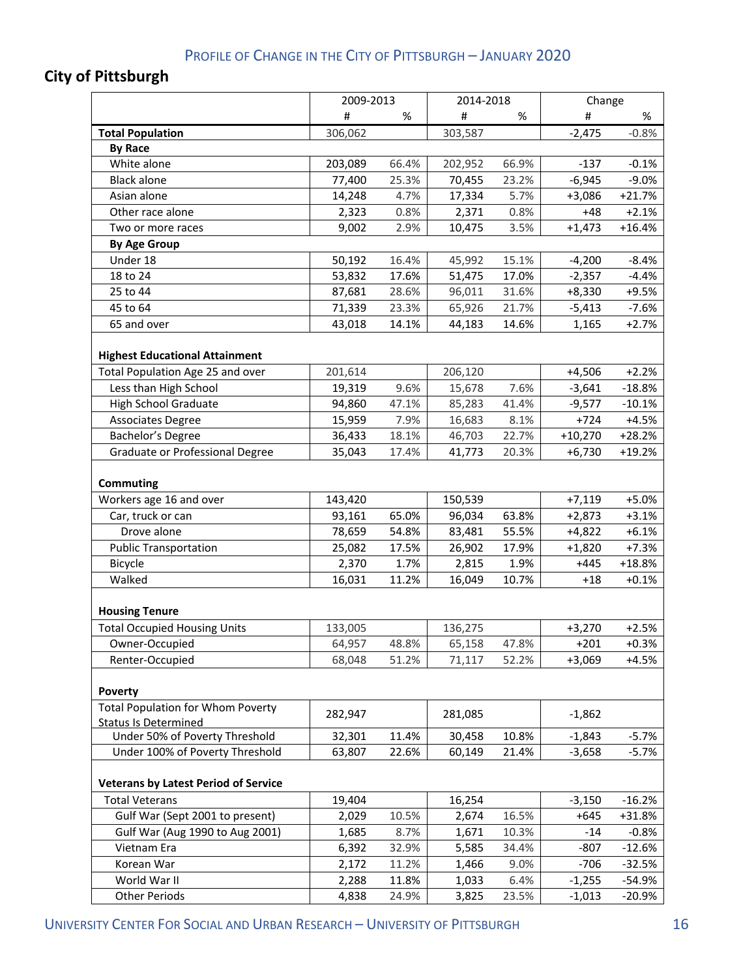# **City of Pittsburgh**

|                                                                         | 2009-2013 |       | 2014-2018 |       | Change    |          |
|-------------------------------------------------------------------------|-----------|-------|-----------|-------|-----------|----------|
|                                                                         | $\sharp$  | %     | #         | %     | #         | %        |
| <b>Total Population</b>                                                 | 306,062   |       | 303,587   |       | $-2,475$  | $-0.8%$  |
| <b>By Race</b>                                                          |           |       |           |       |           |          |
| White alone                                                             | 203,089   | 66.4% | 202,952   | 66.9% | $-137$    | $-0.1%$  |
| <b>Black alone</b>                                                      | 77,400    | 25.3% | 70,455    | 23.2% | $-6,945$  | $-9.0%$  |
| Asian alone                                                             | 14,248    | 4.7%  | 17,334    | 5.7%  | $+3,086$  | $+21.7%$ |
| Other race alone                                                        | 2,323     | 0.8%  | 2,371     | 0.8%  | $+48$     | $+2.1%$  |
| Two or more races                                                       | 9,002     | 2.9%  | 10,475    | 3.5%  | $+1,473$  | $+16.4%$ |
| <b>By Age Group</b>                                                     |           |       |           |       |           |          |
| Under 18                                                                | 50,192    | 16.4% | 45,992    | 15.1% | $-4,200$  | $-8.4%$  |
| 18 to 24                                                                | 53,832    | 17.6% | 51,475    | 17.0% | $-2,357$  | $-4.4%$  |
| 25 to 44                                                                | 87,681    | 28.6% | 96,011    | 31.6% | $+8,330$  | $+9.5%$  |
| 45 to 64                                                                | 71,339    | 23.3% | 65,926    | 21.7% | $-5,413$  | $-7.6%$  |
| 65 and over                                                             | 43,018    | 14.1% | 44,183    | 14.6% | 1,165     | $+2.7%$  |
| <b>Highest Educational Attainment</b>                                   |           |       |           |       |           |          |
| Total Population Age 25 and over                                        | 201,614   |       | 206,120   |       | $+4,506$  | $+2.2%$  |
| Less than High School                                                   | 19,319    | 9.6%  | 15,678    | 7.6%  | $-3,641$  | $-18.8%$ |
| <b>High School Graduate</b>                                             | 94,860    | 47.1% | 85,283    | 41.4% | $-9,577$  | $-10.1%$ |
| <b>Associates Degree</b>                                                | 15,959    | 7.9%  | 16,683    | 8.1%  | $+724$    | $+4.5%$  |
| Bachelor's Degree                                                       | 36,433    | 18.1% | 46,703    | 22.7% | $+10,270$ | $+28.2%$ |
| Graduate or Professional Degree                                         | 35,043    | 17.4% | 41,773    | 20.3% | $+6,730$  | $+19.2%$ |
| <b>Commuting</b>                                                        |           |       |           |       |           |          |
| Workers age 16 and over                                                 | 143,420   |       | 150,539   |       | $+7,119$  | $+5.0%$  |
| Car, truck or can                                                       | 93,161    | 65.0% | 96,034    | 63.8% | $+2,873$  | $+3.1%$  |
| Drove alone                                                             | 78,659    | 54.8% | 83,481    | 55.5% | $+4,822$  | $+6.1%$  |
| <b>Public Transportation</b>                                            | 25,082    | 17.5% | 26,902    | 17.9% | $+1,820$  | $+7.3%$  |
| Bicycle                                                                 | 2,370     | 1.7%  | 2,815     | 1.9%  | $+445$    | $+18.8%$ |
| Walked                                                                  | 16,031    | 11.2% | 16,049    | 10.7% | $+18$     | $+0.1%$  |
| <b>Housing Tenure</b>                                                   |           |       |           |       |           |          |
| <b>Total Occupied Housing Units</b>                                     | 133,005   |       | 136,275   |       | $+3,270$  | $+2.5%$  |
| Owner-Occupied                                                          | 64,957    | 48.8% | 65,158    | 47.8% | $+201$    | +0.3%    |
| Renter-Occupied                                                         | 68,048    | 51.2% | 71,117    | 52.2% | $+3,069$  | $+4.5%$  |
| <b>Poverty</b>                                                          |           |       |           |       |           |          |
| <b>Total Population for Whom Poverty</b><br><b>Status Is Determined</b> | 282,947   |       | 281,085   |       | $-1,862$  |          |
| Under 50% of Poverty Threshold                                          | 32,301    | 11.4% | 30,458    | 10.8% | $-1,843$  | $-5.7%$  |
| Under 100% of Poverty Threshold                                         | 63,807    | 22.6% | 60,149    | 21.4% | $-3,658$  | $-5.7%$  |
| <b>Veterans by Latest Period of Service</b>                             |           |       |           |       |           |          |
| <b>Total Veterans</b>                                                   | 19,404    |       | 16,254    |       | $-3,150$  | $-16.2%$ |
| Gulf War (Sept 2001 to present)                                         | 2,029     | 10.5% | 2,674     | 16.5% | $+645$    | +31.8%   |
| Gulf War (Aug 1990 to Aug 2001)                                         | 1,685     | 8.7%  | 1,671     | 10.3% | $-14$     | $-0.8%$  |
| Vietnam Era                                                             | 6,392     | 32.9% | 5,585     | 34.4% | $-807$    | $-12.6%$ |
| Korean War                                                              | 2,172     | 11.2% | 1,466     | 9.0%  | $-706$    | $-32.5%$ |
| World War II                                                            | 2,288     | 11.8% | 1,033     | 6.4%  | $-1,255$  | -54.9%   |
| <b>Other Periods</b>                                                    | 4,838     | 24.9% | 3,825     | 23.5% | $-1,013$  | $-20.9%$ |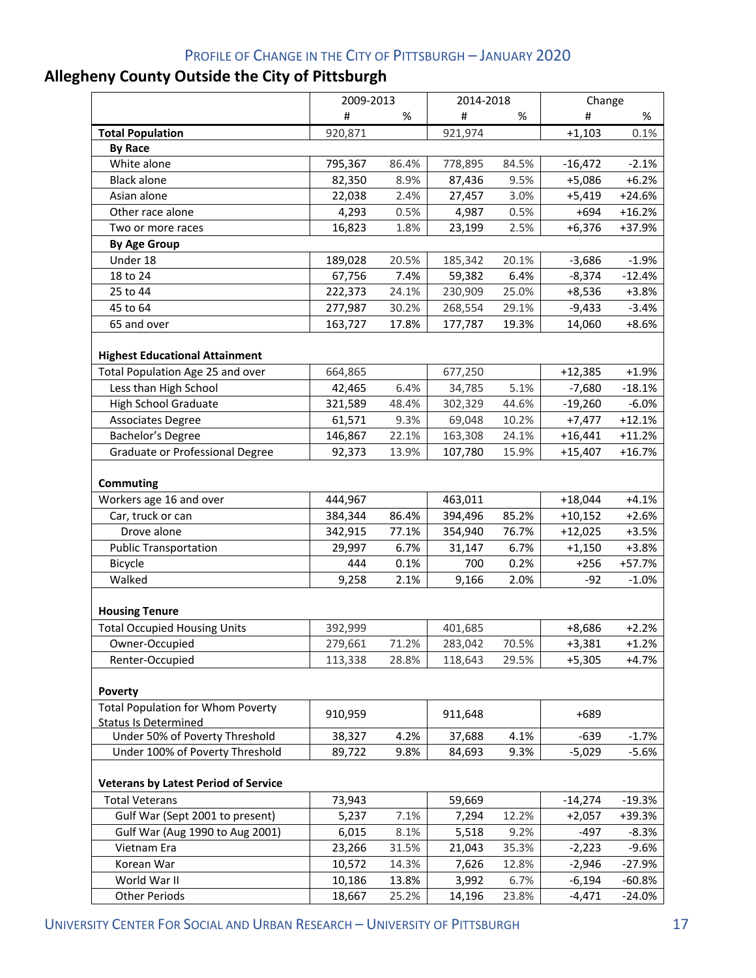# **Allegheny County Outside the City of Pittsburgh**

| 2009-2013                                                               |         | 2014-2018 |         | Change |                    |          |
|-------------------------------------------------------------------------|---------|-----------|---------|--------|--------------------|----------|
|                                                                         | #       | %         | #       | %      | #                  | %        |
| <b>Total Population</b>                                                 | 920,871 |           | 921,974 |        | $+1,103$           | 0.1%     |
| <b>By Race</b>                                                          |         |           |         |        |                    |          |
| White alone                                                             | 795,367 | 86.4%     | 778,895 | 84.5%  | $-16,472$          | $-2.1%$  |
| <b>Black alone</b>                                                      | 82,350  | 8.9%      | 87,436  | 9.5%   | $+5,086$           | $+6.2%$  |
| Asian alone                                                             | 22,038  | 2.4%      | 27,457  | 3.0%   | $+5,419$           | $+24.6%$ |
| Other race alone                                                        | 4,293   | 0.5%      | 4,987   | 0.5%   | $+694$             | $+16.2%$ |
| Two or more races                                                       | 16,823  | 1.8%      | 23,199  | 2.5%   | $+6,376$           | +37.9%   |
| <b>By Age Group</b>                                                     |         |           |         |        |                    |          |
| Under 18                                                                | 189,028 | 20.5%     | 185,342 | 20.1%  | $-3,686$           | $-1.9%$  |
| 18 to 24                                                                | 67,756  | 7.4%      | 59,382  | 6.4%   | $-8,374$           | $-12.4%$ |
| 25 to 44                                                                | 222,373 | 24.1%     | 230,909 | 25.0%  | $+8,536$           | $+3.8%$  |
| 45 to 64                                                                | 277,987 | 30.2%     | 268,554 | 29.1%  | $-9,433$           | $-3.4%$  |
| 65 and over                                                             | 163,727 | 17.8%     | 177,787 | 19.3%  | 14,060             | $+8.6%$  |
| <b>Highest Educational Attainment</b>                                   |         |           |         |        |                    |          |
| Total Population Age 25 and over                                        | 664,865 |           | 677,250 |        | $+12,385$          | $+1.9%$  |
| Less than High School                                                   | 42,465  | 6.4%      | 34,785  | 5.1%   | $-7,680$           | $-18.1%$ |
| <b>High School Graduate</b>                                             | 321,589 | 48.4%     | 302,329 | 44.6%  | $-19,260$          | $-6.0%$  |
| <b>Associates Degree</b>                                                | 61,571  | 9.3%      | 69,048  | 10.2%  | $+7,477$           | $+12.1%$ |
| Bachelor's Degree                                                       | 146,867 | 22.1%     | 163,308 | 24.1%  | $+16,441$          | $+11.2%$ |
| Graduate or Professional Degree                                         | 92,373  | 13.9%     | 107,780 | 15.9%  | $+15,407$          | $+16.7%$ |
| Commuting<br>Workers age 16 and over                                    | 444,967 |           | 463,011 |        | $+18,044$          | $+4.1%$  |
| Car, truck or can                                                       | 384,344 | 86.4%     | 394,496 | 85.2%  | $+10,152$          | $+2.6%$  |
| Drove alone                                                             | 342,915 | 77.1%     | 354,940 | 76.7%  | $+12,025$          | $+3.5%$  |
| <b>Public Transportation</b>                                            | 29,997  | 6.7%      | 31,147  | 6.7%   |                    | $+3.8%$  |
| Bicycle                                                                 | 444     | 0.1%      | 700     | 0.2%   | $+1,150$<br>$+256$ | +57.7%   |
| Walked                                                                  | 9,258   | 2.1%      | 9,166   | 2.0%   | $-92$              | $-1.0%$  |
|                                                                         |         |           |         |        |                    |          |
| <b>Housing Tenure</b>                                                   |         |           |         |        |                    |          |
| <b>Total Occupied Housing Units</b>                                     | 392,999 |           | 401,685 |        | $+8,686$           | $+2.2%$  |
| Owner-Occupied                                                          | 279,661 | 71.2%     | 283,042 | 70.5%  | $+3,381$           | $+1.2%$  |
| Renter-Occupied                                                         | 113,338 | 28.8%     | 118,643 | 29.5%  | $+5,305$           | $+4.7%$  |
| Poverty                                                                 |         |           |         |        |                    |          |
| <b>Total Population for Whom Poverty</b><br><b>Status Is Determined</b> | 910,959 |           | 911,648 |        | $+689$             |          |
| Under 50% of Poverty Threshold                                          | 38,327  | 4.2%      | 37,688  | 4.1%   | $-639$             | $-1.7%$  |
| Under 100% of Poverty Threshold                                         | 89,722  | 9.8%      | 84,693  | 9.3%   | $-5,029$           | -5.6%    |
| <b>Veterans by Latest Period of Service</b>                             |         |           |         |        |                    |          |
| <b>Total Veterans</b>                                                   | 73,943  |           | 59,669  |        | $-14,274$          | $-19.3%$ |
| Gulf War (Sept 2001 to present)                                         | 5,237   | 7.1%      | 7,294   | 12.2%  | $+2,057$           | +39.3%   |
| Gulf War (Aug 1990 to Aug 2001)                                         | 6,015   | 8.1%      | 5,518   | 9.2%   | $-497$             | $-8.3%$  |
| Vietnam Era                                                             | 23,266  | 31.5%     | 21,043  | 35.3%  | $-2,223$           | $-9.6%$  |
| Korean War                                                              | 10,572  | 14.3%     | 7,626   | 12.8%  | $-2,946$           | $-27.9%$ |
| World War II                                                            | 10,186  | 13.8%     | 3,992   | 6.7%   | $-6,194$           | $-60.8%$ |
| <b>Other Periods</b>                                                    | 18,667  | 25.2%     | 14,196  | 23.8%  | $-4,471$           | $-24.0%$ |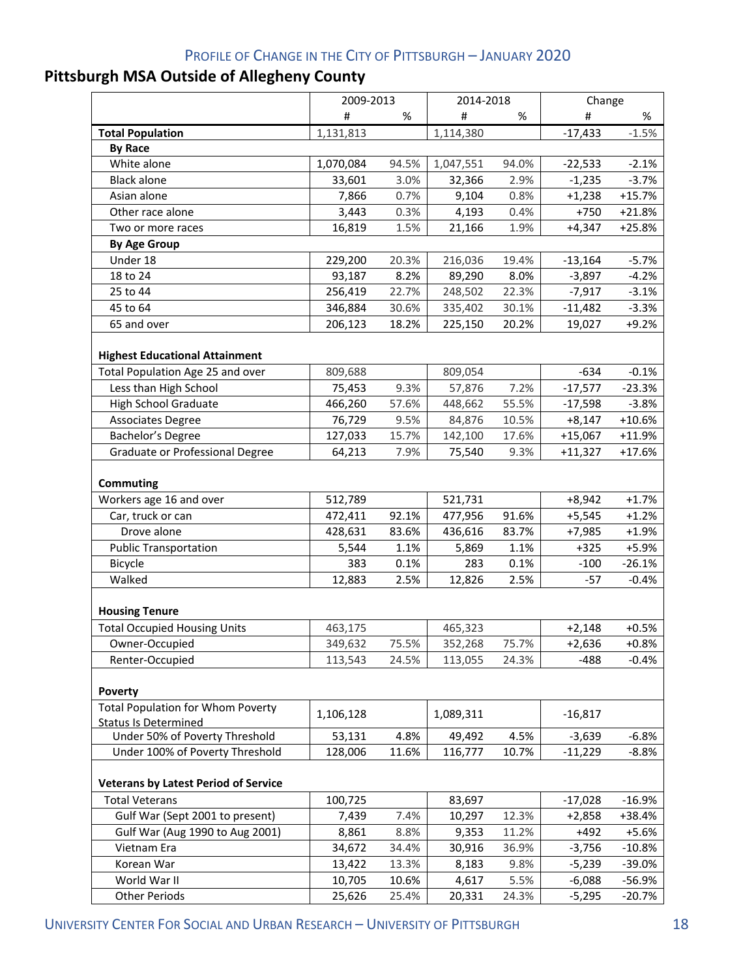# **Pittsburgh MSA Outside of Allegheny County**

|                                                                         | 2009-2013 |       | 2014-2018 |       | Change    |          |
|-------------------------------------------------------------------------|-----------|-------|-----------|-------|-----------|----------|
|                                                                         | #         | %     | #         | %     | #         | %        |
| <b>Total Population</b>                                                 | 1,131,813 |       | 1,114,380 |       | $-17,433$ | $-1.5%$  |
| <b>By Race</b>                                                          |           |       |           |       |           |          |
| White alone                                                             | 1,070,084 | 94.5% | 1,047,551 | 94.0% | $-22,533$ | $-2.1%$  |
| <b>Black alone</b>                                                      | 33,601    | 3.0%  | 32,366    | 2.9%  | $-1,235$  | $-3.7%$  |
| Asian alone                                                             | 7,866     | 0.7%  | 9,104     | 0.8%  | $+1,238$  | +15.7%   |
| Other race alone                                                        | 3,443     | 0.3%  | 4,193     | 0.4%  | $+750$    | $+21.8%$ |
| Two or more races                                                       | 16,819    | 1.5%  | 21,166    | 1.9%  | $+4,347$  | $+25.8%$ |
| <b>By Age Group</b>                                                     |           |       |           |       |           |          |
| Under 18                                                                | 229,200   | 20.3% | 216,036   | 19.4% | $-13,164$ | $-5.7%$  |
| 18 to 24                                                                | 93,187    | 8.2%  | 89,290    | 8.0%  | $-3,897$  | $-4.2%$  |
| 25 to 44                                                                | 256,419   | 22.7% | 248,502   | 22.3% | $-7,917$  | $-3.1%$  |
| 45 to 64                                                                | 346,884   | 30.6% | 335,402   | 30.1% | $-11,482$ | $-3.3%$  |
| 65 and over                                                             | 206,123   | 18.2% | 225,150   | 20.2% | 19,027    | $+9.2%$  |
| <b>Highest Educational Attainment</b>                                   | 809,688   |       |           |       | $-634$    |          |
| Total Population Age 25 and over                                        |           |       | 809,054   |       |           | $-0.1%$  |
| Less than High School                                                   | 75,453    | 9.3%  | 57,876    | 7.2%  | $-17,577$ | $-23.3%$ |
| <b>High School Graduate</b>                                             | 466,260   | 57.6% | 448,662   | 55.5% | $-17,598$ | $-3.8%$  |
| <b>Associates Degree</b>                                                | 76,729    | 9.5%  | 84,876    | 10.5% | $+8,147$  | $+10.6%$ |
| Bachelor's Degree                                                       | 127,033   | 15.7% | 142,100   | 17.6% | $+15,067$ | $+11.9%$ |
| Graduate or Professional Degree                                         | 64,213    | 7.9%  | 75,540    | 9.3%  | $+11,327$ | $+17.6%$ |
| Commuting<br>Workers age 16 and over                                    | 512,789   |       | 521,731   |       | $+8,942$  | $+1.7%$  |
| Car, truck or can                                                       | 472,411   | 92.1% | 477,956   | 91.6% | $+5,545$  | $+1.2%$  |
| Drove alone                                                             | 428,631   | 83.6% | 436,616   | 83.7% | +7,985    | $+1.9%$  |
|                                                                         | 5,544     | 1.1%  | 5,869     | 1.1%  | $+325$    | +5.9%    |
| <b>Public Transportation</b>                                            | 383       | 0.1%  | 283       | 0.1%  | $-100$    | $-26.1%$ |
| Bicycle<br>Walked                                                       | 12,883    | 2.5%  |           | 2.5%  |           |          |
|                                                                         |           |       | 12,826    |       | $-57$     | $-0.4%$  |
| <b>Housing Tenure</b>                                                   |           |       |           |       |           |          |
| <b>Total Occupied Housing Units</b>                                     | 463,175   |       | 465,323   |       | $+2,148$  | $+0.5%$  |
| Owner-Occupied                                                          | 349,632   | 75.5% | 352,268   | 75.7% | $+2,636$  | $+0.8%$  |
| Renter-Occupied                                                         | 113,543   | 24.5% | 113,055   | 24.3% | $-488$    | $-0.4%$  |
|                                                                         |           |       |           |       |           |          |
| Poverty                                                                 |           |       |           |       |           |          |
| <b>Total Population for Whom Poverty</b><br><b>Status Is Determined</b> | 1,106,128 |       | 1,089,311 |       | $-16,817$ |          |
| Under 50% of Poverty Threshold                                          | 53,131    | 4.8%  | 49,492    | 4.5%  | $-3,639$  | $-6.8%$  |
| Under 100% of Poverty Threshold                                         | 128,006   | 11.6% | 116,777   | 10.7% | $-11,229$ | $-8.8%$  |
| <b>Veterans by Latest Period of Service</b>                             |           |       |           |       |           |          |
| <b>Total Veterans</b>                                                   | 100,725   |       | 83,697    |       | $-17,028$ | $-16.9%$ |
| Gulf War (Sept 2001 to present)                                         | 7,439     | 7.4%  | 10,297    | 12.3% | $+2,858$  | +38.4%   |
| Gulf War (Aug 1990 to Aug 2001)                                         | 8,861     | 8.8%  | 9,353     | 11.2% | +492      | $+5.6%$  |
| Vietnam Era                                                             | 34,672    | 34.4% | 30,916    | 36.9% | $-3,756$  | $-10.8%$ |
| Korean War                                                              | 13,422    | 13.3% | 8,183     | 9.8%  | $-5,239$  | $-39.0%$ |
| World War II                                                            | 10,705    | 10.6% | 4,617     | 5.5%  | $-6,088$  | $-56.9%$ |
| <b>Other Periods</b>                                                    | 25,626    | 25.4% | 20,331    | 24.3% | $-5,295$  | $-20.7%$ |

UNIVERSITY CENTER FOR SOCIAL AND URBAN RESEARCH – UNIVERSITY OF PITTSBURGH **18**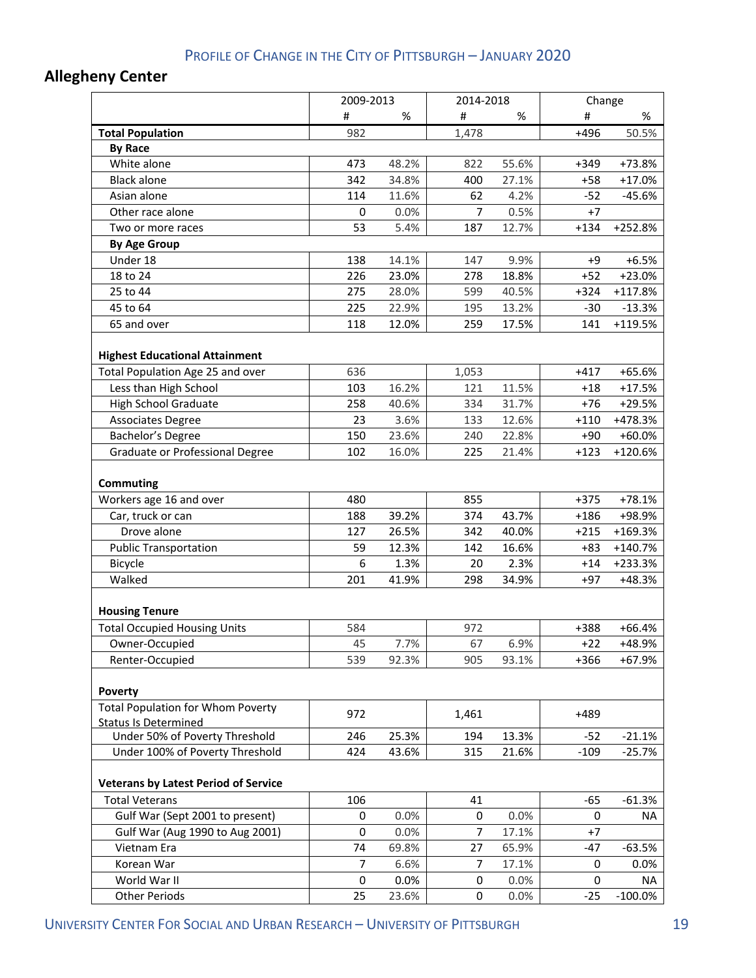## **Allegheny Center**

|                                                                           |                | 2009-2013 |                | 2014-2018 |        | Change     |
|---------------------------------------------------------------------------|----------------|-----------|----------------|-----------|--------|------------|
|                                                                           | #              | %         | #              | %         | #      | %          |
| <b>Total Population</b>                                                   | 982            |           | 1,478          |           | $+496$ | 50.5%      |
| <b>By Race</b>                                                            |                |           |                |           |        |            |
| White alone                                                               | 473            | 48.2%     | 822            | 55.6%     | $+349$ | +73.8%     |
| <b>Black alone</b>                                                        | 342            | 34.8%     | 400            | 27.1%     | $+58$  | $+17.0%$   |
| Asian alone                                                               | 114            | 11.6%     | 62             | 4.2%      | $-52$  | $-45.6%$   |
| Other race alone                                                          | 0              | 0.0%      | $\overline{7}$ | 0.5%      | $+7$   |            |
| Two or more races                                                         | 53             | 5.4%      | 187            | 12.7%     | $+134$ | +252.8%    |
| <b>By Age Group</b>                                                       |                |           |                |           |        |            |
| Under 18                                                                  | 138            | 14.1%     | 147            | 9.9%      | +9     | $+6.5%$    |
| 18 to 24                                                                  | 226            | 23.0%     | 278            | 18.8%     | $+52$  | $+23.0%$   |
| 25 to 44                                                                  | 275            | 28.0%     | 599            | 40.5%     | $+324$ | +117.8%    |
| 45 to 64                                                                  | 225            | 22.9%     | 195            | 13.2%     | $-30$  | $-13.3%$   |
| 65 and over                                                               | 118            | 12.0%     | 259            | 17.5%     | 141    | +119.5%    |
| <b>Highest Educational Attainment</b><br>Total Population Age 25 and over | 636            |           | 1,053          |           | $+417$ | $+65.6%$   |
| Less than High School                                                     | 103            | 16.2%     | 121            | 11.5%     | $+18$  | $+17.5%$   |
| <b>High School Graduate</b>                                               | 258            | 40.6%     | 334            | 31.7%     | $+76$  | +29.5%     |
| <b>Associates Degree</b>                                                  | 23             | 3.6%      | 133            | 12.6%     | $+110$ | +478.3%    |
| Bachelor's Degree                                                         | 150            | 23.6%     | 240            | 22.8%     | $+90$  | $+60.0%$   |
| Graduate or Professional Degree                                           | 102            | 16.0%     | 225            | 21.4%     | $+123$ | +120.6%    |
| Commuting<br>Workers age 16 and over                                      | 480            |           | 855            |           | $+375$ | $+78.1%$   |
| Car, truck or can                                                         | 188            | 39.2%     | 374            | 43.7%     | $+186$ | +98.9%     |
| Drove alone                                                               | 127            | 26.5%     | 342            | 40.0%     | $+215$ | +169.3%    |
| <b>Public Transportation</b>                                              | 59             | 12.3%     | 142            | 16.6%     | $+83$  | +140.7%    |
| Bicycle                                                                   | 6              | 1.3%      | 20             | 2.3%      | $+14$  | +233.3%    |
| Walked                                                                    | 201            | 41.9%     | 298            | 34.9%     | $+97$  | $+48.3%$   |
| <b>Housing Tenure</b>                                                     |                |           |                |           |        |            |
| <b>Total Occupied Housing Units</b>                                       | 584            |           | 972            |           | +388   | $+66.4%$   |
| Owner-Occupied                                                            | 45             | 7.7%      | 67             | 6.9%      | $+22$  | +48.9%     |
| Renter-Occupied                                                           | 539            | 92.3%     | 905            | 93.1%     | $+366$ | $+67.9%$   |
| Poverty                                                                   |                |           |                |           |        |            |
| <b>Total Population for Whom Poverty</b><br><b>Status Is Determined</b>   | 972            |           | 1,461          |           | +489   |            |
| Under 50% of Poverty Threshold                                            | 246            | 25.3%     | 194            | 13.3%     | $-52$  | $-21.1%$   |
| Under 100% of Poverty Threshold                                           | 424            | 43.6%     | 315            | 21.6%     | $-109$ | $-25.7%$   |
| <b>Veterans by Latest Period of Service</b>                               |                |           |                |           |        |            |
| <b>Total Veterans</b>                                                     | 106            |           | 41             |           | -65    | $-61.3%$   |
| Gulf War (Sept 2001 to present)                                           | 0              | 0.0%      | 0              | 0.0%      | 0      | <b>NA</b>  |
| Gulf War (Aug 1990 to Aug 2001)                                           | 0              | 0.0%      | $\overline{7}$ | 17.1%     | $+7$   |            |
| Vietnam Era                                                               | 74             | 69.8%     | 27             | 65.9%     | $-47$  | $-63.5%$   |
| Korean War                                                                | $\overline{7}$ | 6.6%      | 7              | 17.1%     | 0      | 0.0%       |
| World War II                                                              | 0              | 0.0%      | 0              | 0.0%      | 0      | NA         |
| <b>Other Periods</b>                                                      | 25             | 23.6%     | 0              | 0.0%      | $-25$  | $-100.0\%$ |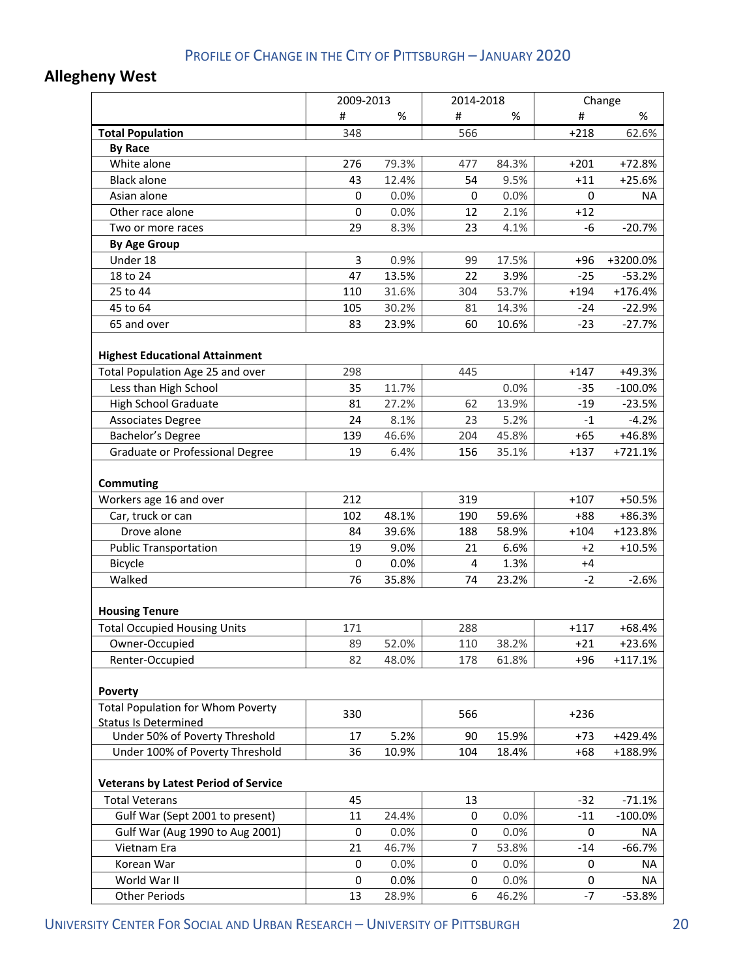## **Allegheny West**

|                                                              | 2009-2013   |       | 2014-2018           |       | Change |            |
|--------------------------------------------------------------|-------------|-------|---------------------|-------|--------|------------|
|                                                              | #           | %     | #                   | %     | #      | %          |
| <b>Total Population</b>                                      | 348         |       | 566                 |       | $+218$ | 62.6%      |
| <b>By Race</b>                                               |             |       |                     |       |        |            |
| White alone                                                  | 276         | 79.3% | 477                 | 84.3% | $+201$ | +72.8%     |
| <b>Black alone</b>                                           | 43          | 12.4% | 54                  | 9.5%  | $+11$  | $+25.6%$   |
| Asian alone                                                  | 0           | 0.0%  | 0                   | 0.0%  | 0      | NA.        |
| Other race alone                                             | $\mathbf 0$ | 0.0%  | 12                  | 2.1%  | $+12$  |            |
| Two or more races                                            | 29          | 8.3%  | 23                  | 4.1%  | $-6$   | $-20.7%$   |
| <b>By Age Group</b>                                          |             |       |                     |       |        |            |
| Under 18                                                     | 3           | 0.9%  | 99                  | 17.5% | $+96$  | +3200.0%   |
| 18 to 24                                                     | 47          | 13.5% | 22                  | 3.9%  | $-25$  | $-53.2%$   |
| 25 to 44                                                     | 110         | 31.6% | 304                 | 53.7% | $+194$ | $+176.4%$  |
| 45 to 64                                                     | 105         | 30.2% | 81                  | 14.3% | $-24$  | $-22.9%$   |
| 65 and over                                                  | 83          | 23.9% | 60                  | 10.6% | $-23$  | $-27.7%$   |
|                                                              |             |       |                     |       |        |            |
| <b>Highest Educational Attainment</b>                        |             |       |                     |       |        |            |
| Total Population Age 25 and over                             | 298         |       | 445                 |       | $+147$ | +49.3%     |
| Less than High School                                        | 35          | 11.7% |                     | 0.0%  | $-35$  | $-100.0\%$ |
| <b>High School Graduate</b>                                  | 81          | 27.2% | 62                  | 13.9% | $-19$  | $-23.5%$   |
| <b>Associates Degree</b>                                     | 24          | 8.1%  | 23                  | 5.2%  | $-1$   | $-4.2%$    |
| Bachelor's Degree                                            | 139         | 46.6% | 204                 | 45.8% | $+65$  | +46.8%     |
| Graduate or Professional Degree                              | 19          | 6.4%  | 156                 | 35.1% | $+137$ | +721.1%    |
|                                                              |             |       |                     |       |        |            |
| Commuting                                                    |             |       |                     |       |        |            |
| Workers age 16 and over                                      | 212         |       | 319                 |       | $+107$ | +50.5%     |
| Car, truck or can                                            | 102         | 48.1% | 190                 | 59.6% | $+88$  | $+86.3%$   |
| Drove alone                                                  | 84          | 39.6% | 188                 | 58.9% | $+104$ | +123.8%    |
| <b>Public Transportation</b>                                 | 19          | 9.0%  | 21                  | 6.6%  | $+2$   | $+10.5%$   |
| Bicycle                                                      | 0           | 0.0%  | 4                   | 1.3%  | $+4$   |            |
| Walked                                                       | 76          | 35.8% | 74                  | 23.2% | $-2$   | $-2.6%$    |
|                                                              |             |       |                     |       |        |            |
| <b>Housing Tenure</b><br><b>Total Occupied Housing Units</b> |             |       |                     |       | $+117$ |            |
|                                                              | 171         |       | 288                 |       |        | $+68.4%$   |
| Owner-Occupied                                               | 89          | 52.0% | 110                 | 38.2% | $+21$  | $+23.6%$   |
| Renter-Occupied                                              | 82          | 48.0% | 178                 | 61.8% | $+96$  | +117.1%    |
| Poverty                                                      |             |       |                     |       |        |            |
| <b>Total Population for Whom Poverty</b>                     | 330         |       | 566                 |       | $+236$ |            |
| <b>Status Is Determined</b>                                  |             |       |                     |       |        |            |
| Under 50% of Poverty Threshold                               | 17          | 5.2%  | 90                  | 15.9% | $+73$  | +429.4%    |
| Under 100% of Poverty Threshold                              | 36          | 10.9% | 104                 | 18.4% | $+68$  | +188.9%    |
| <b>Veterans by Latest Period of Service</b>                  |             |       |                     |       |        |            |
| <b>Total Veterans</b>                                        | 45          |       | 13                  |       | $-32$  | $-71.1%$   |
| Gulf War (Sept 2001 to present)                              | 11          | 24.4% | 0                   | 0.0%  | $-11$  | $-100.0%$  |
| Gulf War (Aug 1990 to Aug 2001)                              | $\pmb{0}$   |       |                     | 0.0%  | 0      |            |
| Vietnam Era                                                  |             | 0.0%  | 0<br>$\overline{7}$ |       |        | <b>NA</b>  |
|                                                              | 21          | 46.7% |                     | 53.8% | $-14$  | $-66.7%$   |
| Korean War                                                   | 0           | 0.0%  | 0                   | 0.0%  | 0      | NA.        |
| World War II                                                 | $\mathbf 0$ | 0.0%  | 0                   | 0.0%  | 0      | NA         |
| <b>Other Periods</b>                                         | 13          | 28.9% | 6                   | 46.2% | $-7$   | $-53.8%$   |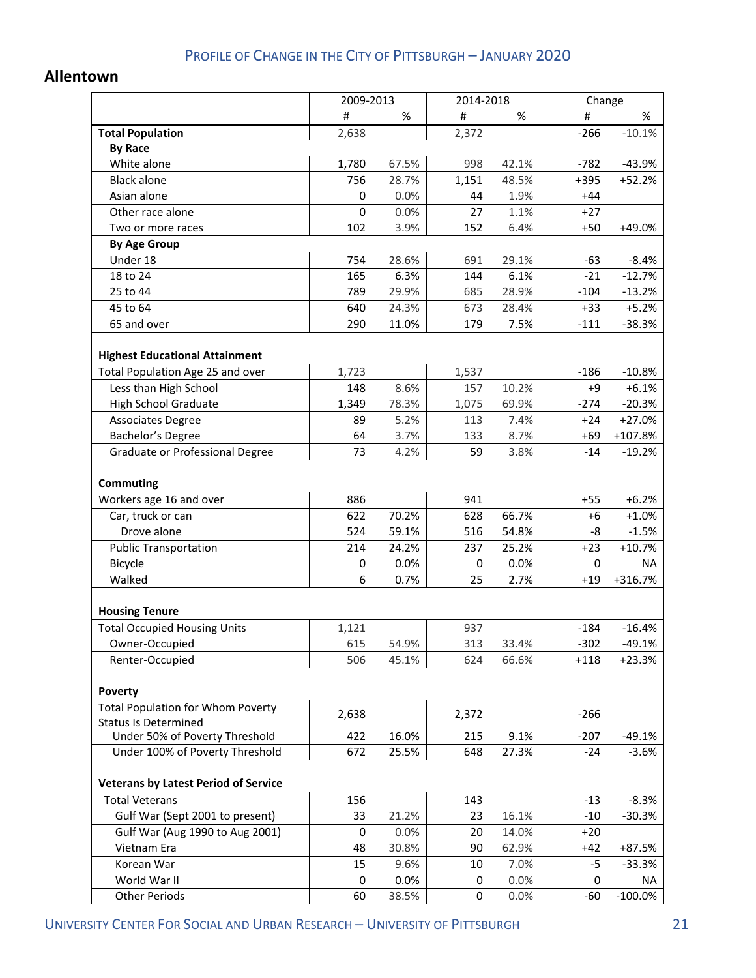#### **Allentown**

|                                             | 2009-2013   |       | 2014-2018 |       | Change |            |
|---------------------------------------------|-------------|-------|-----------|-------|--------|------------|
|                                             | #           | %     | #         | %     | #      | %          |
| <b>Total Population</b>                     | 2,638       |       | 2,372     |       | $-266$ | $-10.1%$   |
| <b>By Race</b>                              |             |       |           |       |        |            |
| White alone                                 | 1,780       | 67.5% | 998       | 42.1% | $-782$ | $-43.9%$   |
| <b>Black alone</b>                          | 756         | 28.7% | 1,151     | 48.5% | $+395$ | $+52.2%$   |
| Asian alone                                 | 0           | 0.0%  | 44        | 1.9%  | $+44$  |            |
| Other race alone                            | 0           | 0.0%  | 27        | 1.1%  | $+27$  |            |
| Two or more races                           | 102         | 3.9%  | 152       | 6.4%  | $+50$  | +49.0%     |
| <b>By Age Group</b>                         |             |       |           |       |        |            |
| Under 18                                    | 754         | 28.6% | 691       | 29.1% | $-63$  | $-8.4%$    |
| 18 to 24                                    | 165         | 6.3%  | 144       | 6.1%  | $-21$  | $-12.7%$   |
| 25 to 44                                    | 789         | 29.9% | 685       | 28.9% | $-104$ | $-13.2%$   |
| 45 to 64                                    | 640         | 24.3% | 673       | 28.4% | $+33$  | $+5.2%$    |
| 65 and over                                 | 290         | 11.0% | 179       | 7.5%  | $-111$ | $-38.3%$   |
|                                             |             |       |           |       |        |            |
| <b>Highest Educational Attainment</b>       |             |       |           |       |        |            |
| Total Population Age 25 and over            | 1,723       |       | 1,537     |       | $-186$ | $-10.8%$   |
| Less than High School                       | 148         | 8.6%  | 157       | 10.2% | $+9$   | $+6.1%$    |
| <b>High School Graduate</b>                 | 1,349       | 78.3% | 1,075     | 69.9% | $-274$ | $-20.3%$   |
| <b>Associates Degree</b>                    | 89          | 5.2%  | 113       | 7.4%  | $+24$  | $+27.0%$   |
| Bachelor's Degree                           | 64          | 3.7%  | 133       | 8.7%  | $+69$  | +107.8%    |
| Graduate or Professional Degree             | 73          | 4.2%  | 59        | 3.8%  | $-14$  | $-19.2%$   |
|                                             |             |       |           |       |        |            |
| Commuting                                   |             |       |           |       |        |            |
| Workers age 16 and over                     | 886         |       | 941       |       | $+55$  | $+6.2%$    |
| Car, truck or can                           | 622         | 70.2% | 628       | 66.7% | $+6$   | $+1.0%$    |
| Drove alone                                 | 524         | 59.1% | 516       | 54.8% | -8     | $-1.5%$    |
| <b>Public Transportation</b>                | 214         | 24.2% | 237       | 25.2% | $+23$  | $+10.7%$   |
| Bicycle                                     | 0           | 0.0%  | 0         | 0.0%  | 0      | <b>NA</b>  |
| Walked                                      | 6           | 0.7%  | 25        | 2.7%  | $+19$  | +316.7%    |
|                                             |             |       |           |       |        |            |
| <b>Housing Tenure</b>                       |             |       |           |       |        |            |
| <b>Total Occupied Housing Units</b>         | 1,121       |       | 937       |       | $-184$ | $-16.4%$   |
| Owner-Occupied                              | 615         | 54.9% | 313       | 33.4% | $-302$ | $-49.1%$   |
| Renter-Occupied                             | 506         | 45.1% | 624       | 66.6% | $+118$ | $+23.3%$   |
|                                             |             |       |           |       |        |            |
| Poverty                                     |             |       |           |       |        |            |
| <b>Total Population for Whom Poverty</b>    |             |       |           |       | $-266$ |            |
| <b>Status Is Determined</b>                 | 2,638       |       | 2,372     |       |        |            |
| Under 50% of Poverty Threshold              | 422         | 16.0% | 215       | 9.1%  | $-207$ | $-49.1%$   |
| Under 100% of Poverty Threshold             | 672         | 25.5% | 648       | 27.3% | $-24$  | $-3.6%$    |
|                                             |             |       |           |       |        |            |
| <b>Veterans by Latest Period of Service</b> |             |       |           |       |        |            |
| <b>Total Veterans</b>                       | 156         |       | 143       |       | $-13$  | $-8.3%$    |
| Gulf War (Sept 2001 to present)             | 33          | 21.2% | 23        | 16.1% | $-10$  | $-30.3%$   |
| Gulf War (Aug 1990 to Aug 2001)             | $\mathbf 0$ | 0.0%  | 20        | 14.0% | $+20$  |            |
| Vietnam Era                                 | 48          | 30.8% | 90        | 62.9% | $+42$  | +87.5%     |
| Korean War                                  | 15          | 9.6%  | 10        | 7.0%  | -5     | $-33.3%$   |
| World War II                                | 0           | 0.0%  | 0         | 0.0%  | 0      | NA         |
| <b>Other Periods</b>                        | 60          | 38.5% | 0         | 0.0%  | $-60$  | $-100.0\%$ |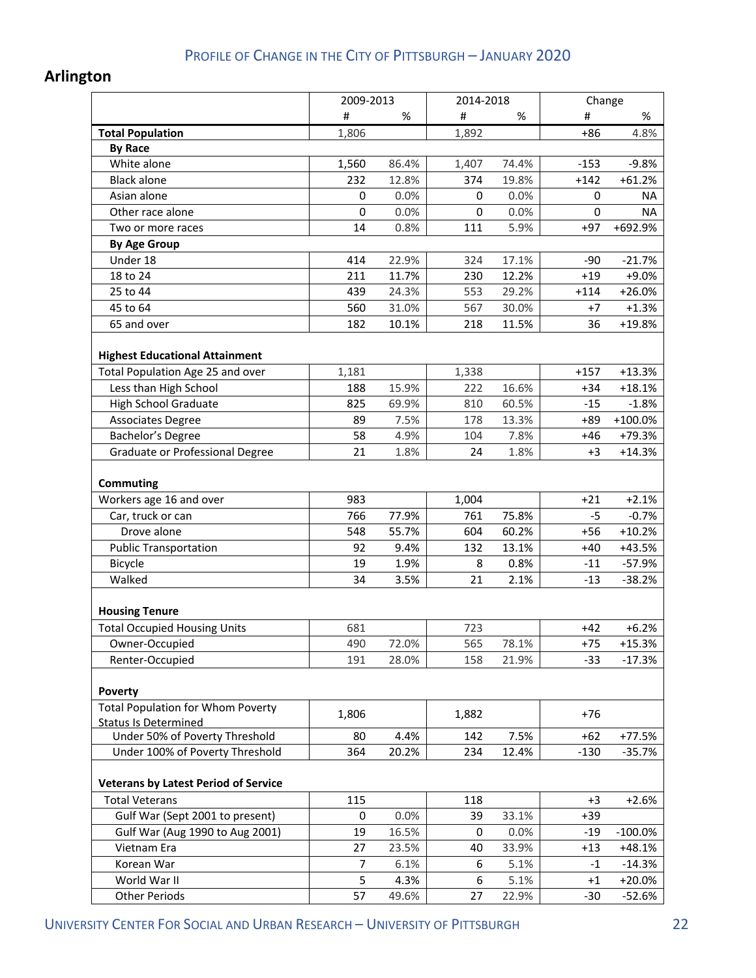## **Arlington**

|                                             | 2009-2013 |       | 2014-2018   |       | Change |            |
|---------------------------------------------|-----------|-------|-------------|-------|--------|------------|
|                                             | #         | %     | #           | %     | #      | %          |
| <b>Total Population</b>                     | 1,806     |       | 1,892       |       | $+86$  | 4.8%       |
| <b>By Race</b>                              |           |       |             |       |        |            |
| White alone                                 | 1,560     | 86.4% | 1,407       | 74.4% | $-153$ | $-9.8%$    |
| <b>Black alone</b>                          | 232       | 12.8% | 374         | 19.8% | $+142$ | $+61.2%$   |
| Asian alone                                 | 0         | 0.0%  | $\mathbf 0$ | 0.0%  | 0      | NA         |
| Other race alone                            | 0         | 0.0%  | 0           | 0.0%  | 0      | NA.        |
| Two or more races                           | 14        | 0.8%  | 111         | 5.9%  | $+97$  | +692.9%    |
| <b>By Age Group</b>                         |           |       |             |       |        |            |
| Under 18                                    | 414       | 22.9% | 324         | 17.1% | -90    | $-21.7%$   |
| 18 to 24                                    | 211       | 11.7% | 230         | 12.2% | $+19$  | $+9.0%$    |
| 25 to 44                                    | 439       | 24.3% | 553         | 29.2% | $+114$ | $+26.0%$   |
| 45 to 64                                    | 560       | 31.0% | 567         | 30.0% | $+7$   | $+1.3%$    |
| 65 and over                                 | 182       | 10.1% | 218         | 11.5% | 36     | +19.8%     |
| <b>Highest Educational Attainment</b>       |           |       |             |       |        |            |
| Total Population Age 25 and over            | 1,181     |       | 1,338       |       | $+157$ | $+13.3%$   |
| Less than High School                       | 188       | 15.9% | 222         | 16.6% | $+34$  | $+18.1%$   |
| <b>High School Graduate</b>                 | 825       | 69.9% | 810         | 60.5% | $-15$  | $-1.8%$    |
| <b>Associates Degree</b>                    | 89        | 7.5%  | 178         | 13.3% | +89    | +100.0%    |
| Bachelor's Degree                           | 58        | 4.9%  | 104         | 7.8%  | $+46$  | +79.3%     |
| Graduate or Professional Degree             | 21        | 1.8%  | 24          | 1.8%  | $+3$   | $+14.3%$   |
|                                             |           |       |             |       |        |            |
| Commuting                                   |           |       |             |       |        |            |
| Workers age 16 and over                     | 983       |       | 1,004       |       | $+21$  | $+2.1%$    |
| Car, truck or can                           | 766       | 77.9% | 761         | 75.8% | -5     | $-0.7%$    |
| Drove alone                                 | 548       | 55.7% | 604         | 60.2% | $+56$  | $+10.2%$   |
| <b>Public Transportation</b>                | 92        | 9.4%  | 132         | 13.1% | $+40$  | +43.5%     |
| Bicycle                                     | 19        | 1.9%  | 8           | 0.8%  | $-11$  | $-57.9%$   |
| Walked                                      | 34        | 3.5%  | 21          | 2.1%  | $-13$  | $-38.2%$   |
| <b>Housing Tenure</b>                       |           |       |             |       |        |            |
| <b>Total Occupied Housing Units</b>         | 681       |       | 723         |       | $+42$  | $+6.2%$    |
| Owner-Occupied                              | 490       | 72.0% | 565         | 78.1% | $+75$  | $+15.3%$   |
| Renter-Occupied                             | 191       | 28.0% | 158         | 21.9% | $-33$  | $-17.3%$   |
| <b>Poverty</b>                              |           |       |             |       |        |            |
| <b>Total Population for Whom Poverty</b>    |           |       |             |       |        |            |
| <b>Status Is Determined</b>                 | 1,806     |       | 1,882       |       | $+76$  |            |
| Under 50% of Poverty Threshold              | 80        | 4.4%  | 142         | 7.5%  | $+62$  | +77.5%     |
| Under 100% of Poverty Threshold             | 364       | 20.2% | 234         | 12.4% | $-130$ | $-35.7%$   |
| <b>Veterans by Latest Period of Service</b> |           |       |             |       |        |            |
| <b>Total Veterans</b>                       | 115       |       | 118         |       | $+3$   | $+2.6%$    |
| Gulf War (Sept 2001 to present)             | 0         | 0.0%  | 39          | 33.1% | $+39$  |            |
| Gulf War (Aug 1990 to Aug 2001)             | 19        | 16.5% | 0           | 0.0%  | $-19$  | $-100.0\%$ |
| Vietnam Era                                 | 27        | 23.5% | 40          | 33.9% | $+13$  | $+48.1%$   |
| Korean War                                  | 7         | 6.1%  | 6           | 5.1%  | $-1$   | $-14.3%$   |
| World War II                                | 5         | 4.3%  | 6           | 5.1%  | $+1$   | $+20.0%$   |
| <b>Other Periods</b>                        | 57        | 49.6% | 27          | 22.9% | $-30$  | $-52.6%$   |
|                                             |           |       |             |       |        |            |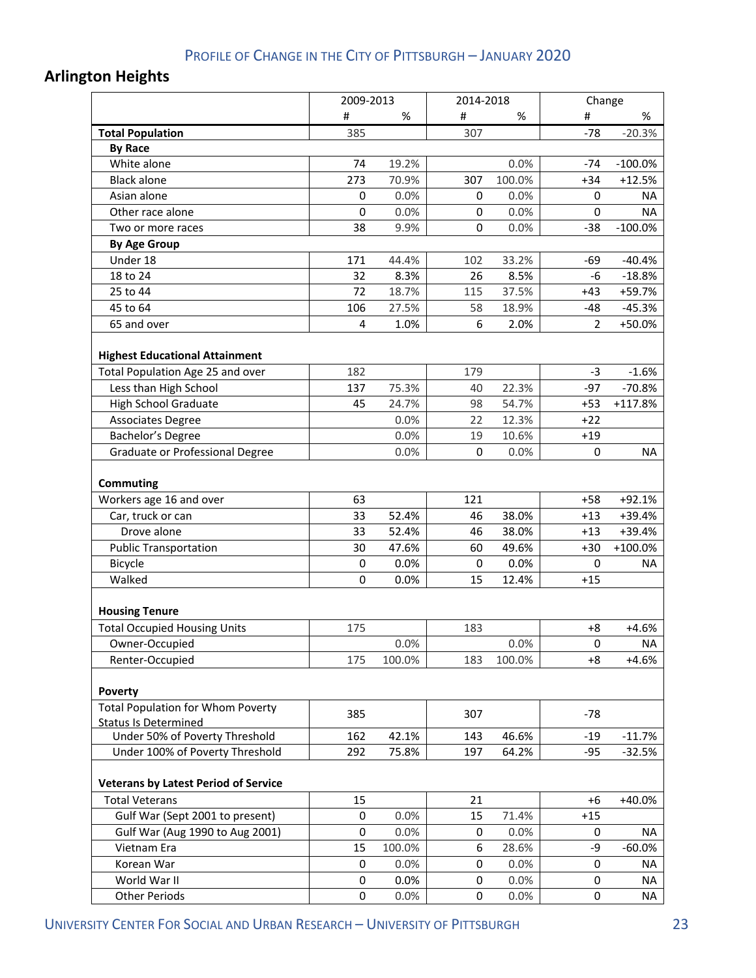## **Arlington Heights**

|                                                                           | 2009-2013 |        |     | 2014-2018 |                | Change     |  |
|---------------------------------------------------------------------------|-----------|--------|-----|-----------|----------------|------------|--|
|                                                                           | #         | %      | #   | %         | #              | %          |  |
| <b>Total Population</b>                                                   | 385       |        | 307 |           | $-78$          | $-20.3%$   |  |
| <b>By Race</b>                                                            |           |        |     |           |                |            |  |
| White alone                                                               | 74        | 19.2%  |     | 0.0%      | $-74$          | $-100.0\%$ |  |
| <b>Black alone</b>                                                        | 273       | 70.9%  | 307 | 100.0%    | $+34$          | $+12.5%$   |  |
| Asian alone                                                               | 0         | 0.0%   | 0   | 0.0%      | 0              | NA.        |  |
| Other race alone                                                          | 0         | 0.0%   | 0   | 0.0%      | 0              | <b>NA</b>  |  |
| Two or more races                                                         | 38        | 9.9%   | 0   | 0.0%      | $-38$          | $-100.0%$  |  |
| <b>By Age Group</b>                                                       |           |        |     |           |                |            |  |
| Under 18                                                                  | 171       | 44.4%  | 102 | 33.2%     | -69            | $-40.4%$   |  |
| 18 to 24                                                                  | 32        | 8.3%   | 26  | 8.5%      | $-6$           | $-18.8%$   |  |
| 25 to 44                                                                  | 72        | 18.7%  | 115 | 37.5%     | $+43$          | +59.7%     |  |
| 45 to 64                                                                  | 106       | 27.5%  | 58  | 18.9%     | $-48$          | $-45.3%$   |  |
| 65 and over                                                               | 4         | 1.0%   | 6   | 2.0%      | $\overline{2}$ | +50.0%     |  |
| <b>Highest Educational Attainment</b><br>Total Population Age 25 and over | 182       |        | 179 |           | $-3$           | $-1.6%$    |  |
| Less than High School                                                     | 137       | 75.3%  | 40  | 22.3%     | $-97$          | $-70.8%$   |  |
| <b>High School Graduate</b>                                               | 45        | 24.7%  | 98  | 54.7%     | $+53$          | +117.8%    |  |
| <b>Associates Degree</b>                                                  |           | 0.0%   | 22  | 12.3%     | $+22$          |            |  |
| Bachelor's Degree                                                         |           | 0.0%   | 19  | 10.6%     | $+19$          |            |  |
| Graduate or Professional Degree                                           |           | 0.0%   | 0   | 0.0%      | 0              | NA         |  |
| Commuting<br>Workers age 16 and over                                      | 63        |        | 121 |           | $+58$          | $+92.1%$   |  |
| Car, truck or can                                                         | 33        | 52.4%  | 46  | 38.0%     | $+13$          | +39.4%     |  |
| Drove alone                                                               | 33        | 52.4%  | 46  | 38.0%     | $+13$          | +39.4%     |  |
| <b>Public Transportation</b>                                              | 30        | 47.6%  | 60  | 49.6%     | $+30$          | $+100.0%$  |  |
| Bicycle                                                                   | 0         | 0.0%   | 0   | 0.0%      | 0              | NA         |  |
| Walked                                                                    | 0         | 0.0%   | 15  | 12.4%     | $+15$          |            |  |
| <b>Housing Tenure</b>                                                     |           |        |     |           |                |            |  |
| <b>Total Occupied Housing Units</b>                                       | 175       |        | 183 |           | $+8$           | $+4.6%$    |  |
| Owner-Occupied                                                            |           | 0.0%   |     | 0.0%      | 0              | NA         |  |
| Renter-Occupied                                                           | 175       | 100.0% | 183 | 100.0%    | $+8$           | $+4.6%$    |  |
| Poverty                                                                   |           |        |     |           |                |            |  |
| <b>Total Population for Whom Poverty</b><br><b>Status Is Determined</b>   | 385       |        | 307 |           | $-78$          |            |  |
| Under 50% of Poverty Threshold                                            | 162       | 42.1%  | 143 | 46.6%     | $-19$          | $-11.7%$   |  |
| Under 100% of Poverty Threshold                                           | 292       | 75.8%  | 197 | 64.2%     | $-95$          | $-32.5%$   |  |
| <b>Veterans by Latest Period of Service</b>                               |           |        |     |           |                |            |  |
| <b>Total Veterans</b>                                                     | 15        |        | 21  |           | $+6$           | +40.0%     |  |
| Gulf War (Sept 2001 to present)                                           | 0         | 0.0%   | 15  | 71.4%     | $+15$          |            |  |
| Gulf War (Aug 1990 to Aug 2001)                                           | 0         | 0.0%   | 0   | 0.0%      | 0              | NA         |  |
| Vietnam Era                                                               | 15        | 100.0% | 6   | 28.6%     | -9             | $-60.0%$   |  |
| Korean War                                                                | 0         | 0.0%   | 0   | 0.0%      | 0              | NA         |  |
| World War II                                                              | 0         | 0.0%   | 0   | 0.0%      | 0              | NA.        |  |
| <b>Other Periods</b>                                                      | 0         | 0.0%   | 0   | 0.0%      | 0              | NA         |  |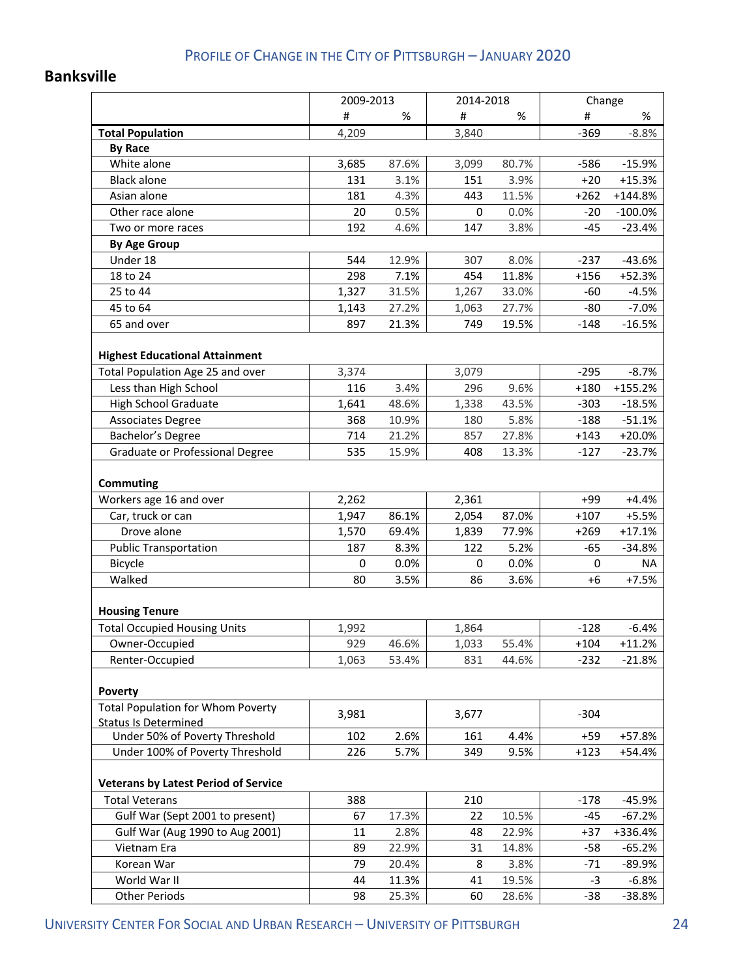### **Banksville**

|                                                                           | 2009-2013 |       | 2014-2018   |       | Change           |            |
|---------------------------------------------------------------------------|-----------|-------|-------------|-------|------------------|------------|
|                                                                           | #         | $\%$  | #           | %     | #                | %          |
| <b>Total Population</b>                                                   | 4,209     |       | 3,840       |       | $-369$           | $-8.8%$    |
| <b>By Race</b>                                                            |           |       |             |       |                  |            |
| White alone                                                               | 3,685     | 87.6% | 3,099       | 80.7% | $-586$           | $-15.9%$   |
| <b>Black alone</b>                                                        | 131       | 3.1%  | 151         | 3.9%  | $+20$            | $+15.3%$   |
| Asian alone                                                               | 181       | 4.3%  | 443         | 11.5% | $+262$           | $+144.8%$  |
| Other race alone                                                          | 20        | 0.5%  | $\mathbf 0$ | 0.0%  | $-20$            | $-100.0\%$ |
| Two or more races                                                         | 192       | 4.6%  | 147         | 3.8%  | $-45$            | $-23.4%$   |
| <b>By Age Group</b>                                                       |           |       |             |       |                  |            |
| Under 18                                                                  | 544       | 12.9% | 307         | 8.0%  | $-237$           | $-43.6%$   |
| 18 to 24                                                                  | 298       | 7.1%  | 454         | 11.8% | $+156$           | $+52.3%$   |
| 25 to 44                                                                  | 1,327     | 31.5% | 1,267       | 33.0% | $-60$            | $-4.5%$    |
| 45 to 64                                                                  | 1,143     | 27.2% | 1,063       | 27.7% | $-80$            | $-7.0%$    |
| 65 and over                                                               | 897       | 21.3% | 749         | 19.5% | $-148$           | $-16.5%$   |
| <b>Highest Educational Attainment</b><br>Total Population Age 25 and over | 3,374     |       | 3,079       |       | $-295$           | $-8.7%$    |
| Less than High School                                                     | 116       | 3.4%  | 296         | 9.6%  | $+180$           | $+155.2%$  |
|                                                                           | 1,641     | 48.6% |             | 43.5% |                  |            |
| <b>High School Graduate</b>                                               |           |       | 1,338       |       | $-303$           | $-18.5%$   |
| <b>Associates Degree</b>                                                  | 368       | 10.9% | 180<br>857  | 5.8%  | $-188$<br>$+143$ | $-51.1%$   |
| Bachelor's Degree                                                         | 714       | 21.2% |             | 27.8% |                  | $+20.0%$   |
| Graduate or Professional Degree                                           | 535       | 15.9% | 408         | 13.3% | $-127$           | $-23.7%$   |
| <b>Commuting</b>                                                          |           |       |             |       |                  |            |
| Workers age 16 and over                                                   | 2,262     |       | 2,361       |       | $+99$            | $+4.4%$    |
| Car, truck or can                                                         | 1,947     | 86.1% | 2,054       | 87.0% | $+107$           | $+5.5%$    |
| Drove alone                                                               | 1,570     | 69.4% | 1,839       | 77.9% | $+269$           | $+17.1%$   |
| <b>Public Transportation</b>                                              | 187       | 8.3%  | 122         | 5.2%  | $-65$            | $-34.8%$   |
| Bicycle                                                                   | 0         | 0.0%  | $\mathbf 0$ | 0.0%  | 0                | <b>NA</b>  |
| Walked                                                                    | 80        | 3.5%  | 86          | 3.6%  | $+6$             | $+7.5%$    |
| <b>Housing Tenure</b>                                                     |           |       |             |       |                  |            |
| <b>Total Occupied Housing Units</b>                                       | 1,992     |       | 1,864       |       | $-128$           | $-6.4%$    |
| Owner-Occupied                                                            | 929       | 46.6% | 1,033       | 55.4% | $+104$           | $+11.2%$   |
| Renter-Occupied                                                           | 1,063     | 53.4% | 831         | 44.6% | $-232$           | $-21.8%$   |
| Poverty                                                                   |           |       |             |       |                  |            |
| <b>Total Population for Whom Poverty</b><br><b>Status Is Determined</b>   | 3,981     |       | 3,677       |       | $-304$           |            |
| Under 50% of Poverty Threshold                                            | 102       | 2.6%  | 161         | 4.4%  | $+59$            | +57.8%     |
| Under 100% of Poverty Threshold                                           | 226       | 5.7%  | 349         | 9.5%  | $+123$           | $+54.4%$   |
| <b>Veterans by Latest Period of Service</b>                               |           |       |             |       |                  |            |
| <b>Total Veterans</b>                                                     | 388       |       | 210         |       | $-178$           | $-45.9%$   |
| Gulf War (Sept 2001 to present)                                           | 67        | 17.3% | 22          | 10.5% | $-45$            | $-67.2%$   |
| Gulf War (Aug 1990 to Aug 2001)                                           | 11        | 2.8%  | 48          | 22.9% | $+37$            | +336.4%    |
| Vietnam Era                                                               | 89        | 22.9% | 31          | 14.8% | $-58$            | $-65.2%$   |
| Korean War                                                                | 79        | 20.4% | 8           | 3.8%  | $-71$            | -89.9%     |
| World War II                                                              | 44        | 11.3% | 41          | 19.5% | -3               | $-6.8%$    |
| <b>Other Periods</b>                                                      | 98        | 25.3% | 60          | 28.6% | $-38$            | $-38.8%$   |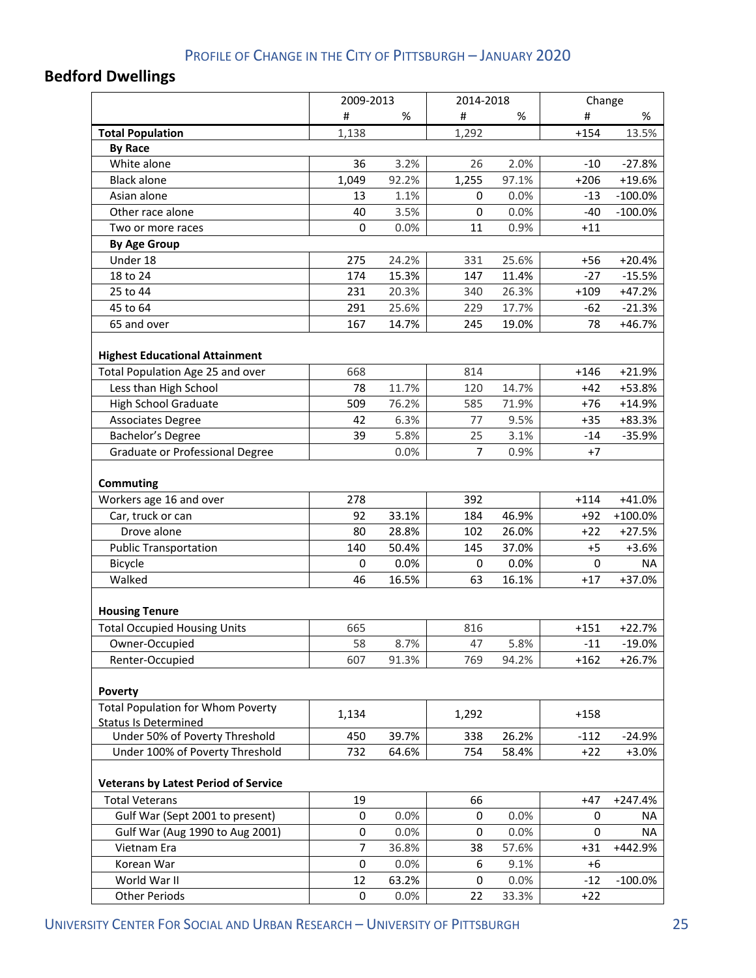# **Bedford Dwellings**

|                                                                         | 2009-2013 |               |                    | 2014-2018     |            | Change         |
|-------------------------------------------------------------------------|-----------|---------------|--------------------|---------------|------------|----------------|
|                                                                         | #         | %             | #                  | %             | #          | %              |
| <b>Total Population</b>                                                 | 1,138     |               | 1,292              |               | $+154$     | 13.5%          |
| <b>By Race</b>                                                          |           |               |                    |               |            |                |
| White alone                                                             | 36        | 3.2%          | 26                 | 2.0%          | $-10$      | $-27.8%$       |
| <b>Black alone</b>                                                      | 1,049     | 92.2%         | $\overline{1,}255$ | 97.1%         | $+206$     | $+19.6%$       |
| Asian alone                                                             | 13        | 1.1%          | 0                  | 0.0%          | $-13$      | $-100.0\%$     |
| Other race alone                                                        | 40        | 3.5%          | $\mathbf 0$        | 0.0%          | $-40$      | $-100.0\%$     |
| Two or more races                                                       | 0         | 0.0%          | 11                 | 0.9%          | $+11$      |                |
| <b>By Age Group</b>                                                     |           |               |                    |               |            |                |
| Under 18                                                                | 275       | 24.2%         | 331                | 25.6%         | $+56$      | $+20.4%$       |
| 18 to 24                                                                | 174       | 15.3%         | 147                | 11.4%         | $-27$      | $-15.5%$       |
| 25 to 44                                                                | 231       | 20.3%         | 340                | 26.3%         | $+109$     | $+47.2%$       |
| 45 to 64                                                                | 291       | 25.6%         | 229                | 17.7%         | $-62$      | $-21.3%$       |
| 65 and over                                                             | 167       | 14.7%         | 245                | 19.0%         | 78         | $+46.7%$       |
| <b>Highest Educational Attainment</b>                                   |           |               |                    |               |            |                |
| Total Population Age 25 and over                                        | 668       |               | 814                |               | $+146$     | $+21.9%$       |
| Less than High School                                                   | 78        | 11.7%         | 120                | 14.7%         | $+42$      | +53.8%         |
| <b>High School Graduate</b>                                             | 509       | 76.2%         | 585                | 71.9%         | $+76$      | $+14.9%$       |
| <b>Associates Degree</b>                                                | 42        | 6.3%          | 77                 | 9.5%          | $+35$      | +83.3%         |
| Bachelor's Degree                                                       | 39        | 5.8%          | 25                 | 3.1%          | $-14$      | $-35.9%$       |
| Graduate or Professional Degree                                         |           | 0.0%          | $\overline{7}$     | 0.9%          | $+7$       |                |
| Commuting                                                               |           |               |                    |               |            |                |
| Workers age 16 and over                                                 | 278       |               | 392                |               | $+114$     | $+41.0%$       |
| Car, truck or can<br>Drove alone                                        | 92        | 33.1%         | 184                | 46.9%         | $+92$      | +100.0%        |
|                                                                         | 80        | 28.8%         | 102                | 26.0%         | $+22$      | $+27.5%$       |
| <b>Public Transportation</b>                                            | 140       | 50.4%         | 145                | 37.0%<br>0.0% | $+5$       | $+3.6%$        |
| Bicycle<br>Walked                                                       | 0<br>46   | 0.0%<br>16.5% | 0<br>63            | 16.1%         | 0<br>$+17$ | NA<br>$+37.0%$ |
|                                                                         |           |               |                    |               |            |                |
| <b>Housing Tenure</b>                                                   |           |               |                    |               |            |                |
| <b>Total Occupied Housing Units</b>                                     | 665       |               | 816                |               | $+151$     | $+22.7%$       |
| Owner-Occupied                                                          | 58        | 8.7%          | 47                 | 5.8%          | $-11$      | $-19.0\%$      |
| Renter-Occupied                                                         | 607       | 91.3%         | 769                | 94.2%         | $+162$     | $+26.7%$       |
| Poverty                                                                 |           |               |                    |               |            |                |
| <b>Total Population for Whom Poverty</b><br><b>Status Is Determined</b> | 1,134     |               | 1,292              |               | $+158$     |                |
| Under 50% of Poverty Threshold                                          | 450       | 39.7%         | 338                | 26.2%         | $-112$     | $-24.9%$       |
| Under 100% of Poverty Threshold                                         | 732       | 64.6%         | 754                | 58.4%         | $+22$      | $+3.0%$        |
| <b>Veterans by Latest Period of Service</b>                             |           |               |                    |               |            |                |
| <b>Total Veterans</b>                                                   | 19        |               | 66                 |               | $+47$      | $+247.4%$      |
| Gulf War (Sept 2001 to present)                                         | 0         | 0.0%          | 0                  | 0.0%          | 0          | NA             |
| Gulf War (Aug 1990 to Aug 2001)                                         | 0         | 0.0%          | $\mathbf 0$        | 0.0%          | 0          | NA             |
| Vietnam Era                                                             | 7         | 36.8%         | 38                 | 57.6%         | $+31$      | +442.9%        |
| Korean War                                                              | 0         | 0.0%          | 6                  | 9.1%          | $+6$       |                |
| World War II                                                            | 12        | 63.2%         | 0                  | 0.0%          | $-12$      | $-100.0\%$     |
| <b>Other Periods</b>                                                    | 0         | 0.0%          | 22                 | 33.3%         | $+22$      |                |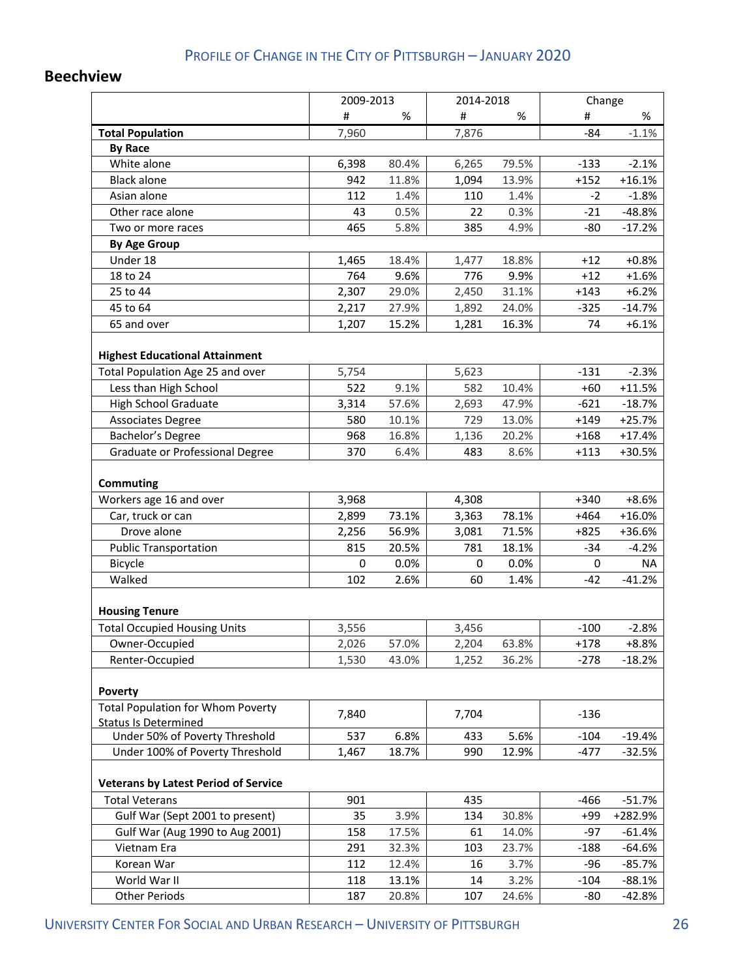#### **Beechview**

|                                             | 2009-2013 |       | 2014-2018 |       | Change |           |
|---------------------------------------------|-----------|-------|-----------|-------|--------|-----------|
|                                             | #         | %     | #         | %     | #      | %         |
| <b>Total Population</b>                     | 7,960     |       | 7,876     |       | $-84$  | $-1.1%$   |
| <b>By Race</b>                              |           |       |           |       |        |           |
| White alone                                 | 6,398     | 80.4% | 6,265     | 79.5% | $-133$ | $-2.1%$   |
| <b>Black alone</b>                          | 942       | 11.8% | 1,094     | 13.9% | $+152$ | $+16.1%$  |
| Asian alone                                 | 112       | 1.4%  | 110       | 1.4%  | $-2$   | $-1.8%$   |
| Other race alone                            | 43        | 0.5%  | 22        | 0.3%  | $-21$  | $-48.8%$  |
| Two or more races                           | 465       | 5.8%  | 385       | 4.9%  | $-80$  | $-17.2%$  |
| <b>By Age Group</b>                         |           |       |           |       |        |           |
| Under 18                                    | 1,465     | 18.4% | 1,477     | 18.8% | $+12$  | $+0.8%$   |
| 18 to 24                                    | 764       | 9.6%  | 776       | 9.9%  | $+12$  | $+1.6%$   |
| 25 to 44                                    | 2,307     | 29.0% | 2,450     | 31.1% | $+143$ | $+6.2%$   |
| 45 to 64                                    | 2,217     | 27.9% | 1,892     | 24.0% | $-325$ | $-14.7%$  |
| 65 and over                                 | 1,207     | 15.2% | 1,281     | 16.3% | 74     | $+6.1%$   |
| <b>Highest Educational Attainment</b>       |           |       |           |       |        |           |
| Total Population Age 25 and over            | 5,754     |       | 5,623     |       | $-131$ | $-2.3%$   |
| Less than High School                       | 522       | 9.1%  | 582       | 10.4% | $+60$  | $+11.5%$  |
| <b>High School Graduate</b>                 | 3,314     | 57.6% | 2,693     | 47.9% | $-621$ | $-18.7%$  |
| <b>Associates Degree</b>                    | 580       | 10.1% | 729       | 13.0% | $+149$ | $+25.7%$  |
| Bachelor's Degree                           | 968       | 16.8% | 1,136     | 20.2% | $+168$ | $+17.4%$  |
| Graduate or Professional Degree             | 370       | 6.4%  | 483       | 8.6%  | $+113$ | +30.5%    |
|                                             |           |       |           |       |        |           |
| <b>Commuting</b>                            |           |       |           |       |        |           |
| Workers age 16 and over                     | 3,968     |       | 4,308     |       | $+340$ | $+8.6%$   |
| Car, truck or can                           | 2,899     | 73.1% | 3,363     | 78.1% | $+464$ | $+16.0%$  |
| Drove alone                                 | 2,256     | 56.9% | 3,081     | 71.5% | $+825$ | +36.6%    |
| <b>Public Transportation</b>                | 815       | 20.5% | 781       | 18.1% | $-34$  | $-4.2%$   |
| Bicycle                                     | 0         | 0.0%  | 0         | 0.0%  | 0      | <b>NA</b> |
| Walked                                      | 102       | 2.6%  | 60        | 1.4%  | $-42$  | $-41.2%$  |
| <b>Housing Tenure</b>                       |           |       |           |       |        |           |
| <b>Total Occupied Housing Units</b>         | 3,556     |       | 3,456     |       | $-100$ | $-2.8%$   |
| Owner-Occupied                              | 2,026     | 57.0% | 2,204     | 63.8% | $+178$ | $+8.8%$   |
| Renter-Occupied                             | 1,530     | 43.0% | 1,252     | 36.2% | $-278$ | $-18.2%$  |
| Poverty                                     |           |       |           |       |        |           |
| <b>Total Population for Whom Poverty</b>    |           |       |           |       |        |           |
| <b>Status Is Determined</b>                 | 7,840     |       | 7,704     |       | $-136$ |           |
| Under 50% of Poverty Threshold              | 537       | 6.8%  | 433       | 5.6%  | $-104$ | $-19.4%$  |
| Under 100% of Poverty Threshold             | 1,467     | 18.7% | 990       | 12.9% | $-477$ | $-32.5%$  |
| <b>Veterans by Latest Period of Service</b> |           |       |           |       |        |           |
| <b>Total Veterans</b>                       | 901       |       | 435       |       | $-466$ | $-51.7%$  |
| Gulf War (Sept 2001 to present)             | 35        | 3.9%  | 134       | 30.8% | +99    | +282.9%   |
| Gulf War (Aug 1990 to Aug 2001)             | 158       | 17.5% | 61        | 14.0% | $-97$  | $-61.4%$  |
| Vietnam Era                                 | 291       | 32.3% | 103       | 23.7% | $-188$ | $-64.6%$  |
| Korean War                                  | 112       | 12.4% | 16        | 3.7%  | -96    | $-85.7%$  |
| World War II                                | 118       | 13.1% | 14        | 3.2%  | $-104$ | $-88.1%$  |
| <b>Other Periods</b>                        | 187       | 20.8% | 107       | 24.6% | $-80$  | $-42.8%$  |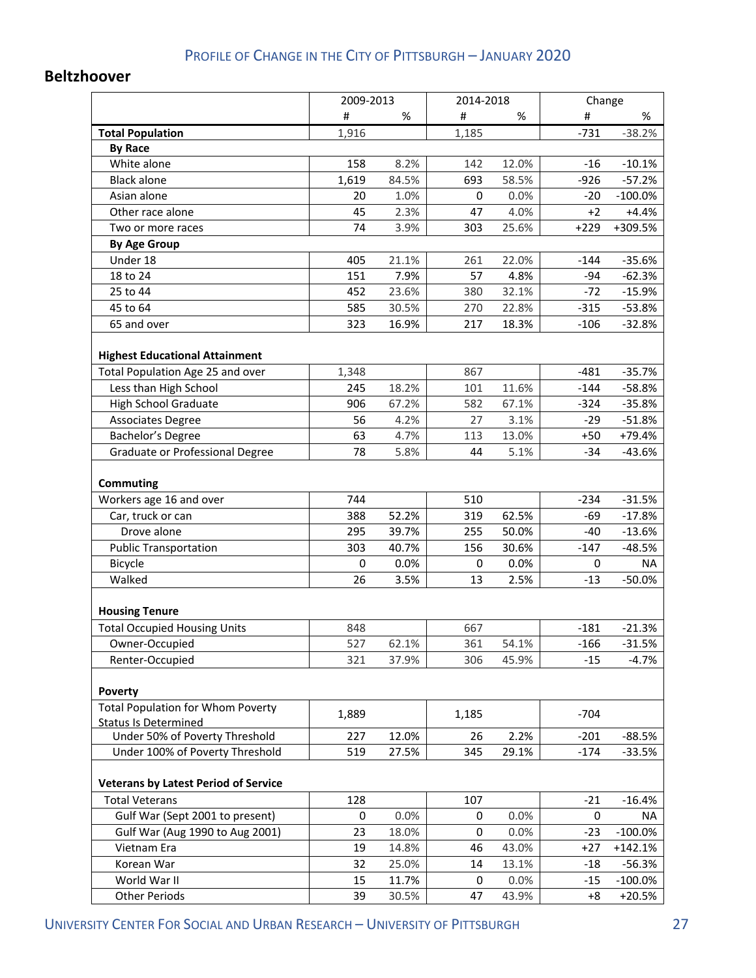#### **Beltzhoover**

|                                             | 2009-2013 |       | 2014-2018 |       | Change |            |
|---------------------------------------------|-----------|-------|-----------|-------|--------|------------|
|                                             | #         | $\%$  | #         | %     | #      | %          |
| <b>Total Population</b>                     | 1,916     |       | 1,185     |       | $-731$ | $-38.2%$   |
| <b>By Race</b>                              |           |       |           |       |        |            |
| White alone                                 | 158       | 8.2%  | 142       | 12.0% | $-16$  | $-10.1%$   |
| <b>Black alone</b>                          | 1,619     | 84.5% | 693       | 58.5% | $-926$ | $-57.2%$   |
| Asian alone                                 | 20        | 1.0%  | 0         | 0.0%  | $-20$  | $-100.0\%$ |
| Other race alone                            | 45        | 2.3%  | 47        | 4.0%  | $+2$   | $+4.4%$    |
| Two or more races                           | 74        | 3.9%  | 303       | 25.6% | $+229$ | +309.5%    |
| <b>By Age Group</b>                         |           |       |           |       |        |            |
| Under 18                                    | 405       | 21.1% | 261       | 22.0% | $-144$ | $-35.6%$   |
| 18 to 24                                    | 151       | 7.9%  | 57        | 4.8%  | $-94$  | $-62.3%$   |
| 25 to 44                                    | 452       | 23.6% | 380       | 32.1% | $-72$  | $-15.9%$   |
| 45 to 64                                    | 585       | 30.5% | 270       | 22.8% | $-315$ | $-53.8%$   |
| 65 and over                                 | 323       | 16.9% | 217       | 18.3% | $-106$ | $-32.8%$   |
|                                             |           |       |           |       |        |            |
| <b>Highest Educational Attainment</b>       |           |       |           |       |        |            |
| Total Population Age 25 and over            | 1,348     |       | 867       |       | $-481$ | $-35.7%$   |
| Less than High School                       | 245       | 18.2% | 101       | 11.6% | $-144$ | $-58.8%$   |
| <b>High School Graduate</b>                 | 906       | 67.2% | 582       | 67.1% | $-324$ | $-35.8%$   |
| <b>Associates Degree</b>                    | 56        | 4.2%  | 27        | 3.1%  | $-29$  | $-51.8%$   |
| Bachelor's Degree                           | 63        | 4.7%  | 113       | 13.0% | $+50$  | +79.4%     |
| Graduate or Professional Degree             | 78        | 5.8%  | 44        | 5.1%  | $-34$  | $-43.6%$   |
|                                             |           |       |           |       |        |            |
| Commuting                                   |           |       |           |       |        |            |
| Workers age 16 and over                     | 744       |       | 510       |       | $-234$ | $-31.5%$   |
| Car, truck or can                           | 388       | 52.2% | 319       | 62.5% | $-69$  | $-17.8%$   |
| Drove alone                                 | 295       | 39.7% | 255       | 50.0% | $-40$  | $-13.6%$   |
| <b>Public Transportation</b>                | 303       | 40.7% | 156       | 30.6% | $-147$ | $-48.5%$   |
| Bicycle                                     | $\pmb{0}$ | 0.0%  | 0         | 0.0%  | 0      | <b>NA</b>  |
| Walked                                      | 26        | 3.5%  | 13        | 2.5%  | $-13$  | $-50.0%$   |
|                                             |           |       |           |       |        |            |
| <b>Housing Tenure</b>                       |           |       |           |       |        |            |
| <b>Total Occupied Housing Units</b>         | 848       |       | 667       |       | $-181$ | $-21.3%$   |
| Owner-Occupied                              | 527       | 62.1% | 361       | 54.1% | $-166$ | $-31.5%$   |
| Renter-Occupied                             | 321       | 37.9% | 306       | 45.9% | $-15$  | $-4.7%$    |
|                                             |           |       |           |       |        |            |
| <b>Poverty</b>                              |           |       |           |       |        |            |
| <b>Total Population for Whom Poverty</b>    |           |       |           |       |        |            |
| <b>Status Is Determined</b>                 | 1,889     |       | 1,185     |       | $-704$ |            |
| Under 50% of Poverty Threshold              | 227       | 12.0% | 26        | 2.2%  | $-201$ | $-88.5%$   |
| Under 100% of Poverty Threshold             | 519       | 27.5% | 345       | 29.1% | $-174$ | $-33.5%$   |
|                                             |           |       |           |       |        |            |
| <b>Veterans by Latest Period of Service</b> |           |       |           |       |        |            |
| <b>Total Veterans</b>                       | 128       |       | 107       |       | $-21$  | $-16.4%$   |
| Gulf War (Sept 2001 to present)             | 0         | 0.0%  | 0         | 0.0%  | 0      | NA         |
| Gulf War (Aug 1990 to Aug 2001)             | 23        | 18.0% | 0         | 0.0%  | $-23$  | $-100.0\%$ |
| Vietnam Era                                 | 19        | 14.8% | 46        | 43.0% | $+27$  | $+142.1%$  |
| Korean War                                  | 32        | 25.0% | 14        | 13.1% | $-18$  | $-56.3%$   |
| World War II                                | 15        | 11.7% | 0         | 0.0%  | $-15$  | $-100.0\%$ |
| <b>Other Periods</b>                        | 39        | 30.5% | 47        | 43.9% | $+8$   | $+20.5%$   |
|                                             |           |       |           |       |        |            |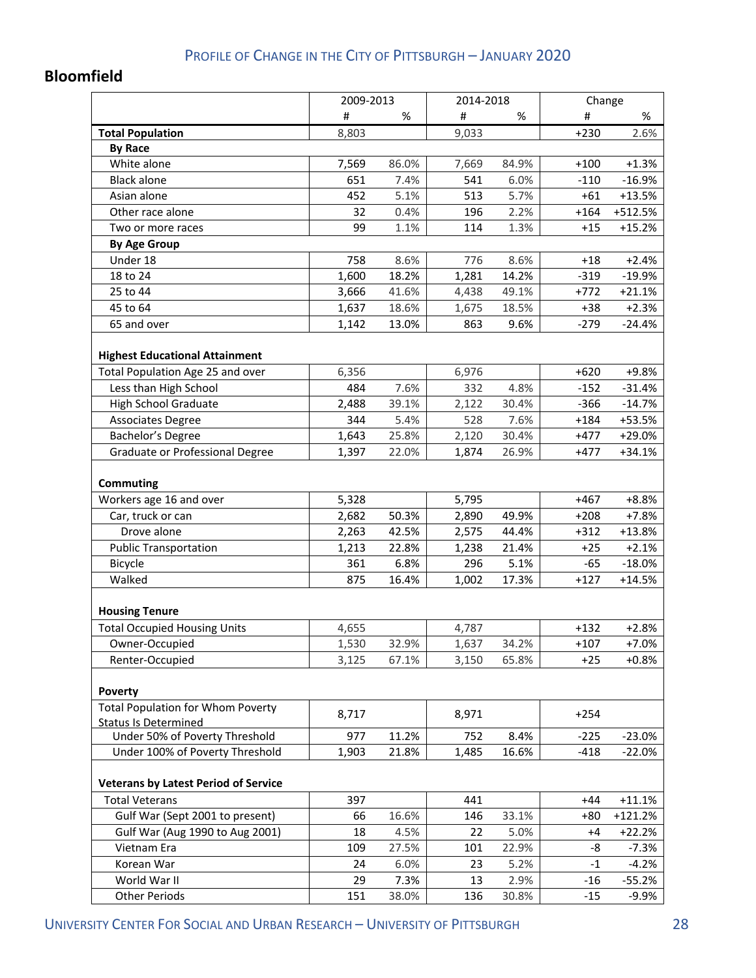### **Bloomfield**

|                                                                           | 2009-2013 |       | 2014-2018 |       | Change |           |
|---------------------------------------------------------------------------|-----------|-------|-----------|-------|--------|-----------|
|                                                                           | #         | %     | #         | $\%$  | #      | %         |
| <b>Total Population</b>                                                   | 8,803     |       | 9,033     |       | $+230$ | 2.6%      |
| <b>By Race</b>                                                            |           |       |           |       |        |           |
| White alone                                                               | 7,569     | 86.0% | 7,669     | 84.9% | $+100$ | $+1.3%$   |
| <b>Black alone</b>                                                        | 651       | 7.4%  | 541       | 6.0%  | $-110$ | $-16.9%$  |
| Asian alone                                                               | 452       | 5.1%  | 513       | 5.7%  | $+61$  | $+13.5%$  |
| Other race alone                                                          | 32        | 0.4%  | 196       | 2.2%  | $+164$ | +512.5%   |
| Two or more races                                                         | 99        | 1.1%  | 114       | 1.3%  | $+15$  | +15.2%    |
| <b>By Age Group</b>                                                       |           |       |           |       |        |           |
| Under 18                                                                  | 758       | 8.6%  | 776       | 8.6%  | $+18$  | $+2.4%$   |
| 18 to 24                                                                  | 1,600     | 18.2% | 1,281     | 14.2% | $-319$ | $-19.9%$  |
| 25 to 44                                                                  | 3,666     | 41.6% | 4,438     | 49.1% | $+772$ | $+21.1%$  |
| 45 to 64                                                                  | 1,637     | 18.6% | 1,675     | 18.5% | $+38$  | $+2.3%$   |
| 65 and over                                                               | 1,142     | 13.0% | 863       | 9.6%  | $-279$ | $-24.4%$  |
| <b>Highest Educational Attainment</b><br>Total Population Age 25 and over | 6,356     |       | 6,976     |       | $+620$ | $+9.8%$   |
| Less than High School                                                     | 484       | 7.6%  | 332       | 4.8%  | $-152$ | $-31.4%$  |
| <b>High School Graduate</b>                                               | 2,488     | 39.1% | 2,122     | 30.4% | $-366$ | $-14.7%$  |
| <b>Associates Degree</b>                                                  | 344       | 5.4%  | 528       | 7.6%  | $+184$ | +53.5%    |
| Bachelor's Degree                                                         | 1,643     | 25.8% | 2,120     | 30.4% | +477   | +29.0%    |
| Graduate or Professional Degree                                           | 1,397     | 22.0% | 1,874     | 26.9% | $+477$ | $+34.1%$  |
| Commuting                                                                 |           |       |           |       |        |           |
| Workers age 16 and over                                                   | 5,328     |       | 5,795     |       | $+467$ | $+8.8%$   |
| Car, truck or can                                                         | 2,682     | 50.3% | 2,890     | 49.9% | $+208$ | $+7.8%$   |
| Drove alone                                                               | 2,263     | 42.5% | 2,575     | 44.4% | $+312$ | $+13.8%$  |
| <b>Public Transportation</b>                                              | 1,213     | 22.8% | 1,238     | 21.4% | $+25$  | $+2.1%$   |
| Bicycle                                                                   | 361       | 6.8%  | 296       | 5.1%  | $-65$  | $-18.0%$  |
| Walked                                                                    | 875       | 16.4% | 1,002     | 17.3% | $+127$ | $+14.5%$  |
| <b>Housing Tenure</b>                                                     |           |       |           |       |        |           |
| <b>Total Occupied Housing Units</b>                                       | 4,655     |       | 4,787     |       | $+132$ | $+2.8%$   |
| Owner-Occupied                                                            | 1,530     | 32.9% | 1,637     | 34.2% | $+107$ | +7.0%     |
| Renter-Occupied                                                           | 3,125     | 67.1% | 3,150     | 65.8% | $+25$  | $+0.8%$   |
| <b>Poverty</b>                                                            |           |       |           |       |        |           |
| <b>Total Population for Whom Poverty</b>                                  | 8,717     |       | 8,971     |       | $+254$ |           |
| <b>Status Is Determined</b>                                               |           |       |           |       |        |           |
| Under 50% of Poverty Threshold                                            | 977       | 11.2% | 752       | 8.4%  | $-225$ | $-23.0%$  |
| Under 100% of Poverty Threshold                                           | 1,903     | 21.8% | 1,485     | 16.6% | $-418$ | $-22.0%$  |
| <b>Veterans by Latest Period of Service</b>                               |           |       |           |       |        |           |
| <b>Total Veterans</b>                                                     | 397       |       | 441       |       | $+44$  | $+11.1%$  |
| Gulf War (Sept 2001 to present)                                           | 66        | 16.6% | 146       | 33.1% | $+80$  | $+121.2%$ |
| Gulf War (Aug 1990 to Aug 2001)                                           | 18        | 4.5%  | 22        | 5.0%  | $+4$   | $+22.2%$  |
| Vietnam Era                                                               | 109       | 27.5% | 101       | 22.9% | -8     | $-7.3%$   |
| Korean War                                                                | 24        | 6.0%  | 23        | 5.2%  | $-1$   | $-4.2%$   |
| World War II                                                              | 29        | 7.3%  | 13        | 2.9%  | $-16$  | $-55.2%$  |
| <b>Other Periods</b>                                                      | 151       | 38.0% | 136       | 30.8% | $-15$  | $-9.9%$   |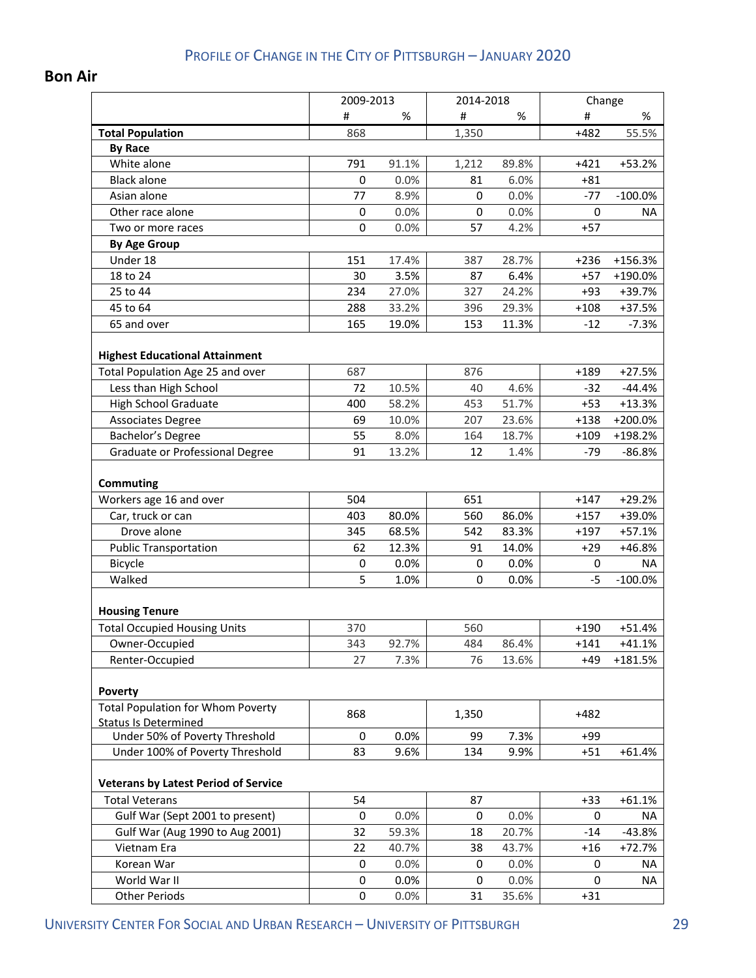### **Bon Air**

|                                                                         | 2009-2013   |       | 2014-2018   |       | Change |            |
|-------------------------------------------------------------------------|-------------|-------|-------------|-------|--------|------------|
|                                                                         | #           | $\%$  | #           | $\%$  | #      | %          |
| <b>Total Population</b>                                                 | 868         |       | 1,350       |       | $+482$ | 55.5%      |
| <b>By Race</b>                                                          |             |       |             |       |        |            |
| White alone                                                             | 791         | 91.1% | 1,212       | 89.8% | $+421$ | $+53.2%$   |
| <b>Black alone</b>                                                      | $\mathbf 0$ | 0.0%  | 81          | 6.0%  | $+81$  |            |
| Asian alone                                                             | 77          | 8.9%  | 0           | 0.0%  | $-77$  | $-100.0\%$ |
| Other race alone                                                        | 0           | 0.0%  | 0           | 0.0%  | 0      | NA         |
| Two or more races                                                       | 0           | 0.0%  | 57          | 4.2%  | $+57$  |            |
| <b>By Age Group</b>                                                     |             |       |             |       |        |            |
| Under 18                                                                | 151         | 17.4% | 387         | 28.7% | $+236$ | +156.3%    |
| 18 to 24                                                                | 30          | 3.5%  | 87          | 6.4%  | $+57$  | +190.0%    |
| 25 to 44                                                                | 234         | 27.0% | 327         | 24.2% | $+93$  | +39.7%     |
| 45 to 64                                                                | 288         | 33.2% | 396         | 29.3% | $+108$ | +37.5%     |
| 65 and over                                                             | 165         | 19.0% | 153         | 11.3% | $-12$  | $-7.3%$    |
| <b>Highest Educational Attainment</b>                                   |             |       |             |       |        |            |
| Total Population Age 25 and over                                        | 687         |       | 876         |       | $+189$ | $+27.5%$   |
| Less than High School                                                   | 72          | 10.5% | 40          | 4.6%  | $-32$  | $-44.4%$   |
| <b>High School Graduate</b>                                             | 400         | 58.2% | 453         | 51.7% | $+53$  | $+13.3%$   |
| <b>Associates Degree</b>                                                | 69          | 10.0% | 207         | 23.6% | $+138$ | +200.0%    |
| Bachelor's Degree                                                       | 55          | 8.0%  | 164         | 18.7% | $+109$ | +198.2%    |
| Graduate or Professional Degree                                         | 91          | 13.2% | 12          | 1.4%  | $-79$  | $-86.8%$   |
| <b>Commuting</b>                                                        |             |       |             |       |        |            |
| Workers age 16 and over                                                 | 504         |       | 651         |       | $+147$ | $+29.2%$   |
| Car, truck or can                                                       | 403         | 80.0% | 560         | 86.0% | $+157$ | +39.0%     |
| Drove alone                                                             | 345         | 68.5% | 542         | 83.3% | $+197$ | $+57.1%$   |
| <b>Public Transportation</b>                                            | 62          | 12.3% | 91          | 14.0% | $+29$  | +46.8%     |
| Bicycle                                                                 | 0           | 0.0%  | 0           | 0.0%  | 0      | <b>NA</b>  |
| Walked                                                                  | 5           | 1.0%  | 0           | 0.0%  | $-5$   | $-100.0\%$ |
| <b>Housing Tenure</b>                                                   |             |       |             |       |        |            |
| <b>Total Occupied Housing Units</b>                                     | 370         |       | 560         |       | $+190$ | $+51.4%$   |
| Owner-Occupied                                                          | 343         | 92.7% | 484         | 86.4% | $+141$ | +41.1%     |
| Renter-Occupied                                                         | 27          | 7.3%  | 76          | 13.6% | $+49$  | +181.5%    |
| Poverty                                                                 |             |       |             |       |        |            |
| <b>Total Population for Whom Poverty</b><br><b>Status Is Determined</b> | 868         |       | 1,350       |       | $+482$ |            |
| Under 50% of Poverty Threshold                                          | 0           | 0.0%  | 99          | 7.3%  | +99    |            |
| Under 100% of Poverty Threshold                                         | 83          | 9.6%  | 134         | 9.9%  | $+51$  | $+61.4%$   |
| <b>Veterans by Latest Period of Service</b>                             |             |       |             |       |        |            |
| <b>Total Veterans</b>                                                   | 54          |       | 87          |       | $+33$  | $+61.1%$   |
| Gulf War (Sept 2001 to present)                                         | 0           | 0.0%  | $\mathbf 0$ | 0.0%  | 0      | NA         |
| Gulf War (Aug 1990 to Aug 2001)                                         | 32          | 59.3% | 18          | 20.7% | $-14$  | $-43.8%$   |
| Vietnam Era                                                             | 22          | 40.7% | 38          | 43.7% | $+16$  | $+72.7%$   |
| Korean War                                                              | 0           | 0.0%  | 0           | 0.0%  | 0      | NA         |
| World War II                                                            | 0           | 0.0%  | 0           | 0.0%  | 0      | NA         |
| <b>Other Periods</b>                                                    | 0           | 0.0%  | 31          | 35.6% | $+31$  |            |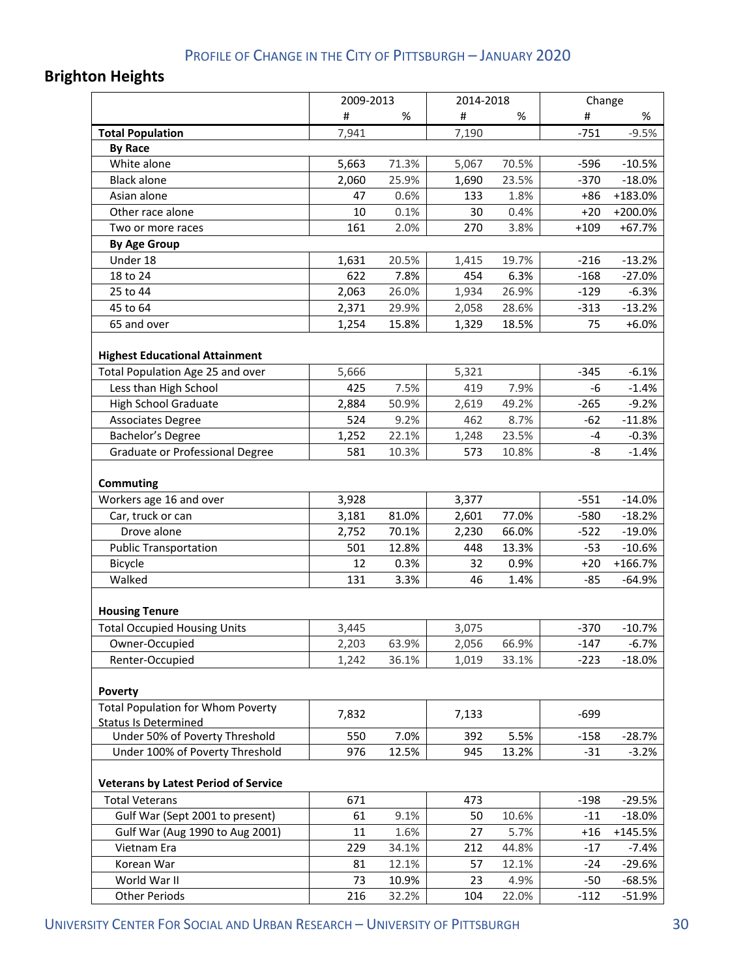# **Brighton Heights**

|                                                                           | 2009-2013 |       | 2014-2018 |       | Change |           |
|---------------------------------------------------------------------------|-----------|-------|-----------|-------|--------|-----------|
|                                                                           | #         | %     | #         | $\%$  | #      | %         |
| <b>Total Population</b>                                                   | 7,941     |       | 7,190     |       | $-751$ | $-9.5%$   |
| <b>By Race</b>                                                            |           |       |           |       |        |           |
| White alone                                                               | 5,663     | 71.3% | 5,067     | 70.5% | $-596$ | $-10.5%$  |
| <b>Black alone</b>                                                        | 2,060     | 25.9% | 1,690     | 23.5% | $-370$ | $-18.0%$  |
| Asian alone                                                               | 47        | 0.6%  | 133       | 1.8%  | $+86$  | +183.0%   |
| Other race alone                                                          | 10        | 0.1%  | 30        | 0.4%  | $+20$  | +200.0%   |
| Two or more races                                                         | 161       | 2.0%  | 270       | 3.8%  | $+109$ | $+67.7%$  |
| <b>By Age Group</b>                                                       |           |       |           |       |        |           |
| Under 18                                                                  | 1,631     | 20.5% | 1,415     | 19.7% | $-216$ | $-13.2%$  |
| 18 to 24                                                                  | 622       | 7.8%  | 454       | 6.3%  | $-168$ | $-27.0%$  |
| 25 to 44                                                                  | 2,063     | 26.0% | 1,934     | 26.9% | $-129$ | $-6.3%$   |
| 45 to 64                                                                  | 2,371     | 29.9% | 2,058     | 28.6% | $-313$ | $-13.2%$  |
| 65 and over                                                               | 1,254     | 15.8% | 1,329     | 18.5% | 75     | $+6.0%$   |
| <b>Highest Educational Attainment</b><br>Total Population Age 25 and over | 5,666     |       | 5,321     |       | $-345$ | $-6.1%$   |
| Less than High School                                                     | 425       | 7.5%  | 419       | 7.9%  | -6     | $-1.4%$   |
| <b>High School Graduate</b>                                               | 2,884     | 50.9% | 2,619     | 49.2% | $-265$ | $-9.2%$   |
| <b>Associates Degree</b>                                                  | 524       | 9.2%  | 462       | 8.7%  | $-62$  | $-11.8%$  |
| Bachelor's Degree                                                         | 1,252     | 22.1% | 1,248     | 23.5% | $-4$   | $-0.3%$   |
| Graduate or Professional Degree                                           | 581       | 10.3% | 573       | 10.8% | -8     | $-1.4%$   |
| Commuting                                                                 |           |       |           |       |        |           |
| Workers age 16 and over                                                   | 3,928     |       | 3,377     |       | $-551$ | $-14.0%$  |
| Car, truck or can                                                         | 3,181     | 81.0% | 2,601     | 77.0% | $-580$ | $-18.2%$  |
| Drove alone                                                               | 2,752     | 70.1% | 2,230     | 66.0% | $-522$ | $-19.0%$  |
| <b>Public Transportation</b>                                              | 501       | 12.8% | 448       | 13.3% | $-53$  | $-10.6%$  |
| Bicycle                                                                   | 12        | 0.3%  | 32        | 0.9%  | $+20$  | $+166.7%$ |
| Walked                                                                    | 131       | 3.3%  | 46        | 1.4%  | $-85$  | $-64.9%$  |
| <b>Housing Tenure</b>                                                     |           |       |           |       |        |           |
| <b>Total Occupied Housing Units</b>                                       | 3,445     |       | 3,075     |       | $-370$ | $-10.7%$  |
| Owner-Occupied                                                            | 2,203     | 63.9% | 2,056     | 66.9% | $-147$ | $-6.7\%$  |
| Renter-Occupied                                                           | 1,242     | 36.1% | 1,019     | 33.1% | $-223$ | $-18.0%$  |
| Poverty                                                                   |           |       |           |       |        |           |
| <b>Total Population for Whom Poverty</b>                                  | 7,832     |       | 7,133     |       | -699   |           |
| <b>Status Is Determined</b><br>Under 50% of Poverty Threshold             | 550       | 7.0%  | 392       | 5.5%  | $-158$ | $-28.7%$  |
| Under 100% of Poverty Threshold                                           | 976       | 12.5% | 945       | 13.2% | $-31$  | $-3.2%$   |
| <b>Veterans by Latest Period of Service</b>                               |           |       |           |       |        |           |
| <b>Total Veterans</b>                                                     | 671       |       | 473       |       | $-198$ | $-29.5%$  |
| Gulf War (Sept 2001 to present)                                           | 61        | 9.1%  | 50        | 10.6% | $-11$  | $-18.0%$  |
| Gulf War (Aug 1990 to Aug 2001)                                           | 11        | 1.6%  | 27        | 5.7%  | $+16$  | $+145.5%$ |
| Vietnam Era                                                               | 229       | 34.1% | 212       | 44.8% | $-17$  | $-7.4%$   |
| Korean War                                                                | 81        | 12.1% | 57        | 12.1% | $-24$  | $-29.6%$  |
| World War II                                                              | 73        | 10.9% | 23        | 4.9%  | $-50$  | $-68.5%$  |
| <b>Other Periods</b>                                                      | 216       | 32.2% | 104       | 22.0% | $-112$ | $-51.9%$  |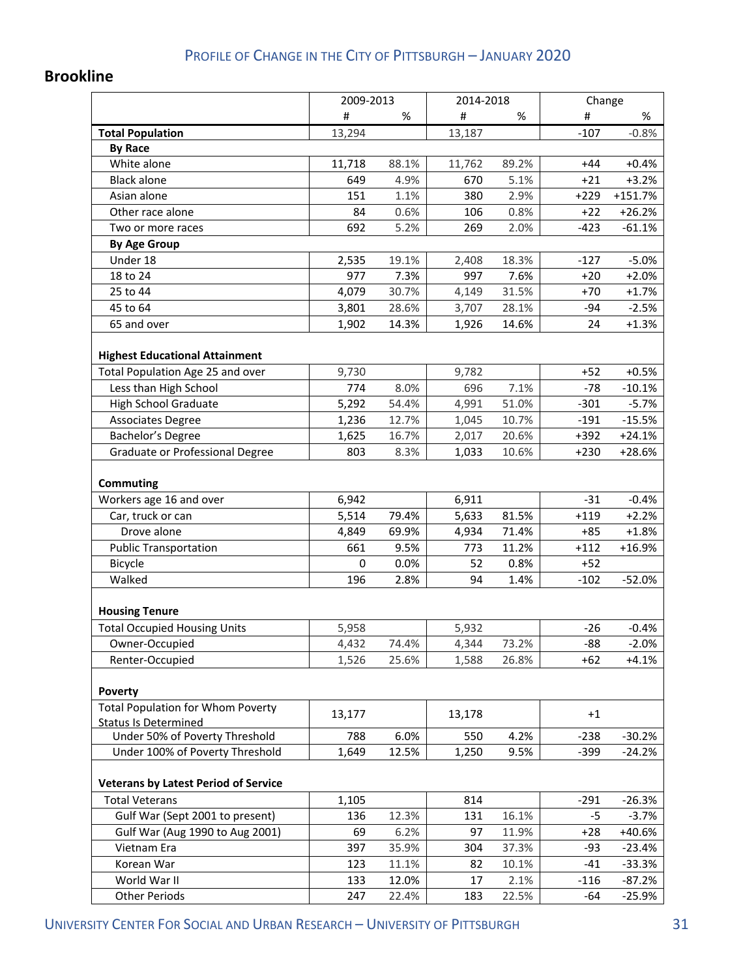### **Brookline**

|                                             | 2009-2013 |       | 2014-2018 |       | Change |          |
|---------------------------------------------|-----------|-------|-----------|-------|--------|----------|
|                                             | #         | %     | #         | %     | #      | %        |
| <b>Total Population</b>                     | 13,294    |       | 13,187    |       | $-107$ | $-0.8%$  |
| <b>By Race</b>                              |           |       |           |       |        |          |
| White alone                                 | 11,718    | 88.1% | 11,762    | 89.2% | $+44$  | $+0.4%$  |
| <b>Black alone</b>                          | 649       | 4.9%  | 670       | 5.1%  | $+21$  | $+3.2%$  |
| Asian alone                                 | 151       | 1.1%  | 380       | 2.9%  | $+229$ | +151.7%  |
| Other race alone                            | 84        | 0.6%  | 106       | 0.8%  | $+22$  | $+26.2%$ |
| Two or more races                           | 692       | 5.2%  | 269       | 2.0%  | $-423$ | $-61.1%$ |
| <b>By Age Group</b>                         |           |       |           |       |        |          |
| Under 18                                    | 2,535     | 19.1% | 2,408     | 18.3% | $-127$ | $-5.0%$  |
| 18 to 24                                    | 977       | 7.3%  | 997       | 7.6%  | $+20$  | $+2.0%$  |
| 25 to 44                                    | 4,079     | 30.7% | 4,149     | 31.5% | $+70$  | $+1.7%$  |
| 45 to 64                                    | 3,801     | 28.6% | 3,707     | 28.1% | $-94$  | $-2.5%$  |
| 65 and over                                 | 1,902     | 14.3% | 1,926     | 14.6% | 24     | $+1.3%$  |
|                                             |           |       |           |       |        |          |
| <b>Highest Educational Attainment</b>       |           |       |           |       |        |          |
| Total Population Age 25 and over            | 9,730     |       | 9,782     |       | $+52$  | $+0.5%$  |
| Less than High School                       | 774       | 8.0%  | 696       | 7.1%  | $-78$  | $-10.1%$ |
| <b>High School Graduate</b>                 | 5,292     | 54.4% | 4,991     | 51.0% | $-301$ | $-5.7%$  |
| <b>Associates Degree</b>                    | 1,236     | 12.7% | 1,045     | 10.7% | $-191$ | $-15.5%$ |
| Bachelor's Degree                           | 1,625     | 16.7% | 2,017     | 20.6% | $+392$ | $+24.1%$ |
| Graduate or Professional Degree             | 803       | 8.3%  | 1,033     | 10.6% | $+230$ | $+28.6%$ |
|                                             |           |       |           |       |        |          |
| <b>Commuting</b>                            |           |       |           |       |        |          |
| Workers age 16 and over                     | 6,942     |       | 6,911     |       | $-31$  | $-0.4%$  |
| Car, truck or can                           | 5,514     | 79.4% | 5,633     | 81.5% | $+119$ | $+2.2%$  |
| Drove alone                                 | 4,849     | 69.9% | 4,934     | 71.4% | $+85$  | $+1.8%$  |
| <b>Public Transportation</b>                | 661       | 9.5%  | 773       | 11.2% | $+112$ | $+16.9%$ |
| Bicycle                                     | 0         | 0.0%  | 52        | 0.8%  | $+52$  |          |
| Walked                                      | 196       | 2.8%  | 94        | 1.4%  | $-102$ | $-52.0%$ |
|                                             |           |       |           |       |        |          |
| <b>Housing Tenure</b>                       |           |       |           |       |        |          |
| <b>Total Occupied Housing Units</b>         | 5,958     |       | 5,932     |       | $-26$  | $-0.4%$  |
| Owner-Occupied                              | 4,432     | 74.4% | 4,344     | 73.2% | $-88$  | $-2.0%$  |
| Renter-Occupied                             | 1,526     | 25.6% | 1,588     | 26.8% | $+62$  | $+4.1%$  |
|                                             |           |       |           |       |        |          |
| Poverty                                     |           |       |           |       |        |          |
| <b>Total Population for Whom Poverty</b>    |           |       |           |       |        |          |
| <b>Status Is Determined</b>                 | 13,177    |       | 13,178    |       | $+1$   |          |
| Under 50% of Poverty Threshold              | 788       | 6.0%  | 550       | 4.2%  | $-238$ | $-30.2%$ |
| Under 100% of Poverty Threshold             | 1,649     | 12.5% | 1,250     | 9.5%  | $-399$ | $-24.2%$ |
|                                             |           |       |           |       |        |          |
| <b>Veterans by Latest Period of Service</b> |           |       |           |       |        |          |
| <b>Total Veterans</b>                       | 1,105     |       | 814       |       | $-291$ | $-26.3%$ |
| Gulf War (Sept 2001 to present)             | 136       | 12.3% | 131       | 16.1% | $-5$   | $-3.7%$  |
| Gulf War (Aug 1990 to Aug 2001)             | 69        | 6.2%  | 97        | 11.9% | $+28$  | +40.6%   |
| Vietnam Era                                 | 397       | 35.9% | 304       | 37.3% | $-93$  | $-23.4%$ |
| Korean War                                  | 123       | 11.1% | 82        | 10.1% | $-41$  | $-33.3%$ |
| World War II                                | 133       | 12.0% | 17        | 2.1%  | $-116$ | $-87.2%$ |
| <b>Other Periods</b>                        | 247       | 22.4% | 183       | 22.5% | $-64$  | $-25.9%$ |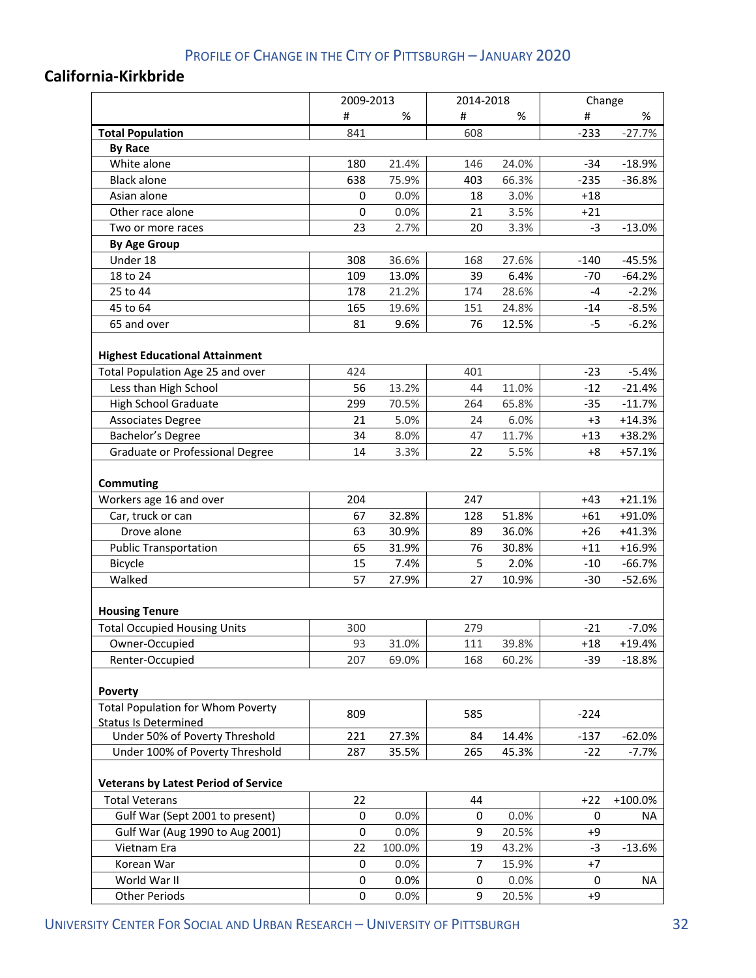### **California‐Kirkbride**

|                                                                         |             | 2009-2013 |                | 2014-2018 |        | Change    |  |
|-------------------------------------------------------------------------|-------------|-----------|----------------|-----------|--------|-----------|--|
|                                                                         | #           | %         | #              | %         | #      | %         |  |
| <b>Total Population</b>                                                 | 841         |           | 608            |           | $-233$ | $-27.7%$  |  |
| <b>By Race</b>                                                          |             |           |                |           |        |           |  |
| White alone                                                             | 180         | 21.4%     | 146            | 24.0%     | $-34$  | $-18.9%$  |  |
| <b>Black alone</b>                                                      | 638         | 75.9%     | 403            | 66.3%     | $-235$ | $-36.8%$  |  |
| Asian alone                                                             | 0           | 0.0%      | 18             | 3.0%      | $+18$  |           |  |
| Other race alone                                                        | $\mathsf 0$ | 0.0%      | 21             | 3.5%      | $+21$  |           |  |
| Two or more races                                                       | 23          | 2.7%      | 20             | 3.3%      | $-3$   | $-13.0%$  |  |
| <b>By Age Group</b>                                                     |             |           |                |           |        |           |  |
| Under 18                                                                | 308         | 36.6%     | 168            | 27.6%     | $-140$ | $-45.5%$  |  |
| 18 to 24                                                                | 109         | 13.0%     | 39             | 6.4%      | $-70$  | $-64.2%$  |  |
| 25 to 44                                                                | 178         | 21.2%     | 174            | 28.6%     | $-4$   | $-2.2%$   |  |
| 45 to 64                                                                | 165         | 19.6%     | 151            | 24.8%     | $-14$  | $-8.5%$   |  |
| 65 and over                                                             | 81          | 9.6%      | 76             | 12.5%     | $-5$   | $-6.2%$   |  |
| <b>Highest Educational Attainment</b>                                   |             |           |                |           |        |           |  |
| Total Population Age 25 and over                                        | 424         |           | 401            |           | $-23$  | $-5.4%$   |  |
| Less than High School                                                   | 56          | 13.2%     | 44             | 11.0%     | $-12$  | $-21.4%$  |  |
| <b>High School Graduate</b>                                             | 299         | 70.5%     | 264            | 65.8%     | $-35$  | $-11.7%$  |  |
| <b>Associates Degree</b>                                                | 21          | 5.0%      | 24             | 6.0%      | $+3$   | $+14.3%$  |  |
| Bachelor's Degree                                                       | 34          | 8.0%      | 47             | 11.7%     | $+13$  | $+38.2%$  |  |
| Graduate or Professional Degree                                         | 14          | 3.3%      | 22             | 5.5%      | $+8$   | $+57.1%$  |  |
| Commuting                                                               |             |           |                |           |        |           |  |
| Workers age 16 and over                                                 | 204         |           | 247            |           | $+43$  | $+21.1%$  |  |
| Car, truck or can                                                       | 67          | 32.8%     | 128            | 51.8%     | $+61$  | +91.0%    |  |
| Drove alone                                                             | 63          | 30.9%     | 89             | 36.0%     | $+26$  | $+41.3%$  |  |
| <b>Public Transportation</b>                                            | 65          | 31.9%     | 76             | 30.8%     | $+11$  | $+16.9%$  |  |
| Bicycle                                                                 | 15          | 7.4%      | 5              | 2.0%      | $-10$  | $-66.7%$  |  |
| Walked                                                                  | 57          | 27.9%     | 27             | 10.9%     | $-30$  | $-52.6%$  |  |
| <b>Housing Tenure</b>                                                   |             |           |                |           |        |           |  |
| <b>Total Occupied Housing Units</b>                                     | 300         |           | 279            |           | $-21$  | $-7.0%$   |  |
| Owner-Occupied                                                          | 93          | 31.0%     | 111            | 39.8%     | $+18$  | +19.4%    |  |
| Renter-Occupied                                                         | 207         | 69.0%     | 168            | 60.2%     | $-39$  | $-18.8%$  |  |
| Poverty                                                                 |             |           |                |           |        |           |  |
| <b>Total Population for Whom Poverty</b><br><b>Status Is Determined</b> | 809         |           | 585            |           | $-224$ |           |  |
| Under 50% of Poverty Threshold                                          | 221         | 27.3%     | 84             | 14.4%     | $-137$ | $-62.0%$  |  |
| Under 100% of Poverty Threshold                                         | 287         | 35.5%     | 265            | 45.3%     | $-22$  | $-7.7%$   |  |
| <b>Veterans by Latest Period of Service</b>                             |             |           |                |           |        |           |  |
| <b>Total Veterans</b>                                                   | 22          |           | 44             |           | $+22$  | +100.0%   |  |
| Gulf War (Sept 2001 to present)                                         | 0           | 0.0%      | 0              | 0.0%      | 0      | <b>NA</b> |  |
| Gulf War (Aug 1990 to Aug 2001)                                         | 0           | 0.0%      | 9              | 20.5%     | $+9$   |           |  |
| Vietnam Era                                                             | 22          | 100.0%    | 19             | 43.2%     | $-3$   | $-13.6%$  |  |
| Korean War                                                              | 0           | 0.0%      | $\overline{7}$ | 15.9%     | $+7$   |           |  |
| World War II                                                            | 0           | 0.0%      | 0              | 0.0%      | 0      | NA        |  |
| <b>Other Periods</b>                                                    | 0           | 0.0%      | 9              | 20.5%     | $+9$   |           |  |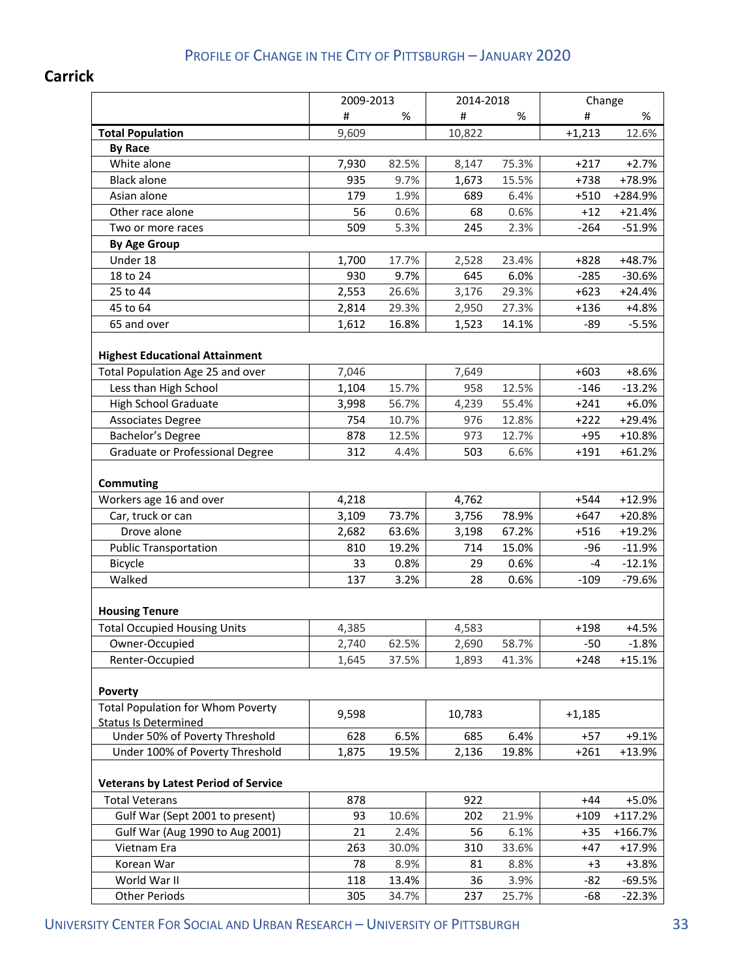### **Carrick**

|                                                                         | 2009-2013 |       | 2014-2018 |       | Change   |           |
|-------------------------------------------------------------------------|-----------|-------|-----------|-------|----------|-----------|
|                                                                         | #         | %     | #         | %     | #        | %         |
| <b>Total Population</b>                                                 | 9,609     |       | 10,822    |       | $+1,213$ | 12.6%     |
| <b>By Race</b>                                                          |           |       |           |       |          |           |
| White alone                                                             | 7,930     | 82.5% | 8,147     | 75.3% | $+217$   | $+2.7%$   |
| <b>Black alone</b>                                                      | 935       | 9.7%  | 1,673     | 15.5% | $+738$   | +78.9%    |
| Asian alone                                                             | 179       | 1.9%  | 689       | 6.4%  | $+510$   | +284.9%   |
| Other race alone                                                        | 56        | 0.6%  | 68        | 0.6%  | $+12$    | $+21.4%$  |
| Two or more races                                                       | 509       | 5.3%  | 245       | 2.3%  | $-264$   | $-51.9%$  |
| <b>By Age Group</b>                                                     |           |       |           |       |          |           |
| Under 18                                                                | 1,700     | 17.7% | 2,528     | 23.4% | $+828$   | +48.7%    |
| 18 to 24                                                                | 930       | 9.7%  | 645       | 6.0%  | $-285$   | $-30.6%$  |
| 25 to 44                                                                | 2,553     | 26.6% | 3,176     | 29.3% | $+623$   | $+24.4%$  |
| 45 to 64                                                                | 2,814     | 29.3% | 2,950     | 27.3% | $+136$   | $+4.8%$   |
| 65 and over                                                             | 1,612     | 16.8% | 1,523     | 14.1% | $-89$    | $-5.5%$   |
| <b>Highest Educational Attainment</b>                                   |           |       |           |       |          |           |
| Total Population Age 25 and over                                        | 7,046     |       | 7,649     |       | $+603$   | $+8.6%$   |
| Less than High School                                                   | 1,104     | 15.7% | 958       | 12.5% | $-146$   | $-13.2%$  |
| <b>High School Graduate</b>                                             | 3,998     | 56.7% | 4,239     | 55.4% | $+241$   | $+6.0%$   |
| <b>Associates Degree</b>                                                | 754       | 10.7% | 976       | 12.8% | $+222$   | $+29.4%$  |
| Bachelor's Degree                                                       | 878       | 12.5% | 973       | 12.7% | $+95$    | $+10.8%$  |
| Graduate or Professional Degree                                         | 312       | 4.4%  | 503       | 6.6%  | $+191$   | $+61.2%$  |
| <b>Commuting</b><br>Workers age 16 and over                             | 4,218     |       | 4,762     |       | $+544$   | $+12.9%$  |
| Car, truck or can                                                       | 3,109     | 73.7% | 3,756     | 78.9% | $+647$   | $+20.8%$  |
| Drove alone                                                             | 2,682     | 63.6% | 3,198     | 67.2% | $+516$   | $+19.2%$  |
| <b>Public Transportation</b>                                            | 810       | 19.2% | 714       | 15.0% | $-96$    | $-11.9%$  |
| Bicycle                                                                 | 33        | 0.8%  | 29        | 0.6%  | $-4$     | $-12.1%$  |
| Walked                                                                  | 137       | 3.2%  | 28        | 0.6%  | $-109$   | $-79.6%$  |
| <b>Housing Tenure</b>                                                   |           |       |           |       |          |           |
| <b>Total Occupied Housing Units</b>                                     | 4,385     |       | 4,583     |       | $+198$   | $+4.5%$   |
| Owner-Occupied                                                          | 2,740     | 62.5% | 2,690     | 58.7% | $-50$    | $-1.8%$   |
| Renter-Occupied                                                         | 1,645     | 37.5% | 1,893     | 41.3% | $+248$   | $+15.1%$  |
| <b>Poverty</b>                                                          |           |       |           |       |          |           |
| <b>Total Population for Whom Poverty</b><br><b>Status Is Determined</b> | 9,598     |       | 10,783    |       | $+1,185$ |           |
| Under 50% of Poverty Threshold                                          | 628       | 6.5%  | 685       | 6.4%  | $+57$    | $+9.1%$   |
| Under 100% of Poverty Threshold                                         | 1,875     | 19.5% | 2,136     | 19.8% | $+261$   | +13.9%    |
| <b>Veterans by Latest Period of Service</b>                             |           |       |           |       |          |           |
| <b>Total Veterans</b>                                                   | 878       |       | 922       |       | $+44$    | $+5.0%$   |
| Gulf War (Sept 2001 to present)                                         | 93        | 10.6% | 202       | 21.9% | $+109$   | $+117.2%$ |
| Gulf War (Aug 1990 to Aug 2001)                                         | 21        | 2.4%  | 56        | 6.1%  | $+35$    | +166.7%   |
| Vietnam Era                                                             | 263       | 30.0% | 310       | 33.6% | $+47$    | $+17.9%$  |
| Korean War                                                              | 78        | 8.9%  | 81        | 8.8%  | $+3$     | $+3.8%$   |
| World War II                                                            | 118       | 13.4% | 36        | 3.9%  | $-82$    | $-69.5%$  |
| <b>Other Periods</b>                                                    | 305       | 34.7% | 237       | 25.7% | $-68$    | $-22.3%$  |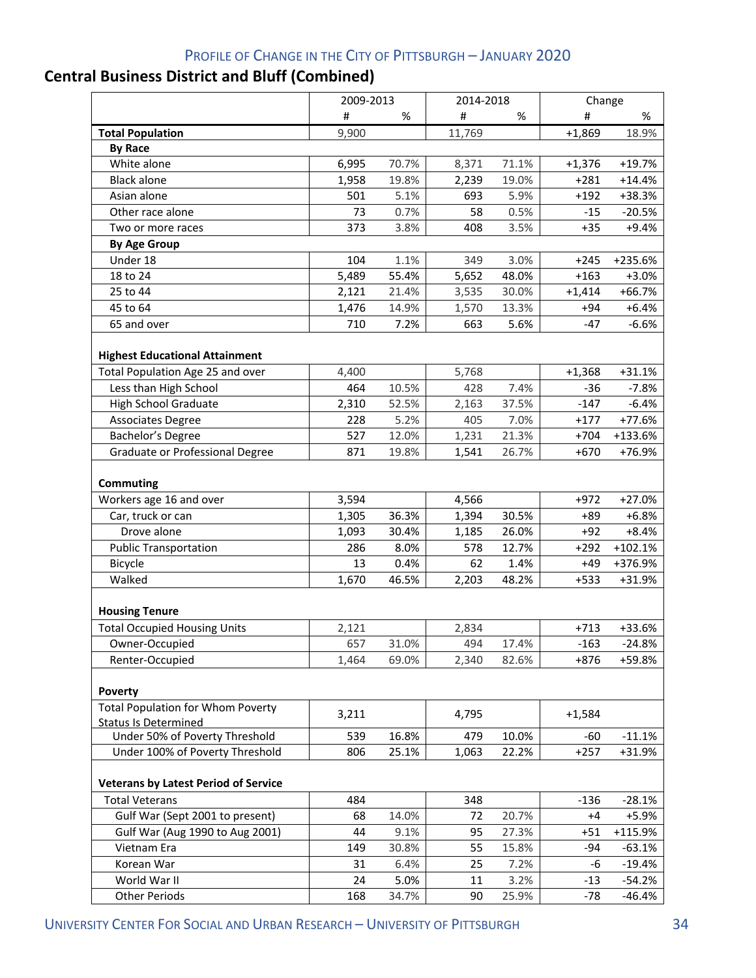## **Central Business District and Bluff (Combined)**

|                                                                           | 2009-2013 |       | 2014-2018 |       | Change   |           |
|---------------------------------------------------------------------------|-----------|-------|-----------|-------|----------|-----------|
|                                                                           | #         | %     | #         | %     | #        | %         |
| <b>Total Population</b>                                                   | 9,900     |       | 11,769    |       | $+1,869$ | 18.9%     |
| <b>By Race</b>                                                            |           |       |           |       |          |           |
| White alone                                                               | 6,995     | 70.7% | 8,371     | 71.1% | $+1,376$ | $+19.7%$  |
| <b>Black alone</b>                                                        | 1,958     | 19.8% | 2,239     | 19.0% | $+281$   | $+14.4%$  |
| Asian alone                                                               | 501       | 5.1%  | 693       | 5.9%  | $+192$   | +38.3%    |
| Other race alone                                                          | 73        | 0.7%  | 58        | 0.5%  | $-15$    | $-20.5%$  |
| Two or more races                                                         | 373       | 3.8%  | 408       | 3.5%  | $+35$    | $+9.4%$   |
| <b>By Age Group</b>                                                       |           |       |           |       |          |           |
| Under 18                                                                  | 104       | 1.1%  | 349       | 3.0%  | $+245$   | +235.6%   |
| 18 to 24                                                                  | 5,489     | 55.4% | 5,652     | 48.0% | $+163$   | $+3.0%$   |
| 25 to 44                                                                  | 2,121     | 21.4% | 3,535     | 30.0% | $+1,414$ | $+66.7%$  |
| 45 to 64                                                                  | 1,476     | 14.9% | 1,570     | 13.3% | $+94$    | $+6.4%$   |
| 65 and over                                                               | 710       | 7.2%  | 663       | 5.6%  | $-47$    | $-6.6%$   |
| <b>Highest Educational Attainment</b><br>Total Population Age 25 and over | 4,400     |       | 5,768     |       | $+1,368$ | $+31.1%$  |
| Less than High School                                                     | 464       | 10.5% | 428       | 7.4%  | $-36$    | $-7.8%$   |
| <b>High School Graduate</b>                                               | 2,310     | 52.5% | 2,163     | 37.5% | $-147$   | $-6.4%$   |
| <b>Associates Degree</b>                                                  | 228       | 5.2%  | 405       | 7.0%  | $+177$   | $+77.6%$  |
| Bachelor's Degree                                                         | 527       | 12.0% | 1,231     | 21.3% | $+704$   | +133.6%   |
| Graduate or Professional Degree                                           | 871       | 19.8% | 1,541     | 26.7% | $+670$   | +76.9%    |
| Commuting<br>Workers age 16 and over                                      | 3,594     |       | 4,566     |       | $+972$   | $+27.0%$  |
| Car, truck or can                                                         | 1,305     | 36.3% | 1,394     | 30.5% | $+89$    | $+6.8%$   |
| Drove alone                                                               | 1,093     | 30.4% | 1,185     | 26.0% | $+92$    | $+8.4%$   |
| <b>Public Transportation</b>                                              | 286       | 8.0%  | 578       | 12.7% | $+292$   | $+102.1%$ |
| Bicycle                                                                   | 13        | 0.4%  | 62        | 1.4%  | $+49$    | +376.9%   |
| Walked                                                                    | 1,670     | 46.5% | 2,203     | 48.2% | $+533$   | +31.9%    |
| <b>Housing Tenure</b>                                                     |           |       |           |       |          |           |
| <b>Total Occupied Housing Units</b>                                       | 2,121     |       | 2,834     |       | $+713$   | +33.6%    |
| Owner-Occupied                                                            | 657       | 31.0% | 494       | 17.4% | $-163$   | $-24.8%$  |
| Renter-Occupied                                                           | 1,464     | 69.0% | 2,340     | 82.6% | +876     | +59.8%    |
| <b>Poverty</b>                                                            |           |       |           |       |          |           |
| <b>Total Population for Whom Poverty</b><br><b>Status Is Determined</b>   | 3,211     |       | 4,795     |       | $+1,584$ |           |
| Under 50% of Poverty Threshold                                            | 539       | 16.8% | 479       | 10.0% | $-60$    | $-11.1%$  |
| Under 100% of Poverty Threshold                                           | 806       | 25.1% | 1,063     | 22.2% | $+257$   | +31.9%    |
| <b>Veterans by Latest Period of Service</b>                               |           |       |           |       |          |           |
| <b>Total Veterans</b>                                                     | 484       |       | 348       |       | $-136$   | $-28.1%$  |
| Gulf War (Sept 2001 to present)                                           | 68        | 14.0% | 72        | 20.7% | $+4$     | $+5.9%$   |
| Gulf War (Aug 1990 to Aug 2001)                                           | 44        | 9.1%  | 95        | 27.3% | $+51$    | +115.9%   |
| Vietnam Era                                                               | 149       | 30.8% | 55        | 15.8% | -94      | $-63.1%$  |
| Korean War                                                                | 31        | 6.4%  | 25        | 7.2%  | -6       | $-19.4%$  |
| World War II                                                              | 24        | 5.0%  | 11        | 3.2%  | $-13$    | $-54.2%$  |
| <b>Other Periods</b>                                                      | 168       | 34.7% | 90        | 25.9% | $-78$    | $-46.4%$  |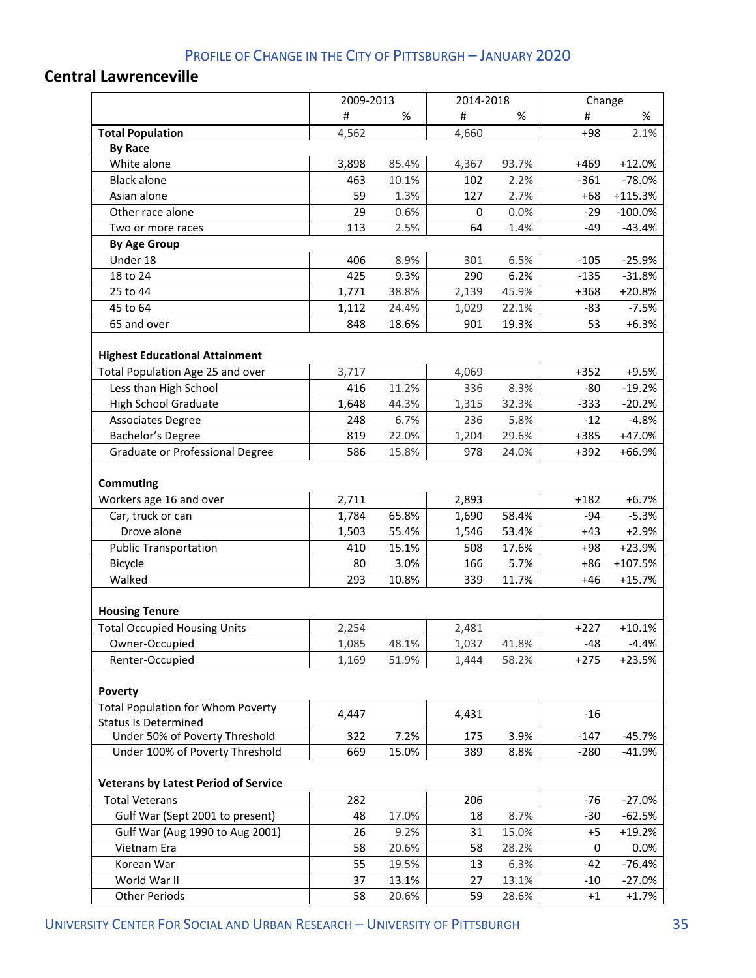### **Central Lawrenceville**

|                                                                           |            | 2009-2013     |       | 2014-2018 |        | Change     |  |
|---------------------------------------------------------------------------|------------|---------------|-------|-----------|--------|------------|--|
|                                                                           | #          | %             | #     | %         | #      | %          |  |
| <b>Total Population</b>                                                   | 4,562      |               | 4,660 |           | $+98$  | 2.1%       |  |
| <b>By Race</b>                                                            |            |               |       |           |        |            |  |
| White alone                                                               | 3,898      | 85.4%         | 4,367 | 93.7%     | $+469$ | $+12.0%$   |  |
| <b>Black alone</b>                                                        | 463        | 10.1%         | 102   | 2.2%      | $-361$ | $-78.0%$   |  |
| Asian alone                                                               | 59         | 1.3%          | 127   | 2.7%      | $+68$  | +115.3%    |  |
| Other race alone                                                          | 29         | 0.6%          | 0     | 0.0%      | $-29$  | $-100.0\%$ |  |
| Two or more races                                                         | 113        | 2.5%          | 64    | 1.4%      | $-49$  | $-43.4%$   |  |
| <b>By Age Group</b>                                                       |            |               |       |           |        |            |  |
| Under 18                                                                  | 406        | 8.9%          | 301   | 6.5%      | $-105$ | $-25.9%$   |  |
| 18 to 24                                                                  | 425        | 9.3%          | 290   | 6.2%      | $-135$ | $-31.8%$   |  |
| 25 to 44                                                                  | 1,771      | 38.8%         | 2,139 | 45.9%     | $+368$ | $+20.8%$   |  |
| 45 to 64                                                                  | 1,112      | 24.4%         | 1,029 | 22.1%     | $-83$  | $-7.5%$    |  |
| 65 and over                                                               | 848        | 18.6%         | 901   | 19.3%     | 53     | $+6.3%$    |  |
| <b>Highest Educational Attainment</b><br>Total Population Age 25 and over | 3,717      |               | 4,069 |           | $+352$ | $+9.5%$    |  |
| Less than High School                                                     | 416        | 11.2%         | 336   | 8.3%      | -80    | $-19.2%$   |  |
| <b>High School Graduate</b>                                               | 1,648      |               |       |           |        |            |  |
|                                                                           |            | 44.3%         | 1,315 | 32.3%     | $-333$ | $-20.2%$   |  |
| <b>Associates Degree</b>                                                  | 248<br>819 | 6.7%<br>22.0% | 236   | 5.8%      | $-12$  | $-4.8%$    |  |
| Bachelor's Degree                                                         |            |               | 1,204 | 29.6%     | $+385$ | +47.0%     |  |
| Graduate or Professional Degree                                           | 586        | 15.8%         | 978   | 24.0%     | $+392$ | +66.9%     |  |
| Commuting                                                                 |            |               |       |           |        |            |  |
| Workers age 16 and over                                                   | 2,711      |               | 2,893 |           | $+182$ | $+6.7%$    |  |
| Car, truck or can                                                         | 1,784      | 65.8%         | 1,690 | 58.4%     | $-94$  | $-5.3%$    |  |
| Drove alone                                                               | 1,503      | 55.4%         | 1,546 | 53.4%     | $+43$  | $+2.9%$    |  |
| <b>Public Transportation</b>                                              | 410        | 15.1%         | 508   | 17.6%     | $+98$  | $+23.9%$   |  |
| Bicycle                                                                   | 80         | 3.0%          | 166   | 5.7%      | $+86$  | +107.5%    |  |
| Walked                                                                    | 293        | 10.8%         | 339   | 11.7%     | $+46$  | $+15.7%$   |  |
| <b>Housing Tenure</b>                                                     |            |               |       |           |        |            |  |
| <b>Total Occupied Housing Units</b>                                       | 2,254      |               | 2,481 |           | $+227$ | $+10.1%$   |  |
| Owner-Occupied                                                            | 1,085      | 48.1%         | 1,037 | 41.8%     | $-48$  | -4.4%      |  |
| Renter-Occupied                                                           | 1,169      | 51.9%         | 1,444 | 58.2%     | $+275$ | $+23.5%$   |  |
| <b>Poverty</b>                                                            |            |               |       |           |        |            |  |
| <b>Total Population for Whom Poverty</b>                                  | 4,447      |               | 4,431 |           | $-16$  |            |  |
| <b>Status Is Determined</b>                                               |            |               |       |           |        |            |  |
| Under 50% of Poverty Threshold                                            | 322        | 7.2%          | 175   | 3.9%      | $-147$ | $-45.7%$   |  |
| Under 100% of Poverty Threshold                                           | 669        | 15.0%         | 389   | 8.8%      | $-280$ | $-41.9%$   |  |
| <b>Veterans by Latest Period of Service</b>                               |            |               |       |           |        |            |  |
| <b>Total Veterans</b>                                                     | 282        |               | 206   |           | $-76$  | $-27.0%$   |  |
| Gulf War (Sept 2001 to present)                                           | 48         | 17.0%         | 18    | 8.7%      | $-30$  | $-62.5%$   |  |
| Gulf War (Aug 1990 to Aug 2001)                                           | 26         | 9.2%          | 31    | 15.0%     | $+5$   | $+19.2%$   |  |
| Vietnam Era                                                               | 58         | 20.6%         | 58    | 28.2%     | 0      | $0.0\%$    |  |
| Korean War                                                                | 55         | 19.5%         | 13    | 6.3%      | $-42$  | $-76.4%$   |  |
| World War II                                                              | 37         | 13.1%         | 27    | 13.1%     | $-10$  | $-27.0%$   |  |
| <b>Other Periods</b>                                                      | 58         | 20.6%         | 59    | 28.6%     | $+1$   | $+1.7%$    |  |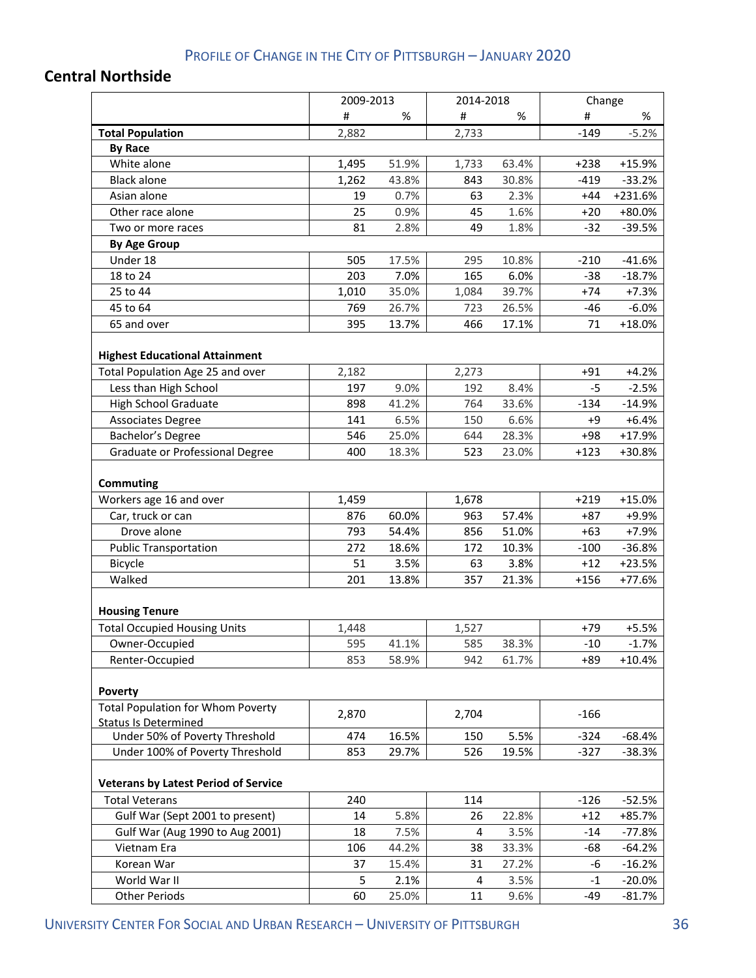#### **Central Northside**

|                                                                         | 2009-2013 |       |       | 2014-2018 |        | Change   |
|-------------------------------------------------------------------------|-----------|-------|-------|-----------|--------|----------|
|                                                                         | #         | %     | #     | %         | #      | %        |
| <b>Total Population</b>                                                 | 2,882     |       | 2,733 |           | $-149$ | $-5.2%$  |
| <b>By Race</b>                                                          |           |       |       |           |        |          |
| White alone                                                             | 1,495     | 51.9% | 1,733 | 63.4%     | $+238$ | $+15.9%$ |
| <b>Black alone</b>                                                      | 1,262     | 43.8% | 843   | 30.8%     | $-419$ | $-33.2%$ |
| Asian alone                                                             | 19        | 0.7%  | 63    | 2.3%      | $+44$  | +231.6%  |
| Other race alone                                                        | 25        | 0.9%  | 45    | 1.6%      | $+20$  | +80.0%   |
| Two or more races                                                       | 81        | 2.8%  | 49    | 1.8%      | $-32$  | $-39.5%$ |
| <b>By Age Group</b>                                                     |           |       |       |           |        |          |
| Under 18                                                                | 505       | 17.5% | 295   | 10.8%     | $-210$ | $-41.6%$ |
| 18 to 24                                                                | 203       | 7.0%  | 165   | 6.0%      | $-38$  | $-18.7%$ |
| 25 to 44                                                                | 1,010     | 35.0% | 1,084 | 39.7%     | $+74$  | $+7.3%$  |
| 45 to 64                                                                | 769       | 26.7% | 723   | 26.5%     | -46    | $-6.0%$  |
| 65 and over                                                             | 395       | 13.7% | 466   | 17.1%     | 71     | $+18.0%$ |
| <b>Highest Educational Attainment</b>                                   |           |       |       |           |        |          |
| Total Population Age 25 and over                                        | 2,182     |       | 2,273 |           | $+91$  | $+4.2%$  |
| Less than High School                                                   | 197       | 9.0%  | 192   | 8.4%      | $-5$   | $-2.5%$  |
| <b>High School Graduate</b>                                             | 898       | 41.2% | 764   | 33.6%     | $-134$ | $-14.9%$ |
| <b>Associates Degree</b>                                                | 141       | 6.5%  | 150   | 6.6%      | +9     | $+6.4%$  |
| Bachelor's Degree                                                       | 546       | 25.0% | 644   | 28.3%     | $+98$  | $+17.9%$ |
| Graduate or Professional Degree                                         | 400       | 18.3% | 523   | 23.0%     | $+123$ | +30.8%   |
| Commuting                                                               |           |       |       |           |        |          |
| Workers age 16 and over                                                 | 1,459     |       | 1,678 |           | $+219$ | $+15.0%$ |
| Car, truck or can                                                       | 876       | 60.0% | 963   | 57.4%     | $+87$  | +9.9%    |
| Drove alone                                                             | 793       | 54.4% | 856   | 51.0%     | $+63$  | $+7.9%$  |
| <b>Public Transportation</b>                                            | 272       | 18.6% | 172   | 10.3%     | $-100$ | $-36.8%$ |
| Bicycle                                                                 | 51        | 3.5%  | 63    | 3.8%      | $+12$  | $+23.5%$ |
| Walked                                                                  | 201       | 13.8% | 357   | 21.3%     | $+156$ | $+77.6%$ |
| <b>Housing Tenure</b>                                                   |           |       |       |           |        |          |
| <b>Total Occupied Housing Units</b>                                     | 1,448     |       | 1,527 |           | $+79$  | +5.5%    |
| Owner-Occupied                                                          | 595       | 41.1% | 585   | 38.3%     | $-10$  | $-1.7%$  |
| Renter-Occupied                                                         | 853       | 58.9% | 942   | 61.7%     | +89    | $+10.4%$ |
| Poverty                                                                 |           |       |       |           |        |          |
| <b>Total Population for Whom Poverty</b><br><b>Status Is Determined</b> | 2,870     |       | 2,704 |           | $-166$ |          |
| Under 50% of Poverty Threshold                                          | 474       | 16.5% | 150   | 5.5%      | $-324$ | $-68.4%$ |
| Under 100% of Poverty Threshold                                         | 853       | 29.7% | 526   | 19.5%     | $-327$ | $-38.3%$ |
| <b>Veterans by Latest Period of Service</b>                             |           |       |       |           |        |          |
| <b>Total Veterans</b>                                                   | 240       |       | 114   |           | $-126$ | $-52.5%$ |
| Gulf War (Sept 2001 to present)                                         | 14        | 5.8%  | 26    | 22.8%     | $+12$  | +85.7%   |
| Gulf War (Aug 1990 to Aug 2001)                                         | 18        | 7.5%  | 4     | 3.5%      | $-14$  | $-77.8%$ |
| Vietnam Era                                                             | 106       | 44.2% | 38    | 33.3%     | $-68$  | $-64.2%$ |
| Korean War                                                              | 37        | 15.4% | 31    | 27.2%     | $-6$   | $-16.2%$ |
| World War II                                                            | 5         | 2.1%  | 4     | 3.5%      | $-1$   | $-20.0%$ |
| <b>Other Periods</b>                                                    | 60        | 25.0% | 11    | 9.6%      | -49    | $-81.7%$ |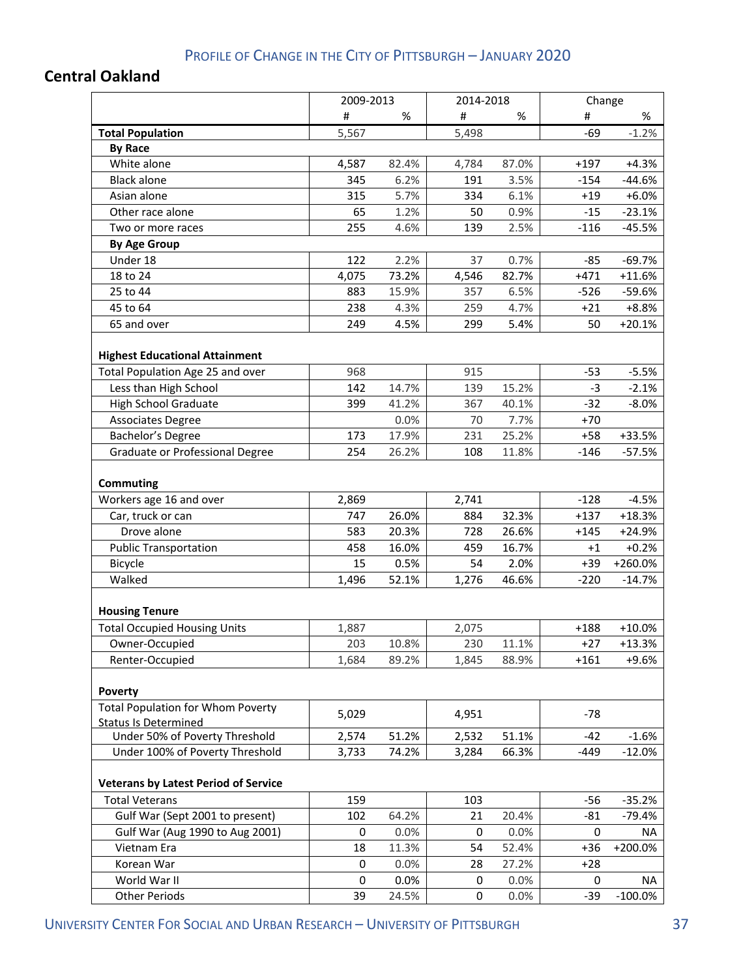## **Central Oakland**

|                                                                           | 2009-2013 |       | 2014-2018 |       | Change |            |
|---------------------------------------------------------------------------|-----------|-------|-----------|-------|--------|------------|
|                                                                           | #         | %     | #         | $\%$  | #      | %          |
| <b>Total Population</b>                                                   | 5,567     |       | 5,498     |       | $-69$  | $-1.2%$    |
| <b>By Race</b>                                                            |           |       |           |       |        |            |
| White alone                                                               | 4,587     | 82.4% | 4,784     | 87.0% | $+197$ | $+4.3%$    |
| <b>Black alone</b>                                                        | 345       | 6.2%  | 191       | 3.5%  | $-154$ | $-44.6%$   |
| Asian alone                                                               | 315       | 5.7%  | 334       | 6.1%  | $+19$  | $+6.0%$    |
| Other race alone                                                          | 65        | 1.2%  | 50        | 0.9%  | $-15$  | $-23.1%$   |
| Two or more races                                                         | 255       | 4.6%  | 139       | 2.5%  | $-116$ | $-45.5%$   |
| <b>By Age Group</b>                                                       |           |       |           |       |        |            |
| Under 18                                                                  | 122       | 2.2%  | 37        | 0.7%  | -85    | $-69.7%$   |
| 18 to 24                                                                  | 4,075     | 73.2% | 4,546     | 82.7% | $+471$ | $+11.6%$   |
| 25 to 44                                                                  | 883       | 15.9% | 357       | 6.5%  | $-526$ | $-59.6%$   |
| 45 to 64                                                                  | 238       | 4.3%  | 259       | 4.7%  | $+21$  | $+8.8%$    |
| 65 and over                                                               | 249       | 4.5%  | 299       | 5.4%  | 50     | $+20.1%$   |
| <b>Highest Educational Attainment</b><br>Total Population Age 25 and over | 968       |       | 915       |       | $-53$  | $-5.5%$    |
| Less than High School                                                     | 142       | 14.7% | 139       | 15.2% | $-3$   | $-2.1%$    |
| <b>High School Graduate</b>                                               | 399       | 41.2% | 367       | 40.1% | $-32$  | $-8.0%$    |
| <b>Associates Degree</b>                                                  |           | 0.0%  | 70        | 7.7%  | $+70$  |            |
| Bachelor's Degree                                                         | 173       | 17.9% | 231       | 25.2% | $+58$  | +33.5%     |
| Graduate or Professional Degree                                           | 254       | 26.2% | 108       | 11.8% | $-146$ | $-57.5%$   |
| Commuting                                                                 |           |       |           |       |        |            |
| Workers age 16 and over                                                   | 2,869     |       | 2,741     |       | $-128$ | $-4.5%$    |
| Car, truck or can                                                         | 747       | 26.0% | 884       | 32.3% | $+137$ | $+18.3%$   |
| Drove alone                                                               | 583       | 20.3% | 728       | 26.6% | $+145$ | +24.9%     |
| <b>Public Transportation</b>                                              | 458       | 16.0% | 459       | 16.7% | $+1$   | $+0.2%$    |
| Bicycle                                                                   | 15        | 0.5%  | 54        | 2.0%  | $+39$  | +260.0%    |
| Walked                                                                    | 1,496     | 52.1% | 1,276     | 46.6% | $-220$ | $-14.7%$   |
| <b>Housing Tenure</b>                                                     |           |       |           |       |        |            |
| <b>Total Occupied Housing Units</b>                                       | 1,887     |       | 2,075     |       | $+188$ | $+10.0%$   |
| Owner-Occupied                                                            | 203       | 10.8% | 230       | 11.1% | $+27$  | $+13.3%$   |
| Renter-Occupied                                                           | 1,684     | 89.2% | 1,845     | 88.9% | $+161$ | $+9.6%$    |
| Poverty                                                                   |           |       |           |       |        |            |
| <b>Total Population for Whom Poverty</b><br><b>Status Is Determined</b>   | 5,029     |       | 4,951     |       | -78    |            |
| Under 50% of Poverty Threshold                                            | 2,574     | 51.2% | 2,532     | 51.1% | $-42$  | $-1.6%$    |
| Under 100% of Poverty Threshold                                           | 3,733     | 74.2% | 3,284     | 66.3% | $-449$ | $-12.0%$   |
| <b>Veterans by Latest Period of Service</b>                               |           |       |           |       |        |            |
| <b>Total Veterans</b>                                                     | 159       |       | 103       |       | $-56$  | $-35.2%$   |
| Gulf War (Sept 2001 to present)                                           | 102       | 64.2% | 21        | 20.4% | $-81$  | $-79.4%$   |
| Gulf War (Aug 1990 to Aug 2001)                                           | 0         | 0.0%  | 0         | 0.0%  | 0      | NA         |
| Vietnam Era                                                               | 18        | 11.3% | 54        | 52.4% | $+36$  | +200.0%    |
| Korean War                                                                | 0         | 0.0%  | 28        | 27.2% | $+28$  |            |
| World War II                                                              | 0         | 0.0%  | 0         | 0.0%  | 0      | NA         |
| <b>Other Periods</b>                                                      | 39        | 24.5% | 0         | 0.0%  | $-39$  | $-100.0\%$ |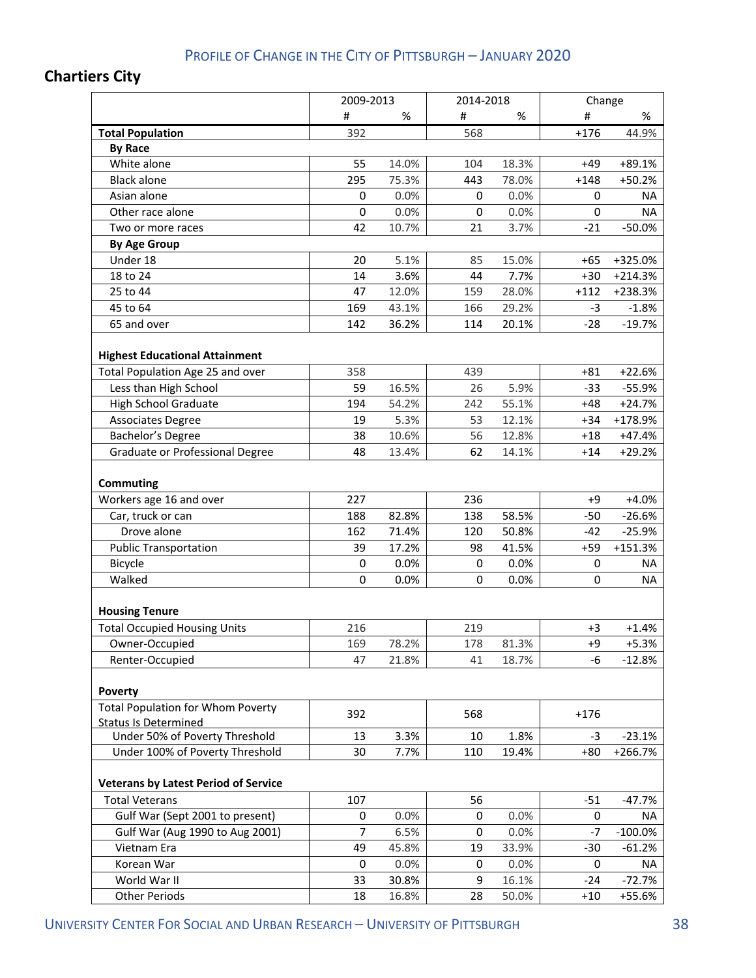## **Chartiers City**

|                                                                           |                | 2009-2013 |             | 2014-2018 |        | Change    |
|---------------------------------------------------------------------------|----------------|-----------|-------------|-----------|--------|-----------|
|                                                                           | #              | %         | #           | %         | #      | %         |
| <b>Total Population</b>                                                   | 392            |           | 568         |           | $+176$ | 44.9%     |
| <b>By Race</b>                                                            |                |           |             |           |        |           |
| White alone                                                               | 55             | 14.0%     | 104         | 18.3%     | $+49$  | +89.1%    |
| <b>Black alone</b>                                                        | 295            | 75.3%     | 443         | 78.0%     | $+148$ | $+50.2%$  |
| Asian alone                                                               | 0              | 0.0%      | 0           | 0.0%      | 0      | NA        |
| Other race alone                                                          | 0              | 0.0%      | 0           | 0.0%      | 0      | NA        |
| Two or more races                                                         | 42             | 10.7%     | 21          | 3.7%      | $-21$  | $-50.0%$  |
| <b>By Age Group</b>                                                       |                |           |             |           |        |           |
| Under 18                                                                  | 20             | 5.1%      | 85          | 15.0%     | $+65$  | +325.0%   |
| 18 to 24                                                                  | 14             | 3.6%      | 44          | 7.7%      | $+30$  | $+214.3%$ |
| 25 to 44                                                                  | 47             | 12.0%     | 159         | 28.0%     | $+112$ | +238.3%   |
| 45 to 64                                                                  | 169            | 43.1%     | 166         | 29.2%     | $-3$   | $-1.8%$   |
| 65 and over                                                               | 142            | 36.2%     | 114         | 20.1%     | $-28$  | $-19.7%$  |
| <b>Highest Educational Attainment</b><br>Total Population Age 25 and over | 358            |           | 439         |           | $+81$  | $+22.6%$  |
| Less than High School                                                     | 59             | 16.5%     | 26          | 5.9%      | $-33$  | $-55.9%$  |
| <b>High School Graduate</b>                                               | 194            | 54.2%     | 242         | 55.1%     | $+48$  | $+24.7%$  |
| <b>Associates Degree</b>                                                  | 19             | 5.3%      | 53          | 12.1%     | $+34$  | +178.9%   |
|                                                                           |                |           |             | 12.8%     | $+18$  |           |
| Bachelor's Degree                                                         | 38             | 10.6%     | 56          |           |        | $+47.4%$  |
| Graduate or Professional Degree                                           | 48             | 13.4%     | 62          | 14.1%     | $+14$  | $+29.2%$  |
| Commuting                                                                 |                |           |             |           |        |           |
| Workers age 16 and over                                                   | 227            |           | 236         |           | $+9$   | $+4.0%$   |
| Car, truck or can                                                         | 188            | 82.8%     | 138         | 58.5%     | $-50$  | $-26.6%$  |
| Drove alone                                                               | 162            | 71.4%     | 120         | 50.8%     | $-42$  | $-25.9%$  |
| <b>Public Transportation</b>                                              | 39             | 17.2%     | 98          | 41.5%     | $+59$  | +151.3%   |
| Bicycle                                                                   | 0              | 0.0%      | 0           | 0.0%      | 0      | NA        |
| Walked                                                                    | 0              | 0.0%      | 0           | 0.0%      | 0      | <b>NA</b> |
| <b>Housing Tenure</b>                                                     |                |           |             |           |        |           |
| <b>Total Occupied Housing Units</b>                                       | 216            |           | 219         |           | $+3$   | $+1.4%$   |
| Owner-Occupied                                                            | 169            | 78.2%     | 178         | 81.3%     | $+9$   | $+5.3%$   |
| Renter-Occupied                                                           | 47             | 21.8%     | 41          | 18.7%     | -6     | $-12.8%$  |
| Poverty                                                                   |                |           |             |           |        |           |
| <b>Total Population for Whom Poverty</b>                                  | 392            |           | 568         |           | $+176$ |           |
| <b>Status Is Determined</b>                                               |                |           |             |           |        |           |
| Under 50% of Poverty Threshold                                            | 13             | 3.3%      | 10          | 1.8%      | -3     | $-23.1%$  |
| Under 100% of Poverty Threshold                                           | 30             | 7.7%      | 110         | 19.4%     | $+80$  | +266.7%   |
| <b>Veterans by Latest Period of Service</b>                               |                |           |             |           |        |           |
| <b>Total Veterans</b>                                                     | 107            |           | 56          |           | $-51$  | $-47.7%$  |
| Gulf War (Sept 2001 to present)                                           | 0              | 0.0%      | 0           | 0.0%      | 0      | <b>NA</b> |
| Gulf War (Aug 1990 to Aug 2001)                                           | $\overline{7}$ | 6.5%      | $\mathbf 0$ | 0.0%      | $-7$   | $-100.0%$ |
| Vietnam Era                                                               | 49             | 45.8%     | 19          | 33.9%     | $-30$  | $-61.2%$  |
| Korean War                                                                | 0              | 0.0%      | 0           | $0.0\%$   | 0      | ΝA        |
| World War II                                                              | 33             | 30.8%     | 9           | 16.1%     | $-24$  | $-72.7%$  |
| <b>Other Periods</b>                                                      | 18             | 16.8%     | 28          | 50.0%     | $+10$  | +55.6%    |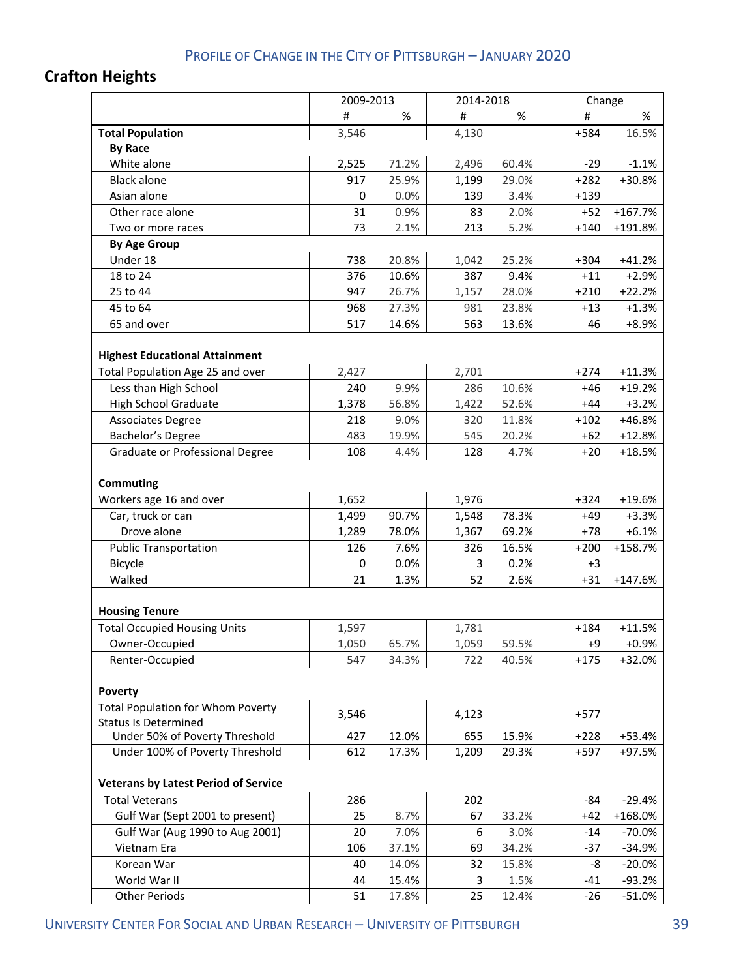## **Crafton Heights**

|                                                                                                    | 2009-2013    |               |            | 2014-2018     |                | Change               |
|----------------------------------------------------------------------------------------------------|--------------|---------------|------------|---------------|----------------|----------------------|
|                                                                                                    | #            | %             | #          | %             | #              | %                    |
| <b>Total Population</b>                                                                            | 3,546        |               | 4,130      |               | +584           | 16.5%                |
| <b>By Race</b>                                                                                     |              |               |            |               |                |                      |
| White alone                                                                                        | 2,525        | 71.2%         | 2,496      | 60.4%         | $-29$          | $-1.1%$              |
| <b>Black alone</b>                                                                                 | 917          | 25.9%         | 1,199      | 29.0%         | $+282$         | +30.8%               |
| Asian alone                                                                                        | 0            | 0.0%          | 139        | 3.4%          | $+139$         |                      |
| Other race alone                                                                                   | 31           | 0.9%          | 83         | 2.0%          | $+52$          | +167.7%              |
| Two or more races                                                                                  | 73           | 2.1%          | 213        | 5.2%          | $+140$         | +191.8%              |
| <b>By Age Group</b>                                                                                |              |               |            |               |                |                      |
| Under 18                                                                                           | 738          | 20.8%         | 1,042      | 25.2%         | $+304$         | $+41.2%$             |
| 18 to 24                                                                                           | 376          | 10.6%         | 387        | 9.4%          | $+11$          | $+2.9%$              |
| 25 to 44                                                                                           | 947          | 26.7%         | 1,157      | 28.0%         | $+210$         | $+22.2%$             |
| 45 to 64                                                                                           | 968          | 27.3%         | 981        | 23.8%         | $+13$          | $+1.3%$              |
| 65 and over                                                                                        | 517          | 14.6%         | 563        | 13.6%         | 46             | +8.9%                |
| <b>Highest Educational Attainment</b><br>Total Population Age 25 and over<br>Less than High School | 2,427<br>240 | 9.9%          | 2,701      | 10.6%         | $+274$         | $+11.3%$<br>$+19.2%$ |
|                                                                                                    |              | 56.8%         | 286        |               | $+46$<br>$+44$ |                      |
| <b>High School Graduate</b>                                                                        | 1,378        |               | 1,422      | 52.6%         |                | $+3.2%$              |
| <b>Associates Degree</b>                                                                           | 218          | 9.0%          | 320        | 11.8%         | $+102$         | +46.8%               |
| Bachelor's Degree<br>Graduate or Professional Degree                                               | 483<br>108   | 19.9%<br>4.4% | 545<br>128 | 20.2%<br>4.7% | $+62$<br>$+20$ | $+12.8%$<br>$+18.5%$ |
| Commuting                                                                                          |              |               |            |               |                |                      |
| Workers age 16 and over                                                                            | 1,652        |               | 1,976      |               | $+324$         | $+19.6%$             |
| Car, truck or can                                                                                  | 1,499        | 90.7%         | 1,548      | 78.3%         | $+49$          | $+3.3%$              |
| Drove alone                                                                                        | 1,289        | 78.0%         | 1,367      | 69.2%         | $+78$          | $+6.1%$              |
| <b>Public Transportation</b>                                                                       | 126          | 7.6%          | 326        | 16.5%         | $+200$         | +158.7%              |
| Bicycle                                                                                            | $\mathbf 0$  | 0.0%          | 3          | 0.2%          | $+3$           |                      |
| Walked<br><b>Housing Tenure</b>                                                                    | 21           | 1.3%          | 52         | 2.6%          | $+31$          | $+147.6%$            |
| <b>Total Occupied Housing Units</b>                                                                | 1,597        |               | 1,781      |               | $+184$         | $+11.5%$             |
| Owner-Occupied                                                                                     | 1,050        | 65.7%         | 1,059      | 59.5%         | +9             | +0.9%                |
| Renter-Occupied                                                                                    | 547          | 34.3%         | 722        | 40.5%         | $+175$         | +32.0%               |
| Poverty                                                                                            |              |               |            |               |                |                      |
| <b>Total Population for Whom Poverty</b><br><b>Status Is Determined</b>                            | 3,546        |               | 4,123      |               | $+577$         |                      |
| Under 50% of Poverty Threshold                                                                     | 427          | 12.0%         | 655        | 15.9%         | $+228$         | +53.4%               |
| Under 100% of Poverty Threshold                                                                    | 612          | 17.3%         | 1,209      | 29.3%         | $+597$         | +97.5%               |
| <b>Veterans by Latest Period of Service</b>                                                        |              |               |            |               |                |                      |
| <b>Total Veterans</b>                                                                              | 286          |               | 202        |               | -84            | $-29.4%$             |
| Gulf War (Sept 2001 to present)                                                                    | 25           | 8.7%          | 67         | 33.2%         | $+42$          | +168.0%              |
| Gulf War (Aug 1990 to Aug 2001)                                                                    | 20           | 7.0%          | 6          | 3.0%          | $-14$          | $-70.0%$             |
| Vietnam Era                                                                                        | 106          | 37.1%         | 69         | 34.2%         | $-37$          | $-34.9%$             |
| Korean War                                                                                         | 40           | 14.0%         | 32         | 15.8%         | -8             | $-20.0%$             |
| World War II                                                                                       | 44           | 15.4%         | 3          | 1.5%          | $-41$          | $-93.2%$             |
| <b>Other Periods</b>                                                                               | 51           | 17.8%         | 25         | 12.4%         | $-26$          | $-51.0%$             |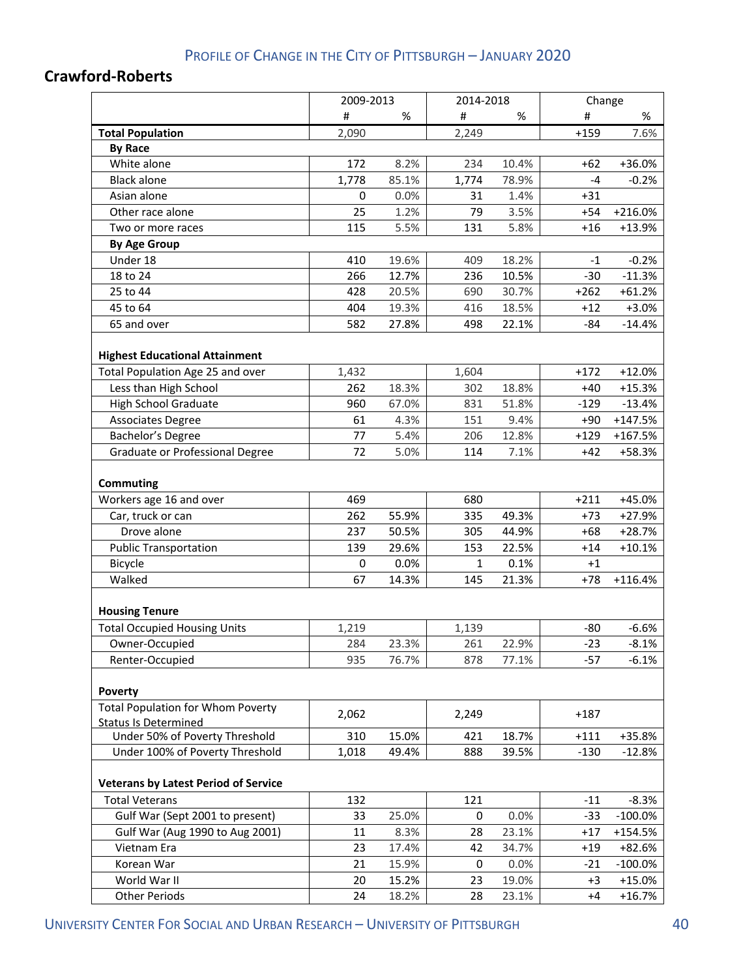## **Crawford‐Roberts**

|                                                                           | 2009-2013 |       | 2014-2018 |       | Change |            |
|---------------------------------------------------------------------------|-----------|-------|-----------|-------|--------|------------|
|                                                                           | $\sharp$  | %     | #         | %     | #      | %          |
| <b>Total Population</b>                                                   | 2,090     |       | 2,249     |       | $+159$ | 7.6%       |
| <b>By Race</b>                                                            |           |       |           |       |        |            |
| White alone                                                               | 172       | 8.2%  | 234       | 10.4% | $+62$  | +36.0%     |
| <b>Black alone</b>                                                        | 1,778     | 85.1% | 1,774     | 78.9% | $-4$   | $-0.2%$    |
| Asian alone                                                               | 0         | 0.0%  | 31        | 1.4%  | $+31$  |            |
| Other race alone                                                          | 25        | 1.2%  | 79        | 3.5%  | $+54$  | +216.0%    |
| Two or more races                                                         | 115       | 5.5%  | 131       | 5.8%  | $+16$  | $+13.9%$   |
| <b>By Age Group</b>                                                       |           |       |           |       |        |            |
| Under 18                                                                  | 410       | 19.6% | 409       | 18.2% | $-1$   | $-0.2%$    |
| 18 to 24                                                                  | 266       | 12.7% | 236       | 10.5% | $-30$  | $-11.3%$   |
| 25 to 44                                                                  | 428       | 20.5% | 690       | 30.7% | $+262$ | $+61.2%$   |
| 45 to 64                                                                  | 404       | 19.3% | 416       | 18.5% | $+12$  | $+3.0%$    |
| 65 and over                                                               | 582       | 27.8% | 498       | 22.1% | -84    | $-14.4%$   |
| <b>Highest Educational Attainment</b><br>Total Population Age 25 and over | 1,432     |       | 1,604     |       | $+172$ | $+12.0%$   |
| Less than High School                                                     | 262       | 18.3% | 302       | 18.8% | $+40$  | $+15.3%$   |
| <b>High School Graduate</b>                                               | 960       | 67.0% | 831       | 51.8% | $-129$ | $-13.4%$   |
| <b>Associates Degree</b>                                                  | 61        | 4.3%  | 151       | 9.4%  | $+90$  | $+147.5%$  |
| Bachelor's Degree                                                         | 77        | 5.4%  | 206       | 12.8% | $+129$ | $+167.5%$  |
| Graduate or Professional Degree                                           | 72        | 5.0%  | 114       | 7.1%  | $+42$  | +58.3%     |
| Commuting<br>Workers age 16 and over                                      | 469       |       | 680       |       | $+211$ | $+45.0%$   |
| Car, truck or can                                                         | 262       | 55.9% | 335       | 49.3% | $+73$  | $+27.9%$   |
| Drove alone                                                               | 237       | 50.5% | 305       | 44.9% | $+68$  | $+28.7%$   |
| <b>Public Transportation</b>                                              | 139       | 29.6% | 153       | 22.5% | $+14$  | $+10.1%$   |
| Bicycle                                                                   | 0         | 0.0%  | 1         | 0.1%  | $+1$   |            |
| Walked                                                                    | 67        | 14.3% | 145       | 21.3% | $+78$  | $+116.4%$  |
| <b>Housing Tenure</b>                                                     |           |       |           |       |        |            |
| <b>Total Occupied Housing Units</b>                                       | 1,219     |       | 1,139     |       | -80    | $-6.6%$    |
| Owner-Occupied                                                            | 284       | 23.3% | 261       | 22.9% | $-23$  | $-8.1%$    |
| Renter-Occupied                                                           | 935       | 76.7% | 878       | 77.1% | $-57$  | $-6.1%$    |
| Poverty                                                                   |           |       |           |       |        |            |
| <b>Total Population for Whom Poverty</b><br><b>Status Is Determined</b>   | 2,062     |       | 2,249     |       | $+187$ |            |
| Under 50% of Poverty Threshold                                            | 310       | 15.0% | 421       | 18.7% | $+111$ | +35.8%     |
| Under 100% of Poverty Threshold                                           | 1,018     | 49.4% | 888       | 39.5% | $-130$ | $-12.8%$   |
| <b>Veterans by Latest Period of Service</b>                               |           |       |           |       |        |            |
| <b>Total Veterans</b>                                                     | 132       |       | 121       |       | $-11$  | $-8.3%$    |
| Gulf War (Sept 2001 to present)                                           | 33        | 25.0% | 0         | 0.0%  | $-33$  | $-100.0\%$ |
| Gulf War (Aug 1990 to Aug 2001)                                           | 11        | 8.3%  | 28        | 23.1% | $+17$  | +154.5%    |
| Vietnam Era                                                               | 23        | 17.4% | 42        | 34.7% | $+19$  | +82.6%     |
| Korean War                                                                | 21        | 15.9% | 0         | 0.0%  | $-21$  | $-100.0\%$ |
| World War II                                                              | 20        | 15.2% | 23        | 19.0% | $+3$   | $+15.0%$   |
| <b>Other Periods</b>                                                      | 24        | 18.2% | 28        | 23.1% | $+4$   | $+16.7%$   |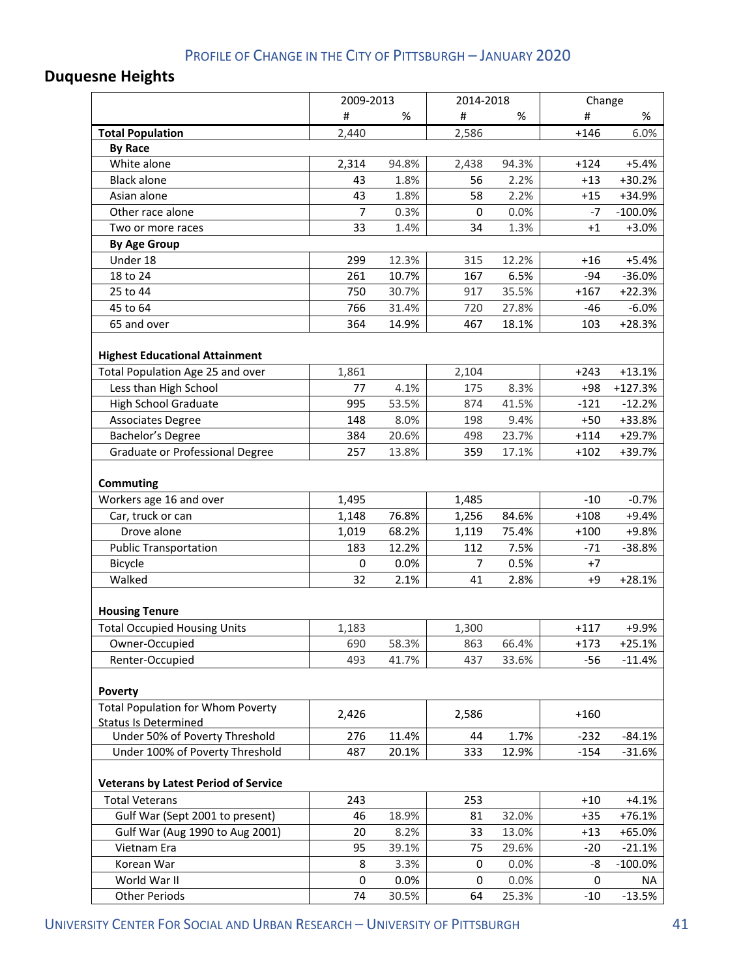## **Duquesne Heights**

|                                                                         | 2009-2013      |       |       | 2014-2018 |        | Change                |
|-------------------------------------------------------------------------|----------------|-------|-------|-----------|--------|-----------------------|
|                                                                         | #              | %     | #     | %         | #      | %                     |
| <b>Total Population</b>                                                 | 2,440          |       | 2,586 |           | $+146$ | 6.0%                  |
| <b>By Race</b>                                                          |                |       |       |           |        |                       |
| White alone                                                             | 2,314          | 94.8% | 2,438 | 94.3%     | $+124$ | $+5.4%$               |
| <b>Black alone</b>                                                      | 43             | 1.8%  | 56    | 2.2%      | $+13$  | $+30.2%$              |
| Asian alone                                                             | 43             | 1.8%  | 58    | 2.2%      | $+15$  | +34.9%                |
| Other race alone                                                        | $\overline{7}$ | 0.3%  | 0     | 0.0%      | $-7$   | $-100.0\%$            |
| Two or more races                                                       | 33             | 1.4%  | 34    | 1.3%      | $+1$   | $+3.0%$               |
| <b>By Age Group</b>                                                     |                |       |       |           |        |                       |
| Under 18                                                                | 299            | 12.3% | 315   | 12.2%     | $+16$  | $+5.4%$               |
| 18 to 24                                                                | 261            | 10.7% | 167   | 6.5%      | $-94$  | $-36.0%$              |
| 25 to 44                                                                | 750            | 30.7% | 917   | 35.5%     | $+167$ | $+22.3%$              |
| 45 to 64                                                                | 766            | 31.4% | 720   | 27.8%     | $-46$  | $-6.0%$               |
| 65 and over                                                             | 364            | 14.9% | 467   | 18.1%     | 103    | $+28.3%$              |
| <b>Highest Educational Attainment</b>                                   | 1,861          |       |       |           |        | $+13.1%$              |
| Total Population Age 25 and over                                        |                |       | 2,104 |           | $+243$ |                       |
| Less than High School                                                   | 77             | 4.1%  | 175   | 8.3%      | $+98$  | $+127.3%$<br>$-12.2%$ |
| <b>High School Graduate</b>                                             | 995            | 53.5% | 874   | 41.5%     | $-121$ |                       |
| <b>Associates Degree</b>                                                | 148            | 8.0%  | 198   | 9.4%      | $+50$  | +33.8%                |
| Bachelor's Degree                                                       | 384            | 20.6% | 498   | 23.7%     | $+114$ | $+29.7%$              |
| Graduate or Professional Degree                                         | 257            | 13.8% | 359   | 17.1%     | $+102$ | +39.7%                |
| Commuting                                                               |                |       |       |           |        |                       |
| Workers age 16 and over                                                 | 1,495          |       | 1,485 |           | $-10$  | $-0.7%$               |
| Car, truck or can                                                       | 1,148          | 76.8% | 1,256 | 84.6%     | $+108$ | $+9.4%$               |
| Drove alone                                                             | 1,019          | 68.2% | 1,119 | 75.4%     | $+100$ | +9.8%                 |
| <b>Public Transportation</b>                                            | 183            | 12.2% | 112   | 7.5%      | $-71$  | $-38.8%$              |
| Bicycle                                                                 | 0              | 0.0%  | 7     | 0.5%      | $+7$   |                       |
| Walked                                                                  | 32             | 2.1%  | 41    | 2.8%      | $+9$   | $+28.1%$              |
| <b>Housing Tenure</b>                                                   |                |       |       |           |        |                       |
| <b>Total Occupied Housing Units</b>                                     | 1,183          |       | 1,300 |           | $+117$ | +9.9%                 |
| Owner-Occupied                                                          | 690            | 58.3% | 863   | 66.4%     | $+173$ | $+25.1%$              |
| Renter-Occupied                                                         | 493            | 41.7% | 437   | 33.6%     | $-56$  | $-11.4%$              |
| Poverty                                                                 |                |       |       |           |        |                       |
| <b>Total Population for Whom Poverty</b><br><b>Status Is Determined</b> | 2,426          |       | 2,586 |           | $+160$ |                       |
| Under 50% of Poverty Threshold                                          | 276            | 11.4% | 44    | 1.7%      | $-232$ | $-84.1%$              |
| Under 100% of Poverty Threshold                                         | 487            | 20.1% | 333   | 12.9%     | $-154$ | $-31.6%$              |
| <b>Veterans by Latest Period of Service</b>                             |                |       |       |           |        |                       |
| <b>Total Veterans</b>                                                   | 243            |       | 253   |           | $+10$  | $+4.1%$               |
| Gulf War (Sept 2001 to present)                                         | 46             | 18.9% | 81    | 32.0%     | $+35$  | $+76.1%$              |
| Gulf War (Aug 1990 to Aug 2001)                                         | 20             | 8.2%  | 33    | 13.0%     | $+13$  | $+65.0%$              |
| Vietnam Era                                                             | 95             | 39.1% | 75    | 29.6%     | $-20$  | $-21.1%$              |
| Korean War                                                              | 8              | 3.3%  | 0     | 0.0%      | -8     | $-100.0\%$            |
| World War II                                                            | 0              | 0.0%  | 0     | 0.0%      | 0      | <b>NA</b>             |
| <b>Other Periods</b>                                                    | 74             | 30.5% | 64    | 25.3%     | $-10$  | $-13.5%$              |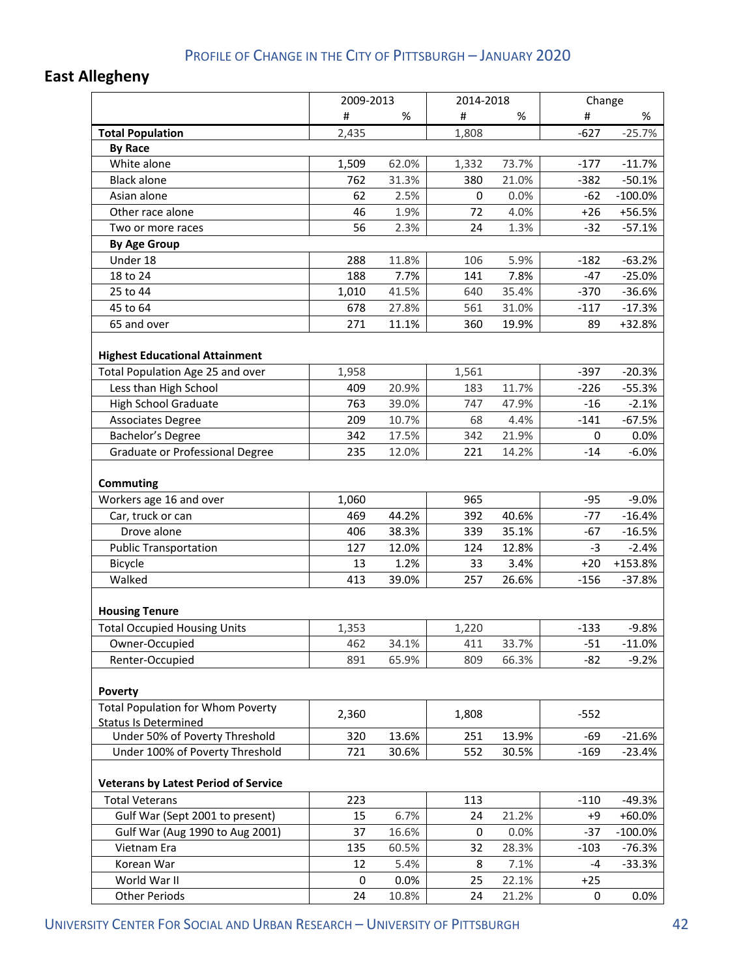# **East Allegheny**

|                                                                           | 2009-2013 |       | 2014-2018   |       | Change |            |
|---------------------------------------------------------------------------|-----------|-------|-------------|-------|--------|------------|
|                                                                           | #         | %     | #           | %     | #      | %          |
| <b>Total Population</b>                                                   | 2,435     |       | 1,808       |       | $-627$ | $-25.7%$   |
| <b>By Race</b>                                                            |           |       |             |       |        |            |
| White alone                                                               | 1,509     | 62.0% | 1,332       | 73.7% | $-177$ | $-11.7%$   |
| <b>Black alone</b>                                                        | 762       | 31.3% | 380         | 21.0% | $-382$ | $-50.1%$   |
| Asian alone                                                               | 62        | 2.5%  | $\mathbf 0$ | 0.0%  | $-62$  | $-100.0\%$ |
| Other race alone                                                          | 46        | 1.9%  | 72          | 4.0%  | $+26$  | +56.5%     |
| Two or more races                                                         | 56        | 2.3%  | 24          | 1.3%  | $-32$  | $-57.1%$   |
| <b>By Age Group</b>                                                       |           |       |             |       |        |            |
| Under 18                                                                  | 288       | 11.8% | 106         | 5.9%  | $-182$ | $-63.2%$   |
| 18 to 24                                                                  | 188       | 7.7%  | 141         | 7.8%  | $-47$  | $-25.0%$   |
| 25 to 44                                                                  | 1,010     | 41.5% | 640         | 35.4% | $-370$ | $-36.6%$   |
| 45 to 64                                                                  | 678       | 27.8% | 561         | 31.0% | $-117$ | $-17.3%$   |
| 65 and over                                                               | 271       | 11.1% | 360         | 19.9% | 89     | +32.8%     |
| <b>Highest Educational Attainment</b><br>Total Population Age 25 and over | 1,958     |       | 1,561       |       | $-397$ | $-20.3%$   |
| Less than High School                                                     | 409       | 20.9% | 183         | 11.7% | $-226$ | $-55.3%$   |
| High School Graduate                                                      | 763       | 39.0% | 747         | 47.9% | $-16$  | $-2.1%$    |
| <b>Associates Degree</b>                                                  | 209       | 10.7% | 68          | 4.4%  | $-141$ | $-67.5%$   |
| Bachelor's Degree                                                         | 342       | 17.5% | 342         | 21.9% | 0      | 0.0%       |
| Graduate or Professional Degree                                           | 235       | 12.0% | 221         | 14.2% | $-14$  | $-6.0%$    |
| <b>Commuting</b>                                                          |           |       |             |       |        |            |
| Workers age 16 and over                                                   | 1,060     |       | 965         |       | $-95$  | $-9.0%$    |
| Car, truck or can                                                         | 469       | 44.2% | 392         | 40.6% | $-77$  | $-16.4%$   |
| Drove alone                                                               | 406       | 38.3% | 339         | 35.1% | $-67$  | $-16.5%$   |
| <b>Public Transportation</b>                                              | 127       | 12.0% | 124         | 12.8% | $-3$   | $-2.4%$    |
| Bicycle                                                                   | 13        | 1.2%  | 33          | 3.4%  | $+20$  | +153.8%    |
| Walked                                                                    | 413       | 39.0% | 257         | 26.6% | $-156$ | $-37.8%$   |
| <b>Housing Tenure</b>                                                     |           |       |             |       |        |            |
| <b>Total Occupied Housing Units</b>                                       | 1,353     |       | 1,220       |       | $-133$ | $-9.8%$    |
| Owner-Occupied                                                            | 462       | 34.1% | 411         | 33.7% | $-51$  | $-11.0%$   |
| Renter-Occupied                                                           | 891       | 65.9% | 809         | 66.3% | $-82$  | $-9.2%$    |
| <b>Poverty</b>                                                            |           |       |             |       |        |            |
| <b>Total Population for Whom Poverty</b><br><b>Status Is Determined</b>   | 2,360     |       | 1,808       |       | $-552$ |            |
| Under 50% of Poverty Threshold                                            | 320       | 13.6% | 251         | 13.9% | -69    | $-21.6%$   |
| Under 100% of Poverty Threshold                                           | 721       | 30.6% | 552         | 30.5% | $-169$ | $-23.4%$   |
| <b>Veterans by Latest Period of Service</b>                               |           |       |             |       |        |            |
| <b>Total Veterans</b>                                                     | 223       |       | 113         |       | $-110$ | $-49.3%$   |
| Gulf War (Sept 2001 to present)                                           | 15        | 6.7%  | 24          | 21.2% | $+9$   | $+60.0%$   |
| Gulf War (Aug 1990 to Aug 2001)                                           | 37        | 16.6% | 0           | 0.0%  | $-37$  | $-100.0\%$ |
| Vietnam Era                                                               | 135       | 60.5% | 32          | 28.3% | $-103$ | $-76.3%$   |
| Korean War                                                                | 12        | 5.4%  | 8           | 7.1%  | $-4$   | $-33.3%$   |
| World War II                                                              | 0         | 0.0%  | 25          | 22.1% | $+25$  |            |
| <b>Other Periods</b>                                                      | 24        | 10.8% | 24          | 21.2% | 0      | $0.0\%$    |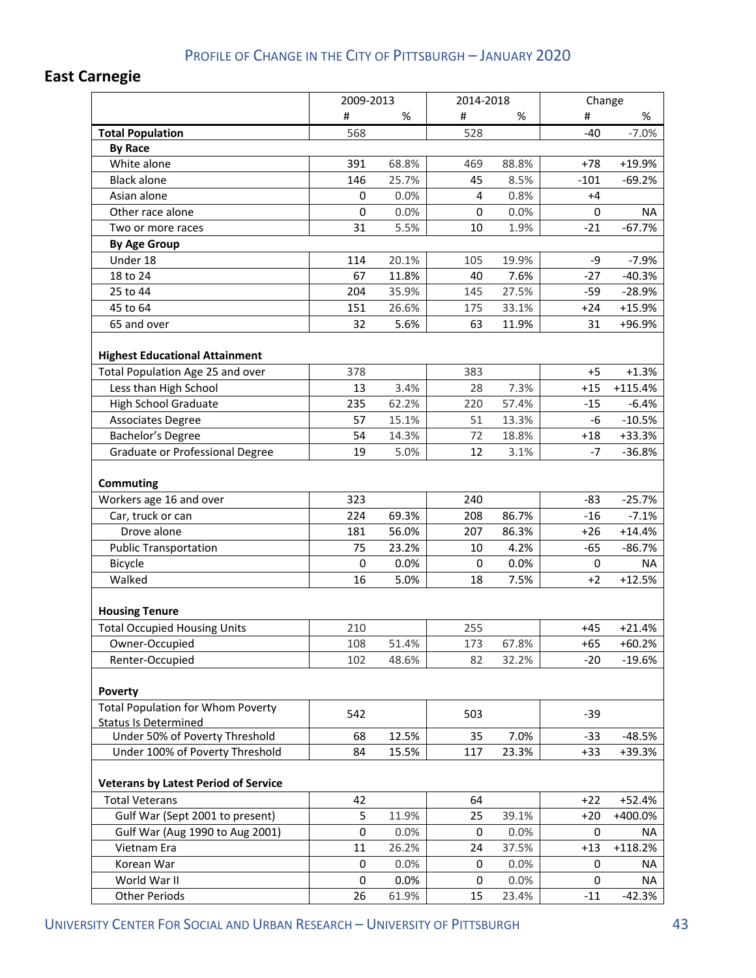## **East Carnegie**

|                                                                           | 2009-2013 |       | 2014-2018   |         | Change |           |
|---------------------------------------------------------------------------|-----------|-------|-------------|---------|--------|-----------|
|                                                                           | #         | %     | #           | %       | #      | %         |
| <b>Total Population</b>                                                   | 568       |       | 528         |         | $-40$  | $-7.0%$   |
| <b>By Race</b>                                                            |           |       |             |         |        |           |
| White alone                                                               | 391       | 68.8% | 469         | 88.8%   | $+78$  | +19.9%    |
| <b>Black alone</b>                                                        | 146       | 25.7% | 45          | 8.5%    | $-101$ | $-69.2%$  |
| Asian alone                                                               | 0         | 0.0%  | 4           | 0.8%    | +4     |           |
| Other race alone                                                          | $\pmb{0}$ | 0.0%  | $\mathbf 0$ | 0.0%    | 0      | NA        |
| Two or more races                                                         | 31        | 5.5%  | 10          | 1.9%    | $-21$  | $-67.7%$  |
| <b>By Age Group</b>                                                       |           |       |             |         |        |           |
| Under 18                                                                  | 114       | 20.1% | 105         | 19.9%   | -9     | $-7.9%$   |
| 18 to 24                                                                  | 67        | 11.8% | 40          | 7.6%    | $-27$  | $-40.3%$  |
| 25 to 44                                                                  | 204       | 35.9% | 145         | 27.5%   | $-59$  | $-28.9%$  |
| 45 to 64                                                                  | 151       | 26.6% | 175         | 33.1%   | $+24$  | $+15.9%$  |
| 65 and over                                                               | 32        | 5.6%  | 63          | 11.9%   | 31     | +96.9%    |
| <b>Highest Educational Attainment</b><br>Total Population Age 25 and over | 378       |       | 383         |         | $+5$   | $+1.3%$   |
| Less than High School                                                     | 13        | 3.4%  | 28          | 7.3%    | $+15$  | $+115.4%$ |
| <b>High School Graduate</b>                                               | 235       | 62.2% | 220         | 57.4%   | $-15$  | $-6.4%$   |
| <b>Associates Degree</b>                                                  | 57        | 15.1% | 51          | 13.3%   | $-6$   | $-10.5%$  |
| Bachelor's Degree                                                         | 54        | 14.3% | 72          | 18.8%   | $+18$  | +33.3%    |
| Graduate or Professional Degree                                           | 19        | 5.0%  | 12          | 3.1%    | -7     | $-36.8%$  |
| Commuting<br>Workers age 16 and over                                      | 323       |       | 240         |         | $-83$  | $-25.7%$  |
| Car, truck or can                                                         | 224       | 69.3% | 208         | 86.7%   | $-16$  | $-7.1%$   |
| Drove alone                                                               | 181       | 56.0% | 207         | 86.3%   | $+26$  | $+14.4%$  |
| <b>Public Transportation</b>                                              | 75        | 23.2% | 10          | 4.2%    | $-65$  | $-86.7%$  |
| Bicycle                                                                   | 0         | 0.0%  | $\mathbf 0$ | 0.0%    | 0      | <b>NA</b> |
| Walked                                                                    | 16        | 5.0%  | 18          | 7.5%    | $+2$   | $+12.5%$  |
| <b>Housing Tenure</b>                                                     |           |       |             |         |        |           |
| <b>Total Occupied Housing Units</b>                                       | 210       |       | 255         |         | $+45$  | $+21.4%$  |
| Owner-Occupied                                                            | 108       | 51.4% | 173         | 67.8%   | $+65$  | $+60.2%$  |
| Renter-Occupied                                                           | 102       | 48.6% | 82          | 32.2%   | $-20$  | $-19.6%$  |
| Poverty                                                                   |           |       |             |         |        |           |
| <b>Total Population for Whom Poverty</b>                                  | 542       |       | 503         |         | $-39$  |           |
| <b>Status Is Determined</b><br>Under 50% of Poverty Threshold             | 68        | 12.5% | 35          | 7.0%    | $-33$  | $-48.5%$  |
| Under 100% of Poverty Threshold                                           | 84        | 15.5% | 117         | 23.3%   | $+33$  | +39.3%    |
|                                                                           |           |       |             |         |        |           |
| <b>Veterans by Latest Period of Service</b>                               |           |       |             |         |        |           |
| <b>Total Veterans</b>                                                     | 42        |       | 64          |         | $+22$  | $+52.4%$  |
| Gulf War (Sept 2001 to present)                                           | 5         | 11.9% | 25          | 39.1%   | $+20$  | +400.0%   |
| Gulf War (Aug 1990 to Aug 2001)                                           | 0         | 0.0%  | 0           | 0.0%    | 0      | NA        |
| Vietnam Era                                                               | 11        | 26.2% | 24          | 37.5%   | $+13$  | $+118.2%$ |
| Korean War                                                                | 0         | 0.0%  | 0           | $0.0\%$ | 0      | NА        |
| World War II                                                              | 0         | 0.0%  | $\mathbf 0$ | 0.0%    | 0      | <b>NA</b> |
| <b>Other Periods</b>                                                      | 26        | 61.9% | 15          | 23.4%   | $-11$  | $-42.3%$  |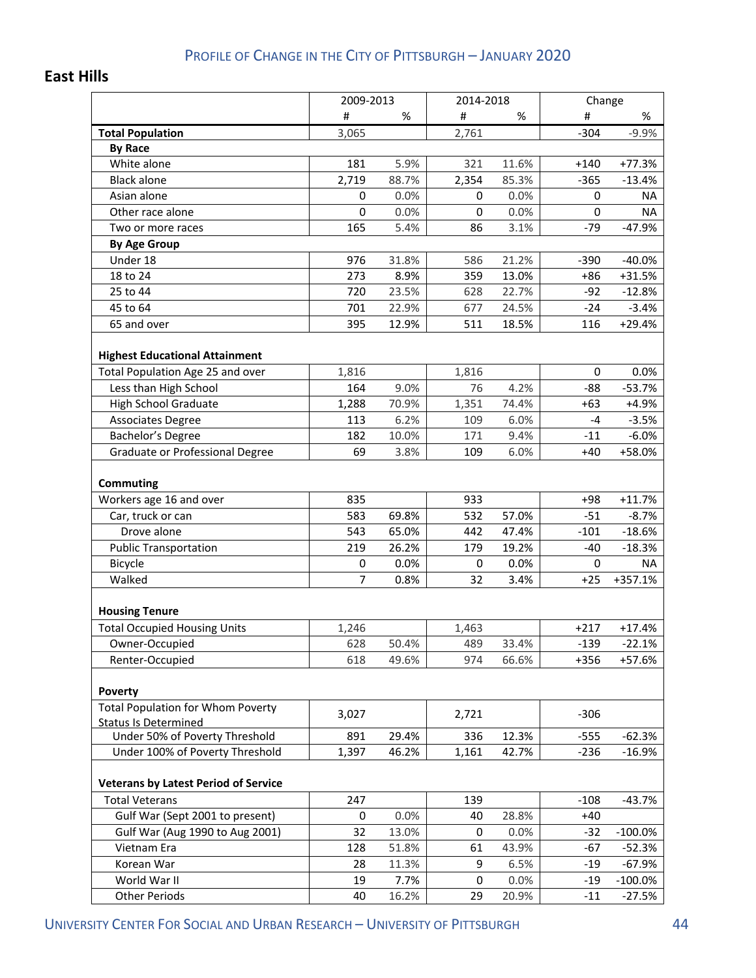### **East Hills**

|                                                              |                | 2009-2013 |             | 2014-2018     |        | Change     |
|--------------------------------------------------------------|----------------|-----------|-------------|---------------|--------|------------|
|                                                              | #              | %         | #           | $\%$          | #      | %          |
| <b>Total Population</b>                                      | 3,065          |           | 2,761       |               | $-304$ | $-9.9%$    |
| <b>By Race</b>                                               |                |           |             |               |        |            |
| White alone                                                  | 181            | 5.9%      | 321         | 11.6%         | $+140$ | $+77.3%$   |
| <b>Black alone</b>                                           | 2,719          | 88.7%     | 2,354       | 85.3%         | $-365$ | $-13.4%$   |
| Asian alone                                                  | 0              | 0.0%      | 0           | 0.0%          | 0      | NA         |
| Other race alone                                             | 0              | 0.0%      | 0           | 0.0%          | 0      | <b>NA</b>  |
| Two or more races                                            | 165            | 5.4%      | 86          | 3.1%          | $-79$  | $-47.9%$   |
| <b>By Age Group</b>                                          |                |           |             |               |        |            |
| Under 18                                                     | 976            | 31.8%     | 586         | 21.2%         | $-390$ | $-40.0%$   |
| 18 to 24                                                     | 273            | 8.9%      | 359         | 13.0%         | $+86$  | +31.5%     |
| 25 to 44                                                     | 720            | 23.5%     | 628         | 22.7%         | $-92$  | $-12.8%$   |
| 45 to 64                                                     | 701            | 22.9%     | 677         | 24.5%         | $-24$  | $-3.4%$    |
| 65 and over                                                  | 395            | 12.9%     | 511         | 18.5%         | 116    | $+29.4%$   |
| <b>Highest Educational Attainment</b>                        |                |           |             |               |        |            |
| Total Population Age 25 and over                             | 1,816          |           | 1,816       |               | 0      | 0.0%       |
|                                                              | 164            |           | 76          | 4.2%          |        | $-53.7%$   |
| Less than High School                                        |                | 9.0%      |             |               | -88    |            |
| <b>High School Graduate</b>                                  | 1,288          | 70.9%     | 1,351       | 74.4%<br>6.0% | $+63$  | $+4.9%$    |
| Associates Degree                                            | 113            | 6.2%      | 109         |               | $-4$   | $-3.5%$    |
| Bachelor's Degree                                            | 182            | 10.0%     | 171         | 9.4%          | $-11$  | $-6.0%$    |
| Graduate or Professional Degree                              | 69             | 3.8%      | 109         | 6.0%          | $+40$  | +58.0%     |
| <b>Commuting</b>                                             |                |           |             |               |        |            |
| Workers age 16 and over                                      | 835            |           | 933         |               | $+98$  | $+11.7%$   |
| Car, truck or can                                            | 583            | 69.8%     | 532         | 57.0%         | $-51$  | $-8.7%$    |
| Drove alone                                                  | 543            | 65.0%     | 442         | 47.4%         | $-101$ | $-18.6%$   |
| <b>Public Transportation</b>                                 | 219            | 26.2%     | 179         | 19.2%         | $-40$  | $-18.3%$   |
| Bicycle                                                      | 0              | 0.0%      | 0           | 0.0%          | 0      | <b>NA</b>  |
| Walked                                                       | $\overline{7}$ | 0.8%      | 32          | 3.4%          | $+25$  | +357.1%    |
|                                                              |                |           |             |               |        |            |
| <b>Housing Tenure</b><br><b>Total Occupied Housing Units</b> | 1,246          |           | 1,463       |               | $+217$ | $+17.4%$   |
|                                                              |                |           |             |               |        |            |
| Owner-Occupied                                               | 628            | 50.4%     | 489         | 33.4%         | $-139$ | $-22.1%$   |
| Renter-Occupied                                              | 618            | 49.6%     | 974         | 66.6%         | $+356$ | +57.6%     |
| Poverty                                                      |                |           |             |               |        |            |
| <b>Total Population for Whom Poverty</b>                     | 3,027          |           | 2,721       |               | $-306$ |            |
| <b>Status Is Determined</b>                                  |                |           |             |               |        |            |
| Under 50% of Poverty Threshold                               | 891            | 29.4%     | 336         | 12.3%         | $-555$ | $-62.3%$   |
| Under 100% of Poverty Threshold                              | 1,397          | 46.2%     | 1,161       | 42.7%         | $-236$ | $-16.9%$   |
| <b>Veterans by Latest Period of Service</b>                  |                |           |             |               |        |            |
| <b>Total Veterans</b>                                        | 247            |           | 139         |               | $-108$ | $-43.7%$   |
| Gulf War (Sept 2001 to present)                              | 0              | 0.0%      | 40          | 28.8%         | $+40$  |            |
| Gulf War (Aug 1990 to Aug 2001)                              | 32             | 13.0%     | $\mathbf 0$ | 0.0%          | $-32$  | $-100.0%$  |
| Vietnam Era                                                  | 128            | 51.8%     | 61          | 43.9%         | $-67$  | $-52.3%$   |
| Korean War                                                   | 28             | 11.3%     | 9           | 6.5%          | $-19$  | $-67.9%$   |
| World War II                                                 | 19             | 7.7%      | 0           | 0.0%          | $-19$  | $-100.0\%$ |
| <b>Other Periods</b>                                         | 40             | 16.2%     | 29          | 20.9%         | $-11$  | $-27.5%$   |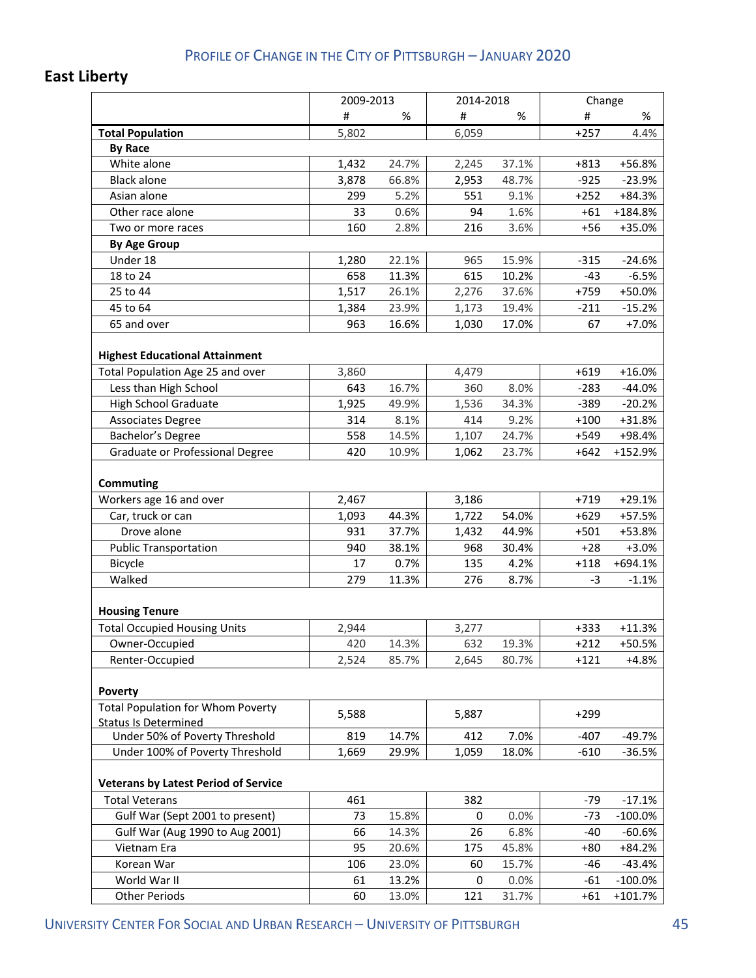# **East Liberty**

|                                                                           | 2009-2013 |       | 2014-2018 |       | Change |            |
|---------------------------------------------------------------------------|-----------|-------|-----------|-------|--------|------------|
|                                                                           | #         | %     | #         | $\%$  | #      | %          |
| <b>Total Population</b>                                                   | 5,802     |       | 6,059     |       | $+257$ | 4.4%       |
| <b>By Race</b>                                                            |           |       |           |       |        |            |
| White alone                                                               | 1,432     | 24.7% | 2,245     | 37.1% | $+813$ | +56.8%     |
| <b>Black alone</b>                                                        | 3,878     | 66.8% | 2,953     | 48.7% | $-925$ | $-23.9%$   |
| Asian alone                                                               | 299       | 5.2%  | 551       | 9.1%  | $+252$ | $+84.3%$   |
| Other race alone                                                          | 33        | 0.6%  | 94        | 1.6%  | $+61$  | +184.8%    |
| Two or more races                                                         | 160       | 2.8%  | 216       | 3.6%  | $+56$  | +35.0%     |
| <b>By Age Group</b>                                                       |           |       |           |       |        |            |
| Under 18                                                                  | 1,280     | 22.1% | 965       | 15.9% | $-315$ | $-24.6%$   |
| 18 to 24                                                                  | 658       | 11.3% | 615       | 10.2% | $-43$  | $-6.5%$    |
| 25 to 44                                                                  | 1,517     | 26.1% | 2,276     | 37.6% | $+759$ | +50.0%     |
| 45 to 64                                                                  | 1,384     | 23.9% | 1,173     | 19.4% | $-211$ | $-15.2%$   |
| 65 and over                                                               | 963       | 16.6% | 1,030     | 17.0% | 67     | $+7.0%$    |
| <b>Highest Educational Attainment</b><br>Total Population Age 25 and over | 3,860     |       | 4,479     |       | $+619$ | $+16.0%$   |
| Less than High School                                                     | 643       | 16.7% | 360       | 8.0%  | $-283$ | $-44.0%$   |
| <b>High School Graduate</b>                                               | 1,925     | 49.9% | 1,536     | 34.3% | $-389$ | $-20.2%$   |
| <b>Associates Degree</b>                                                  | 314       | 8.1%  | 414       | 9.2%  | $+100$ | +31.8%     |
| Bachelor's Degree                                                         | 558       | 14.5% | 1,107     | 24.7% | +549   | +98.4%     |
| Graduate or Professional Degree                                           | 420       | 10.9% | 1,062     | 23.7% | $+642$ | +152.9%    |
| Commuting<br>Workers age 16 and over                                      | 2,467     |       | 3,186     |       | $+719$ | $+29.1%$   |
| Car, truck or can                                                         | 1,093     | 44.3% | 1,722     | 54.0% | $+629$ | +57.5%     |
| Drove alone                                                               | 931       | 37.7% | 1,432     | 44.9% | $+501$ | +53.8%     |
| <b>Public Transportation</b>                                              | 940       | 38.1% | 968       | 30.4% | $+28$  | $+3.0%$    |
| Bicycle                                                                   | 17        | 0.7%  | 135       | 4.2%  | $+118$ | +694.1%    |
| Walked                                                                    | 279       | 11.3% | 276       | 8.7%  | $-3$   | $-1.1%$    |
| <b>Housing Tenure</b>                                                     |           |       |           |       |        |            |
| <b>Total Occupied Housing Units</b>                                       | 2,944     |       | 3,277     |       | $+333$ | $+11.3%$   |
| Owner-Occupied                                                            | 420       | 14.3% | 632       | 19.3% | $+212$ | +50.5%     |
| Renter-Occupied                                                           | 2,524     | 85.7% | 2,645     | 80.7% | $+121$ | $+4.8%$    |
| <b>Poverty</b>                                                            |           |       |           |       |        |            |
| <b>Total Population for Whom Poverty</b><br><b>Status Is Determined</b>   | 5,588     |       | 5,887     |       | $+299$ |            |
| Under 50% of Poverty Threshold                                            | 819       | 14.7% | 412       | 7.0%  | $-407$ | $-49.7%$   |
| Under 100% of Poverty Threshold                                           | 1,669     | 29.9% | 1,059     | 18.0% | $-610$ | $-36.5%$   |
| <b>Veterans by Latest Period of Service</b>                               |           |       |           |       |        |            |
| <b>Total Veterans</b>                                                     | 461       |       | 382       |       | $-79$  | $-17.1%$   |
| Gulf War (Sept 2001 to present)                                           | 73        | 15.8% | 0         | 0.0%  | $-73$  | $-100.0%$  |
| Gulf War (Aug 1990 to Aug 2001)                                           | 66        | 14.3% | 26        | 6.8%  | $-40$  | $-60.6%$   |
| Vietnam Era                                                               | 95        | 20.6% | 175       | 45.8% | $+80$  | $+84.2%$   |
| Korean War                                                                | 106       | 23.0% | 60        | 15.7% | -46    | $-43.4%$   |
| World War II                                                              | 61        | 13.2% | 0         | 0.0%  | $-61$  | $-100.0\%$ |
| <b>Other Periods</b>                                                      | 60        | 13.0% | 121       | 31.7% | $+61$  | +101.7%    |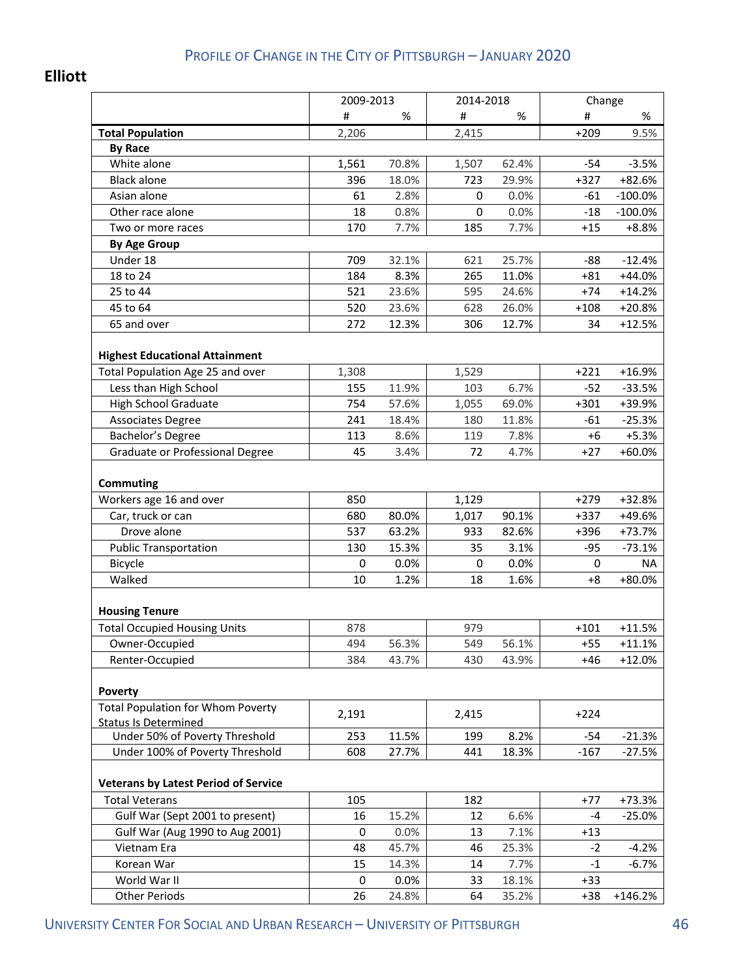## **Elliott**

|                                                                         |       | 2009-2013 |       | 2014-2018 |        | Change     |
|-------------------------------------------------------------------------|-------|-----------|-------|-----------|--------|------------|
|                                                                         | #     | %         | #     | $\%$      | #      | %          |
| <b>Total Population</b>                                                 | 2,206 |           | 2,415 |           | $+209$ | 9.5%       |
| <b>By Race</b>                                                          |       |           |       |           |        |            |
| White alone                                                             | 1,561 | 70.8%     | 1,507 | 62.4%     | $-54$  | $-3.5%$    |
| <b>Black alone</b>                                                      | 396   | 18.0%     | 723   | 29.9%     | $+327$ | +82.6%     |
| Asian alone                                                             | 61    | 2.8%      | 0     | 0.0%      | $-61$  | $-100.0\%$ |
| Other race alone                                                        | 18    | 0.8%      | 0     | 0.0%      | $-18$  | $-100.0\%$ |
| Two or more races                                                       | 170   | 7.7%      | 185   | 7.7%      | $+15$  | $+8.8%$    |
| <b>By Age Group</b>                                                     |       |           |       |           |        |            |
| Under 18                                                                | 709   | 32.1%     | 621   | 25.7%     | $-88$  | $-12.4%$   |
| 18 to 24                                                                | 184   | 8.3%      | 265   | 11.0%     | $+81$  | $+44.0%$   |
| 25 to 44                                                                | 521   | 23.6%     | 595   | 24.6%     | $+74$  | $+14.2%$   |
| 45 to 64                                                                | 520   | 23.6%     | 628   | 26.0%     | $+108$ | $+20.8%$   |
| 65 and over                                                             | 272   | 12.3%     | 306   | 12.7%     | 34     | $+12.5%$   |
| <b>Highest Educational Attainment</b>                                   |       |           |       |           |        |            |
| Total Population Age 25 and over                                        | 1,308 |           | 1,529 |           | $+221$ | $+16.9%$   |
| Less than High School                                                   | 155   | 11.9%     | 103   | 6.7%      | $-52$  | $-33.5%$   |
| <b>High School Graduate</b>                                             | 754   | 57.6%     | 1,055 | 69.0%     | $+301$ | +39.9%     |
| <b>Associates Degree</b>                                                | 241   | 18.4%     | 180   | 11.8%     | $-61$  | $-25.3%$   |
| Bachelor's Degree                                                       | 113   | 8.6%      | 119   | 7.8%      | $+6$   | $+5.3%$    |
| Graduate or Professional Degree                                         | 45    | 3.4%      | 72    | 4.7%      | $+27$  | $+60.0%$   |
| Commuting                                                               |       |           |       |           |        |            |
| Workers age 16 and over                                                 | 850   |           | 1,129 |           | $+279$ | +32.8%     |
| Car, truck or can                                                       | 680   | 80.0%     | 1,017 | 90.1%     | $+337$ | +49.6%     |
| Drove alone                                                             | 537   | 63.2%     | 933   | 82.6%     | $+396$ | +73.7%     |
| <b>Public Transportation</b>                                            | 130   | 15.3%     | 35    | 3.1%      | $-95$  | $-73.1%$   |
| Bicycle                                                                 | 0     | 0.0%      | 0     | 0.0%      | 0      | NA         |
| Walked                                                                  | 10    | 1.2%      | 18    | 1.6%      | $+8$   | +80.0%     |
| <b>Housing Tenure</b>                                                   |       |           |       |           |        |            |
| <b>Total Occupied Housing Units</b>                                     | 878   |           | 979   |           | $+101$ | $+11.5%$   |
| Owner-Occupied                                                          | 494   | 56.3%     | 549   | 56.1%     | $+55$  | $+11.1%$   |
| Renter-Occupied                                                         | 384   | 43.7%     | 430   | 43.9%     | +46    | $+12.0%$   |
| Poverty                                                                 |       |           |       |           |        |            |
| <b>Total Population for Whom Poverty</b><br><b>Status Is Determined</b> | 2,191 |           | 2,415 |           | $+224$ |            |
| Under 50% of Poverty Threshold                                          | 253   | 11.5%     | 199   | 8.2%      | $-54$  | $-21.3%$   |
| Under 100% of Poverty Threshold                                         | 608   | 27.7%     | 441   | 18.3%     | $-167$ | $-27.5%$   |
| <b>Veterans by Latest Period of Service</b>                             |       |           |       |           |        |            |
| <b>Total Veterans</b>                                                   | 105   |           | 182   |           | $+77$  | +73.3%     |
| Gulf War (Sept 2001 to present)                                         | 16    | 15.2%     | 12    | 6.6%      | $-4$   | $-25.0%$   |
| Gulf War (Aug 1990 to Aug 2001)                                         | 0     | 0.0%      | 13    | 7.1%      | $+13$  |            |
| Vietnam Era                                                             | 48    | 45.7%     | 46    | 25.3%     | $-2$   | $-4.2%$    |
| Korean War                                                              | 15    | 14.3%     | 14    | 7.7%      | $-1$   | $-6.7%$    |
| World War II                                                            | 0     | 0.0%      | 33    | 18.1%     | +33    |            |
| <b>Other Periods</b>                                                    | 26    | 24.8%     | 64    | 35.2%     | $+38$  | $+146.2%$  |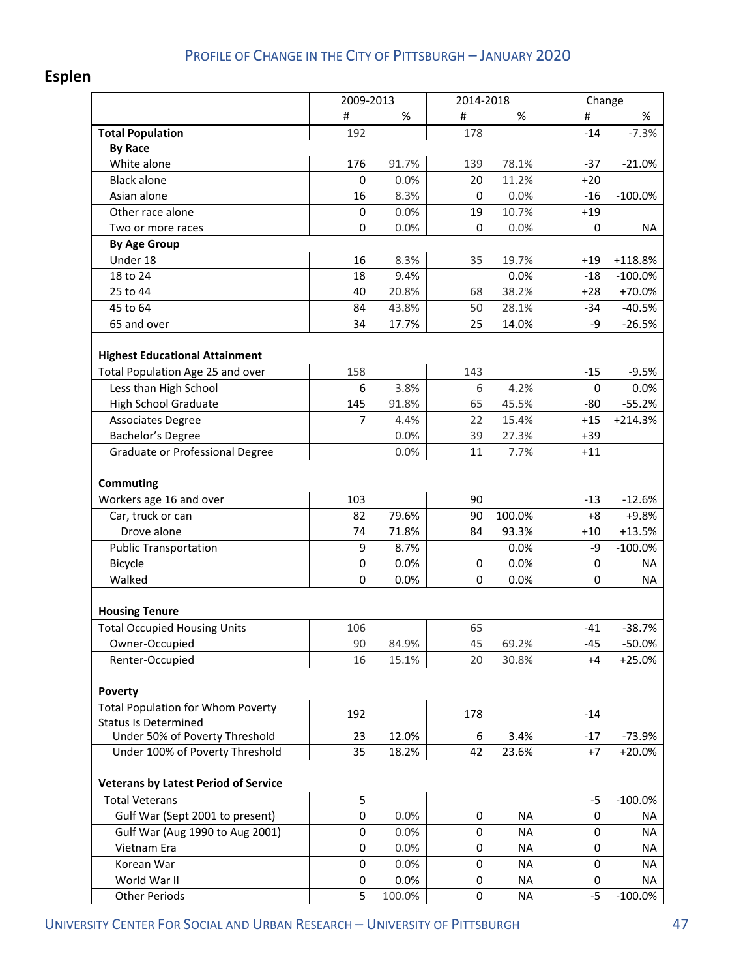# **Esplen**

|                                                                         | 2009-2013 |        | 2014-2018   |           | Change   |            |
|-------------------------------------------------------------------------|-----------|--------|-------------|-----------|----------|------------|
|                                                                         | #         | %      | #           | %         | #        | %          |
| <b>Total Population</b>                                                 | 192       |        | 178         |           | $-14$    | $-7.3%$    |
| <b>By Race</b>                                                          |           |        |             |           |          |            |
| White alone                                                             | 176       | 91.7%  | 139         | 78.1%     | $-37$    | $-21.0%$   |
| <b>Black alone</b>                                                      | 0         | 0.0%   | 20          | 11.2%     | $+20$    |            |
| Asian alone                                                             | 16        | 8.3%   | 0           | 0.0%      | $-16$    | $-100.0%$  |
| Other race alone                                                        | 0         | 0.0%   | 19          | 10.7%     | $+19$    |            |
| Two or more races                                                       | 0         | 0.0%   | 0           | 0.0%      | 0        | NA         |
| <b>By Age Group</b>                                                     |           |        |             |           |          |            |
| Under 18                                                                | 16        | 8.3%   | 35          | 19.7%     | $+19$    | $+118.8%$  |
| 18 to 24                                                                | 18        | 9.4%   |             | 0.0%      | $-18$    | $-100.0%$  |
| 25 to 44                                                                | 40        | 20.8%  | 68          | 38.2%     | $+28$    | +70.0%     |
| 45 to 64                                                                | 84        | 43.8%  | 50          | 28.1%     | $-34$    | $-40.5%$   |
| 65 and over                                                             | 34        | 17.7%  | 25          | 14.0%     | -9       | $-26.5%$   |
| <b>Highest Educational Attainment</b>                                   |           |        |             |           |          |            |
| Total Population Age 25 and over                                        | 158       |        | 143         |           | $-15$    | $-9.5%$    |
| Less than High School                                                   | 6         | 3.8%   | 6           | 4.2%      | $\Omega$ | 0.0%       |
| <b>High School Graduate</b>                                             | 145       | 91.8%  | 65          | 45.5%     | -80      | $-55.2%$   |
| <b>Associates Degree</b>                                                | 7         | 4.4%   | 22          | 15.4%     | $+15$    | $+214.3%$  |
| Bachelor's Degree                                                       |           | 0.0%   | 39          | 27.3%     | $+39$    |            |
| Graduate or Professional Degree                                         |           | 0.0%   | 11          | 7.7%      | $+11$    |            |
| <b>Commuting</b><br>Workers age 16 and over                             | 103       |        | 90          |           | $-13$    | $-12.6%$   |
| Car, truck or can                                                       | 82        | 79.6%  | 90          | 100.0%    | $+8$     | +9.8%      |
| Drove alone                                                             | 74        | 71.8%  | 84          | 93.3%     | $+10$    | $+13.5%$   |
|                                                                         | 9         | 8.7%   |             | 0.0%      | -9       | $-100.0%$  |
| <b>Public Transportation</b><br>Bicycle                                 | 0         | 0.0%   | 0           | 0.0%      | 0        | NA         |
|                                                                         | 0         |        | $\mathbf 0$ |           |          |            |
| Walked                                                                  |           | 0.0%   |             | 0.0%      | 0        | NA.        |
| <b>Housing Tenure</b>                                                   |           |        |             |           |          |            |
| <b>Total Occupied Housing Units</b>                                     | 106       |        | 65          |           | $-41$    | $-38.7%$   |
| Owner-Occupied                                                          | 90        | 84.9%  | 45          | 69.2%     | $-45$    | $-50.0\%$  |
| Renter-Occupied                                                         | 16        | 15.1%  | 20          | 30.8%     | $+4$     | $+25.0%$   |
| <b>Poverty</b>                                                          |           |        |             |           |          |            |
| <b>Total Population for Whom Poverty</b><br><b>Status Is Determined</b> | 192       |        | 178         |           | $-14$    |            |
| Under 50% of Poverty Threshold                                          | 23        | 12.0%  | 6           | 3.4%      | $-17$    | $-73.9%$   |
| Under 100% of Poverty Threshold                                         | 35        | 18.2%  | 42          | 23.6%     | $+7$     | $+20.0%$   |
| <b>Veterans by Latest Period of Service</b>                             |           |        |             |           |          |            |
| <b>Total Veterans</b>                                                   | 5         |        |             |           | $-5$     | $-100.0%$  |
| Gulf War (Sept 2001 to present)                                         | 0         | 0.0%   | 0           | <b>NA</b> | 0        | NA         |
| Gulf War (Aug 1990 to Aug 2001)                                         | $\pmb{0}$ | 0.0%   | $\pmb{0}$   | NA        | 0        | NA         |
| Vietnam Era                                                             | 0         | 0.0%   | $\pmb{0}$   | <b>NA</b> | 0        | NA         |
| Korean War                                                              | 0         | 0.0%   | 0           | NA        | 0        | NA         |
| World War II                                                            | 0         | 0.0%   | 0           | <b>NA</b> | 0        | NA         |
| <b>Other Periods</b>                                                    | 5         | 100.0% | 0           | <b>NA</b> | $-5$     | $-100.0\%$ |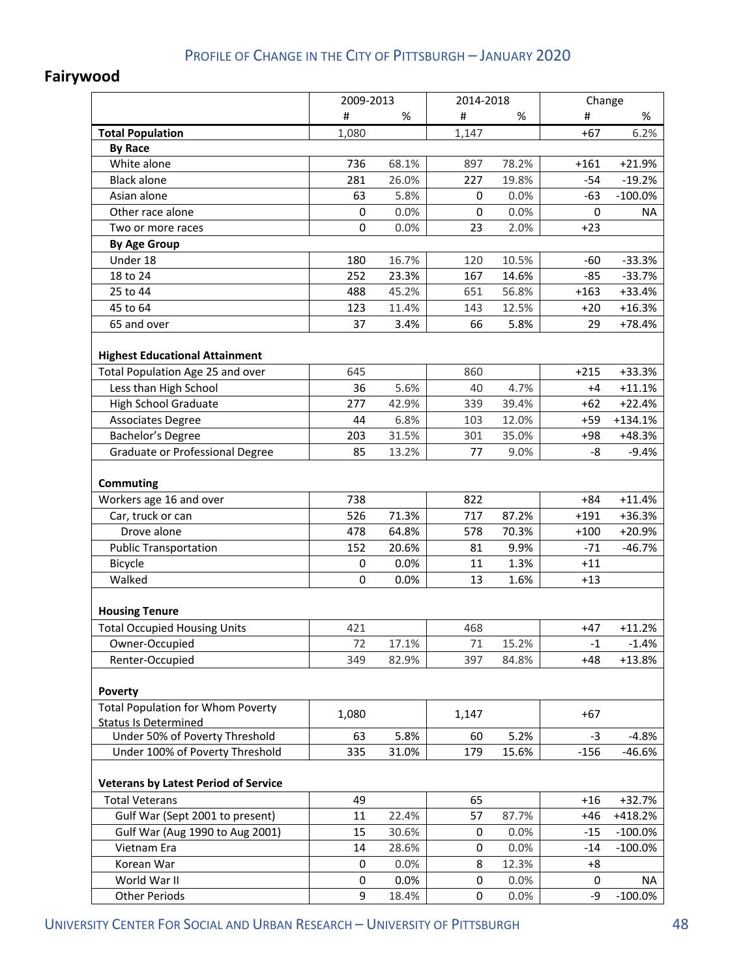## **Fairywood**

|                                                               | 2009-2013 |       | 2014-2018   |         | Change |            |
|---------------------------------------------------------------|-----------|-------|-------------|---------|--------|------------|
|                                                               | #         | $\%$  | #           | $\%$    | #      | %          |
| <b>Total Population</b>                                       | 1,080     |       | 1,147       |         | $+67$  | 6.2%       |
| <b>By Race</b>                                                |           |       |             |         |        |            |
| White alone                                                   | 736       | 68.1% | 897         | 78.2%   | $+161$ | $+21.9%$   |
| <b>Black alone</b>                                            | 281       | 26.0% | 227         | 19.8%   | $-54$  | $-19.2%$   |
| Asian alone                                                   | 63        | 5.8%  | 0           | 0.0%    | $-63$  | $-100.0\%$ |
| Other race alone                                              | $\pmb{0}$ | 0.0%  | $\mathbf 0$ | 0.0%    | 0      | NA         |
| Two or more races                                             | 0         | 0.0%  | 23          | 2.0%    | $+23$  |            |
| <b>By Age Group</b>                                           |           |       |             |         |        |            |
| Under 18                                                      | 180       | 16.7% | 120         | 10.5%   | $-60$  | $-33.3%$   |
| 18 to 24                                                      | 252       | 23.3% | 167         | 14.6%   | $-85$  | $-33.7%$   |
| 25 to 44                                                      | 488       | 45.2% | 651         | 56.8%   | $+163$ | +33.4%     |
| 45 to 64                                                      | 123       | 11.4% | 143         | 12.5%   | $+20$  | $+16.3%$   |
| 65 and over                                                   | 37        | 3.4%  | 66          | 5.8%    | 29     | +78.4%     |
| <b>Highest Educational Attainment</b>                         |           |       |             |         |        |            |
| Total Population Age 25 and over                              | 645       |       | 860         |         | $+215$ | +33.3%     |
| Less than High School                                         | 36        | 5.6%  | 40          | 4.7%    | +4     | $+11.1%$   |
| <b>High School Graduate</b>                                   | 277       | 42.9% | 339         | 39.4%   | $+62$  | $+22.4%$   |
| <b>Associates Degree</b>                                      | 44        | 6.8%  | 103         | 12.0%   | $+59$  | +134.1%    |
| Bachelor's Degree                                             | 203       | 31.5% | 301         | 35.0%   | $+98$  | +48.3%     |
| Graduate or Professional Degree                               | 85        | 13.2% | 77          | 9.0%    | -8     | $-9.4%$    |
| Commuting                                                     |           |       |             |         |        |            |
| Workers age 16 and over                                       | 738       |       | 822         |         | $+84$  | $+11.4%$   |
| Car, truck or can                                             | 526       | 71.3% | 717         | 87.2%   | $+191$ | +36.3%     |
| Drove alone                                                   | 478       | 64.8% | 578         | 70.3%   | $+100$ | +20.9%     |
| <b>Public Transportation</b>                                  | 152       | 20.6% | 81          | 9.9%    | $-71$  | $-46.7%$   |
| Bicycle                                                       | 0         | 0.0%  | 11          | 1.3%    | $+11$  |            |
| Walked                                                        | 0         | 0.0%  | 13          | 1.6%    | $+13$  |            |
| <b>Housing Tenure</b>                                         |           |       |             |         |        |            |
| <b>Total Occupied Housing Units</b>                           | 421       |       | 468         |         | $+47$  | $+11.2%$   |
| Owner-Occupied                                                | 72        | 17.1% | 71          | 15.2%   | $-1$   | $-1.4%$    |
| Renter-Occupied                                               | 349       | 82.9% | 397         | 84.8%   | $+48$  | $+13.8%$   |
| <b>Poverty</b>                                                |           |       |             |         |        |            |
| <b>Total Population for Whom Poverty</b>                      | 1,080     |       | 1,147       |         | $+67$  |            |
| <b>Status Is Determined</b><br>Under 50% of Poverty Threshold | 63        | 5.8%  | 60          | 5.2%    | $-3$   | $-4.8%$    |
|                                                               |           |       |             |         |        |            |
| Under 100% of Poverty Threshold                               | 335       | 31.0% | 179         | 15.6%   | $-156$ | $-46.6%$   |
| <b>Veterans by Latest Period of Service</b>                   |           |       |             |         |        |            |
| <b>Total Veterans</b>                                         | 49        |       | 65          |         | $+16$  | $+32.7%$   |
| Gulf War (Sept 2001 to present)                               | 11        | 22.4% | 57          | 87.7%   | $+46$  | +418.2%    |
| Gulf War (Aug 1990 to Aug 2001)                               | 15        | 30.6% | 0           | 0.0%    | $-15$  | $-100.0\%$ |
| Vietnam Era                                                   | 14        | 28.6% | 0           | 0.0%    | $-14$  | $-100.0\%$ |
| Korean War                                                    | 0         | 0.0%  | 8           | 12.3%   | $+8$   |            |
| World War II                                                  | 0         | 0.0%  | 0           | $0.0\%$ | 0      | NA         |
| <b>Other Periods</b>                                          | 9         | 18.4% | 0           | 0.0%    | -9     | $-100.0\%$ |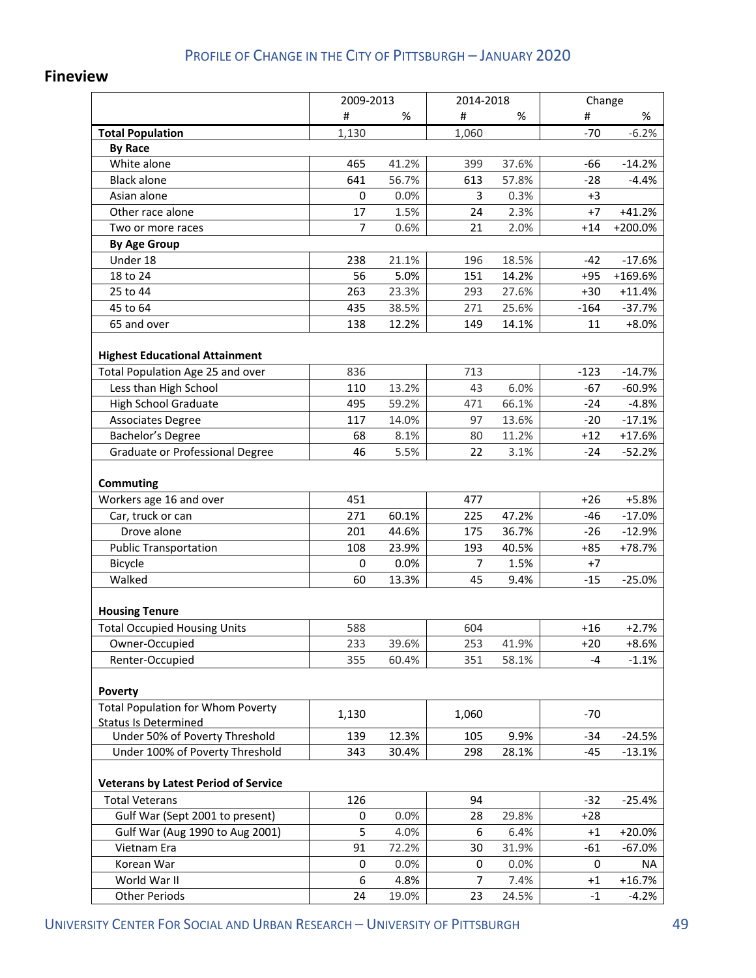#### **Fineview**

|                                             | 2009-2013      |       | 2014-2018 |       | Change |          |
|---------------------------------------------|----------------|-------|-----------|-------|--------|----------|
|                                             | #              | %     | #         | %     | #      | %        |
| <b>Total Population</b>                     | 1,130          |       | 1,060     |       | $-70$  | $-6.2%$  |
| <b>By Race</b>                              |                |       |           |       |        |          |
| White alone                                 | 465            | 41.2% | 399       | 37.6% | -66    | $-14.2%$ |
| <b>Black alone</b>                          | 641            | 56.7% | 613       | 57.8% | $-28$  | $-4.4%$  |
| Asian alone                                 | 0              | 0.0%  | 3         | 0.3%  | $+3$   |          |
| Other race alone                            | 17             | 1.5%  | 24        | 2.3%  | $+7$   | $+41.2%$ |
| Two or more races                           | $\overline{7}$ | 0.6%  | 21        | 2.0%  | $+14$  | +200.0%  |
| <b>By Age Group</b>                         |                |       |           |       |        |          |
| Under 18                                    | 238            | 21.1% | 196       | 18.5% | $-42$  | $-17.6%$ |
| 18 to 24                                    | 56             | 5.0%  | 151       | 14.2% | $+95$  | +169.6%  |
| 25 to 44                                    | 263            | 23.3% | 293       | 27.6% | $+30$  | $+11.4%$ |
| 45 to 64                                    | 435            | 38.5% | 271       | 25.6% | $-164$ | $-37.7%$ |
| 65 and over                                 | 138            | 12.2% | 149       | 14.1% | 11     | $+8.0%$  |
|                                             |                |       |           |       |        |          |
| <b>Highest Educational Attainment</b>       |                |       |           |       |        |          |
| Total Population Age 25 and over            | 836            |       | 713       |       | $-123$ | $-14.7%$ |
| Less than High School                       | 110            | 13.2% | 43        | 6.0%  | $-67$  | $-60.9%$ |
| <b>High School Graduate</b>                 | 495            | 59.2% | 471       | 66.1% | $-24$  | $-4.8%$  |
| <b>Associates Degree</b>                    | 117            | 14.0% | 97        | 13.6% | $-20$  | $-17.1%$ |
| Bachelor's Degree                           | 68             | 8.1%  | 80        | 11.2% | $+12$  | $+17.6%$ |
| Graduate or Professional Degree             | 46             | 5.5%  | 22        | 3.1%  | $-24$  | $-52.2%$ |
|                                             |                |       |           |       |        |          |
| Commuting                                   |                |       |           |       |        |          |
| Workers age 16 and over                     | 451            |       | 477       |       | $+26$  | $+5.8%$  |
| Car, truck or can                           | 271            | 60.1% | 225       | 47.2% | $-46$  | $-17.0%$ |
| Drove alone                                 | 201            | 44.6% | 175       | 36.7% | $-26$  | $-12.9%$ |
| <b>Public Transportation</b>                | 108            | 23.9% | 193       | 40.5% | $+85$  | $+78.7%$ |
| Bicycle                                     | 0              | 0.0%  | 7         | 1.5%  | $+7$   |          |
| Walked                                      | 60             | 13.3% | 45        | 9.4%  | $-15$  | $-25.0%$ |
|                                             |                |       |           |       |        |          |
| <b>Housing Tenure</b>                       |                |       |           |       |        |          |
| <b>Total Occupied Housing Units</b>         | 588            |       | 604       |       | $+16$  | $+2.7%$  |
| Owner-Occupied                              | 233            | 39.6% | 253       | 41.9% | $+20$  | $+8.6%$  |
| Renter-Occupied                             | 355            | 60.4% | 351       | 58.1% | -4     | $-1.1%$  |
|                                             |                |       |           |       |        |          |
| <b>Poverty</b>                              |                |       |           |       |        |          |
| <b>Total Population for Whom Poverty</b>    | 1,130          |       | 1,060     |       | $-70$  |          |
| <b>Status Is Determined</b>                 |                |       |           |       |        |          |
| Under 50% of Poverty Threshold              | 139            | 12.3% | 105       | 9.9%  | $-34$  | $-24.5%$ |
| Under 100% of Poverty Threshold             | 343            | 30.4% | 298       | 28.1% | $-45$  | $-13.1%$ |
|                                             |                |       |           |       |        |          |
| <b>Veterans by Latest Period of Service</b> |                |       |           |       |        |          |
| <b>Total Veterans</b>                       | 126            |       | 94        |       | $-32$  | $-25.4%$ |
| Gulf War (Sept 2001 to present)             | 0              | 0.0%  | 28        | 29.8% | $+28$  |          |
| Gulf War (Aug 1990 to Aug 2001)             | 5              | 4.0%  | 6         | 6.4%  | $+1$   | $+20.0%$ |
| Vietnam Era                                 | 91             | 72.2% | 30        | 31.9% | $-61$  | $-67.0%$ |
| Korean War                                  | 0              | 0.0%  | 0         | 0.0%  | 0      | NA       |
| World War II                                | 6              | 4.8%  | 7         | 7.4%  | $+1$   | $+16.7%$ |
| <b>Other Periods</b>                        | 24             | 19.0% | 23        | 24.5% | $-1$   | $-4.2%$  |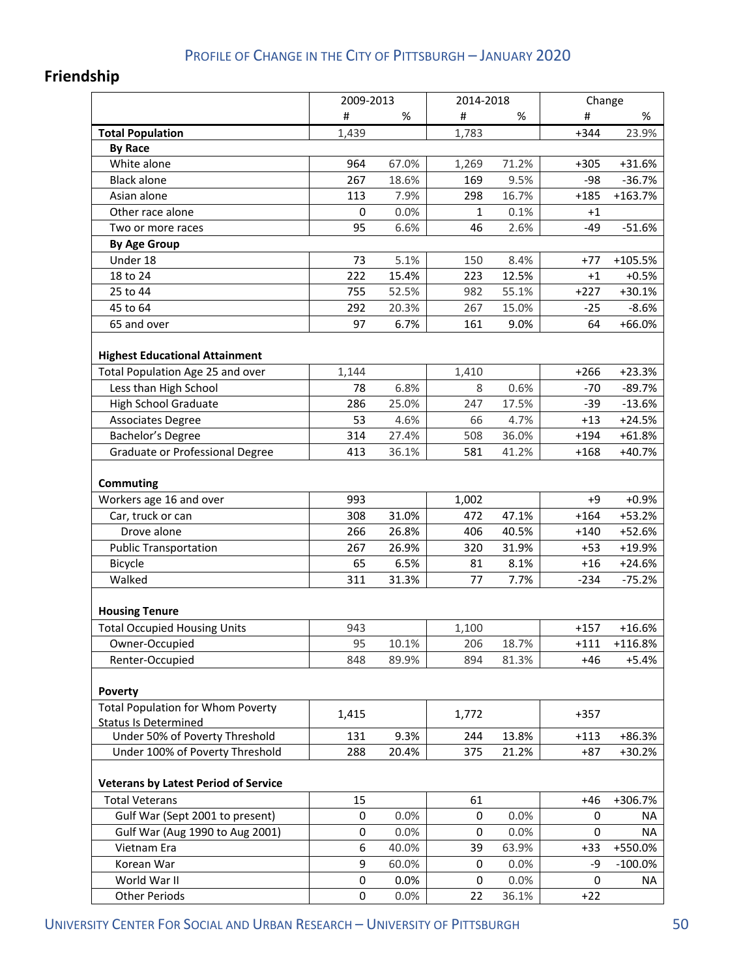# **Friendship**

|                                                                         | 2009-2013 |       | 2014-2018 |       | Change |            |
|-------------------------------------------------------------------------|-----------|-------|-----------|-------|--------|------------|
|                                                                         | #         | %     | #         | %     | #      | %          |
| <b>Total Population</b>                                                 | 1,439     |       | 1,783     |       | $+344$ | 23.9%      |
| <b>By Race</b>                                                          |           |       |           |       |        |            |
| White alone                                                             | 964       | 67.0% | 1,269     | 71.2% | $+305$ | $+31.6%$   |
| <b>Black alone</b>                                                      | 267       | 18.6% | 169       | 9.5%  | $-98$  | $-36.7%$   |
| Asian alone                                                             | 113       | 7.9%  | 298       | 16.7% | $+185$ | +163.7%    |
| Other race alone                                                        | 0         | 0.0%  | 1         | 0.1%  | $+1$   |            |
| Two or more races                                                       | 95        | 6.6%  | 46        | 2.6%  | $-49$  | $-51.6%$   |
| <b>By Age Group</b>                                                     |           |       |           |       |        |            |
| Under 18                                                                | 73        | 5.1%  | 150       | 8.4%  | $+77$  | $+105.5%$  |
| 18 to 24                                                                | 222       | 15.4% | 223       | 12.5% | $+1$   | $+0.5%$    |
| 25 to 44                                                                | 755       | 52.5% | 982       | 55.1% | $+227$ | $+30.1%$   |
| 45 to 64                                                                | 292       | 20.3% | 267       | 15.0% | $-25$  | $-8.6%$    |
| 65 and over                                                             | 97        | 6.7%  | 161       | 9.0%  | 64     | $+66.0%$   |
| <b>Highest Educational Attainment</b>                                   |           |       |           |       |        |            |
| Total Population Age 25 and over                                        | 1,144     |       | 1,410     |       | $+266$ | $+23.3%$   |
| Less than High School                                                   | 78        | 6.8%  | 8         | 0.6%  | $-70$  | $-89.7%$   |
| <b>High School Graduate</b>                                             | 286       | 25.0% | 247       | 17.5% | $-39$  | $-13.6%$   |
| <b>Associates Degree</b>                                                | 53        | 4.6%  | 66        | 4.7%  | $+13$  | $+24.5%$   |
| Bachelor's Degree                                                       | 314       | 27.4% | 508       | 36.0% | $+194$ | $+61.8%$   |
| Graduate or Professional Degree                                         | 413       | 36.1% | 581       | 41.2% | $+168$ | $+40.7%$   |
| Commuting<br>Workers age 16 and over                                    | 993       |       | 1,002     |       | $+9$   | $+0.9%$    |
| Car, truck or can                                                       | 308       | 31.0% | 472       | 47.1% | $+164$ | +53.2%     |
| Drove alone                                                             | 266       | 26.8% | 406       | 40.5% | $+140$ | +52.6%     |
|                                                                         | 267       | 26.9% | 320       | 31.9% | $+53$  | +19.9%     |
| <b>Public Transportation</b>                                            | 65        | 6.5%  | 81        | 8.1%  | $+16$  | $+24.6%$   |
| Bicycle<br>Walked                                                       | 311       | 31.3% | 77        | 7.7%  | $-234$ | $-75.2%$   |
|                                                                         |           |       |           |       |        |            |
| <b>Housing Tenure</b>                                                   |           |       |           |       |        |            |
| <b>Total Occupied Housing Units</b>                                     | 943       |       | 1,100     |       | $+157$ | $+16.6%$   |
| Owner-Occupied                                                          | 95        | 10.1% | 206       | 18.7% | $+111$ | $+116.8%$  |
| Renter-Occupied                                                         | 848       | 89.9% | 894       | 81.3% | $+46$  | $+5.4%$    |
| Poverty                                                                 |           |       |           |       |        |            |
| <b>Total Population for Whom Poverty</b><br><b>Status Is Determined</b> | 1,415     |       | 1,772     |       | +357   |            |
| Under 50% of Poverty Threshold                                          | 131       | 9.3%  | 244       | 13.8% | $+113$ | +86.3%     |
| Under 100% of Poverty Threshold                                         | 288       | 20.4% | 375       | 21.2% | $+87$  | $+30.2%$   |
| <b>Veterans by Latest Period of Service</b>                             |           |       |           |       |        |            |
| <b>Total Veterans</b>                                                   | 15        |       | 61        |       | $+46$  | +306.7%    |
| Gulf War (Sept 2001 to present)                                         | 0         | 0.0%  | 0         | 0.0%  | 0      | NA.        |
| Gulf War (Aug 1990 to Aug 2001)                                         | 0         | 0.0%  | 0         | 0.0%  | 0      | NA         |
| Vietnam Era                                                             | 6         | 40.0% | 39        | 63.9% | $+33$  | +550.0%    |
| Korean War                                                              | 9         | 60.0% | 0         | 0.0%  | -9     | $-100.0\%$ |
| World War II                                                            | 0         | 0.0%  | 0         | 0.0%  | 0      | NA.        |
| <b>Other Periods</b>                                                    | 0         | 0.0%  | 22        | 36.1% | $+22$  |            |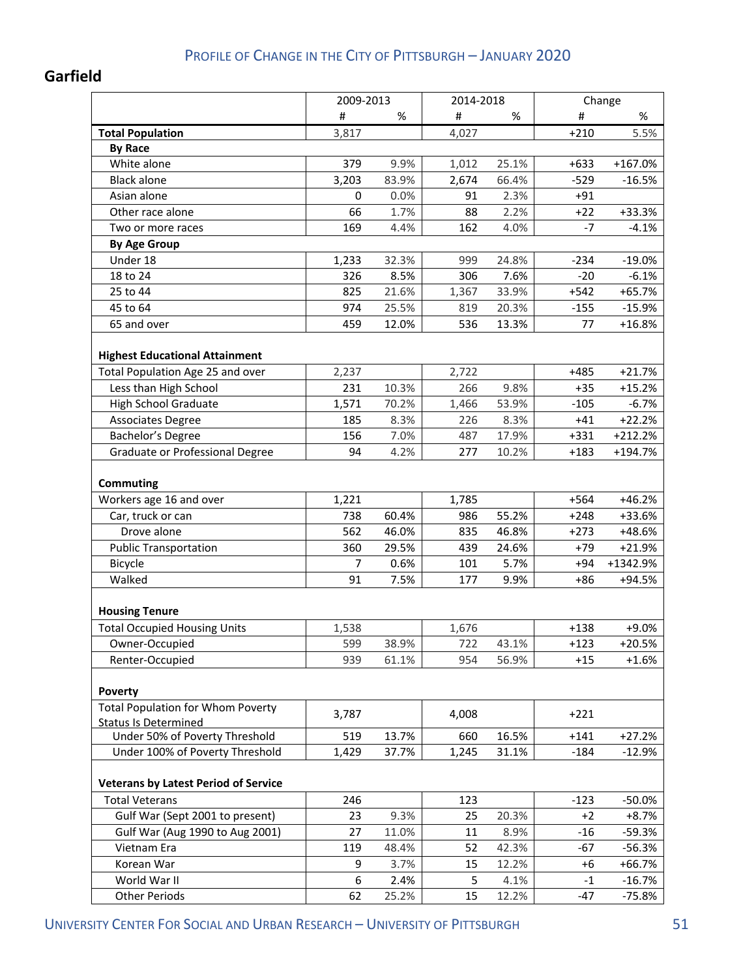## **Garfield**

|                                             | 2009-2013      |       | 2014-2018 |       | Change |           |
|---------------------------------------------|----------------|-------|-----------|-------|--------|-----------|
|                                             | #              | %     | #         | %     | #      | %         |
| <b>Total Population</b>                     | 3,817          |       | 4,027     |       | $+210$ | 5.5%      |
| <b>By Race</b>                              |                |       |           |       |        |           |
| White alone                                 | 379            | 9.9%  | 1,012     | 25.1% | $+633$ | $+167.0%$ |
| <b>Black alone</b>                          | 3,203          | 83.9% | 2,674     | 66.4% | $-529$ | $-16.5%$  |
| Asian alone                                 | 0              | 0.0%  | 91        | 2.3%  | $+91$  |           |
| Other race alone                            | 66             | 1.7%  | 88        | 2.2%  | $+22$  | +33.3%    |
| Two or more races                           | 169            | 4.4%  | 162       | 4.0%  | -7     | $-4.1%$   |
| <b>By Age Group</b>                         |                |       |           |       |        |           |
| Under 18                                    | 1,233          | 32.3% | 999       | 24.8% | $-234$ | $-19.0%$  |
| 18 to 24                                    | 326            | 8.5%  | 306       | 7.6%  | $-20$  | $-6.1%$   |
| 25 to 44                                    | 825            | 21.6% | 1,367     | 33.9% | $+542$ | $+65.7%$  |
| 45 to 64                                    | 974            | 25.5% | 819       | 20.3% | $-155$ | $-15.9%$  |
| 65 and over                                 | 459            | 12.0% | 536       | 13.3% | 77     | $+16.8%$  |
|                                             |                |       |           |       |        |           |
| <b>Highest Educational Attainment</b>       |                |       |           |       |        |           |
| Total Population Age 25 and over            | 2,237          |       | 2,722     |       | $+485$ | $+21.7%$  |
| Less than High School                       | 231            | 10.3% | 266       | 9.8%  | $+35$  | $+15.2%$  |
| <b>High School Graduate</b>                 | 1,571          | 70.2% | 1,466     | 53.9% | $-105$ | $-6.7%$   |
| <b>Associates Degree</b>                    | 185            | 8.3%  | 226       | 8.3%  | $+41$  | $+22.2%$  |
| Bachelor's Degree                           | 156            | 7.0%  | 487       | 17.9% | $+331$ | $+212.2%$ |
| Graduate or Professional Degree             | 94             | 4.2%  | 277       | 10.2% | $+183$ | +194.7%   |
|                                             |                |       |           |       |        |           |
| <b>Commuting</b>                            |                |       |           |       |        |           |
| Workers age 16 and over                     | 1,221          |       | 1,785     |       | $+564$ | $+46.2%$  |
| Car, truck or can                           | 738            | 60.4% | 986       | 55.2% | $+248$ | +33.6%    |
| Drove alone                                 | 562            | 46.0% | 835       | 46.8% | $+273$ | +48.6%    |
| <b>Public Transportation</b>                | 360            | 29.5% | 439       | 24.6% | $+79$  | $+21.9%$  |
| Bicycle                                     | $\overline{7}$ | 0.6%  | 101       | 5.7%  | $+94$  | +1342.9%  |
| Walked                                      | 91             | 7.5%  | 177       | 9.9%  | $+86$  | +94.5%    |
|                                             |                |       |           |       |        |           |
| <b>Housing Tenure</b>                       |                |       |           |       |        |           |
| <b>Total Occupied Housing Units</b>         | 1,538          |       | 1,676     |       | $+138$ | $+9.0%$   |
| Owner-Occupied                              | 599            | 38.9% | 722       | 43.1% | $+123$ | $+20.5%$  |
| Renter-Occupied                             | 939            | 61.1% | 954       | 56.9% | $+15$  | $+1.6%$   |
|                                             |                |       |           |       |        |           |
| <b>Poverty</b>                              |                |       |           |       |        |           |
| <b>Total Population for Whom Poverty</b>    |                |       |           |       |        |           |
| <b>Status Is Determined</b>                 | 3,787          |       | 4,008     |       | $+221$ |           |
| Under 50% of Poverty Threshold              | 519            | 13.7% | 660       | 16.5% | $+141$ | $+27.2%$  |
| Under 100% of Poverty Threshold             | 1,429          | 37.7% | 1,245     | 31.1% | $-184$ | $-12.9%$  |
|                                             |                |       |           |       |        |           |
| <b>Veterans by Latest Period of Service</b> |                |       |           |       |        |           |
| <b>Total Veterans</b>                       | 246            |       | 123       |       | $-123$ | $-50.0%$  |
| Gulf War (Sept 2001 to present)             | 23             | 9.3%  | 25        | 20.3% | $+2$   | +8.7%     |
| Gulf War (Aug 1990 to Aug 2001)             | 27             | 11.0% | 11        | 8.9%  | $-16$  | -59.3%    |
| Vietnam Era                                 | 119            | 48.4% | 52        | 42.3% | $-67$  | $-56.3%$  |
| Korean War                                  | 9              | 3.7%  | 15        | 12.2% | $+6$   | +66.7%    |
| World War II                                | 6              | 2.4%  | 5         | 4.1%  | $-1$   | $-16.7%$  |
| <b>Other Periods</b>                        | 62             | 25.2% | 15        | 12.2% | $-47$  | $-75.8%$  |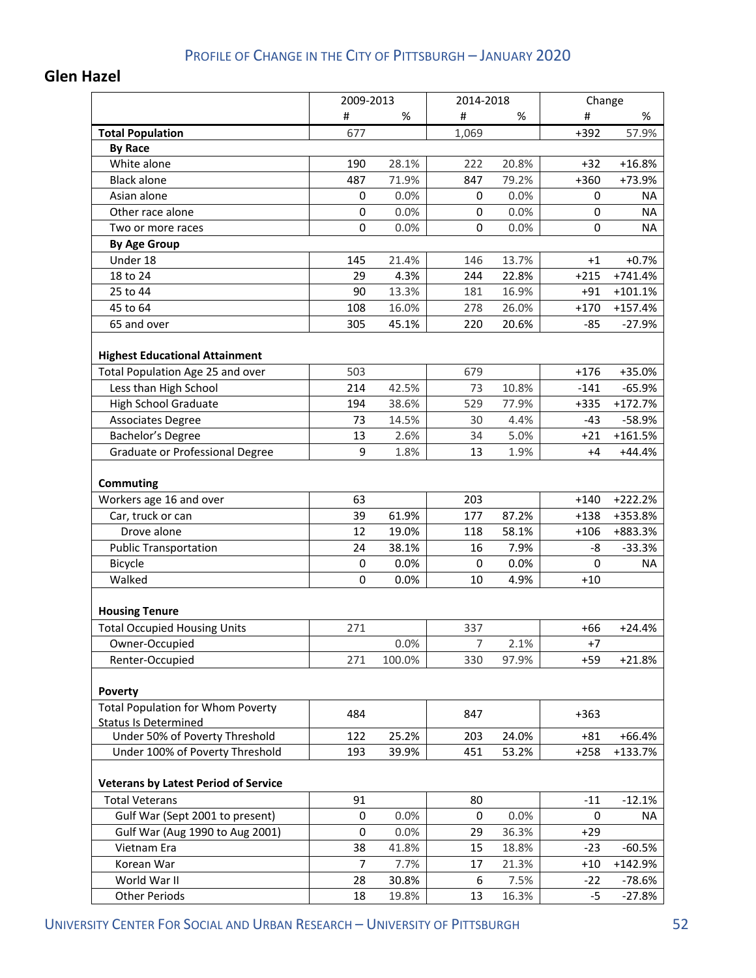## **Glen Hazel**

|                                                               | 2009-2013 |        | 2014-2018 |       | Change      |           |
|---------------------------------------------------------------|-----------|--------|-----------|-------|-------------|-----------|
|                                                               | #         | %      | #         | $\%$  | #           | %         |
| <b>Total Population</b>                                       | 677       |        | 1,069     |       | $+392$      | 57.9%     |
| <b>By Race</b>                                                |           |        |           |       |             |           |
| White alone                                                   | 190       | 28.1%  | 222       | 20.8% | $+32$       | $+16.8%$  |
| <b>Black alone</b>                                            | 487       | 71.9%  | 847       | 79.2% | $+360$      | +73.9%    |
| Asian alone                                                   | 0         | 0.0%   | 0         | 0.0%  | 0           | NA        |
| Other race alone                                              | 0         | 0.0%   | 0         | 0.0%  | 0           | <b>NA</b> |
| Two or more races                                             | 0         | 0.0%   | 0         | 0.0%  | 0           | NA        |
| <b>By Age Group</b>                                           |           |        |           |       |             |           |
| Under 18                                                      | 145       | 21.4%  | 146       | 13.7% | $+1$        | $+0.7%$   |
| 18 to 24                                                      | 29        | 4.3%   | 244       | 22.8% | $+215$      | $+741.4%$ |
| 25 to 44                                                      | 90        | 13.3%  | 181       | 16.9% | $+91$       | $+101.1%$ |
| 45 to 64                                                      | 108       | 16.0%  | 278       | 26.0% | $+170$      | $+157.4%$ |
| 65 and over                                                   | 305       | 45.1%  | 220       | 20.6% | $-85$       | $-27.9%$  |
|                                                               |           |        |           |       |             |           |
| <b>Highest Educational Attainment</b>                         |           |        |           |       |             |           |
| Total Population Age 25 and over                              | 503       |        | 679       |       | $+176$      | +35.0%    |
| Less than High School                                         | 214       | 42.5%  | 73        | 10.8% | $-141$      | $-65.9%$  |
| <b>High School Graduate</b>                                   | 194       | 38.6%  | 529       | 77.9% | $+335$      | +172.7%   |
| <b>Associates Degree</b>                                      | 73        | 14.5%  | 30        | 4.4%  | $-43$       | $-58.9%$  |
| Bachelor's Degree                                             | 13        | 2.6%   | 34        | 5.0%  | $+21$       | +161.5%   |
| Graduate or Professional Degree                               | 9         | 1.8%   | 13        | 1.9%  | $+4$        | $+44.4%$  |
| Commuting                                                     |           |        |           |       |             |           |
| Workers age 16 and over                                       | 63        |        | 203       |       | $+140$      | +222.2%   |
| Car, truck or can                                             | 39        | 61.9%  | 177       | 87.2% | $+138$      | +353.8%   |
| Drove alone                                                   | 12        | 19.0%  | 118       | 58.1% | $+106$      | +883.3%   |
| <b>Public Transportation</b>                                  | 24        | 38.1%  | 16        | 7.9%  | -8          | $-33.3%$  |
| Bicycle                                                       | 0         | 0.0%   | 0         | 0.0%  | 0           | <b>NA</b> |
| Walked                                                        | 0         | 0.0%   | 10        | 4.9%  | $+10$       |           |
|                                                               |           |        |           |       |             |           |
| <b>Housing Tenure</b>                                         |           |        |           |       |             |           |
| <b>Total Occupied Housing Units</b>                           | 271       |        | 337       |       | $+66$       | $+24.4%$  |
| Owner-Occupied                                                |           | 0.0%   | 7         | 2.1%  | $+7$        |           |
| Renter-Occupied                                               | 271       | 100.0% | 330       | 97.9% | $+59$       | $+21.8%$  |
|                                                               |           |        |           |       |             |           |
| <b>Poverty</b>                                                |           |        |           |       |             |           |
| <b>Total Population for Whom Poverty</b>                      | 484       |        | 847       |       | $+363$      |           |
| <b>Status Is Determined</b><br>Under 50% of Poverty Threshold |           | 25.2%  |           |       |             |           |
| Under 100% of Poverty Threshold                               | 122       |        | 203       | 24.0% | $+81$       | $+66.4%$  |
|                                                               | 193       | 39.9%  | 451       | 53.2% | $+258$      | +133.7%   |
| <b>Veterans by Latest Period of Service</b>                   |           |        |           |       |             |           |
| <b>Total Veterans</b>                                         | 91        |        | 80        |       | $-11$       | $-12.1%$  |
| Gulf War (Sept 2001 to present)                               | 0         | 0.0%   | 0         | 0.0%  | $\mathbf 0$ | <b>NA</b> |
| Gulf War (Aug 1990 to Aug 2001)                               | 0         | 0.0%   | 29        | 36.3% | $+29$       |           |
| Vietnam Era                                                   | 38        | 41.8%  | 15        | 18.8% | $-23$       | $-60.5%$  |
| Korean War                                                    | 7         | 7.7%   | 17        | 21.3% | $+10$       | +142.9%   |
| World War II                                                  | 28        | 30.8%  | 6         | 7.5%  | $-22$       | $-78.6%$  |
| <b>Other Periods</b>                                          | 18        | 19.8%  | 13        | 16.3% | $-5$        | $-27.8%$  |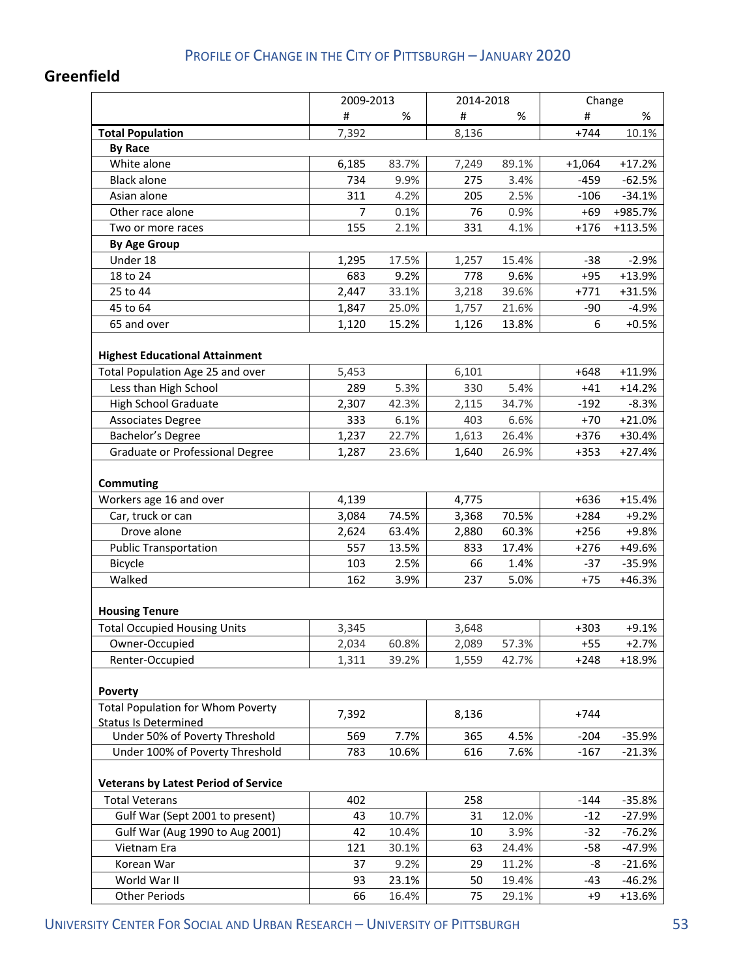## **Greenfield**

|                                                                         | 2009-2013 |       | 2014-2018 |       | Change   |          |
|-------------------------------------------------------------------------|-----------|-------|-----------|-------|----------|----------|
|                                                                         | #         | %     | #         | %     | #        | %        |
| <b>Total Population</b>                                                 | 7,392     |       | 8,136     |       | $+744$   | 10.1%    |
| <b>By Race</b>                                                          |           |       |           |       |          |          |
| White alone                                                             | 6,185     | 83.7% | 7,249     | 89.1% | $+1,064$ | $+17.2%$ |
| <b>Black alone</b>                                                      | 734       | 9.9%  | 275       | 3.4%  | $-459$   | $-62.5%$ |
| Asian alone                                                             | 311       | 4.2%  | 205       | 2.5%  | $-106$   | $-34.1%$ |
| Other race alone                                                        | 7         | 0.1%  | 76        | 0.9%  | $+69$    | +985.7%  |
| Two or more races                                                       | 155       | 2.1%  | 331       | 4.1%  | $+176$   | +113.5%  |
| <b>By Age Group</b>                                                     |           |       |           |       |          |          |
| Under 18                                                                | 1,295     | 17.5% | 1,257     | 15.4% | $-38$    | $-2.9%$  |
| 18 to 24                                                                | 683       | 9.2%  | 778       | 9.6%  | $+95$    | $+13.9%$ |
| 25 to 44                                                                | 2,447     | 33.1% | 3,218     | 39.6% | $+771$   | +31.5%   |
| 45 to 64                                                                | 1,847     | 25.0% | 1,757     | 21.6% | $-90$    | $-4.9%$  |
| 65 and over                                                             | 1,120     | 15.2% | 1,126     | 13.8% | 6        | $+0.5%$  |
| <b>Highest Educational Attainment</b>                                   |           |       |           |       |          |          |
| Total Population Age 25 and over                                        | 5,453     |       | 6,101     |       | $+648$   | $+11.9%$ |
| Less than High School                                                   | 289       | 5.3%  | 330       | 5.4%  | $+41$    | $+14.2%$ |
| <b>High School Graduate</b>                                             | 2,307     | 42.3% | 2,115     | 34.7% | $-192$   | $-8.3%$  |
| <b>Associates Degree</b>                                                | 333       | 6.1%  | 403       | 6.6%  | $+70$    | $+21.0%$ |
| Bachelor's Degree                                                       | 1,237     | 22.7% | 1,613     | 26.4% | $+376$   | $+30.4%$ |
| Graduate or Professional Degree                                         | 1,287     | 23.6% | 1,640     | 26.9% | $+353$   | $+27.4%$ |
| <b>Commuting</b>                                                        |           |       |           |       |          |          |
| Workers age 16 and over                                                 | 4,139     |       | 4,775     |       | $+636$   | $+15.4%$ |
| Car, truck or can                                                       | 3,084     | 74.5% | 3,368     | 70.5% | $+284$   | $+9.2%$  |
| Drove alone                                                             | 2,624     | 63.4% | 2,880     | 60.3% | $+256$   | $+9.8%$  |
| <b>Public Transportation</b>                                            | 557       | 13.5% | 833       | 17.4% | $+276$   | +49.6%   |
| Bicycle                                                                 | 103       | 2.5%  | 66        | 1.4%  | $-37$    | $-35.9%$ |
| Walked                                                                  | 162       | 3.9%  | 237       | 5.0%  | $+75$    | $+46.3%$ |
| <b>Housing Tenure</b>                                                   |           |       |           |       |          |          |
| <b>Total Occupied Housing Units</b>                                     | 3,345     |       | 3,648     |       | $+303$   | $+9.1%$  |
| Owner-Occupied                                                          | 2,034     | 60.8% | 2,089     | 57.3% | $+55$    | $+2.7%$  |
| Renter-Occupied                                                         | 1,311     | 39.2% | 1,559     | 42.7% | $+248$   | +18.9%   |
| Poverty                                                                 |           |       |           |       |          |          |
| <b>Total Population for Whom Poverty</b><br><b>Status Is Determined</b> | 7,392     |       | 8,136     |       | +744     |          |
| Under 50% of Poverty Threshold                                          | 569       | 7.7%  | 365       | 4.5%  | $-204$   | $-35.9%$ |
| Under 100% of Poverty Threshold                                         | 783       | 10.6% | 616       | 7.6%  | $-167$   | $-21.3%$ |
| <b>Veterans by Latest Period of Service</b>                             |           |       |           |       |          |          |
| <b>Total Veterans</b>                                                   | 402       |       | 258       |       | $-144$   | $-35.8%$ |
| Gulf War (Sept 2001 to present)                                         | 43        | 10.7% | 31        | 12.0% | $-12$    | $-27.9%$ |
| Gulf War (Aug 1990 to Aug 2001)                                         | 42        | 10.4% | 10        | 3.9%  | $-32$    | $-76.2%$ |
| Vietnam Era                                                             | 121       | 30.1% | 63        | 24.4% | $-58$    | $-47.9%$ |
| Korean War                                                              | 37        | 9.2%  | 29        | 11.2% | -8       | $-21.6%$ |
| World War II                                                            | 93        | 23.1% | 50        | 19.4% | -43      | $-46.2%$ |
| <b>Other Periods</b>                                                    | 66        | 16.4% | 75        | 29.1% | $+9$     | $+13.6%$ |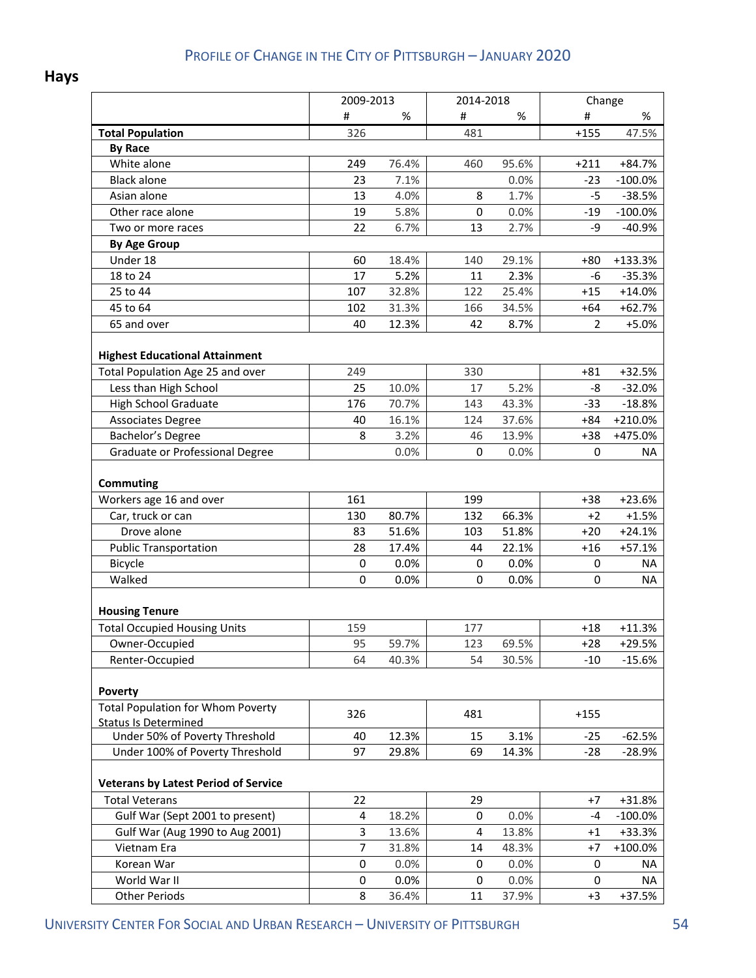#### **Hays**

|                                                                         | 2009-2013 |               | 2014-2018   |               | Change     |                       |
|-------------------------------------------------------------------------|-----------|---------------|-------------|---------------|------------|-----------------------|
|                                                                         | #         | %             | #           | %             | #          | %                     |
| <b>Total Population</b>                                                 | 326       |               | 481         |               | $+155$     | 47.5%                 |
| <b>By Race</b>                                                          |           |               |             |               |            |                       |
| White alone                                                             | 249       | 76.4%         | 460         | 95.6%         | $+211$     | $+84.7%$              |
| <b>Black alone</b>                                                      | 23        | 7.1%          |             | 0.0%          | $-23$      | $-100.0\%$            |
| Asian alone                                                             | 13        | 4.0%          | 8           | 1.7%          | $-5$       | $-38.5%$              |
| Other race alone                                                        | 19        | 5.8%          | $\mathbf 0$ | 0.0%          | $-19$      | $-100.0\%$            |
| Two or more races                                                       | 22        | 6.7%          | 13          | 2.7%          | -9         | $-40.9%$              |
| <b>By Age Group</b>                                                     |           |               |             |               |            |                       |
| Under 18                                                                | 60        | 18.4%         | 140         | 29.1%         | $+80$      | +133.3%               |
| 18 to 24                                                                | 17        | 5.2%          | 11          | 2.3%          | $-6$       | $-35.3%$              |
| 25 to 44                                                                | 107       | 32.8%         | 122         | 25.4%         | $+15$      | $+14.0%$              |
| 45 to 64                                                                | 102       | 31.3%         | 166         | 34.5%         | $+64$      | $+62.7%$              |
| 65 and over                                                             | 40        | 12.3%         | 42          | 8.7%          | 2          | $+5.0%$               |
| <b>Highest Educational Attainment</b>                                   |           |               |             |               |            |                       |
| Total Population Age 25 and over                                        | 249       |               | 330         |               | $+81$      | +32.5%                |
| Less than High School                                                   | 25        | 10.0%         | 17          | 5.2%          | -8         | $-32.0%$              |
| <b>High School Graduate</b>                                             | 176       | 70.7%         | 143         | 43.3%         | $-33$      | $-18.8%$              |
| <b>Associates Degree</b>                                                | 40        | 16.1%         | 124         | 37.6%         | $+84$      | $+210.0%$             |
| Bachelor's Degree                                                       | 8         | 3.2%          | 46          | 13.9%         | $+38$      | +475.0%               |
| Graduate or Professional Degree                                         |           | 0.0%          | 0           | 0.0%          | 0          | <b>NA</b>             |
| <b>Commuting</b><br>Workers age 16 and over                             | 161       |               | 199         |               | $+38$      | $+23.6%$              |
| Car, truck or can                                                       | 130       | 80.7%         | 132         | 66.3%         | $+2$       | $+1.5%$               |
| Drove alone                                                             | 83        | 51.6%         | 103         | 51.8%         | $+20$      | $+24.1%$              |
|                                                                         |           |               |             |               |            |                       |
| <b>Public Transportation</b>                                            | 28<br>0   | 17.4%<br>0.0% | 44<br>0     | 22.1%<br>0.0% | $+16$<br>0 | $+57.1%$<br><b>NA</b> |
| Bicycle                                                                 | 0         | 0.0%          | $\mathbf 0$ | 0.0%          |            |                       |
| Walked                                                                  |           |               |             |               | 0          | NA                    |
| <b>Housing Tenure</b>                                                   |           |               |             |               |            |                       |
| <b>Total Occupied Housing Units</b>                                     | 159       |               | 177         |               | $+18$      | $+11.3%$              |
| Owner-Occupied                                                          | 95        | 59.7%         | 123         | 69.5%         | $+28$      | $+29.5%$              |
| Renter-Occupied                                                         | 64        | 40.3%         | 54          | 30.5%         | $-10$      | $-15.6%$              |
| Poverty                                                                 |           |               |             |               |            |                       |
| <b>Total Population for Whom Poverty</b><br><b>Status Is Determined</b> | 326       |               | 481         |               | $+155$     |                       |
| Under 50% of Poverty Threshold                                          | 40        | 12.3%         | 15          | 3.1%          | $-25$      | $-62.5%$              |
| Under 100% of Poverty Threshold                                         | 97        | 29.8%         | 69          | 14.3%         | $-28$      | $-28.9%$              |
| <b>Veterans by Latest Period of Service</b>                             |           |               |             |               |            |                       |
| <b>Total Veterans</b>                                                   | 22        |               | 29          |               | $+7$       | +31.8%                |
| Gulf War (Sept 2001 to present)                                         | 4         | 18.2%         | 0           | 0.0%          | $-4$       | $-100.0\%$            |
| Gulf War (Aug 1990 to Aug 2001)                                         | 3         | 13.6%         | 4           | 13.8%         | $+1$       | +33.3%                |
| Vietnam Era                                                             | 7         | 31.8%         | 14          | 48.3%         | $+7$       | +100.0%               |
| Korean War                                                              | 0         | 0.0%          | 0           | 0.0%          | 0          | NA                    |
| World War II                                                            | 0         | 0.0%          | 0           | 0.0%          | 0          | NA.                   |
| <b>Other Periods</b>                                                    | 8         | 36.4%         | 11          | 37.9%         | $+3$       | +37.5%                |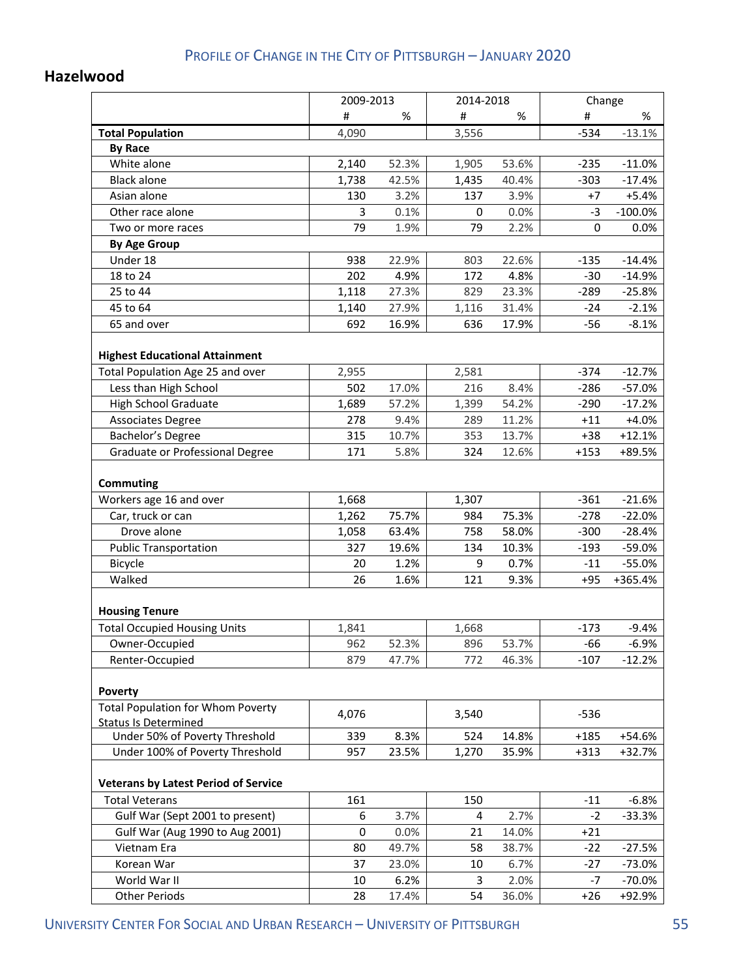#### **Hazelwood**

|                                                                         | 2009-2013 |       | 2014-2018   |       | Change |            |
|-------------------------------------------------------------------------|-----------|-------|-------------|-------|--------|------------|
|                                                                         | #         | %     | #           | %     | #      | %          |
| <b>Total Population</b>                                                 | 4,090     |       | 3,556       |       | $-534$ | $-13.1%$   |
| <b>By Race</b>                                                          |           |       |             |       |        |            |
| White alone                                                             | 2,140     | 52.3% | 1,905       | 53.6% | $-235$ | $-11.0%$   |
| <b>Black alone</b>                                                      | 1,738     | 42.5% | 1,435       | 40.4% | $-303$ | $-17.4%$   |
| Asian alone                                                             | 130       | 3.2%  | 137         | 3.9%  | $+7$   | $+5.4%$    |
| Other race alone                                                        | 3         | 0.1%  | $\mathbf 0$ | 0.0%  | $-3$   | $-100.0\%$ |
| Two or more races                                                       | 79        | 1.9%  | 79          | 2.2%  | 0      | $0.0\%$    |
| <b>By Age Group</b>                                                     |           |       |             |       |        |            |
| Under 18                                                                | 938       | 22.9% | 803         | 22.6% | $-135$ | $-14.4%$   |
| 18 to 24                                                                | 202       | 4.9%  | 172         | 4.8%  | $-30$  | $-14.9%$   |
| 25 to 44                                                                | 1,118     | 27.3% | 829         | 23.3% | $-289$ | $-25.8%$   |
| 45 to 64                                                                | 1,140     | 27.9% | 1,116       | 31.4% | $-24$  | $-2.1%$    |
| 65 and over                                                             | 692       | 16.9% | 636         | 17.9% | $-56$  | $-8.1%$    |
| <b>Highest Educational Attainment</b>                                   |           |       |             |       |        |            |
| Total Population Age 25 and over                                        | 2,955     |       | 2,581       |       | $-374$ | $-12.7%$   |
| Less than High School                                                   | 502       | 17.0% | 216         | 8.4%  | $-286$ | $-57.0%$   |
| <b>High School Graduate</b>                                             | 1,689     | 57.2% | 1,399       | 54.2% | $-290$ | $-17.2%$   |
| <b>Associates Degree</b>                                                | 278       | 9.4%  | 289         | 11.2% | $+11$  | $+4.0%$    |
| Bachelor's Degree                                                       | 315       | 10.7% | 353         | 13.7% | $+38$  | $+12.1%$   |
| Graduate or Professional Degree                                         | 171       | 5.8%  | 324         | 12.6% | $+153$ | +89.5%     |
| <b>Commuting</b>                                                        |           |       |             |       |        |            |
| Workers age 16 and over                                                 | 1,668     |       | 1,307       |       | $-361$ | $-21.6%$   |
| Car, truck or can                                                       | 1,262     | 75.7% | 984         | 75.3% | $-278$ | $-22.0%$   |
| Drove alone                                                             | 1,058     | 63.4% | 758         | 58.0% | $-300$ | $-28.4%$   |
| <b>Public Transportation</b>                                            | 327       | 19.6% | 134         | 10.3% | $-193$ | $-59.0%$   |
| Bicycle                                                                 | 20        | 1.2%  | 9           | 0.7%  | $-11$  | $-55.0%$   |
| Walked                                                                  | 26        | 1.6%  | 121         | 9.3%  | $+95$  | +365.4%    |
| <b>Housing Tenure</b>                                                   |           |       |             |       |        |            |
| <b>Total Occupied Housing Units</b>                                     | 1,841     |       | 1,668       |       | $-173$ | $-9.4%$    |
| Owner-Occupied                                                          | 962       | 52.3% | 896         | 53.7% | -66    | $-6.9\%$   |
| Renter-Occupied                                                         | 879       | 47.7% | 772         | 46.3% | $-107$ | $-12.2%$   |
| Poverty                                                                 |           |       |             |       |        |            |
| <b>Total Population for Whom Poverty</b><br><b>Status Is Determined</b> | 4,076     |       | 3,540       |       | $-536$ |            |
| Under 50% of Poverty Threshold                                          | 339       | 8.3%  | 524         | 14.8% | $+185$ | +54.6%     |
| Under 100% of Poverty Threshold                                         | 957       | 23.5% | 1,270       | 35.9% | $+313$ | +32.7%     |
| <b>Veterans by Latest Period of Service</b>                             |           |       |             |       |        |            |
| <b>Total Veterans</b>                                                   | 161       |       | 150         |       | $-11$  | $-6.8%$    |
| Gulf War (Sept 2001 to present)                                         | 6         | 3.7%  | 4           | 2.7%  | $-2$   | $-33.3%$   |
| Gulf War (Aug 1990 to Aug 2001)                                         | 0         | 0.0%  | 21          | 14.0% | $+21$  |            |
| Vietnam Era                                                             | 80        | 49.7% | 58          | 38.7% | $-22$  | $-27.5%$   |
| Korean War                                                              | 37        | 23.0% | 10          | 6.7%  | $-27$  | $-73.0%$   |
| World War II                                                            | 10        | 6.2%  | 3           | 2.0%  | -7     | $-70.0%$   |
| <b>Other Periods</b>                                                    | 28        | 17.4% | 54          | 36.0% | $+26$  | +92.9%     |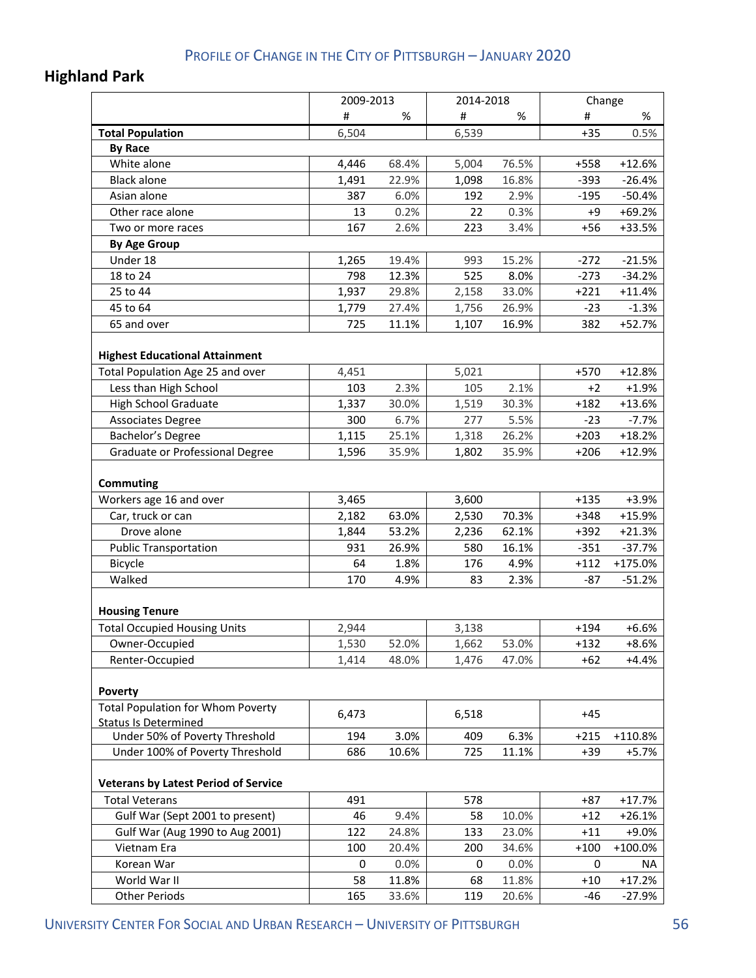# **Highland Park**

|                                             | 2009-2013 |       | 2014-2018 |       | Change |            |
|---------------------------------------------|-----------|-------|-----------|-------|--------|------------|
|                                             | #         | %     | #         | %     | #      | %          |
| <b>Total Population</b>                     | 6,504     |       | 6,539     |       | $+35$  | 0.5%       |
| <b>By Race</b>                              |           |       |           |       |        |            |
| White alone                                 | 4,446     | 68.4% | 5,004     | 76.5% | +558   | $+12.6%$   |
| <b>Black alone</b>                          | 1,491     | 22.9% | 1,098     | 16.8% | $-393$ | $-26.4%$   |
| Asian alone                                 | 387       | 6.0%  | 192       | 2.9%  | $-195$ | $-50.4%$   |
| Other race alone                            | 13        | 0.2%  | 22        | 0.3%  | $+9$   | $+69.2%$   |
| Two or more races                           | 167       | 2.6%  | 223       | 3.4%  | $+56$  | +33.5%     |
| <b>By Age Group</b>                         |           |       |           |       |        |            |
| Under 18                                    | 1,265     | 19.4% | 993       | 15.2% | $-272$ | $-21.5%$   |
| 18 to 24                                    | 798       | 12.3% | 525       | 8.0%  | $-273$ | $-34.2%$   |
| 25 to 44                                    | 1,937     | 29.8% | 2,158     | 33.0% | $+221$ | $+11.4%$   |
| 45 to 64                                    | 1,779     | 27.4% | 1,756     | 26.9% | $-23$  | $-1.3%$    |
| 65 and over                                 | 725       | 11.1% | 1,107     | 16.9% | 382    | $+52.7%$   |
| <b>Highest Educational Attainment</b>       |           |       |           |       |        |            |
| Total Population Age 25 and over            | 4,451     |       | 5,021     |       | $+570$ | $+12.8%$   |
| Less than High School                       | 103       | 2.3%  | 105       | 2.1%  | $+2$   | $+1.9%$    |
| <b>High School Graduate</b>                 | 1,337     | 30.0% | 1,519     | 30.3% | $+182$ | $+13.6%$   |
| <b>Associates Degree</b>                    | 300       | 6.7%  | 277       | 5.5%  | $-23$  | $-7.7%$    |
| Bachelor's Degree                           | 1,115     | 25.1% | 1,318     | 26.2% | $+203$ | $+18.2%$   |
| Graduate or Professional Degree             | 1,596     | 35.9% | 1,802     | 35.9% | $+206$ | $+12.9%$   |
| Commuting                                   |           |       |           |       |        |            |
| Workers age 16 and over                     | 3,465     |       | 3,600     |       | $+135$ | $+3.9%$    |
| Car, truck or can                           | 2,182     | 63.0% | 2,530     | 70.3% | $+348$ | $+15.9%$   |
| Drove alone                                 | 1,844     | 53.2% | 2,236     | 62.1% | $+392$ | $+21.3%$   |
| <b>Public Transportation</b>                | 931       | 26.9% | 580       | 16.1% | $-351$ | $-37.7%$   |
| Bicycle                                     | 64        | 1.8%  | 176       | 4.9%  | $+112$ | +175.0%    |
| Walked                                      | 170       | 4.9%  | 83        | 2.3%  | $-87$  | $-51.2%$   |
|                                             |           |       |           |       |        |            |
| <b>Housing Tenure</b>                       |           |       |           |       |        |            |
| <b>Total Occupied Housing Units</b>         | 2,944     |       | 3,138     |       | $+194$ | $+6.6%$    |
| Owner-Occupied                              | 1,530     | 52.0% | 1.662     | 53.0% | $+132$ | $+8.6%$    |
| Renter-Occupied                             | 1,414     | 48.0% | 1,476     | 47.0% | $+62$  | $+4.4%$    |
| <b>Poverty</b>                              |           |       |           |       |        |            |
| <b>Total Population for Whom Poverty</b>    | 6,473     |       | 6,518     |       | $+45$  |            |
| <b>Status Is Determined</b>                 |           |       |           |       |        |            |
| Under 50% of Poverty Threshold              | 194       | 3.0%  | 409       | 6.3%  | $+215$ | +110.8%    |
| Under 100% of Poverty Threshold             | 686       | 10.6% | 725       | 11.1% | $+39$  | +5.7%      |
| <b>Veterans by Latest Period of Service</b> |           |       |           |       |        |            |
| <b>Total Veterans</b>                       | 491       |       | 578       |       | $+87$  | $+17.7%$   |
| Gulf War (Sept 2001 to present)             | 46        | 9.4%  | 58        | 10.0% | $+12$  | $+26.1%$   |
| Gulf War (Aug 1990 to Aug 2001)             | 122       | 24.8% | 133       | 23.0% | $+11$  | $+9.0%$    |
| Vietnam Era                                 | 100       | 20.4% | 200       | 34.6% | $+100$ | $+100.0\%$ |
| Korean War                                  | 0         | 0.0%  | 0         | 0.0%  | 0      | NA         |
| World War II                                | 58        | 11.8% | 68        | 11.8% | $+10$  | $+17.2%$   |
| <b>Other Periods</b>                        | 165       | 33.6% | 119       | 20.6% | -46    | $-27.9%$   |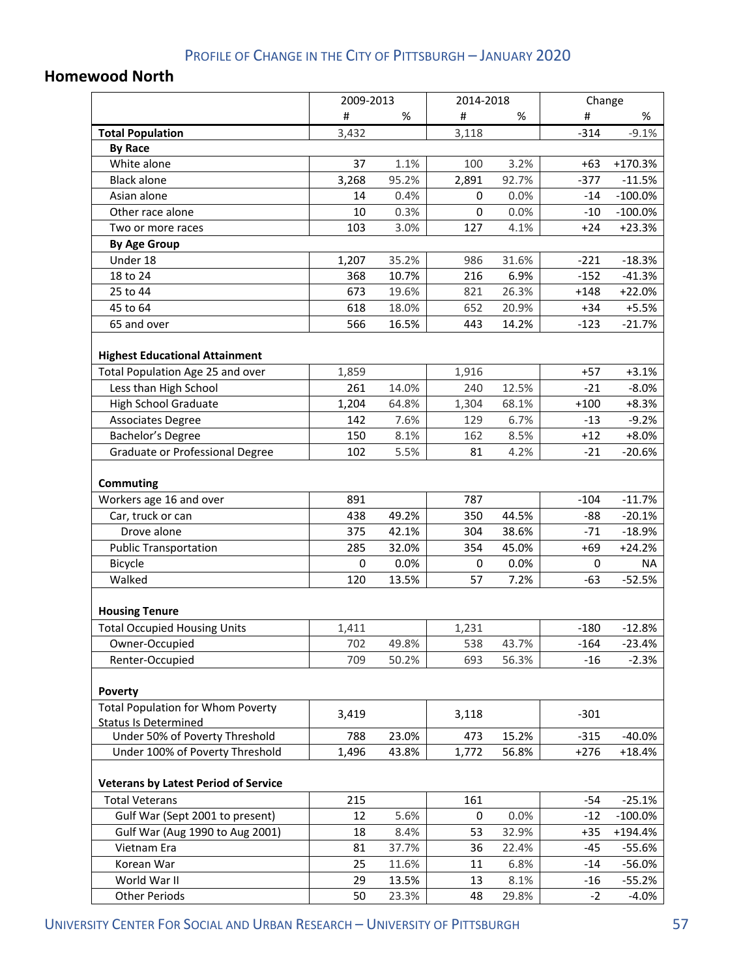#### **Homewood North**

|                                                                           | 2009-2013 |       | 2014-2018 |       | Change |            |
|---------------------------------------------------------------------------|-----------|-------|-----------|-------|--------|------------|
|                                                                           | #         | %     | #         | %     | #      | %          |
| <b>Total Population</b>                                                   | 3,432     |       | 3,118     |       | $-314$ | $-9.1%$    |
| <b>By Race</b>                                                            |           |       |           |       |        |            |
| White alone                                                               | 37        | 1.1%  | 100       | 3.2%  | $+63$  | +170.3%    |
| <b>Black alone</b>                                                        | 3,268     | 95.2% | 2,891     | 92.7% | $-377$ | $-11.5%$   |
| Asian alone                                                               | 14        | 0.4%  | 0         | 0.0%  | $-14$  | $-100.0\%$ |
| Other race alone                                                          | 10        | 0.3%  | 0         | 0.0%  | $-10$  | $-100.0\%$ |
| Two or more races                                                         | 103       | 3.0%  | 127       | 4.1%  | $+24$  | $+23.3%$   |
| <b>By Age Group</b>                                                       |           |       |           |       |        |            |
| Under 18                                                                  | 1,207     | 35.2% | 986       | 31.6% | $-221$ | $-18.3%$   |
| 18 to 24                                                                  | 368       | 10.7% | 216       | 6.9%  | $-152$ | $-41.3%$   |
| 25 to 44                                                                  | 673       | 19.6% | 821       | 26.3% | $+148$ | $+22.0%$   |
| 45 to 64                                                                  | 618       | 18.0% | 652       | 20.9% | $+34$  | $+5.5%$    |
| 65 and over                                                               | 566       | 16.5% | 443       | 14.2% | $-123$ | $-21.7%$   |
| <b>Highest Educational Attainment</b><br>Total Population Age 25 and over | 1,859     |       | 1,916     |       | $+57$  | $+3.1%$    |
| Less than High School                                                     | 261       | 14.0% | 240       | 12.5% | $-21$  | $-8.0%$    |
| <b>High School Graduate</b>                                               | 1,204     | 64.8% | 1,304     | 68.1% | $+100$ | $+8.3%$    |
| <b>Associates Degree</b>                                                  | 142       | 7.6%  | 129       | 6.7%  | $-13$  | $-9.2%$    |
| Bachelor's Degree                                                         | 150       | 8.1%  | 162       | 8.5%  | $+12$  | $+8.0%$    |
| Graduate or Professional Degree                                           | 102       | 5.5%  | 81        | 4.2%  | $-21$  | $-20.6%$   |
| Commuting<br>Workers age 16 and over                                      | 891       |       | 787       |       | $-104$ | $-11.7%$   |
| Car, truck or can                                                         | 438       | 49.2% | 350       | 44.5% | -88    | $-20.1%$   |
| Drove alone                                                               | 375       | 42.1% | 304       | 38.6% | $-71$  | $-18.9%$   |
| <b>Public Transportation</b>                                              | 285       | 32.0% | 354       | 45.0% | $+69$  | $+24.2%$   |
| Bicycle                                                                   | 0         | 0.0%  | 0         | 0.0%  | 0      | NA         |
| Walked                                                                    | 120       | 13.5% | 57        | 7.2%  | $-63$  | $-52.5%$   |
|                                                                           |           |       |           |       |        |            |
| <b>Housing Tenure</b>                                                     |           |       |           |       |        |            |
| <b>Total Occupied Housing Units</b>                                       | 1,411     |       | 1,231     |       | $-180$ | $-12.8%$   |
| Owner-Occupied                                                            | 702       | 49.8% | 538       | 43.7% | $-164$ | $-23.4%$   |
| Renter-Occupied                                                           | 709       | 50.2% | 693       | 56.3% | $-16$  | $-2.3%$    |
|                                                                           |           |       |           |       |        |            |
| Poverty                                                                   |           |       |           |       |        |            |
| <b>Total Population for Whom Poverty</b>                                  |           |       |           |       |        |            |
| <b>Status Is Determined</b>                                               | 3,419     |       | 3,118     |       | $-301$ |            |
| Under 50% of Poverty Threshold                                            | 788       | 23.0% | 473       | 15.2% | $-315$ | $-40.0%$   |
| Under 100% of Poverty Threshold                                           | 1,496     | 43.8% | 1,772     | 56.8% | $+276$ | $+18.4%$   |
| <b>Veterans by Latest Period of Service</b>                               |           |       |           |       |        |            |
| <b>Total Veterans</b>                                                     | 215       |       | 161       |       | -54    | $-25.1%$   |
| Gulf War (Sept 2001 to present)                                           | 12        | 5.6%  | 0         | 0.0%  | $-12$  | $-100.0\%$ |
| Gulf War (Aug 1990 to Aug 2001)                                           | 18        | 8.4%  | 53        | 32.9% | $+35$  | +194.4%    |
| Vietnam Era                                                               | 81        | 37.7% | 36        | 22.4% | $-45$  | $-55.6%$   |
| Korean War                                                                | 25        | 11.6% | 11        | 6.8%  | $-14$  | $-56.0%$   |
| World War II                                                              | 29        | 13.5% | 13        | 8.1%  | $-16$  | $-55.2%$   |
| <b>Other Periods</b>                                                      | 50        | 23.3% | 48        | 29.8% | $-2$   | -4.0%      |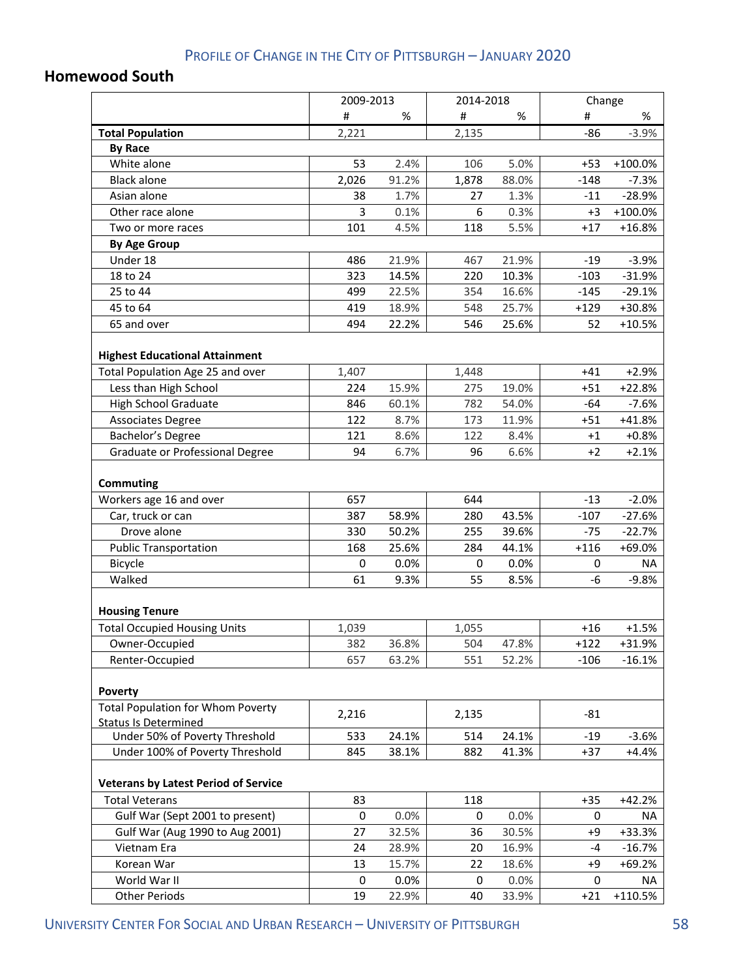#### **Homewood South**

|                                                                           | 2009-2013 |       |       | 2014-2018 |        | Change     |  |
|---------------------------------------------------------------------------|-----------|-------|-------|-----------|--------|------------|--|
|                                                                           | #         | %     | #     | %         | #      | %          |  |
| <b>Total Population</b>                                                   | 2,221     |       | 2,135 |           | $-86$  | $-3.9%$    |  |
| <b>By Race</b>                                                            |           |       |       |           |        |            |  |
| White alone                                                               | 53        | 2.4%  | 106   | 5.0%      | $+53$  | $+100.0\%$ |  |
| <b>Black alone</b>                                                        | 2,026     | 91.2% | 1,878 | 88.0%     | $-148$ | $-7.3%$    |  |
| Asian alone                                                               | 38        | 1.7%  | 27    | 1.3%      | $-11$  | $-28.9%$   |  |
| Other race alone                                                          | 3         | 0.1%  | 6     | 0.3%      | +3     | +100.0%    |  |
| Two or more races                                                         | 101       | 4.5%  | 118   | 5.5%      | $+17$  | $+16.8%$   |  |
| <b>By Age Group</b>                                                       |           |       |       |           |        |            |  |
| Under 18                                                                  | 486       | 21.9% | 467   | 21.9%     | $-19$  | $-3.9%$    |  |
| 18 to 24                                                                  | 323       | 14.5% | 220   | 10.3%     | $-103$ | $-31.9%$   |  |
| 25 to 44                                                                  | 499       | 22.5% | 354   | 16.6%     | $-145$ | $-29.1%$   |  |
| 45 to 64                                                                  | 419       | 18.9% | 548   | 25.7%     | $+129$ | +30.8%     |  |
| 65 and over                                                               | 494       | 22.2% | 546   | 25.6%     | 52     | $+10.5%$   |  |
| <b>Highest Educational Attainment</b><br>Total Population Age 25 and over | 1,407     |       | 1,448 |           | $+41$  | $+2.9%$    |  |
| Less than High School                                                     | 224       | 15.9% | 275   | 19.0%     | $+51$  | $+22.8%$   |  |
| <b>High School Graduate</b>                                               | 846       | 60.1% | 782   | 54.0%     | $-64$  | $-7.6%$    |  |
| <b>Associates Degree</b>                                                  | 122       | 8.7%  | 173   | 11.9%     | $+51$  | $+41.8%$   |  |
| Bachelor's Degree                                                         | 121       | 8.6%  | 122   | 8.4%      | $+1$   | $+0.8%$    |  |
| Graduate or Professional Degree                                           | 94        | 6.7%  | 96    | 6.6%      | $+2$   | $+2.1%$    |  |
| Commuting<br>Workers age 16 and over                                      | 657       |       | 644   |           | $-13$  | $-2.0%$    |  |
| Car, truck or can                                                         | 387       | 58.9% | 280   | 43.5%     | $-107$ | $-27.6%$   |  |
| Drove alone                                                               | 330       | 50.2% | 255   | 39.6%     | $-75$  | $-22.7%$   |  |
| <b>Public Transportation</b>                                              | 168       | 25.6% | 284   | 44.1%     | $+116$ | +69.0%     |  |
| Bicycle                                                                   | 0         | 0.0%  | 0     | 0.0%      | 0      | <b>NA</b>  |  |
| Walked                                                                    | 61        | 9.3%  | 55    | 8.5%      | -6     | $-9.8%$    |  |
|                                                                           |           |       |       |           |        |            |  |
| <b>Housing Tenure</b>                                                     |           |       |       |           |        |            |  |
| <b>Total Occupied Housing Units</b>                                       | 1,039     |       | 1,055 |           | $+16$  | $+1.5%$    |  |
| Owner-Occupied                                                            | 382       | 36.8% | 504   | 47.8%     | $+122$ | +31.9%     |  |
| Renter-Occupied                                                           | 657       | 63.2% | 551   | 52.2%     | $-106$ | $-16.1%$   |  |
|                                                                           |           |       |       |           |        |            |  |
| Poverty                                                                   |           |       |       |           |        |            |  |
| <b>Total Population for Whom Poverty</b>                                  |           |       |       |           |        |            |  |
| <b>Status Is Determined</b>                                               | 2,216     |       | 2,135 |           | $-81$  |            |  |
| Under 50% of Poverty Threshold                                            | 533       | 24.1% | 514   | 24.1%     | $-19$  | $-3.6%$    |  |
| Under 100% of Poverty Threshold                                           | 845       | 38.1% | 882   | 41.3%     | $+37$  | $+4.4%$    |  |
| <b>Veterans by Latest Period of Service</b>                               |           |       |       |           |        |            |  |
| <b>Total Veterans</b>                                                     | 83        |       | 118   |           | $+35$  | $+42.2%$   |  |
| Gulf War (Sept 2001 to present)                                           | 0         | 0.0%  | 0     | 0.0%      | 0      | NA         |  |
| Gulf War (Aug 1990 to Aug 2001)                                           | 27        | 32.5% | 36    | 30.5%     | +9     | +33.3%     |  |
| Vietnam Era                                                               | 24        | 28.9% | 20    | 16.9%     | $-4$   | $-16.7%$   |  |
| Korean War                                                                | 13        | 15.7% | 22    | 18.6%     | +9     | $+69.2%$   |  |
| World War II                                                              | 0         | 0.0%  | 0     | 0.0%      | 0      | NA         |  |
| <b>Other Periods</b>                                                      | 19        | 22.9% | 40    | 33.9%     | $+21$  | +110.5%    |  |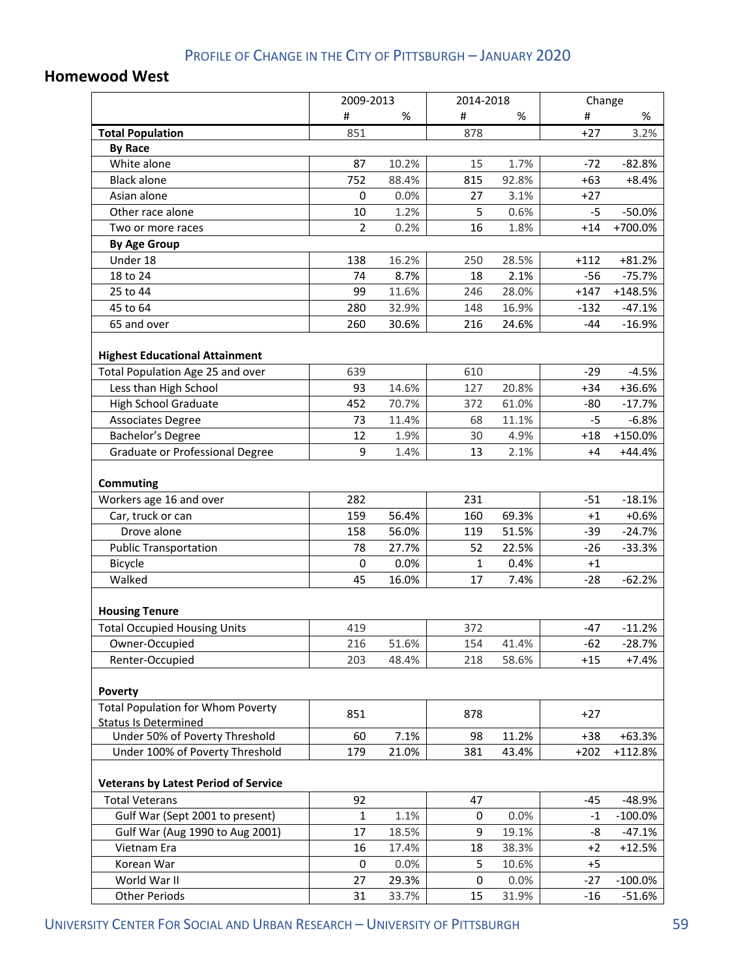#### **Homewood West**

|                                                                           | 2009-2013      |       |           | 2014-2018 |        | Change     |
|---------------------------------------------------------------------------|----------------|-------|-----------|-----------|--------|------------|
|                                                                           | #              | %     | #         | %         | #      | %          |
| <b>Total Population</b>                                                   | 851            |       | 878       |           | $+27$  | 3.2%       |
| <b>By Race</b>                                                            |                |       |           |           |        |            |
| White alone                                                               | 87             | 10.2% | 15        | 1.7%      | $-72$  | $-82.8%$   |
| <b>Black alone</b>                                                        | 752            | 88.4% | 815       | 92.8%     | $+63$  | $+8.4%$    |
| Asian alone                                                               | 0              | 0.0%  | 27        | 3.1%      | $+27$  |            |
| Other race alone                                                          | 10             | 1.2%  | 5         | 0.6%      | $-5$   | $-50.0%$   |
| Two or more races                                                         | $\overline{2}$ | 0.2%  | 16        | 1.8%      | $+14$  | +700.0%    |
| <b>By Age Group</b>                                                       |                |       |           |           |        |            |
| Under 18                                                                  | 138            | 16.2% | 250       | 28.5%     | $+112$ | $+81.2%$   |
| 18 to 24                                                                  | 74             | 8.7%  | 18        | 2.1%      | $-56$  | $-75.7%$   |
| 25 to 44                                                                  | 99             | 11.6% | 246       | 28.0%     | $+147$ | $+148.5%$  |
| 45 to 64                                                                  | 280            | 32.9% | 148       | 16.9%     | $-132$ | $-47.1%$   |
| 65 and over                                                               | 260            | 30.6% | 216       | 24.6%     | $-44$  | $-16.9%$   |
| <b>Highest Educational Attainment</b><br>Total Population Age 25 and over | 639            |       | 610       |           | $-29$  | $-4.5%$    |
| Less than High School                                                     | 93             | 14.6% | 127       | 20.8%     | $+34$  | +36.6%     |
| <b>High School Graduate</b>                                               | 452            | 70.7% | 372       | 61.0%     | $-80$  | $-17.7%$   |
| <b>Associates Degree</b>                                                  | 73             | 11.4% | 68        | 11.1%     | -5     | $-6.8%$    |
| Bachelor's Degree                                                         | 12             | 1.9%  | 30        | 4.9%      | $+18$  | +150.0%    |
| Graduate or Professional Degree                                           | 9              | 1.4%  | 13        | 2.1%      | +4     | +44.4%     |
| Commuting<br>Workers age 16 and over                                      | 282            |       | 231       |           | $-51$  | $-18.1%$   |
| Car, truck or can                                                         | 159            | 56.4% | 160       | 69.3%     | $+1$   | $+0.6%$    |
| Drove alone                                                               | 158            | 56.0% | 119       | 51.5%     | $-39$  | $-24.7%$   |
| <b>Public Transportation</b>                                              | 78             | 27.7% | 52        | 22.5%     | $-26$  | $-33.3%$   |
| Bicycle                                                                   | 0              | 0.0%  | 1         | 0.4%      | $+1$   |            |
| Walked                                                                    | 45             | 16.0% | 17        | 7.4%      | $-28$  | $-62.2%$   |
| <b>Housing Tenure</b>                                                     |                |       |           |           |        |            |
| <b>Total Occupied Housing Units</b>                                       | 419            |       | 372       |           | $-47$  | $-11.2%$   |
| Owner-Occupied                                                            | 216            | 51.6% | 154       | 41.4%     | $-62$  | $-28.7%$   |
| Renter-Occupied                                                           | 203            | 48.4% | 218       | 58.6%     | $+15$  | $+7.4%$    |
| Poverty                                                                   |                |       |           |           |        |            |
| <b>Total Population for Whom Poverty</b><br><b>Status Is Determined</b>   | 851            |       | 878       |           | $+27$  |            |
| Under 50% of Poverty Threshold                                            | 60             | 7.1%  | 98        | 11.2%     | $+38$  | $+63.3%$   |
| Under 100% of Poverty Threshold                                           | 179            | 21.0% | 381       | 43.4%     | $+202$ | +112.8%    |
| <b>Veterans by Latest Period of Service</b>                               |                |       |           |           |        |            |
| <b>Total Veterans</b>                                                     | 92             |       | 47        |           | -45    | $-48.9%$   |
| Gulf War (Sept 2001 to present)                                           | $\mathbf{1}$   | 1.1%  | $\pmb{0}$ | 0.0%      | $-1$   | $-100.0\%$ |
| Gulf War (Aug 1990 to Aug 2001)                                           | 17             | 18.5% | 9         | 19.1%     | -8     | $-47.1%$   |
| Vietnam Era                                                               | 16             | 17.4% | 18        | 38.3%     | $+2$   | $+12.5%$   |
| Korean War                                                                | 0              | 0.0%  | 5         | 10.6%     | $+5$   |            |
| World War II                                                              | 27             | 29.3% | 0         | 0.0%      | $-27$  | $-100.0\%$ |
| <b>Other Periods</b>                                                      | 31             | 33.7% | 15        | 31.9%     | $-16$  | $-51.6%$   |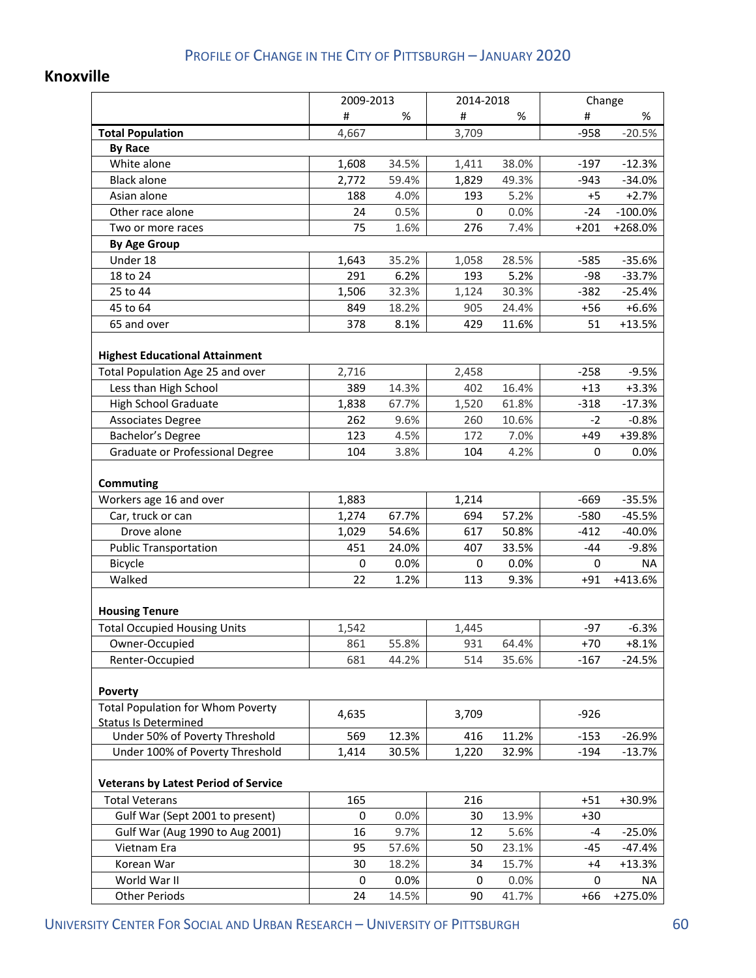### **Knoxville**

|                                             | 2009-2013 |       | 2014-2018   |       | Change |            |
|---------------------------------------------|-----------|-------|-------------|-------|--------|------------|
|                                             | #         | %     | #           | %     | #      | %          |
| <b>Total Population</b>                     | 4,667     |       | 3,709       |       | $-958$ | $-20.5%$   |
| <b>By Race</b>                              |           |       |             |       |        |            |
| White alone                                 | 1,608     | 34.5% | 1,411       | 38.0% | $-197$ | $-12.3%$   |
| <b>Black alone</b>                          | 2,772     | 59.4% | 1,829       | 49.3% | $-943$ | $-34.0%$   |
| Asian alone                                 | 188       | 4.0%  | 193         | 5.2%  | $+5$   | $+2.7%$    |
| Other race alone                            | 24        | 0.5%  | $\mathbf 0$ | 0.0%  | $-24$  | $-100.0\%$ |
| Two or more races                           | 75        | 1.6%  | 276         | 7.4%  | $+201$ | +268.0%    |
| <b>By Age Group</b>                         |           |       |             |       |        |            |
| Under 18                                    | 1,643     | 35.2% | 1,058       | 28.5% | $-585$ | $-35.6%$   |
| 18 to 24                                    | 291       | 6.2%  | 193         | 5.2%  | $-98$  | $-33.7%$   |
| 25 to 44                                    | 1,506     | 32.3% | 1,124       | 30.3% | $-382$ | $-25.4%$   |
| 45 to 64                                    | 849       | 18.2% | 905         | 24.4% | $+56$  | $+6.6%$    |
| 65 and over                                 | 378       | 8.1%  | 429         | 11.6% | 51     | $+13.5%$   |
|                                             |           |       |             |       |        |            |
| <b>Highest Educational Attainment</b>       |           |       |             |       |        |            |
| Total Population Age 25 and over            | 2,716     |       | 2,458       |       | $-258$ | $-9.5%$    |
| Less than High School                       | 389       | 14.3% | 402         | 16.4% | $+13$  | $+3.3%$    |
| <b>High School Graduate</b>                 | 1,838     | 67.7% | 1,520       | 61.8% | $-318$ | $-17.3%$   |
| <b>Associates Degree</b>                    | 262       | 9.6%  | 260         | 10.6% | $-2$   | $-0.8%$    |
| Bachelor's Degree                           | 123       | 4.5%  | 172         | 7.0%  | $+49$  | +39.8%     |
| Graduate or Professional Degree             | 104       | 3.8%  | 104         | 4.2%  | 0      | 0.0%       |
|                                             |           |       |             |       |        |            |
| <b>Commuting</b>                            |           |       |             |       |        |            |
| Workers age 16 and over                     | 1,883     |       | 1,214       |       | $-669$ | $-35.5%$   |
| Car, truck or can                           | 1,274     | 67.7% | 694         | 57.2% | $-580$ | $-45.5%$   |
| Drove alone                                 | 1,029     | 54.6% | 617         | 50.8% | $-412$ | $-40.0%$   |
| <b>Public Transportation</b>                | 451       | 24.0% | 407         | 33.5% | $-44$  | $-9.8%$    |
| Bicycle                                     | 0         | 0.0%  | 0           | 0.0%  | 0      | NA         |
| Walked                                      | 22        | 1.2%  | 113         | 9.3%  | $+91$  | +413.6%    |
|                                             |           |       |             |       |        |            |
| <b>Housing Tenure</b>                       |           |       |             |       |        |            |
| <b>Total Occupied Housing Units</b>         | 1,542     |       | 1,445       |       | -97    | $-6.3%$    |
| Owner-Occupied                              | 861       | 55.8% | 931         | 64.4% | $+70$  | $+8.1%$    |
| Renter-Occupied                             | 681       | 44.2% | 514         | 35.6% | $-167$ | $-24.5%$   |
|                                             |           |       |             |       |        |            |
| Poverty                                     |           |       |             |       |        |            |
| <b>Total Population for Whom Poverty</b>    |           |       |             |       |        |            |
| <b>Status Is Determined</b>                 | 4,635     |       | 3,709       |       | $-926$ |            |
| Under 50% of Poverty Threshold              | 569       | 12.3% | 416         | 11.2% | $-153$ | $-26.9%$   |
| Under 100% of Poverty Threshold             | 1,414     | 30.5% | 1,220       | 32.9% | $-194$ | $-13.7%$   |
|                                             |           |       |             |       |        |            |
| <b>Veterans by Latest Period of Service</b> |           |       |             |       |        |            |
| <b>Total Veterans</b>                       | 165       |       | 216         |       | $+51$  | +30.9%     |
| Gulf War (Sept 2001 to present)             | 0         | 0.0%  | 30          | 13.9% | $+30$  |            |
| Gulf War (Aug 1990 to Aug 2001)             | 16        | 9.7%  | 12          | 5.6%  | -4     | $-25.0%$   |
| Vietnam Era                                 | 95        | 57.6% | 50          | 23.1% | $-45$  | $-47.4%$   |
| Korean War                                  | 30        | 18.2% | 34          | 15.7% | $+4$   | +13.3%     |
| World War II                                | 0         | 0.0%  | 0           | 0.0%  | 0      | NA         |
| <b>Other Periods</b>                        | 24        | 14.5% | 90          | 41.7% | $+66$  | +275.0%    |
|                                             |           |       |             |       |        |            |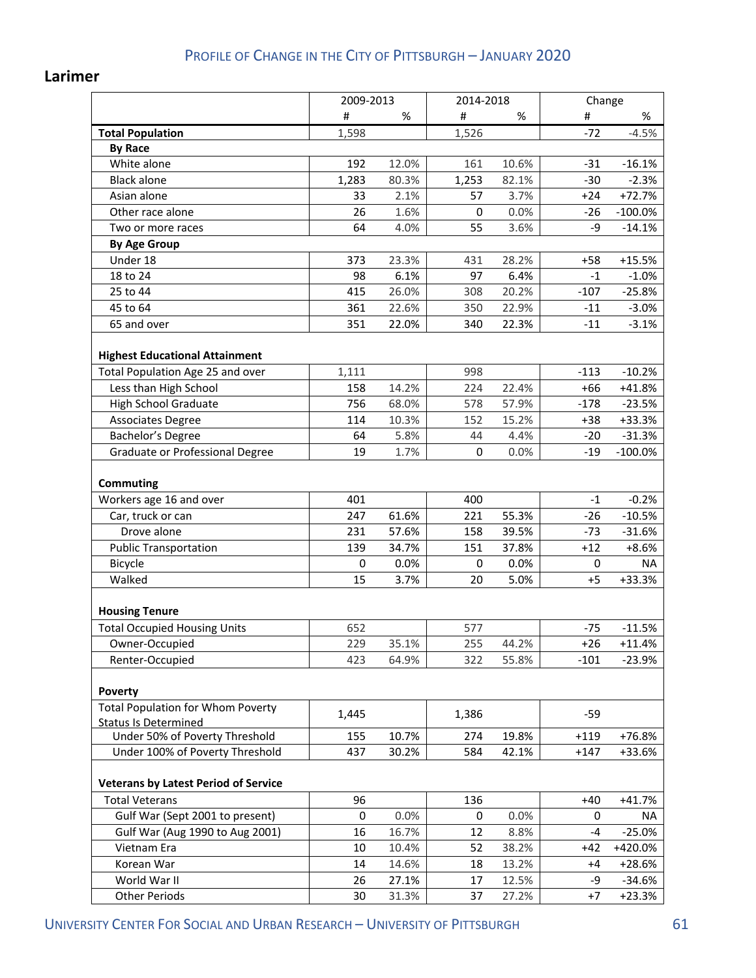#### **Larimer**

|                                             |       | 2009-2013 |             | 2014-2018 |        | Change     |  |
|---------------------------------------------|-------|-----------|-------------|-----------|--------|------------|--|
|                                             | #     | %         | #           | %         | #      | %          |  |
| <b>Total Population</b>                     | 1,598 |           | 1,526       |           | $-72$  | $-4.5%$    |  |
| <b>By Race</b>                              |       |           |             |           |        |            |  |
| White alone                                 | 192   | 12.0%     | 161         | 10.6%     | $-31$  | $-16.1%$   |  |
| <b>Black alone</b>                          | 1,283 | 80.3%     | 1,253       | 82.1%     | $-30$  | $-2.3%$    |  |
| Asian alone                                 | 33    | 2.1%      | 57          | 3.7%      | $+24$  | $+72.7%$   |  |
| Other race alone                            | 26    | 1.6%      | 0           | 0.0%      | $-26$  | $-100.0\%$ |  |
| Two or more races                           | 64    | 4.0%      | 55          | 3.6%      | -9     | $-14.1%$   |  |
| <b>By Age Group</b>                         |       |           |             |           |        |            |  |
| Under 18                                    | 373   | 23.3%     | 431         | 28.2%     | $+58$  | $+15.5%$   |  |
| 18 to 24                                    | 98    | 6.1%      | 97          | 6.4%      | $-1$   | $-1.0%$    |  |
| 25 to 44                                    | 415   | 26.0%     | 308         | 20.2%     | $-107$ | $-25.8%$   |  |
| 45 to 64                                    | 361   | 22.6%     | 350         | 22.9%     | $-11$  | $-3.0%$    |  |
| 65 and over                                 | 351   | 22.0%     | 340         | 22.3%     | $-11$  | $-3.1%$    |  |
|                                             |       |           |             |           |        |            |  |
| <b>Highest Educational Attainment</b>       |       |           |             |           |        |            |  |
| Total Population Age 25 and over            | 1,111 |           | 998         |           | $-113$ | $-10.2%$   |  |
| Less than High School                       | 158   | 14.2%     | 224         | 22.4%     | $+66$  | $+41.8%$   |  |
| <b>High School Graduate</b>                 | 756   | 68.0%     | 578         | 57.9%     | $-178$ | $-23.5%$   |  |
| <b>Associates Degree</b>                    | 114   | 10.3%     | 152         | 15.2%     | $+38$  | +33.3%     |  |
| Bachelor's Degree                           | 64    | 5.8%      | 44          | 4.4%      | $-20$  | $-31.3%$   |  |
| Graduate or Professional Degree             | 19    | 1.7%      | $\Omega$    | 0.0%      | $-19$  | $-100.0\%$ |  |
|                                             |       |           |             |           |        |            |  |
| <b>Commuting</b>                            |       |           |             |           |        |            |  |
| Workers age 16 and over                     | 401   |           | 400         |           | $-1$   | $-0.2%$    |  |
| Car, truck or can                           | 247   | 61.6%     | 221         | 55.3%     | $-26$  | $-10.5%$   |  |
| Drove alone                                 | 231   | 57.6%     | 158         | 39.5%     | $-73$  | $-31.6%$   |  |
| <b>Public Transportation</b>                | 139   | 34.7%     | 151         | 37.8%     | $+12$  | $+8.6%$    |  |
| Bicycle                                     | 0     | 0.0%      | 0           | 0.0%      | 0      | <b>NA</b>  |  |
| Walked                                      | 15    | 3.7%      | 20          | 5.0%      | $+5$   | +33.3%     |  |
|                                             |       |           |             |           |        |            |  |
| <b>Housing Tenure</b>                       |       |           |             |           |        |            |  |
| <b>Total Occupied Housing Units</b>         | 652   |           | 577         |           | $-75$  | $-11.5%$   |  |
| Owner-Occupied                              | 229   | 35.1%     | 255         | 44.2%     | $+26$  | $+11.4%$   |  |
| Renter-Occupied                             | 423   | 64.9%     | 322         | 55.8%     | $-101$ | $-23.9%$   |  |
|                                             |       |           |             |           |        |            |  |
| <b>Poverty</b>                              |       |           |             |           |        |            |  |
| <b>Total Population for Whom Poverty</b>    |       |           |             |           | -59    |            |  |
| <b>Status Is Determined</b>                 | 1,445 |           | 1,386       |           |        |            |  |
| Under 50% of Poverty Threshold              | 155   | 10.7%     | 274         | 19.8%     | $+119$ | +76.8%     |  |
| Under 100% of Poverty Threshold             | 437   | 30.2%     | 584         | 42.1%     | $+147$ | +33.6%     |  |
|                                             |       |           |             |           |        |            |  |
| <b>Veterans by Latest Period of Service</b> |       |           |             |           |        |            |  |
| <b>Total Veterans</b>                       | 96    |           | 136         |           | $+40$  | $+41.7%$   |  |
| Gulf War (Sept 2001 to present)             | 0     | 0.0%      | $\mathbf 0$ | 0.0%      | 0      | NA         |  |
| Gulf War (Aug 1990 to Aug 2001)             | 16    | 16.7%     | 12          | 8.8%      | $-4$   | $-25.0%$   |  |
| Vietnam Era                                 | 10    | 10.4%     | 52          | 38.2%     | $+42$  | +420.0%    |  |
| Korean War                                  | 14    | 14.6%     | 18          | 13.2%     | $+4$   | +28.6%     |  |
| World War II                                | 26    | 27.1%     | 17          | 12.5%     | -9     | $-34.6%$   |  |
| <b>Other Periods</b>                        | 30    | 31.3%     | 37          | 27.2%     | $+7$   | $+23.3%$   |  |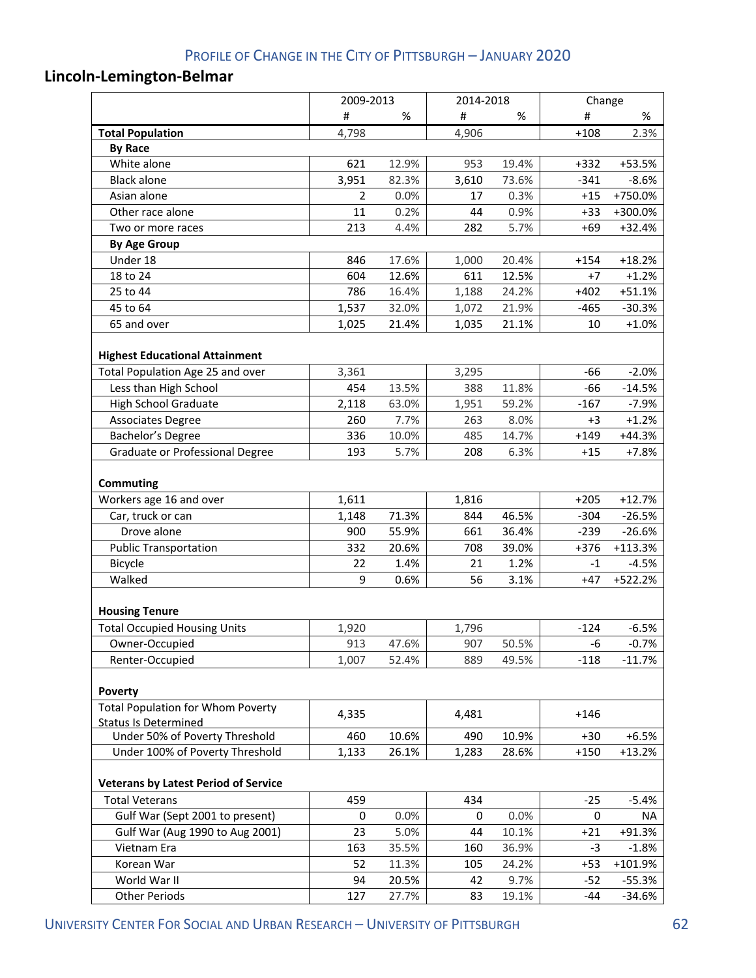## **Lincoln‐Lemington‐Belmar**

|                                                                         | 2009-2013 |       | 2014-2018 |       | Change |          |
|-------------------------------------------------------------------------|-----------|-------|-----------|-------|--------|----------|
|                                                                         | #         | %     | #         | %     | #      | %        |
| <b>Total Population</b>                                                 | 4,798     |       | 4,906     |       | $+108$ | 2.3%     |
| <b>By Race</b>                                                          |           |       |           |       |        |          |
| White alone                                                             | 621       | 12.9% | 953       | 19.4% | $+332$ | +53.5%   |
| <b>Black alone</b>                                                      | 3,951     | 82.3% | 3,610     | 73.6% | $-341$ | $-8.6%$  |
| Asian alone                                                             | 2         | 0.0%  | 17        | 0.3%  | $+15$  | +750.0%  |
| Other race alone                                                        | 11        | 0.2%  | 44        | 0.9%  | $+33$  | +300.0%  |
| Two or more races                                                       | 213       | 4.4%  | 282       | 5.7%  | $+69$  | $+32.4%$ |
| <b>By Age Group</b>                                                     |           |       |           |       |        |          |
| Under 18                                                                | 846       | 17.6% | 1,000     | 20.4% | $+154$ | $+18.2%$ |
| 18 to 24                                                                | 604       | 12.6% | 611       | 12.5% | $+7$   | $+1.2%$  |
| 25 to 44                                                                | 786       | 16.4% | 1,188     | 24.2% | $+402$ | $+51.1%$ |
| 45 to 64                                                                | 1,537     | 32.0% | 1,072     | 21.9% | $-465$ | $-30.3%$ |
| 65 and over                                                             | 1,025     | 21.4% | 1,035     | 21.1% | 10     | $+1.0%$  |
| <b>Highest Educational Attainment</b>                                   |           |       |           |       |        |          |
| Total Population Age 25 and over                                        | 3,361     |       | 3,295     |       | $-66$  | $-2.0%$  |
| Less than High School                                                   | 454       | 13.5% | 388       | 11.8% | -66    | $-14.5%$ |
| <b>High School Graduate</b>                                             | 2,118     | 63.0% | 1,951     | 59.2% | $-167$ | $-7.9%$  |
| <b>Associates Degree</b>                                                | 260       | 7.7%  | 263       | 8.0%  | $+3$   | $+1.2%$  |
| Bachelor's Degree                                                       | 336       | 10.0% | 485       | 14.7% | $+149$ | $+44.3%$ |
| Graduate or Professional Degree                                         | 193       | 5.7%  | 208       | 6.3%  | $+15$  | $+7.8%$  |
|                                                                         |           |       |           |       |        |          |
| Commuting                                                               |           |       |           |       |        |          |
| Workers age 16 and over                                                 | 1,611     |       | 1,816     |       | $+205$ | $+12.7%$ |
| Car, truck or can                                                       | 1,148     | 71.3% | 844       | 46.5% | $-304$ | $-26.5%$ |
| Drove alone                                                             | 900       | 55.9% | 661       | 36.4% | $-239$ | $-26.6%$ |
| <b>Public Transportation</b>                                            | 332       | 20.6% | 708       | 39.0% | $+376$ | +113.3%  |
| Bicycle                                                                 | 22        | 1.4%  | 21        | 1.2%  | $-1$   | $-4.5%$  |
| Walked                                                                  | 9         | 0.6%  | 56        | 3.1%  | $+47$  | +522.2%  |
|                                                                         |           |       |           |       |        |          |
| <b>Housing Tenure</b>                                                   |           |       |           |       |        |          |
| <b>Total Occupied Housing Units</b>                                     | 1,920     |       | 1,796     |       | $-124$ | $-6.5%$  |
| Owner-Occupied                                                          | 913       | 47.6% | 907       | 50.5% | -6     | $-0.7%$  |
| Renter-Occupied                                                         | 1,007     | 52.4% | 889       | 49.5% | $-118$ | $-11.7%$ |
| Poverty                                                                 |           |       |           |       |        |          |
| <b>Total Population for Whom Poverty</b><br><b>Status Is Determined</b> | 4,335     |       | 4,481     |       | $+146$ |          |
| Under 50% of Poverty Threshold                                          | 460       | 10.6% | 490       | 10.9% | $+30$  | $+6.5%$  |
| Under 100% of Poverty Threshold                                         | 1,133     | 26.1% | 1,283     | 28.6% | $+150$ | $+13.2%$ |
|                                                                         |           |       |           |       |        |          |
| <b>Veterans by Latest Period of Service</b>                             |           |       |           |       |        |          |
| <b>Total Veterans</b>                                                   | 459       |       | 434       |       | $-25$  | $-5.4%$  |
| Gulf War (Sept 2001 to present)                                         | 0         | 0.0%  | 0         | 0.0%  | 0      | NA       |
| Gulf War (Aug 1990 to Aug 2001)                                         | 23        | 5.0%  | 44        | 10.1% | $+21$  | +91.3%   |
| Vietnam Era                                                             | 163       | 35.5% | 160       | 36.9% | -3     | $-1.8%$  |
| Korean War                                                              | 52        | 11.3% | 105       | 24.2% | $+53$  | +101.9%  |
| World War II                                                            | 94        | 20.5% | 42        | 9.7%  | $-52$  | $-55.3%$ |
| <b>Other Periods</b>                                                    | 127       | 27.7% | 83        | 19.1% | -44    | $-34.6%$ |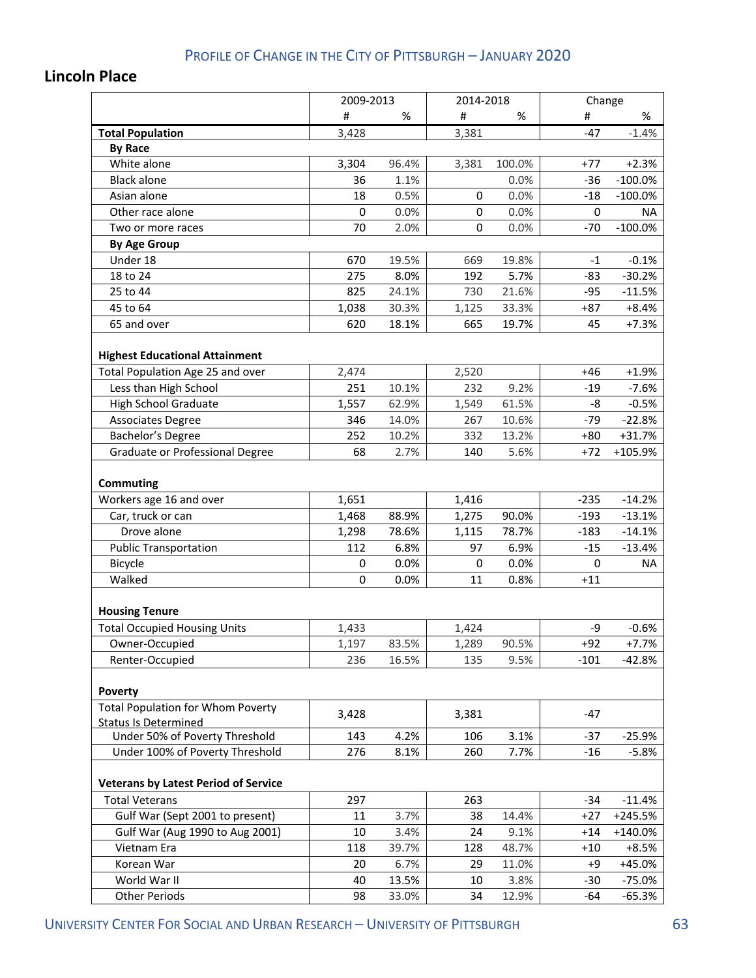## **Lincoln Place**

|                                                                           | 2009-2013 |       | 2014-2018   |        | Change      |            |
|---------------------------------------------------------------------------|-----------|-------|-------------|--------|-------------|------------|
|                                                                           | #         | %     | #           | %      | #           | %          |
| <b>Total Population</b>                                                   | 3,428     |       | 3,381       |        | $-47$       | $-1.4%$    |
| <b>By Race</b>                                                            |           |       |             |        |             |            |
| White alone                                                               | 3,304     | 96.4% | 3,381       | 100.0% | $+77$       | $+2.3%$    |
| <b>Black alone</b>                                                        | 36        | 1.1%  |             | 0.0%   | $-36$       | $-100.0\%$ |
| Asian alone                                                               | 18        | 0.5%  | $\mathbf 0$ | 0.0%   | $-18$       | $-100.0\%$ |
| Other race alone                                                          | $\pmb{0}$ | 0.0%  | $\mathbf 0$ | 0.0%   | $\mathbf 0$ | <b>NA</b>  |
| Two or more races                                                         | 70        | 2.0%  | $\pmb{0}$   | 0.0%   | $-70$       | $-100.0\%$ |
| <b>By Age Group</b>                                                       |           |       |             |        |             |            |
| Under 18                                                                  | 670       | 19.5% | 669         | 19.8%  | $-1$        | $-0.1%$    |
| 18 to 24                                                                  | 275       | 8.0%  | 192         | 5.7%   | $-83$       | $-30.2%$   |
| 25 to 44                                                                  | 825       | 24.1% | 730         | 21.6%  | $-95$       | $-11.5%$   |
| 45 to 64                                                                  | 1,038     | 30.3% | 1,125       | 33.3%  | $+87$       | $+8.4%$    |
| 65 and over                                                               | 620       | 18.1% | 665         | 19.7%  | 45          | $+7.3%$    |
| <b>Highest Educational Attainment</b><br>Total Population Age 25 and over | 2,474     |       | 2,520       |        | $+46$       | $+1.9%$    |
| Less than High School                                                     | 251       | 10.1% | 232         | 9.2%   | $-19$       | $-7.6%$    |
| <b>High School Graduate</b>                                               | 1,557     | 62.9% | 1,549       | 61.5%  | -8          | $-0.5%$    |
| <b>Associates Degree</b>                                                  | 346       | 14.0% | 267         | 10.6%  | $-79$       | $-22.8%$   |
| Bachelor's Degree                                                         | 252       | 10.2% | 332         | 13.2%  | $+80$       | $+31.7%$   |
| Graduate or Professional Degree                                           | 68        | 2.7%  | 140         | 5.6%   | $+72$       | +105.9%    |
| Commuting                                                                 |           |       |             |        |             |            |
| Workers age 16 and over                                                   | 1,651     |       | 1,416       |        | $-235$      | $-14.2%$   |
| Car, truck or can                                                         | 1,468     | 88.9% | 1,275       | 90.0%  | $-193$      | $-13.1%$   |
| Drove alone                                                               | 1,298     | 78.6% | 1,115       | 78.7%  | $-183$      | $-14.1%$   |
| <b>Public Transportation</b>                                              | 112       | 6.8%  | 97          | 6.9%   | $-15$       | $-13.4%$   |
| Bicycle                                                                   | 0         | 0.0%  | 0           | 0.0%   | 0           | <b>NA</b>  |
| Walked                                                                    | 0         | 0.0%  | 11          | 0.8%   | $+11$       |            |
| <b>Housing Tenure</b>                                                     |           |       |             |        |             |            |
| <b>Total Occupied Housing Units</b>                                       | 1,433     |       | 1,424       |        | -9          | $-0.6%$    |
| Owner-Occupied                                                            | 1,197     | 83.5% | 1,289       | 90.5%  | $+92$       | +7.7%      |
| Renter-Occupied                                                           | 236       | 16.5% | 135         | 9.5%   | $-101$      | $-42.8%$   |
| Poverty                                                                   |           |       |             |        |             |            |
| <b>Total Population for Whom Poverty</b><br><b>Status Is Determined</b>   | 3,428     |       | 3,381       |        | $-47$       |            |
| Under 50% of Poverty Threshold                                            | 143       | 4.2%  | 106         | 3.1%   | $-37$       | $-25.9%$   |
| Under 100% of Poverty Threshold                                           | 276       | 8.1%  | 260         | 7.7%   | $-16$       | $-5.8%$    |
| <b>Veterans by Latest Period of Service</b>                               |           |       |             |        |             |            |
| <b>Total Veterans</b>                                                     | 297       |       | 263         |        | $-34$       | $-11.4%$   |
| Gulf War (Sept 2001 to present)                                           | 11        | 3.7%  | 38          | 14.4%  | $+27$       | +245.5%    |
| Gulf War (Aug 1990 to Aug 2001)                                           | 10        | 3.4%  | 24          | 9.1%   | $+14$       | +140.0%    |
| Vietnam Era                                                               | 118       | 39.7% | 128         | 48.7%  | $+10$       | $+8.5%$    |
| Korean War                                                                | 20        | 6.7%  | 29          | 11.0%  | $+9$        | +45.0%     |
| World War II                                                              | 40        | 13.5% | 10          | 3.8%   | $-30$       | $-75.0%$   |
| <b>Other Periods</b>                                                      | 98        | 33.0% | 34          | 12.9%  | -64         | $-65.3%$   |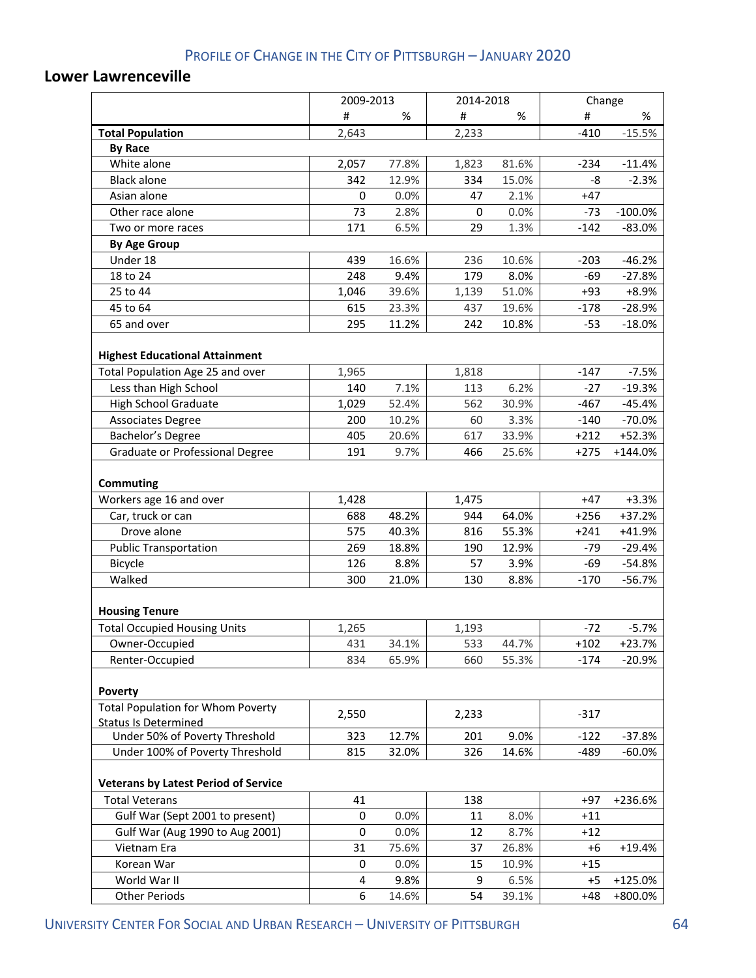#### **Lower Lawrenceville**

|                                                                           | 2009-2013 |       | 2014-2018   |       | Change |            |
|---------------------------------------------------------------------------|-----------|-------|-------------|-------|--------|------------|
|                                                                           | #         | %     | #           | $\%$  | #      | %          |
| <b>Total Population</b>                                                   | 2,643     |       | 2,233       |       | $-410$ | $-15.5%$   |
| <b>By Race</b>                                                            |           |       |             |       |        |            |
| White alone                                                               | 2,057     | 77.8% | 1,823       | 81.6% | $-234$ | $-11.4%$   |
| <b>Black alone</b>                                                        | 342       | 12.9% | 334         | 15.0% | -8     | $-2.3%$    |
| Asian alone                                                               | 0         | 0.0%  | 47          | 2.1%  | $+47$  |            |
| Other race alone                                                          | 73        | 2.8%  | $\mathbf 0$ | 0.0%  | $-73$  | $-100.0\%$ |
| Two or more races                                                         | 171       | 6.5%  | 29          | 1.3%  | $-142$ | $-83.0%$   |
| <b>By Age Group</b>                                                       |           |       |             |       |        |            |
| Under 18                                                                  | 439       | 16.6% | 236         | 10.6% | $-203$ | $-46.2%$   |
| 18 to 24                                                                  | 248       | 9.4%  | 179         | 8.0%  | $-69$  | $-27.8%$   |
| 25 to 44                                                                  | 1,046     | 39.6% | 1,139       | 51.0% | $+93$  | $+8.9%$    |
| 45 to 64                                                                  | 615       | 23.3% | 437         | 19.6% | $-178$ | $-28.9%$   |
| 65 and over                                                               | 295       | 11.2% | 242         | 10.8% | $-53$  | $-18.0%$   |
| <b>Highest Educational Attainment</b><br>Total Population Age 25 and over | 1,965     |       | 1,818       |       | $-147$ | $-7.5%$    |
| Less than High School                                                     | 140       | 7.1%  | 113         | 6.2%  | $-27$  | $-19.3%$   |
| <b>High School Graduate</b>                                               | 1,029     | 52.4% | 562         | 30.9% | $-467$ | $-45.4%$   |
| <b>Associates Degree</b>                                                  | 200       | 10.2% | 60          | 3.3%  | $-140$ | $-70.0%$   |
| Bachelor's Degree                                                         | 405       | 20.6% | 617         | 33.9% | $+212$ | $+52.3%$   |
| Graduate or Professional Degree                                           | 191       | 9.7%  | 466         | 25.6% | $+275$ | $+144.0%$  |
| Commuting<br>Workers age 16 and over                                      | 1,428     |       | 1,475       |       | $+47$  | $+3.3%$    |
| Car, truck or can                                                         | 688       | 48.2% | 944         | 64.0% | $+256$ | $+37.2%$   |
| Drove alone                                                               | 575       | 40.3% | 816         | 55.3% | $+241$ | +41.9%     |
| <b>Public Transportation</b>                                              | 269       | 18.8% | 190         | 12.9% | $-79$  | $-29.4%$   |
| Bicycle                                                                   | 126       | 8.8%  | 57          | 3.9%  | -69    | $-54.8%$   |
| Walked                                                                    | 300       | 21.0% | 130         | 8.8%  | $-170$ | $-56.7%$   |
| <b>Housing Tenure</b>                                                     |           |       |             |       |        |            |
| <b>Total Occupied Housing Units</b>                                       | 1,265     |       | 1,193       |       | $-72$  | $-5.7%$    |
| Owner-Occupied                                                            | 431       | 34.1% | 533         | 44.7% | $+102$ | $+23.7%$   |
| Renter-Occupied                                                           | 834       | 65.9% | 660         | 55.3% | $-174$ | $-20.9%$   |
| <b>Poverty</b>                                                            |           |       |             |       |        |            |
| <b>Total Population for Whom Poverty</b><br><b>Status Is Determined</b>   | 2,550     |       | 2,233       |       | $-317$ |            |
| Under 50% of Poverty Threshold                                            | 323       | 12.7% | 201         | 9.0%  | $-122$ | $-37.8%$   |
| Under 100% of Poverty Threshold                                           | 815       | 32.0% | 326         | 14.6% | $-489$ | $-60.0%$   |
| <b>Veterans by Latest Period of Service</b>                               |           |       |             |       |        |            |
| <b>Total Veterans</b>                                                     | 41        |       | 138         |       | $+97$  | +236.6%    |
| Gulf War (Sept 2001 to present)                                           | 0         | 0.0%  | 11          | 8.0%  | $+11$  |            |
| Gulf War (Aug 1990 to Aug 2001)                                           | 0         | 0.0%  | 12          | 8.7%  | $+12$  |            |
| Vietnam Era                                                               | 31        | 75.6% | 37          | 26.8% | $+6$   | $+19.4%$   |
| Korean War                                                                | 0         | 0.0%  | 15          | 10.9% | $+15$  |            |
| World War II                                                              | 4         | 9.8%  | 9           | 6.5%  | $+5$   | +125.0%    |
| <b>Other Periods</b>                                                      | 6         | 14.6% | 54          | 39.1% | $+48$  | +800.0%    |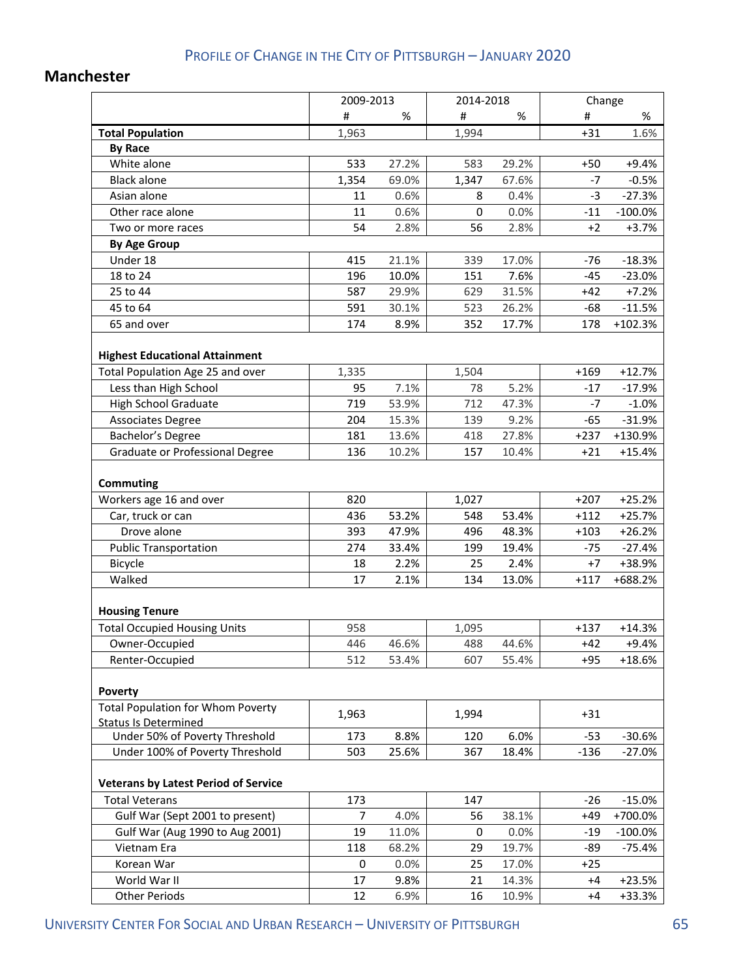#### **Manchester**

|                                                                           | 2009-2013      |       | 2014-2018   |       | Change |            |
|---------------------------------------------------------------------------|----------------|-------|-------------|-------|--------|------------|
|                                                                           | #              | %     | #           | %     | #      | %          |
| <b>Total Population</b>                                                   | 1,963          |       | 1,994       |       | $+31$  | 1.6%       |
| <b>By Race</b>                                                            |                |       |             |       |        |            |
| White alone                                                               | 533            | 27.2% | 583         | 29.2% | $+50$  | $+9.4%$    |
| <b>Black alone</b>                                                        | 1,354          | 69.0% | 1,347       | 67.6% | -7     | $-0.5%$    |
| Asian alone                                                               | 11             | 0.6%  | 8           | 0.4%  | $-3$   | $-27.3%$   |
| Other race alone                                                          | 11             | 0.6%  | $\mathbf 0$ | 0.0%  | $-11$  | $-100.0\%$ |
| Two or more races                                                         | 54             | 2.8%  | 56          | 2.8%  | $+2$   | $+3.7%$    |
| <b>By Age Group</b>                                                       |                |       |             |       |        |            |
| Under 18                                                                  | 415            | 21.1% | 339         | 17.0% | $-76$  | $-18.3%$   |
| 18 to 24                                                                  | 196            | 10.0% | 151         | 7.6%  | $-45$  | $-23.0%$   |
| 25 to 44                                                                  | 587            | 29.9% | 629         | 31.5% | $+42$  | $+7.2%$    |
| 45 to 64                                                                  | 591            | 30.1% | 523         | 26.2% | $-68$  | $-11.5%$   |
| 65 and over                                                               | 174            | 8.9%  | 352         | 17.7% | 178    | +102.3%    |
| <b>Highest Educational Attainment</b><br>Total Population Age 25 and over | 1,335          |       | 1,504       |       | $+169$ | $+12.7%$   |
| Less than High School                                                     | 95             | 7.1%  | 78          | 5.2%  | $-17$  | $-17.9%$   |
| <b>High School Graduate</b>                                               | 719            | 53.9% | 712         | 47.3% | $-7$   | $-1.0%$    |
| <b>Associates Degree</b>                                                  | 204            | 15.3% | 139         | 9.2%  | $-65$  | $-31.9%$   |
| Bachelor's Degree                                                         | 181            | 13.6% | 418         | 27.8% | $+237$ | +130.9%    |
| Graduate or Professional Degree                                           | 136            | 10.2% | 157         | 10.4% | $+21$  | $+15.4%$   |
| Commuting                                                                 |                |       |             |       |        |            |
| Workers age 16 and over                                                   | 820            |       | 1,027       |       | $+207$ | $+25.2%$   |
| Car, truck or can                                                         | 436            | 53.2% | 548         | 53.4% | $+112$ | $+25.7%$   |
| Drove alone                                                               | 393            | 47.9% | 496         | 48.3% | $+103$ | $+26.2%$   |
| <b>Public Transportation</b>                                              | 274            | 33.4% | 199         | 19.4% | $-75$  | $-27.4%$   |
| Bicycle                                                                   | 18             | 2.2%  | 25          | 2.4%  | $+7$   | +38.9%     |
| Walked                                                                    | 17             | 2.1%  | 134         | 13.0% | $+117$ | +688.2%    |
| <b>Housing Tenure</b>                                                     |                |       |             |       |        |            |
| <b>Total Occupied Housing Units</b>                                       | 958            |       | 1,095       |       | $+137$ | $+14.3%$   |
| Owner-Occupied                                                            | 446            | 46.6% | 488         | 44.6% | $+42$  | +9.4%      |
| Renter-Occupied                                                           | 512            | 53.4% | 607         | 55.4% | $+95$  | $+18.6%$   |
| Poverty                                                                   |                |       |             |       |        |            |
| <b>Total Population for Whom Poverty</b><br><b>Status Is Determined</b>   | 1,963          |       | 1,994       |       | $+31$  |            |
| Under 50% of Poverty Threshold                                            | 173            | 8.8%  | 120         | 6.0%  | $-53$  | $-30.6%$   |
| Under 100% of Poverty Threshold                                           | 503            | 25.6% | 367         | 18.4% | $-136$ | $-27.0%$   |
| <b>Veterans by Latest Period of Service</b>                               |                |       |             |       |        |            |
| <b>Total Veterans</b>                                                     | 173            |       | 147         |       | $-26$  | $-15.0%$   |
| Gulf War (Sept 2001 to present)                                           | $\overline{7}$ | 4.0%  | 56          | 38.1% | $+49$  | +700.0%    |
| Gulf War (Aug 1990 to Aug 2001)                                           | 19             | 11.0% | 0           | 0.0%  | $-19$  | $-100.0\%$ |
| Vietnam Era                                                               | 118            | 68.2% | 29          | 19.7% | -89    | $-75.4%$   |
| Korean War                                                                | 0              | 0.0%  | 25          | 17.0% | $+25$  |            |
| World War II                                                              | 17             | 9.8%  | 21          | 14.3% | $+4$   | $+23.5%$   |
| <b>Other Periods</b>                                                      | 12             | 6.9%  | 16          | 10.9% | $+4$   | +33.3%     |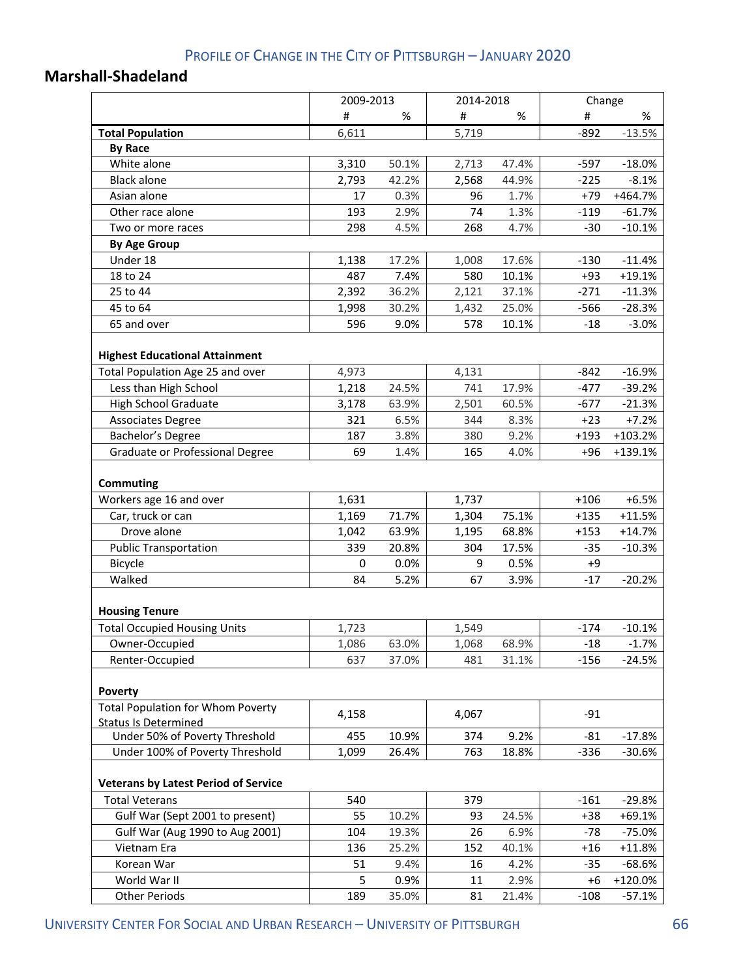## **Marshall‐Shadeland**

|                                                                           | 2009-2013 |       | 2014-2018 |       | Change |           |
|---------------------------------------------------------------------------|-----------|-------|-----------|-------|--------|-----------|
|                                                                           | #         | %     | #         | %     | #      | %         |
| <b>Total Population</b>                                                   | 6,611     |       | 5,719     |       | $-892$ | $-13.5%$  |
| <b>By Race</b>                                                            |           |       |           |       |        |           |
| White alone                                                               | 3,310     | 50.1% | 2,713     | 47.4% | $-597$ | $-18.0%$  |
| <b>Black alone</b>                                                        | 2,793     | 42.2% | 2,568     | 44.9% | $-225$ | $-8.1%$   |
| Asian alone                                                               | 17        | 0.3%  | 96        | 1.7%  | $+79$  | +464.7%   |
| Other race alone                                                          | 193       | 2.9%  | 74        | 1.3%  | $-119$ | $-61.7%$  |
| Two or more races                                                         | 298       | 4.5%  | 268       | 4.7%  | $-30$  | $-10.1%$  |
| <b>By Age Group</b>                                                       |           |       |           |       |        |           |
| Under 18                                                                  | 1,138     | 17.2% | 1,008     | 17.6% | $-130$ | $-11.4%$  |
| 18 to 24                                                                  | 487       | 7.4%  | 580       | 10.1% | $+93$  | $+19.1%$  |
| 25 to 44                                                                  | 2,392     | 36.2% | 2,121     | 37.1% | $-271$ | $-11.3%$  |
| 45 to 64                                                                  | 1,998     | 30.2% | 1,432     | 25.0% | $-566$ | $-28.3%$  |
| 65 and over                                                               | 596       | 9.0%  | 578       | 10.1% | $-18$  | $-3.0%$   |
| <b>Highest Educational Attainment</b><br>Total Population Age 25 and over | 4,973     |       | 4,131     |       | $-842$ | $-16.9%$  |
| Less than High School                                                     | 1,218     | 24.5% | 741       | 17.9% | $-477$ | $-39.2%$  |
| <b>High School Graduate</b>                                               | 3,178     | 63.9% | 2,501     | 60.5% | $-677$ | $-21.3%$  |
| <b>Associates Degree</b>                                                  | 321       | 6.5%  | 344       | 8.3%  | $+23$  | $+7.2%$   |
| Bachelor's Degree                                                         | 187       | 3.8%  | 380       | 9.2%  | $+193$ | $+103.2%$ |
| Graduate or Professional Degree                                           | 69        | 1.4%  | 165       | 4.0%  | $+96$  | +139.1%   |
| <b>Commuting</b><br>Workers age 16 and over                               | 1,631     |       | 1,737     |       | $+106$ | $+6.5%$   |
| Car, truck or can                                                         | 1,169     | 71.7% | 1,304     | 75.1% | $+135$ | $+11.5%$  |
| Drove alone                                                               | 1,042     | 63.9% | 1,195     | 68.8% | $+153$ | $+14.7%$  |
| <b>Public Transportation</b>                                              | 339       | 20.8% | 304       | 17.5% | $-35$  | $-10.3%$  |
| Bicycle                                                                   | 0         | 0.0%  | 9         | 0.5%  | $+9$   |           |
| Walked                                                                    | 84        | 5.2%  | 67        | 3.9%  | $-17$  | $-20.2%$  |
| <b>Housing Tenure</b>                                                     |           |       |           |       |        |           |
| <b>Total Occupied Housing Units</b>                                       | 1,723     |       | 1,549     |       | $-174$ | $-10.1%$  |
| Owner-Occupied                                                            | 1,086     | 63.0% | 1,068     | 68.9% | $-18$  | $-1.7\%$  |
| Renter-Occupied                                                           | 637       | 37.0% | 481       | 31.1% | $-156$ | $-24.5%$  |
| Poverty                                                                   |           |       |           |       |        |           |
| <b>Total Population for Whom Poverty</b><br><b>Status Is Determined</b>   | 4,158     |       | 4,067     |       | $-91$  |           |
| Under 50% of Poverty Threshold                                            | 455       | 10.9% | 374       | 9.2%  | $-81$  | $-17.8%$  |
| Under 100% of Poverty Threshold                                           | 1,099     | 26.4% | 763       | 18.8% | $-336$ | $-30.6%$  |
| <b>Veterans by Latest Period of Service</b>                               |           |       |           |       |        |           |
| <b>Total Veterans</b>                                                     | 540       |       | 379       |       | $-161$ | $-29.8%$  |
| Gulf War (Sept 2001 to present)                                           | 55        | 10.2% | 93        | 24.5% | $+38$  | $+69.1%$  |
| Gulf War (Aug 1990 to Aug 2001)                                           | 104       | 19.3% | 26        | 6.9%  | $-78$  | $-75.0%$  |
| Vietnam Era                                                               | 136       | 25.2% | 152       | 40.1% | $+16$  | $+11.8%$  |
| Korean War                                                                | 51        | 9.4%  | 16        | 4.2%  | $-35$  | $-68.6%$  |
| World War II                                                              | 5         | 0.9%  | 11        | 2.9%  | $+6$   | +120.0%   |
| <b>Other Periods</b>                                                      | 189       | 35.0% | 81        | 21.4% | $-108$ | $-57.1%$  |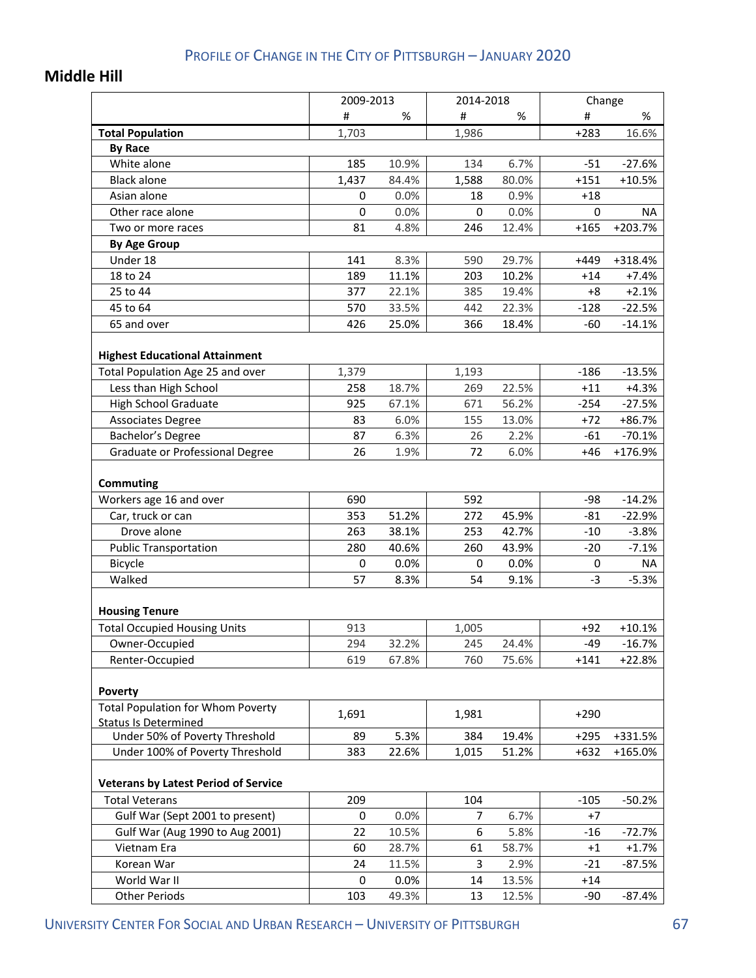## **Middle Hill**

|                                                                           | 2009-2013   |       | 2014-2018      |       | Change |           |
|---------------------------------------------------------------------------|-------------|-------|----------------|-------|--------|-----------|
|                                                                           | #           | $\%$  | #              | $\%$  | #      | %         |
| <b>Total Population</b>                                                   | 1,703       |       | 1,986          |       | $+283$ | 16.6%     |
| <b>By Race</b>                                                            |             |       |                |       |        |           |
| White alone                                                               | 185         | 10.9% | 134            | 6.7%  | $-51$  | $-27.6%$  |
| <b>Black alone</b>                                                        | 1,437       | 84.4% | 1,588          | 80.0% | $+151$ | $+10.5%$  |
| Asian alone                                                               | 0           | 0.0%  | 18             | 0.9%  | $+18$  |           |
| Other race alone                                                          | $\mathbf 0$ | 0.0%  | $\mathbf 0$    | 0.0%  | 0      | <b>NA</b> |
| Two or more races                                                         | 81          | 4.8%  | 246            | 12.4% | $+165$ | +203.7%   |
| <b>By Age Group</b>                                                       |             |       |                |       |        |           |
| Under 18                                                                  | 141         | 8.3%  | 590            | 29.7% | +449   | +318.4%   |
| 18 to 24                                                                  | 189         | 11.1% | 203            | 10.2% | $+14$  | $+7.4%$   |
| 25 to 44                                                                  | 377         | 22.1% | 385            | 19.4% | +8     | $+2.1%$   |
| 45 to 64                                                                  | 570         | 33.5% | 442            | 22.3% | $-128$ | $-22.5%$  |
| 65 and over                                                               | 426         | 25.0% | 366            | 18.4% | -60    | $-14.1%$  |
| <b>Highest Educational Attainment</b><br>Total Population Age 25 and over | 1,379       |       | 1,193          |       | $-186$ | $-13.5%$  |
| Less than High School                                                     | 258         | 18.7% | 269            | 22.5% | $+11$  | $+4.3%$   |
| <b>High School Graduate</b>                                               | 925         | 67.1% | 671            | 56.2% | $-254$ | $-27.5%$  |
| <b>Associates Degree</b>                                                  | 83          | 6.0%  | 155            | 13.0% | $+72$  | +86.7%    |
| Bachelor's Degree                                                         | 87          | 6.3%  | 26             | 2.2%  | $-61$  | $-70.1%$  |
| Graduate or Professional Degree                                           | 26          | 1.9%  | 72             | 6.0%  | $+46$  | +176.9%   |
| <b>Commuting</b>                                                          |             |       |                |       |        |           |
| Workers age 16 and over                                                   | 690         |       | 592            |       | $-98$  | $-14.2%$  |
| Car, truck or can                                                         | 353         | 51.2% | 272            | 45.9% | $-81$  | $-22.9%$  |
| Drove alone                                                               | 263         | 38.1% | 253            | 42.7% | $-10$  | $-3.8%$   |
| <b>Public Transportation</b>                                              | 280         | 40.6% | 260            | 43.9% | $-20$  | $-7.1%$   |
| Bicycle                                                                   | 0           | 0.0%  | 0              | 0.0%  | 0      | <b>NA</b> |
| Walked                                                                    | 57          | 8.3%  | 54             | 9.1%  | $-3$   | $-5.3%$   |
| <b>Housing Tenure</b>                                                     |             |       |                |       |        |           |
| <b>Total Occupied Housing Units</b>                                       | 913         |       | 1,005          |       | +92    | $+10.1%$  |
| Owner-Occupied                                                            | 294         | 32.2% | 245            | 24.4% | -49    | $-16.7\%$ |
| Renter-Occupied                                                           | 619         | 67.8% | 760            | 75.6% | $+141$ | $+22.8%$  |
| <b>Poverty</b>                                                            |             |       |                |       |        |           |
| <b>Total Population for Whom Poverty</b><br><b>Status Is Determined</b>   | 1,691       |       | 1,981          |       | $+290$ |           |
| Under 50% of Poverty Threshold                                            | 89          | 5.3%  | 384            | 19.4% | $+295$ | +331.5%   |
| Under 100% of Poverty Threshold                                           | 383         | 22.6% | 1,015          | 51.2% | $+632$ | +165.0%   |
| <b>Veterans by Latest Period of Service</b>                               |             |       |                |       |        |           |
| <b>Total Veterans</b>                                                     | 209         |       | 104            |       | $-105$ | $-50.2%$  |
| Gulf War (Sept 2001 to present)                                           | 0           | 0.0%  | $\overline{7}$ | 6.7%  | +7     |           |
| Gulf War (Aug 1990 to Aug 2001)                                           | 22          | 10.5% | 6              | 5.8%  | $-16$  | $-72.7%$  |
| Vietnam Era                                                               | 60          | 28.7% | 61             | 58.7% | $+1$   | $+1.7%$   |
| Korean War                                                                | 24          | 11.5% | 3              | 2.9%  | $-21$  | $-87.5%$  |
| World War II                                                              | 0           | 0.0%  | 14             | 13.5% | $+14$  |           |
| <b>Other Periods</b>                                                      | 103         | 49.3% | 13             | 12.5% | $-90$  | $-87.4%$  |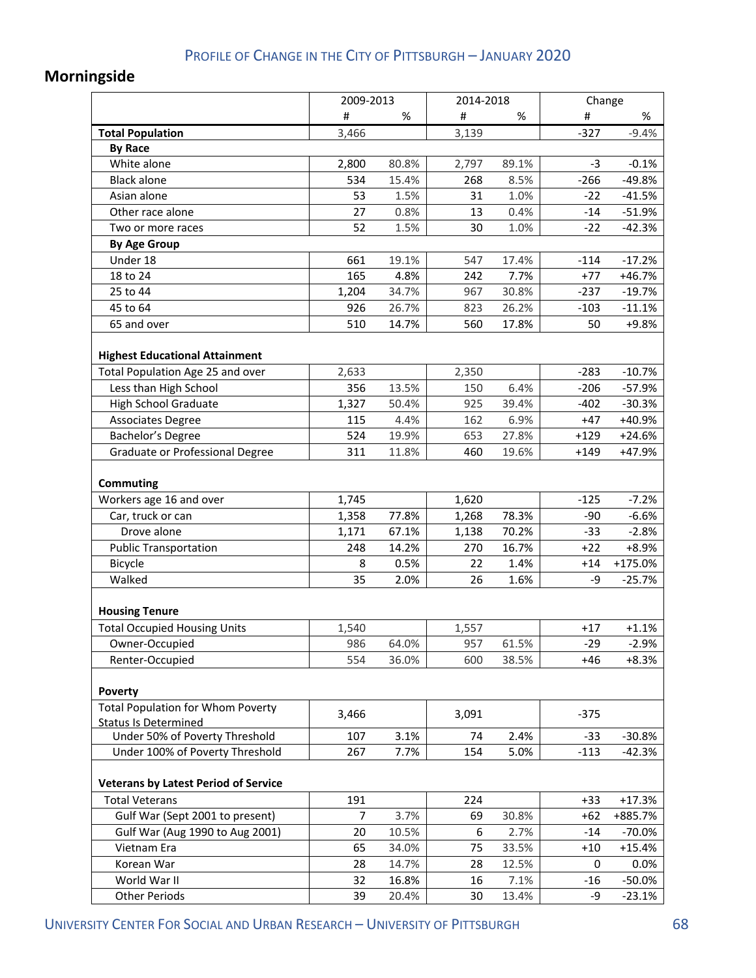# **Morningside**

|                                                                           | 2009-2013 |       | 2014-2018 |       | Change |           |
|---------------------------------------------------------------------------|-----------|-------|-----------|-------|--------|-----------|
|                                                                           | #         | %     | #         | $\%$  | #      | %         |
| <b>Total Population</b>                                                   | 3,466     |       | 3,139     |       | $-327$ | $-9.4%$   |
| <b>By Race</b>                                                            |           |       |           |       |        |           |
| White alone                                                               | 2,800     | 80.8% | 2,797     | 89.1% | $-3$   | $-0.1%$   |
| <b>Black alone</b>                                                        | 534       | 15.4% | 268       | 8.5%  | $-266$ | $-49.8%$  |
| Asian alone                                                               | 53        | 1.5%  | 31        | 1.0%  | $-22$  | $-41.5%$  |
| Other race alone                                                          | 27        | 0.8%  | 13        | 0.4%  | $-14$  | $-51.9%$  |
| Two or more races                                                         | 52        | 1.5%  | 30        | 1.0%  | $-22$  | $-42.3%$  |
| <b>By Age Group</b>                                                       |           |       |           |       |        |           |
| Under 18                                                                  | 661       | 19.1% | 547       | 17.4% | $-114$ | $-17.2%$  |
| 18 to 24                                                                  | 165       | 4.8%  | 242       | 7.7%  | $+77$  | $+46.7%$  |
| 25 to 44                                                                  | 1,204     | 34.7% | 967       | 30.8% | $-237$ | $-19.7%$  |
| 45 to 64                                                                  | 926       | 26.7% | 823       | 26.2% | $-103$ | $-11.1%$  |
| 65 and over                                                               | 510       | 14.7% | 560       | 17.8% | 50     | +9.8%     |
| <b>Highest Educational Attainment</b><br>Total Population Age 25 and over | 2,633     |       | 2,350     |       | $-283$ | $-10.7%$  |
| Less than High School                                                     | 356       | 13.5% | 150       | 6.4%  | $-206$ | $-57.9%$  |
| <b>High School Graduate</b>                                               | 1,327     | 50.4% | 925       | 39.4% | $-402$ | $-30.3%$  |
| <b>Associates Degree</b>                                                  | 115       | 4.4%  | 162       | 6.9%  | $+47$  | +40.9%    |
| Bachelor's Degree                                                         | 524       | 19.9% | 653       | 27.8% | $+129$ | $+24.6%$  |
| Graduate or Professional Degree                                           | 311       | 11.8% | 460       | 19.6% | $+149$ | +47.9%    |
| Commuting                                                                 |           |       |           |       |        |           |
| Workers age 16 and over                                                   | 1,745     |       | 1,620     |       | $-125$ | $-7.2%$   |
| Car, truck or can                                                         | 1,358     | 77.8% | 1,268     | 78.3% | -90    | $-6.6%$   |
| Drove alone                                                               | 1,171     | 67.1% | 1,138     | 70.2% | $-33$  | $-2.8%$   |
| <b>Public Transportation</b>                                              | 248       | 14.2% | 270       | 16.7% | $+22$  | +8.9%     |
| Bicycle                                                                   | 8         | 0.5%  | 22        | 1.4%  | $+14$  | +175.0%   |
| Walked                                                                    | 35        | 2.0%  | 26        | 1.6%  | -9     | $-25.7%$  |
| <b>Housing Tenure</b>                                                     |           |       |           |       |        |           |
| <b>Total Occupied Housing Units</b>                                       | 1,540     |       | 1,557     |       | $+17$  | $+1.1%$   |
| Owner-Occupied                                                            | 986       | 64.0% | 957       | 61.5% | $-29$  | $-2.9%$   |
| Renter-Occupied                                                           | 554       | 36.0% | 600       | 38.5% | $+46$  | $+8.3%$   |
| <b>Poverty</b>                                                            |           |       |           |       |        |           |
| <b>Total Population for Whom Poverty</b><br><b>Status Is Determined</b>   | 3,466     |       | 3,091     |       | $-375$ |           |
| Under 50% of Poverty Threshold                                            | 107       | 3.1%  | 74        | 2.4%  | $-33$  | $-30.8%$  |
| Under 100% of Poverty Threshold                                           | 267       | 7.7%  | 154       | 5.0%  | $-113$ | $-42.3%$  |
| <b>Veterans by Latest Period of Service</b>                               |           |       |           |       |        |           |
| <b>Total Veterans</b>                                                     | 191       |       | 224       |       | $+33$  | $+17.3%$  |
| Gulf War (Sept 2001 to present)                                           | 7         | 3.7%  | 69        | 30.8% | $+62$  | +885.7%   |
| Gulf War (Aug 1990 to Aug 2001)                                           | 20        | 10.5% | 6         | 2.7%  | $-14$  | $-70.0%$  |
| Vietnam Era                                                               | 65        | 34.0% | 75        | 33.5% | $+10$  | $+15.4%$  |
| Korean War                                                                | 28        | 14.7% | 28        | 12.5% | 0      | 0.0%      |
| World War II                                                              | 32        | 16.8% | 16        | 7.1%  | -16    | $-50.0\%$ |
| <b>Other Periods</b>                                                      | 39        | 20.4% | 30        | 13.4% | -9     | $-23.1%$  |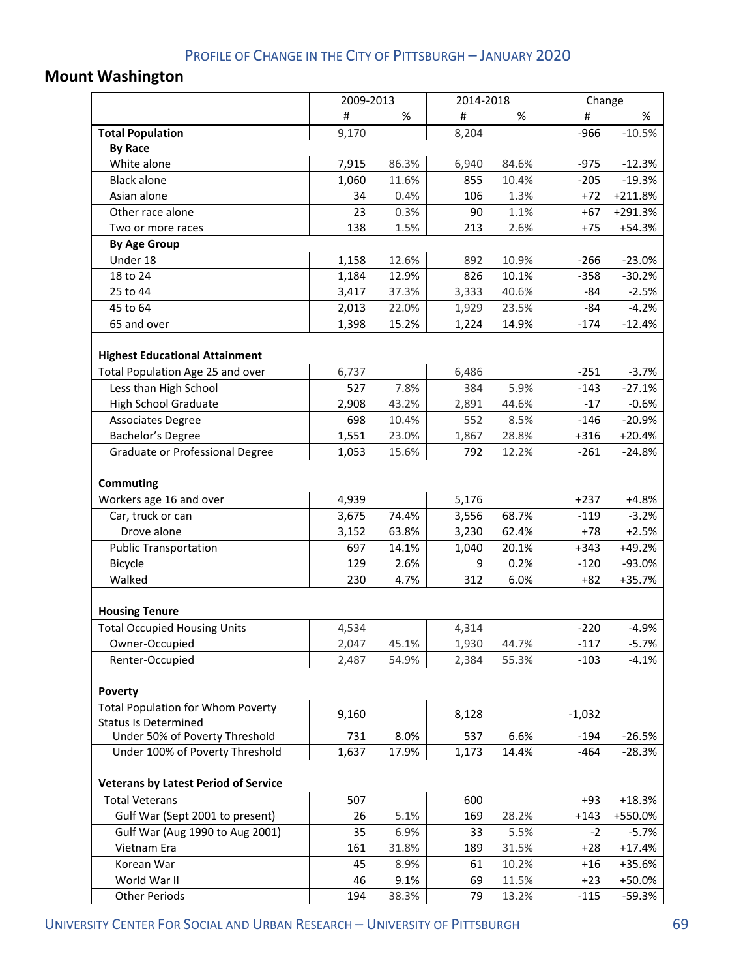## **Mount Washington**

|                                                                         |       | 2009-2013 |       | 2014-2018 |          | Change   |  |
|-------------------------------------------------------------------------|-------|-----------|-------|-----------|----------|----------|--|
|                                                                         | #     | %         | #     | %         | #        | %        |  |
| <b>Total Population</b>                                                 | 9,170 |           | 8,204 |           | $-966$   | $-10.5%$ |  |
| <b>By Race</b>                                                          |       |           |       |           |          |          |  |
| White alone                                                             | 7,915 | 86.3%     | 6,940 | 84.6%     | $-975$   | $-12.3%$ |  |
| <b>Black alone</b>                                                      | 1,060 | 11.6%     | 855   | 10.4%     | $-205$   | $-19.3%$ |  |
| Asian alone                                                             | 34    | 0.4%      | 106   | 1.3%      | $+72$    | +211.8%  |  |
| Other race alone                                                        | 23    | 0.3%      | 90    | 1.1%      | $+67$    | +291.3%  |  |
| Two or more races                                                       | 138   | 1.5%      | 213   | 2.6%      | $+75$    | $+54.3%$ |  |
| <b>By Age Group</b>                                                     |       |           |       |           |          |          |  |
| Under 18                                                                | 1,158 | 12.6%     | 892   | 10.9%     | $-266$   | $-23.0%$ |  |
| 18 to 24                                                                | 1,184 | 12.9%     | 826   | 10.1%     | $-358$   | $-30.2%$ |  |
| 25 to 44                                                                | 3,417 | 37.3%     | 3,333 | 40.6%     | -84      | $-2.5%$  |  |
| 45 to 64                                                                | 2,013 | 22.0%     | 1,929 | 23.5%     | $-84$    | $-4.2%$  |  |
| 65 and over                                                             | 1,398 | 15.2%     | 1,224 | 14.9%     | $-174$   | $-12.4%$ |  |
| <b>Highest Educational Attainment</b>                                   |       |           |       |           |          |          |  |
| Total Population Age 25 and over                                        | 6,737 |           | 6,486 |           | $-251$   | $-3.7%$  |  |
| Less than High School                                                   | 527   | 7.8%      | 384   | 5.9%      | $-143$   | $-27.1%$ |  |
| <b>High School Graduate</b>                                             | 2,908 | 43.2%     | 2,891 | 44.6%     | $-17$    | $-0.6%$  |  |
| <b>Associates Degree</b>                                                | 698   | 10.4%     | 552   | 8.5%      | $-146$   | $-20.9%$ |  |
| Bachelor's Degree                                                       | 1,551 | 23.0%     | 1,867 | 28.8%     | $+316$   | $+20.4%$ |  |
| Graduate or Professional Degree                                         | 1,053 | 15.6%     | 792   | 12.2%     | $-261$   | $-24.8%$ |  |
| <b>Commuting</b>                                                        |       |           |       |           |          |          |  |
| Workers age 16 and over                                                 | 4,939 |           | 5,176 |           | $+237$   | $+4.8%$  |  |
| Car, truck or can                                                       | 3,675 | 74.4%     | 3,556 | 68.7%     | $-119$   | $-3.2%$  |  |
| Drove alone                                                             | 3,152 | 63.8%     | 3,230 | 62.4%     | $+78$    | $+2.5%$  |  |
| <b>Public Transportation</b>                                            | 697   | 14.1%     | 1,040 | 20.1%     | $+343$   | +49.2%   |  |
| Bicycle                                                                 | 129   | 2.6%      | 9     | 0.2%      | $-120$   | $-93.0%$ |  |
| Walked                                                                  | 230   | 4.7%      | 312   | 6.0%      | $+82$    | +35.7%   |  |
| <b>Housing Tenure</b>                                                   |       |           |       |           |          |          |  |
| <b>Total Occupied Housing Units</b>                                     | 4,534 |           | 4,314 |           | $-220$   | $-4.9%$  |  |
| Owner-Occupied                                                          | 2,047 | 45.1%     | 1,930 | 44.7%     | $-117$   | -5.7%    |  |
| Renter-Occupied                                                         | 2,487 | 54.9%     | 2,384 | 55.3%     | $-103$   | $-4.1%$  |  |
| <b>Poverty</b>                                                          |       |           |       |           |          |          |  |
| <b>Total Population for Whom Poverty</b><br><b>Status Is Determined</b> | 9,160 |           | 8,128 |           | $-1,032$ |          |  |
| Under 50% of Poverty Threshold                                          | 731   | 8.0%      | 537   | 6.6%      | $-194$   | $-26.5%$ |  |
| Under 100% of Poverty Threshold                                         | 1,637 | 17.9%     | 1,173 | 14.4%     | $-464$   | $-28.3%$ |  |
| <b>Veterans by Latest Period of Service</b>                             |       |           |       |           |          |          |  |
| <b>Total Veterans</b>                                                   | 507   |           | 600   |           | $+93$    | $+18.3%$ |  |
| Gulf War (Sept 2001 to present)                                         | 26    | 5.1%      | 169   | 28.2%     | $+143$   | +550.0%  |  |
| Gulf War (Aug 1990 to Aug 2001)                                         | 35    | 6.9%      | 33    | 5.5%      | $-2$     | $-5.7%$  |  |
| Vietnam Era                                                             | 161   | 31.8%     | 189   | 31.5%     | $+28$    | $+17.4%$ |  |
| Korean War                                                              | 45    | 8.9%      | 61    | 10.2%     | $+16$    | +35.6%   |  |
| World War II                                                            | 46    | 9.1%      | 69    | 11.5%     | $+23$    | +50.0%   |  |
| <b>Other Periods</b>                                                    | 194   | 38.3%     | 79    | 13.2%     | $-115$   | $-59.3%$ |  |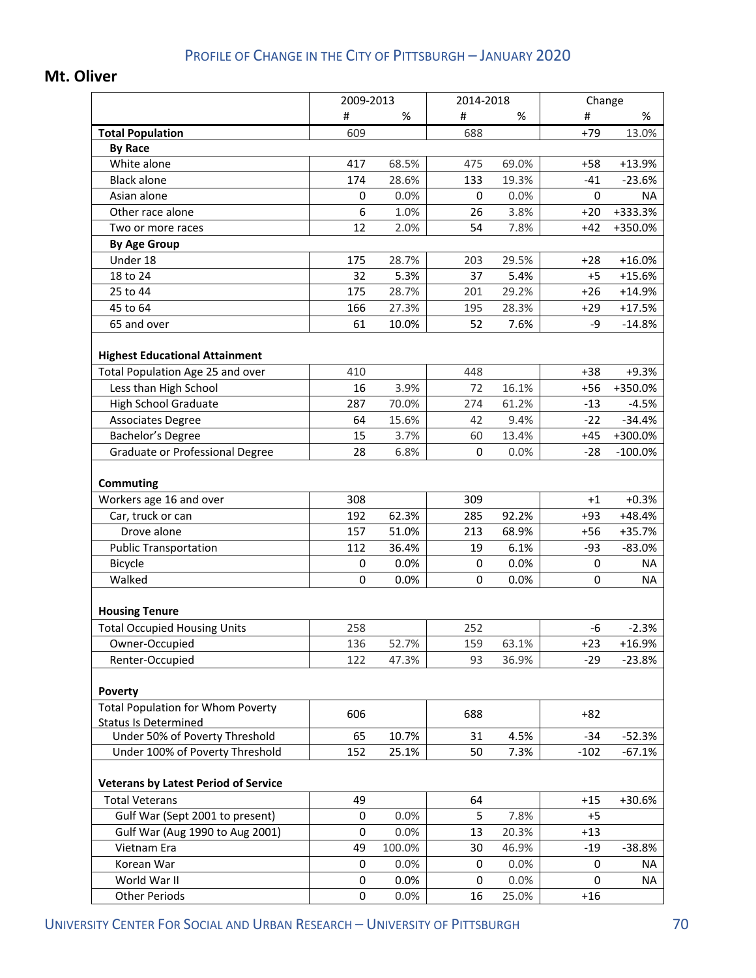### **Mt. Oliver**

|                                                                         | 2009-2013 |        | 2014-2018   |       | Change |           |
|-------------------------------------------------------------------------|-----------|--------|-------------|-------|--------|-----------|
|                                                                         | #         | %      | #           | %     | #      | %         |
| <b>Total Population</b>                                                 | 609       |        | 688         |       | $+79$  | 13.0%     |
| <b>By Race</b>                                                          |           |        |             |       |        |           |
| White alone                                                             | 417       | 68.5%  | 475         | 69.0% | $+58$  | +13.9%    |
| <b>Black alone</b>                                                      | 174       | 28.6%  | 133         | 19.3% | $-41$  | $-23.6%$  |
| Asian alone                                                             | 0         | 0.0%   | 0           | 0.0%  | 0      | <b>NA</b> |
| Other race alone                                                        | 6         | 1.0%   | 26          | 3.8%  | $+20$  | +333.3%   |
| Two or more races                                                       | 12        | 2.0%   | 54          | 7.8%  | $+42$  | +350.0%   |
| <b>By Age Group</b>                                                     |           |        |             |       |        |           |
| Under 18                                                                | 175       | 28.7%  | 203         | 29.5% | $+28$  | $+16.0%$  |
| 18 to 24                                                                | 32        | 5.3%   | 37          | 5.4%  | +5     | $+15.6%$  |
| 25 to 44                                                                | 175       | 28.7%  | 201         | 29.2% | $+26$  | +14.9%    |
| 45 to 64                                                                | 166       | 27.3%  | 195         | 28.3% | $+29$  | $+17.5%$  |
| 65 and over                                                             | 61        | 10.0%  | 52          | 7.6%  | -9     | $-14.8%$  |
| <b>Highest Educational Attainment</b>                                   |           |        |             |       |        |           |
| Total Population Age 25 and over                                        | 410       |        | 448         |       | $+38$  | $+9.3%$   |
| Less than High School                                                   | 16        | 3.9%   | 72          | 16.1% | $+56$  | +350.0%   |
| <b>High School Graduate</b>                                             | 287       | 70.0%  | 274         | 61.2% | $-13$  | $-4.5%$   |
| <b>Associates Degree</b>                                                | 64        | 15.6%  | 42          | 9.4%  | $-22$  | $-34.4%$  |
| Bachelor's Degree                                                       | 15        | 3.7%   | 60          | 13.4% | $+45$  | +300.0%   |
| Graduate or Professional Degree                                         | 28        | 6.8%   | $\mathbf 0$ | 0.0%  | $-28$  | $-100.0%$ |
| <b>Commuting</b>                                                        |           |        |             |       |        |           |
| Workers age 16 and over                                                 | 308       |        | 309         |       | $+1$   | $+0.3%$   |
| Car, truck or can                                                       | 192       | 62.3%  | 285         | 92.2% | $+93$  | +48.4%    |
| Drove alone                                                             | 157       | 51.0%  | 213         | 68.9% | $+56$  | +35.7%    |
| <b>Public Transportation</b>                                            | 112       | 36.4%  | 19          | 6.1%  | $-93$  | $-83.0%$  |
| Bicycle                                                                 | 0         | 0.0%   | 0           | 0.0%  | 0      | NA        |
| Walked                                                                  | 0         | 0.0%   | $\mathbf 0$ | 0.0%  | 0      | NA.       |
| <b>Housing Tenure</b>                                                   |           |        |             |       |        |           |
| <b>Total Occupied Housing Units</b>                                     | 258       |        | 252         |       | -6     | $-2.3%$   |
| Owner-Occupied                                                          | 136       | 52.7%  | 159         | 63.1% | $+23$  | $+16.9%$  |
| Renter-Occupied                                                         | 122       | 47.3%  | 93          | 36.9% | $-29$  | $-23.8%$  |
| Poverty                                                                 |           |        |             |       |        |           |
| <b>Total Population for Whom Poverty</b><br><b>Status Is Determined</b> | 606       |        | 688         |       | $+82$  |           |
| Under 50% of Poverty Threshold                                          | 65        | 10.7%  | 31          | 4.5%  | $-34$  | $-52.3%$  |
| Under 100% of Poverty Threshold                                         | 152       | 25.1%  | 50          | 7.3%  | $-102$ | $-67.1%$  |
| <b>Veterans by Latest Period of Service</b>                             |           |        |             |       |        |           |
| <b>Total Veterans</b>                                                   | 49        |        | 64          |       | $+15$  | +30.6%    |
| Gulf War (Sept 2001 to present)                                         | 0         | 0.0%   | 5           | 7.8%  | $+5$   |           |
| Gulf War (Aug 1990 to Aug 2001)                                         | 0         | 0.0%   | 13          | 20.3% | $+13$  |           |
| Vietnam Era                                                             | 49        | 100.0% | 30          | 46.9% | $-19$  | $-38.8%$  |
| Korean War                                                              | 0         | 0.0%   | 0           | 0.0%  | 0      | NA        |
| World War II                                                            | 0         | 0.0%   | 0           | 0.0%  | 0      | NA        |
| <b>Other Periods</b>                                                    | 0         | 0.0%   | 16          | 25.0% | $+16$  |           |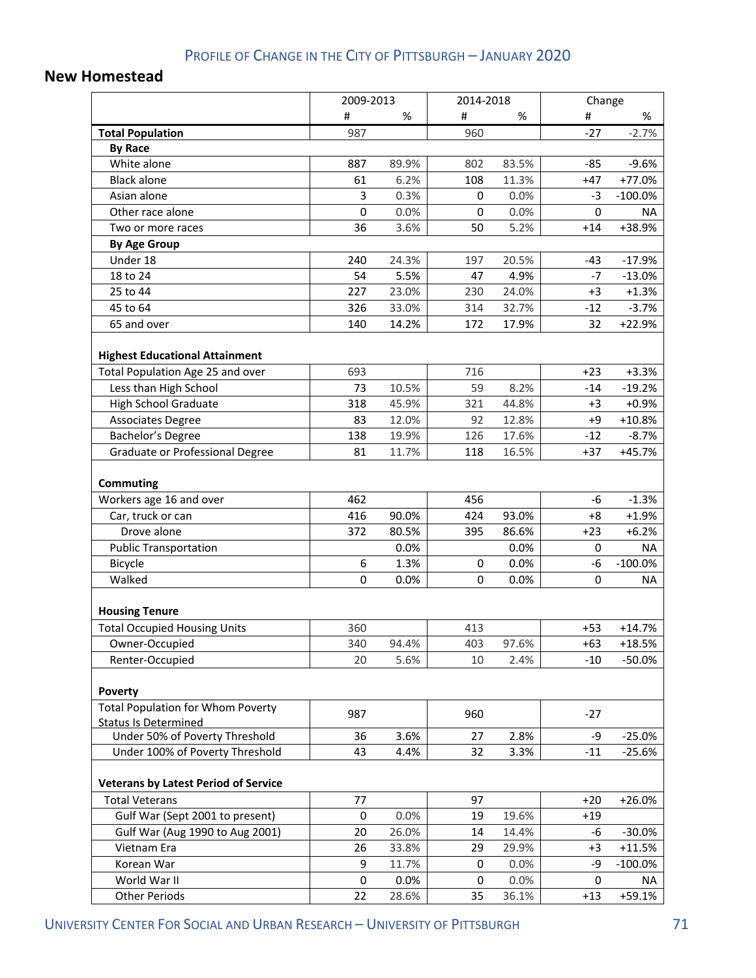#### **New Homestead**

|                                                                           | 2009-2013 |       | 2014-2018 |       | Change |            |
|---------------------------------------------------------------------------|-----------|-------|-----------|-------|--------|------------|
|                                                                           | #         | %     | #         | %     | #      | %          |
| <b>Total Population</b>                                                   | 987       |       | 960       |       | $-27$  | $-2.7%$    |
| <b>By Race</b>                                                            |           |       |           |       |        |            |
| White alone                                                               | 887       | 89.9% | 802       | 83.5% | -85    | $-9.6%$    |
| <b>Black alone</b>                                                        | 61        | 6.2%  | 108       | 11.3% | $+47$  | $+77.0%$   |
| Asian alone                                                               | 3         | 0.3%  | 0         | 0.0%  | $-3$   | $-100.0\%$ |
| Other race alone                                                          | 0         | 0.0%  | 0         | 0.0%  | 0      | NA         |
| Two or more races                                                         | 36        | 3.6%  | 50        | 5.2%  | $+14$  | +38.9%     |
| <b>By Age Group</b>                                                       |           |       |           |       |        |            |
| Under 18                                                                  | 240       | 24.3% | 197       | 20.5% | -43    | $-17.9%$   |
| 18 to 24                                                                  | 54        | 5.5%  | 47        | 4.9%  | $-7$   | $-13.0%$   |
| 25 to 44                                                                  | 227       | 23.0% | 230       | 24.0% | $+3$   | $+1.3%$    |
| 45 to 64                                                                  | 326       | 33.0% | 314       | 32.7% | $-12$  | $-3.7%$    |
| 65 and over                                                               | 140       | 14.2% | 172       | 17.9% | 32     | $+22.9%$   |
| <b>Highest Educational Attainment</b><br>Total Population Age 25 and over | 693       |       | 716       |       | $+23$  | $+3.3%$    |
| Less than High School                                                     | 73        | 10.5% | 59        | 8.2%  | $-14$  | $-19.2%$   |
| <b>High School Graduate</b>                                               | 318       | 45.9% | 321       | 44.8% | $+3$   | $+0.9%$    |
| <b>Associates Degree</b>                                                  | 83        | 12.0% | 92        | 12.8% | $+9$   | $+10.8%$   |
| Bachelor's Degree                                                         | 138       | 19.9% | 126       | 17.6% | $-12$  | $-8.7%$    |
| Graduate or Professional Degree                                           | 81        | 11.7% | 118       | 16.5% | $+37$  | $+45.7%$   |
| Commuting<br>Workers age 16 and over                                      | 462       |       | 456       |       | $-6$   | $-1.3%$    |
| Car, truck or can                                                         | 416       | 90.0% | 424       | 93.0% | $+8$   | $+1.9%$    |
| Drove alone                                                               | 372       | 80.5% | 395       | 86.6% | $+23$  | $+6.2%$    |
| <b>Public Transportation</b>                                              |           | 0.0%  |           | 0.0%  | 0      | <b>NA</b>  |
| Bicycle                                                                   | 6         | 1.3%  | 0         | 0.0%  | -6     | $-100.0\%$ |
| Walked                                                                    | 0         | 0.0%  | 0         | 0.0%  | 0      | <b>NA</b>  |
| <b>Housing Tenure</b>                                                     |           |       |           |       |        |            |
| <b>Total Occupied Housing Units</b>                                       | 360       |       | 413       |       | $+53$  | $+14.7%$   |
| Owner-Occupied                                                            | 340       | 94.4% | 403       | 97.6% | $+63$  | +18.5%     |
| Renter-Occupied                                                           | 20        | 5.6%  | 10        | 2.4%  | $-10$  | $-50.0%$   |
| Poverty                                                                   |           |       |           |       |        |            |
| <b>Total Population for Whom Poverty</b><br><b>Status Is Determined</b>   | 987       |       | 960       |       | $-27$  |            |
| Under 50% of Poverty Threshold                                            | 36        | 3.6%  | 27        | 2.8%  | -9     | $-25.0%$   |
| Under 100% of Poverty Threshold                                           | 43        | 4.4%  | 32        | 3.3%  | $-11$  | $-25.6%$   |
| <b>Veterans by Latest Period of Service</b>                               |           |       |           |       |        |            |
| <b>Total Veterans</b>                                                     | 77        |       | 97        |       | $+20$  | $+26.0%$   |
| Gulf War (Sept 2001 to present)                                           | 0         | 0.0%  | 19        | 19.6% | $+19$  |            |
| Gulf War (Aug 1990 to Aug 2001)                                           | 20        | 26.0% | 14        | 14.4% | -6     | $-30.0%$   |
| Vietnam Era                                                               | 26        | 33.8% | 29        | 29.9% | $+3$   | $+11.5%$   |
| Korean War                                                                | 9         | 11.7% | 0         | 0.0%  | -9     | $-100.0\%$ |
| World War II                                                              | 0         | 0.0%  | 0         | 0.0%  | 0      | NA         |
| <b>Other Periods</b>                                                      | 22        | 28.6% | 35        | 36.1% | $+13$  | +59.1%     |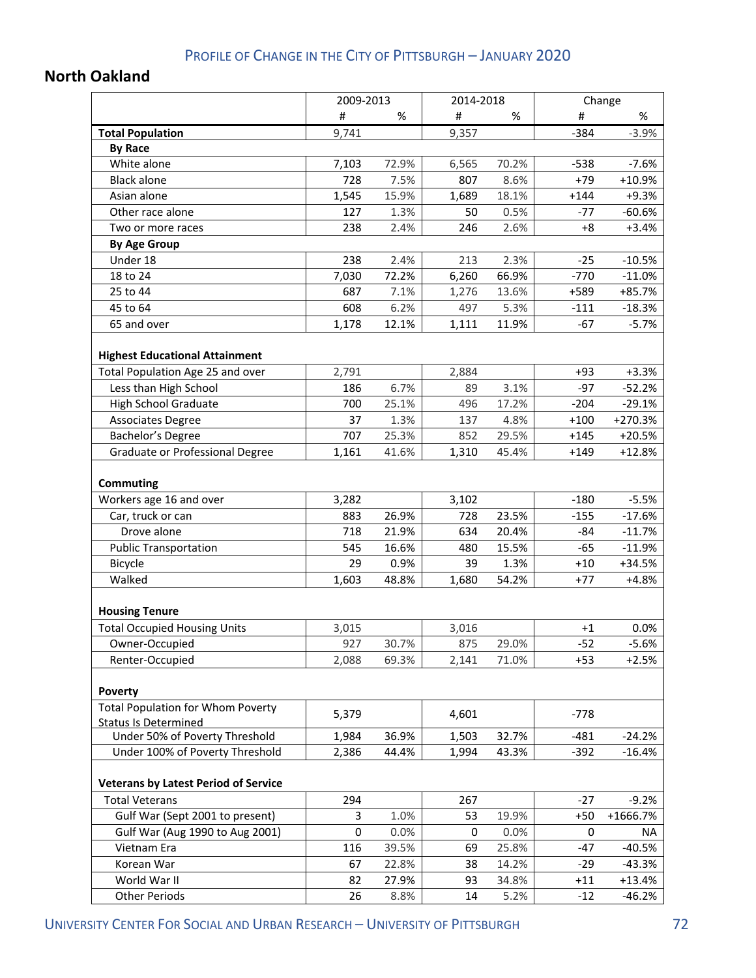## **North Oakland**

|                                             | 2009-2013 |       | 2014-2018 |       |             | Change   |
|---------------------------------------------|-----------|-------|-----------|-------|-------------|----------|
|                                             | #         | $\%$  | #         | %     | #           | %        |
| <b>Total Population</b>                     | 9,741     |       | 9,357     |       | $-384$      | $-3.9%$  |
| <b>By Race</b>                              |           |       |           |       |             |          |
| White alone                                 | 7,103     | 72.9% | 6,565     | 70.2% | $-538$      | $-7.6%$  |
| <b>Black alone</b>                          | 728       | 7.5%  | 807       | 8.6%  | $+79$       | $+10.9%$ |
| Asian alone                                 | 1,545     | 15.9% | 1,689     | 18.1% | $+144$      | $+9.3%$  |
| Other race alone                            | 127       | 1.3%  | 50        | 0.5%  | $-77$       | $-60.6%$ |
| Two or more races                           | 238       | 2.4%  | 246       | 2.6%  | $+8$        | $+3.4%$  |
| <b>By Age Group</b>                         |           |       |           |       |             |          |
| Under 18                                    | 238       | 2.4%  | 213       | 2.3%  | $-25$       | $-10.5%$ |
| 18 to 24                                    | 7,030     | 72.2% | 6,260     | 66.9% | $-770$      | $-11.0%$ |
| 25 to 44                                    | 687       | 7.1%  | 1,276     | 13.6% | +589        | +85.7%   |
| 45 to 64                                    | 608       | 6.2%  | 497       | 5.3%  | $-111$      | $-18.3%$ |
| 65 and over                                 | 1,178     | 12.1% | 1,111     | 11.9% | $-67$       | $-5.7%$  |
| <b>Highest Educational Attainment</b>       |           |       |           |       |             |          |
| Total Population Age 25 and over            | 2,791     |       | 2,884     |       | +93         | $+3.3%$  |
| Less than High School                       | 186       | 6.7%  | 89        | 3.1%  | $-97$       | $-52.2%$ |
| <b>High School Graduate</b>                 | 700       | 25.1% | 496       | 17.2% | $-204$      | $-29.1%$ |
| <b>Associates Degree</b>                    | 37        | 1.3%  | 137       | 4.8%  | $+100$      | +270.3%  |
| Bachelor's Degree                           | 707       | 25.3% | 852       | 29.5% | $+145$      | $+20.5%$ |
| Graduate or Professional Degree             | 1,161     | 41.6% | 1,310     | 45.4% | $+149$      | $+12.8%$ |
|                                             |           |       |           |       |             |          |
| <b>Commuting</b>                            |           |       |           |       |             |          |
| Workers age 16 and over                     | 3,282     |       | 3,102     |       | $-180$      | $-5.5%$  |
| Car, truck or can                           | 883       | 26.9% | 728       | 23.5% | $-155$      | $-17.6%$ |
| Drove alone                                 | 718       | 21.9% | 634       | 20.4% | -84         | $-11.7%$ |
| <b>Public Transportation</b>                | 545       | 16.6% | 480       | 15.5% | $-65$       | $-11.9%$ |
| Bicycle                                     | 29        | 0.9%  | 39        | 1.3%  | $+10$       | +34.5%   |
| Walked                                      | 1,603     | 48.8% | 1,680     | 54.2% | $+77$       | $+4.8%$  |
|                                             |           |       |           |       |             |          |
| <b>Housing Tenure</b>                       |           |       |           |       |             |          |
| <b>Total Occupied Housing Units</b>         | 3,015     |       | 3,016     |       | $+1$        | $0.0\%$  |
| Owner-Occupied                              | 927       | 30.7% | 875       | 29.0% | $-52$       | $-5.6%$  |
| Renter-Occupied                             | 2,088     | 69.3% | 2,141     | 71.0% | $+53$       | $+2.5%$  |
| Poverty                                     |           |       |           |       |             |          |
| <b>Total Population for Whom Poverty</b>    |           |       |           |       |             |          |
| <b>Status Is Determined</b>                 | 5,379     |       | 4,601     |       | $-778$      |          |
| Under 50% of Poverty Threshold              | 1,984     | 36.9% | 1,503     | 32.7% | $-481$      | $-24.2%$ |
| Under 100% of Poverty Threshold             | 2,386     | 44.4% | 1,994     | 43.3% | $-392$      | $-16.4%$ |
| <b>Veterans by Latest Period of Service</b> |           |       |           |       |             |          |
| <b>Total Veterans</b>                       | 294       |       | 267       |       | $-27$       | $-9.2%$  |
| Gulf War (Sept 2001 to present)             | 3         | 1.0%  | 53        | 19.9% | $+50$       | +1666.7% |
| Gulf War (Aug 1990 to Aug 2001)             | 0         | 0.0%  | 0         | 0.0%  | $\mathbf 0$ | NA       |
| Vietnam Era                                 | 116       | 39.5% | 69        | 25.8% | $-47$       | $-40.5%$ |
| Korean War                                  |           | 22.8% | 38        | 14.2% | $-29$       | $-43.3%$ |
| World War II                                | 67        | 27.9% | 93        | 34.8% |             |          |
|                                             | 82        |       |           |       | $+11$       | +13.4%   |
| <b>Other Periods</b>                        | 26        | 8.8%  | 14        | 5.2%  | $-12$       | $-46.2%$ |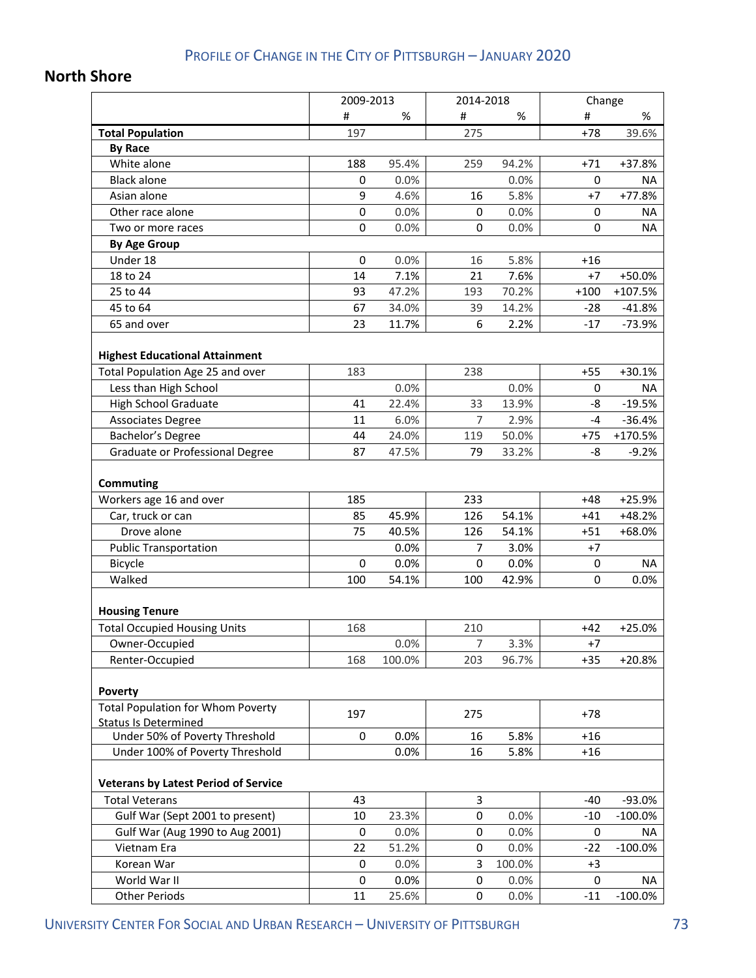#### **North Shore**

|                                                                           | 2009-2013 |        |                | 2014-2018 |           | Change     |  |
|---------------------------------------------------------------------------|-----------|--------|----------------|-----------|-----------|------------|--|
|                                                                           | #         | %      | #              | %         | #         | %          |  |
| <b>Total Population</b>                                                   | 197       |        | 275            |           | $+78$     | 39.6%      |  |
| <b>By Race</b>                                                            |           |        |                |           |           |            |  |
| White alone                                                               | 188       | 95.4%  | 259            | 94.2%     | $+71$     | +37.8%     |  |
| <b>Black alone</b>                                                        | 0         | 0.0%   |                | 0.0%      | 0         | <b>NA</b>  |  |
| Asian alone                                                               | 9         | 4.6%   | 16             | 5.8%      | $+7$      | $+77.8%$   |  |
| Other race alone                                                          | $\pmb{0}$ | 0.0%   | 0              | 0.0%      | 0         | NA.        |  |
| Two or more races                                                         | 0         | 0.0%   | $\mathbf 0$    | 0.0%      | $\pmb{0}$ | <b>NA</b>  |  |
| <b>By Age Group</b>                                                       |           |        |                |           |           |            |  |
| Under 18                                                                  | 0         | 0.0%   | 16             | 5.8%      | $+16$     |            |  |
| 18 to 24                                                                  | 14        | 7.1%   | 21             | 7.6%      | $+7$      | +50.0%     |  |
| 25 to 44                                                                  | 93        | 47.2%  | 193            | 70.2%     | $+100$    | $+107.5%$  |  |
| 45 to 64                                                                  | 67        | 34.0%  | 39             | 14.2%     | $-28$     | $-41.8%$   |  |
| 65 and over                                                               | 23        | 11.7%  | 6              | 2.2%      | $-17$     | $-73.9%$   |  |
| <b>Highest Educational Attainment</b><br>Total Population Age 25 and over | 183       |        | 238            |           | $+55$     | $+30.1%$   |  |
| Less than High School                                                     |           | 0.0%   |                | 0.0%      | 0         | <b>NA</b>  |  |
| <b>High School Graduate</b>                                               | 41        | 22.4%  | 33             | 13.9%     | -8        | $-19.5%$   |  |
| <b>Associates Degree</b>                                                  | 11        | 6.0%   | $\overline{7}$ | 2.9%      | $-4$      | $-36.4%$   |  |
| Bachelor's Degree                                                         | 44        | 24.0%  | 119            | 50.0%     | $+75$     | +170.5%    |  |
| Graduate or Professional Degree                                           | 87        | 47.5%  | 79             | 33.2%     | -8        | $-9.2%$    |  |
| <b>Commuting</b>                                                          | 185       |        | 233            |           | $+48$     | $+25.9%$   |  |
| Workers age 16 and over                                                   |           |        |                |           |           |            |  |
| Car, truck or can<br>Drove alone                                          | 85        | 45.9%  | 126            | 54.1%     | $+41$     | $+48.2%$   |  |
|                                                                           | 75        | 40.5%  | 126            | 54.1%     | $+51$     | +68.0%     |  |
| <b>Public Transportation</b>                                              |           | 0.0%   | 7              | 3.0%      | $+7$      |            |  |
| Bicycle                                                                   | 0         | 0.0%   | 0              | 0.0%      | 0         | <b>NA</b>  |  |
| Walked                                                                    | 100       | 54.1%  | 100            | 42.9%     | 0         | 0.0%       |  |
| <b>Housing Tenure</b>                                                     |           |        |                |           |           |            |  |
| <b>Total Occupied Housing Units</b>                                       | 168       |        | 210            |           | $+42$     | $+25.0%$   |  |
| Owner-Occupied                                                            |           | 0.0%   | 7              | 3.3%      | $+7$      |            |  |
| Renter-Occupied                                                           | 168       | 100.0% | 203            | 96.7%     | $+35$     | $+20.8%$   |  |
| <b>Poverty</b>                                                            |           |        |                |           |           |            |  |
| <b>Total Population for Whom Poverty</b><br><b>Status Is Determined</b>   | 197       |        | 275            |           | $+78$     |            |  |
| Under 50% of Poverty Threshold                                            | 0         | 0.0%   | 16             | 5.8%      | $+16$     |            |  |
| Under 100% of Poverty Threshold                                           |           | 0.0%   | 16             | 5.8%      | $+16$     |            |  |
| <b>Veterans by Latest Period of Service</b>                               |           |        |                |           |           |            |  |
| <b>Total Veterans</b>                                                     | 43        |        | 3              |           | -40       | $-93.0%$   |  |
| Gulf War (Sept 2001 to present)                                           | 10        | 23.3%  | 0              | 0.0%      | $-10$     | $-100.0\%$ |  |
| Gulf War (Aug 1990 to Aug 2001)                                           | 0         | 0.0%   | 0              | 0.0%      | 0         | NA         |  |
| Vietnam Era                                                               | 22        | 51.2%  | 0              | 0.0%      | $-22$     | $-100.0\%$ |  |
| Korean War                                                                | 0         | 0.0%   | 3              | 100.0%    | $+3$      |            |  |
| World War II                                                              | 0         | 0.0%   | 0              | 0.0%      | 0         | <b>NA</b>  |  |
| <b>Other Periods</b>                                                      | 11        | 25.6%  | 0              | 0.0%      | $-11$     | $-100.0\%$ |  |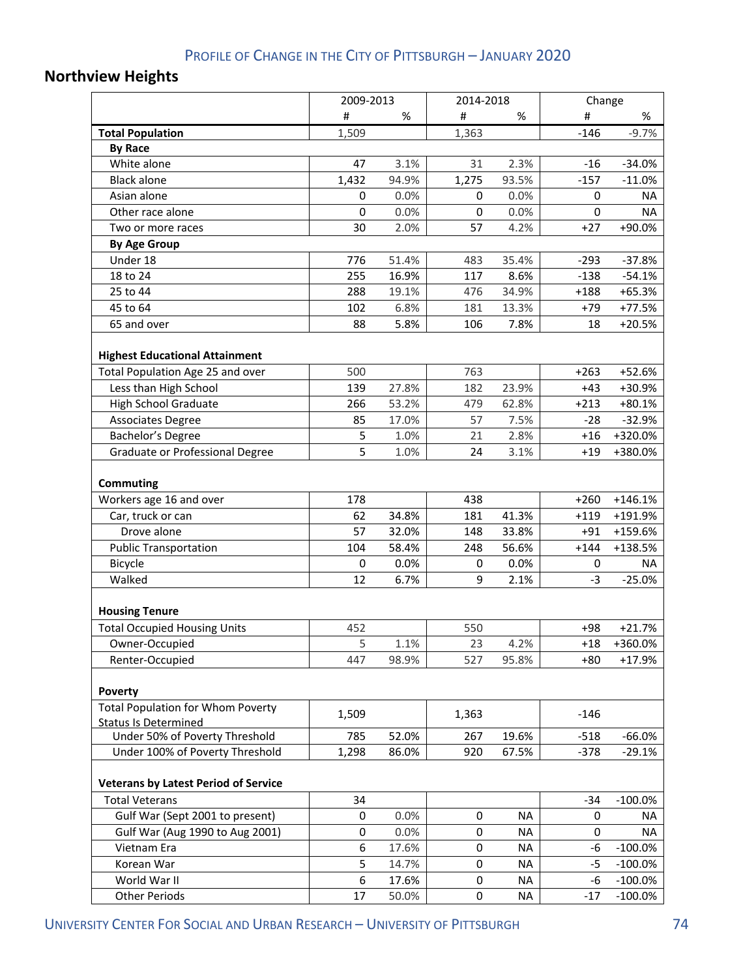## **Northview Heights**

|                                                                           | 2009-2013   |       |             | 2014-2018 |        | Change     |  |
|---------------------------------------------------------------------------|-------------|-------|-------------|-----------|--------|------------|--|
|                                                                           | #           | %     | #           | %         | #      | %          |  |
| <b>Total Population</b>                                                   | 1,509       |       | 1,363       |           | $-146$ | $-9.7%$    |  |
| <b>By Race</b>                                                            |             |       |             |           |        |            |  |
| White alone                                                               | 47          | 3.1%  | 31          | 2.3%      | $-16$  | $-34.0%$   |  |
| <b>Black alone</b>                                                        | 1,432       | 94.9% | 1,275       | 93.5%     | $-157$ | $-11.0%$   |  |
| Asian alone                                                               | 0           | 0.0%  | 0           | 0.0%      | 0      | NA.        |  |
| Other race alone                                                          | $\mathbf 0$ | 0.0%  | $\mathbf 0$ | 0.0%      | 0      | <b>NA</b>  |  |
| Two or more races                                                         | 30          | 2.0%  | 57          | 4.2%      | $+27$  | +90.0%     |  |
| <b>By Age Group</b>                                                       |             |       |             |           |        |            |  |
| Under 18                                                                  | 776         | 51.4% | 483         | 35.4%     | $-293$ | $-37.8%$   |  |
| 18 to 24                                                                  | 255         | 16.9% | 117         | 8.6%      | $-138$ | $-54.1%$   |  |
| 25 to 44                                                                  | 288         | 19.1% | 476         | 34.9%     | $+188$ | $+65.3%$   |  |
| 45 to 64                                                                  | 102         | 6.8%  | 181         | 13.3%     | $+79$  | $+77.5%$   |  |
| 65 and over                                                               | 88          | 5.8%  | 106         | 7.8%      | 18     | $+20.5%$   |  |
| <b>Highest Educational Attainment</b><br>Total Population Age 25 and over | 500         |       | 763         |           | $+263$ | +52.6%     |  |
| Less than High School                                                     | 139         | 27.8% | 182         | 23.9%     | $+43$  | +30.9%     |  |
| High School Graduate                                                      | 266         | 53.2% | 479         | 62.8%     | $+213$ | $+80.1%$   |  |
| <b>Associates Degree</b>                                                  | 85          | 17.0% | 57          | 7.5%      | -28    | $-32.9%$   |  |
| Bachelor's Degree                                                         | 5           | 1.0%  | 21          | 2.8%      | $+16$  | +320.0%    |  |
| Graduate or Professional Degree                                           | 5           | 1.0%  | 24          | 3.1%      | $+19$  | +380.0%    |  |
| <b>Commuting</b>                                                          |             |       |             |           |        |            |  |
| Workers age 16 and over                                                   | 178         |       | 438         |           | $+260$ | $+146.1%$  |  |
| Car, truck or can                                                         | 62          | 34.8% | 181         | 41.3%     | $+119$ | +191.9%    |  |
| Drove alone                                                               | 57          | 32.0% | 148         | 33.8%     | $+91$  | +159.6%    |  |
| <b>Public Transportation</b>                                              | 104         | 58.4% | 248         | 56.6%     | $+144$ | +138.5%    |  |
| Bicycle                                                                   | 0           | 0.0%  | 0           | 0.0%      | 0      | NA         |  |
| Walked                                                                    | 12          | 6.7%  | 9           | 2.1%      | $-3$   | $-25.0%$   |  |
| <b>Housing Tenure</b>                                                     |             |       |             |           |        |            |  |
| <b>Total Occupied Housing Units</b>                                       | 452         |       | 550         |           | $+98$  | $+21.7%$   |  |
| Owner-Occupied                                                            | 5           | 1.1%  | 23          | 4.2%      | $+18$  | +360.0%    |  |
| Renter-Occupied                                                           | 447         | 98.9% | 527         | 95.8%     | $+80$  | $+17.9%$   |  |
| Poverty                                                                   |             |       |             |           |        |            |  |
| <b>Total Population for Whom Poverty</b><br><b>Status Is Determined</b>   | 1,509       |       | 1,363       |           | $-146$ |            |  |
| Under 50% of Poverty Threshold                                            | 785         | 52.0% | 267         | 19.6%     | $-518$ | $-66.0%$   |  |
| Under 100% of Poverty Threshold                                           | 1,298       | 86.0% | 920         | 67.5%     | $-378$ | $-29.1%$   |  |
| <b>Veterans by Latest Period of Service</b>                               |             |       |             |           |        |            |  |
| <b>Total Veterans</b>                                                     | 34          |       |             |           | $-34$  | $-100.0%$  |  |
| Gulf War (Sept 2001 to present)                                           | 0           | 0.0%  | 0           | <b>NA</b> | 0      | NA         |  |
| Gulf War (Aug 1990 to Aug 2001)                                           | 0           | 0.0%  | 0           | <b>NA</b> | 0      | <b>NA</b>  |  |
| Vietnam Era                                                               | 6           | 17.6% | 0           | NA        | $-6$   | $-100.0\%$ |  |
| Korean War                                                                | 5           | 14.7% | 0           | <b>NA</b> | $-5$   | $-100.0\%$ |  |
| World War II                                                              | 6           | 17.6% | 0           | <b>NA</b> | $-6$   | $-100.0\%$ |  |
| <b>Other Periods</b>                                                      | 17          | 50.0% | 0           | ΝA        | $-17$  | $-100.0\%$ |  |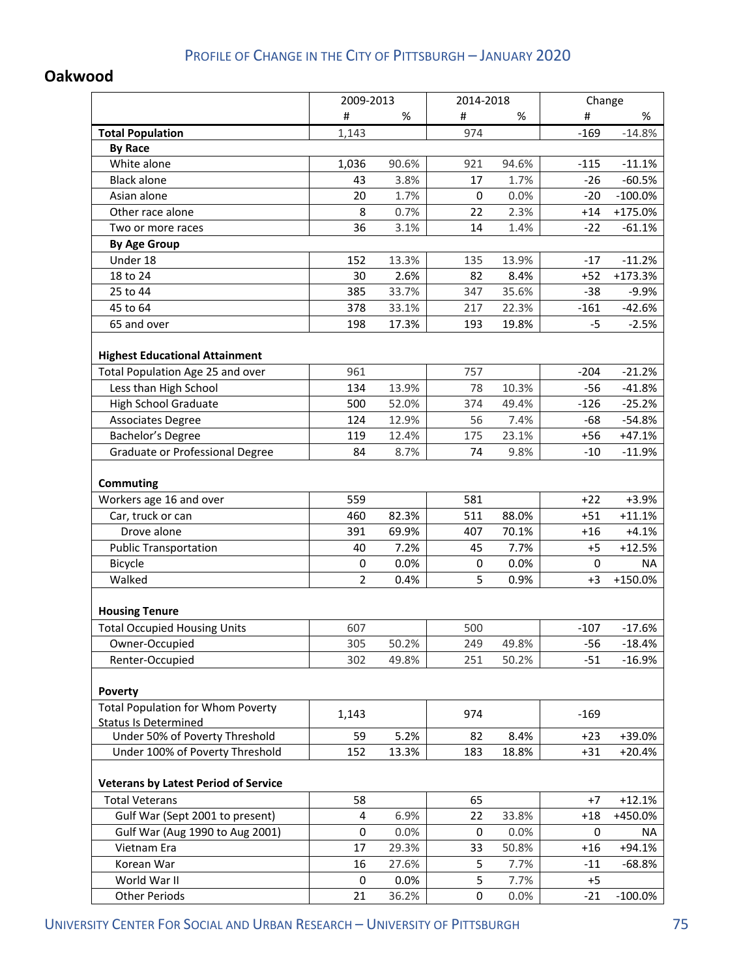#### **Oakwood**

|                                                                         | 2009-2013      |         | 2014-2018 |       | Change |            |
|-------------------------------------------------------------------------|----------------|---------|-----------|-------|--------|------------|
|                                                                         | #              | %       | #         | %     | #      | %          |
| <b>Total Population</b>                                                 | 1,143          |         | 974       |       | $-169$ | $-14.8%$   |
| <b>By Race</b>                                                          |                |         |           |       |        |            |
| White alone                                                             | 1,036          | 90.6%   | 921       | 94.6% | $-115$ | $-11.1%$   |
| <b>Black alone</b>                                                      | 43             | 3.8%    | 17        | 1.7%  | $-26$  | $-60.5%$   |
| Asian alone                                                             | 20             | 1.7%    | 0         | 0.0%  | $-20$  | $-100.0\%$ |
| Other race alone                                                        | 8              | 0.7%    | 22        | 2.3%  | $+14$  | $+175.0%$  |
| Two or more races                                                       | 36             | 3.1%    | 14        | 1.4%  | $-22$  | $-61.1%$   |
| <b>By Age Group</b>                                                     |                |         |           |       |        |            |
| Under 18                                                                | 152            | 13.3%   | 135       | 13.9% | $-17$  | $-11.2%$   |
| 18 to 24                                                                | 30             | 2.6%    | 82        | 8.4%  | $+52$  | $+173.3%$  |
| 25 to 44                                                                | 385            | 33.7%   | 347       | 35.6% | $-38$  | $-9.9%$    |
| 45 to 64                                                                | 378            | 33.1%   | 217       | 22.3% | $-161$ | $-42.6%$   |
| 65 and over                                                             | 198            | 17.3%   | 193       | 19.8% | $-5$   | $-2.5%$    |
| <b>Highest Educational Attainment</b>                                   |                |         |           |       |        |            |
| Total Population Age 25 and over                                        | 961            |         | 757       |       | $-204$ | $-21.2%$   |
| Less than High School                                                   | 134            | 13.9%   | 78        | 10.3% | $-56$  | $-41.8%$   |
| <b>High School Graduate</b>                                             | 500            | 52.0%   | 374       | 49.4% | $-126$ | $-25.2%$   |
| <b>Associates Degree</b>                                                | 124            | 12.9%   | 56        | 7.4%  | $-68$  | $-54.8%$   |
| Bachelor's Degree                                                       | 119            | 12.4%   | 175       | 23.1% | $+56$  | $+47.1%$   |
| Graduate or Professional Degree                                         | 84             | 8.7%    | 74        | 9.8%  | $-10$  | $-11.9%$   |
| <b>Commuting</b>                                                        |                |         |           |       |        |            |
| Workers age 16 and over                                                 | 559            |         | 581       |       | $+22$  | $+3.9%$    |
| Car, truck or can                                                       | 460            | 82.3%   | 511       | 88.0% | $+51$  | $+11.1%$   |
| Drove alone                                                             | 391            | 69.9%   | 407       | 70.1% | $+16$  | $+4.1%$    |
| <b>Public Transportation</b>                                            | 40             | 7.2%    | 45        | 7.7%  | $+5$   | $+12.5%$   |
| Bicycle                                                                 | 0              | 0.0%    | 0         | 0.0%  | 0      | <b>NA</b>  |
| Walked                                                                  | $\overline{2}$ | 0.4%    | 5         | 0.9%  | $+3$   | +150.0%    |
| <b>Housing Tenure</b>                                                   |                |         |           |       |        |            |
| <b>Total Occupied Housing Units</b>                                     | 607            |         | 500       |       | $-107$ | $-17.6%$   |
| Owner-Occupied                                                          | 305            | 50.2%   | 249       | 49.8% | -56    | $-18.4\%$  |
| Renter-Occupied                                                         | 302            | 49.8%   | 251       | 50.2% | $-51$  | $-16.9%$   |
| Poverty                                                                 |                |         |           |       |        |            |
| <b>Total Population for Whom Poverty</b><br><b>Status Is Determined</b> | 1,143          |         | 974       |       | $-169$ |            |
| Under 50% of Poverty Threshold                                          | 59             | 5.2%    | 82        | 8.4%  | $+23$  | +39.0%     |
| Under 100% of Poverty Threshold                                         | 152            | 13.3%   | 183       | 18.8% | $+31$  | $+20.4%$   |
| <b>Veterans by Latest Period of Service</b>                             |                |         |           |       |        |            |
| <b>Total Veterans</b>                                                   | 58             |         | 65        |       | $+7$   | $+12.1%$   |
| Gulf War (Sept 2001 to present)                                         | 4              | 6.9%    | 22        | 33.8% | $+18$  | +450.0%    |
| Gulf War (Aug 1990 to Aug 2001)                                         | 0              | 0.0%    | 0         | 0.0%  | 0      | NA         |
| Vietnam Era                                                             | 17             | 29.3%   | 33        | 50.8% | $+16$  | +94.1%     |
| Korean War                                                              | 16             | 27.6%   | 5         | 7.7%  | $-11$  | $-68.8%$   |
| World War II                                                            | 0              | $0.0\%$ | 5         | 7.7%  | $+5$   |            |
| <b>Other Periods</b>                                                    | 21             | 36.2%   | 0         | 0.0%  | $-21$  | $-100.0\%$ |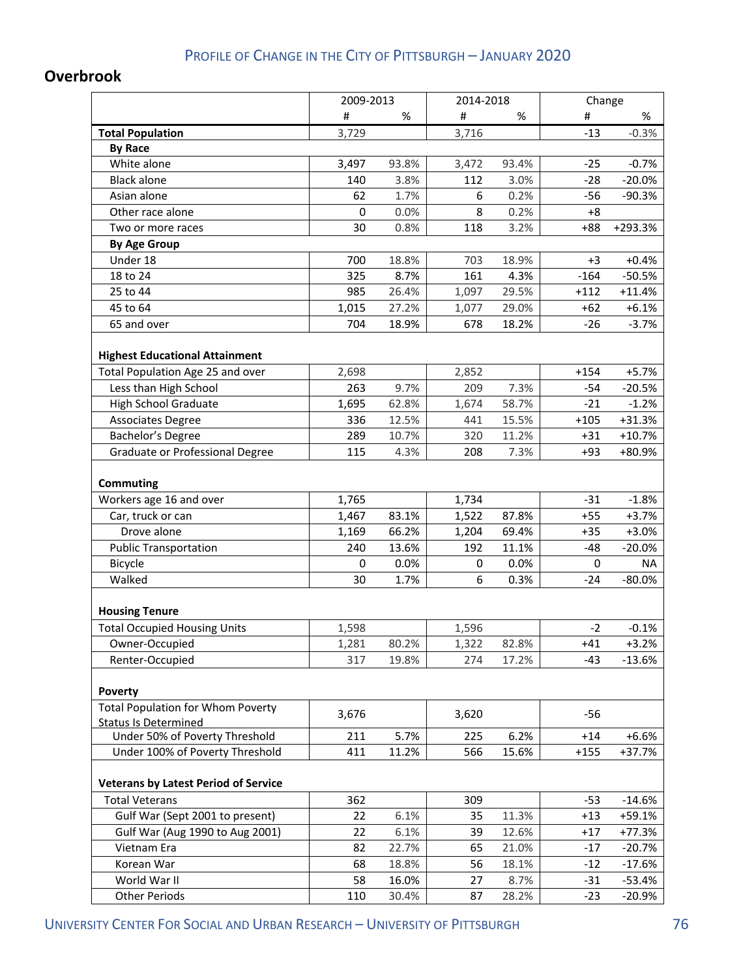#### **Overbrook**

|                                                                         | 2009-2013   |       | 2014-2018 |       | Change |           |
|-------------------------------------------------------------------------|-------------|-------|-----------|-------|--------|-----------|
|                                                                         | #           | $\%$  | #         | %     | #      | %         |
| <b>Total Population</b>                                                 | 3,729       |       | 3,716     |       | $-13$  | $-0.3%$   |
| <b>By Race</b>                                                          |             |       |           |       |        |           |
| White alone                                                             | 3,497       | 93.8% | 3,472     | 93.4% | $-25$  | $-0.7%$   |
| <b>Black alone</b>                                                      | 140         | 3.8%  | 112       | 3.0%  | $-28$  | $-20.0%$  |
| Asian alone                                                             | 62          | 1.7%  | 6         | 0.2%  | $-56$  | $-90.3%$  |
| Other race alone                                                        | 0           | 0.0%  | 8         | 0.2%  | $+8$   |           |
| Two or more races                                                       | 30          | 0.8%  | 118       | 3.2%  | $+88$  | +293.3%   |
| <b>By Age Group</b>                                                     |             |       |           |       |        |           |
| Under 18                                                                | 700         | 18.8% | 703       | 18.9% | $+3$   | $+0.4%$   |
| 18 to 24                                                                | 325         | 8.7%  | 161       | 4.3%  | $-164$ | $-50.5%$  |
| 25 to 44                                                                | 985         | 26.4% | 1,097     | 29.5% | $+112$ | $+11.4%$  |
| 45 to 64                                                                | 1,015       | 27.2% | 1,077     | 29.0% | $+62$  | $+6.1%$   |
| 65 and over                                                             | 704         | 18.9% | 678       | 18.2% | $-26$  | $-3.7%$   |
| <b>Highest Educational Attainment</b>                                   |             |       |           |       |        |           |
| Total Population Age 25 and over                                        | 2,698       |       | 2,852     |       | $+154$ | $+5.7%$   |
| Less than High School                                                   | 263         | 9.7%  | 209       | 7.3%  | $-54$  | $-20.5%$  |
| <b>High School Graduate</b>                                             | 1,695       | 62.8% | 1,674     | 58.7% | $-21$  | $-1.2%$   |
| <b>Associates Degree</b>                                                | 336         | 12.5% | 441       | 15.5% | $+105$ | $+31.3%$  |
| Bachelor's Degree                                                       | 289         | 10.7% | 320       | 11.2% | $+31$  | $+10.7%$  |
| Graduate or Professional Degree                                         | 115         | 4.3%  | 208       | 7.3%  | $+93$  | +80.9%    |
| <b>Commuting</b>                                                        |             |       |           |       |        |           |
| Workers age 16 and over                                                 | 1,765       |       | 1,734     |       | $-31$  | $-1.8%$   |
| Car, truck or can                                                       | 1,467       | 83.1% | 1,522     | 87.8% | $+55$  | $+3.7%$   |
| Drove alone                                                             | 1,169       | 66.2% | 1,204     | 69.4% | $+35$  | $+3.0%$   |
| <b>Public Transportation</b>                                            | 240         | 13.6% | 192       | 11.1% | $-48$  | $-20.0%$  |
| Bicycle                                                                 | $\mathbf 0$ | 0.0%  | 0         | 0.0%  | 0      | <b>NA</b> |
| Walked                                                                  | 30          | 1.7%  | 6         | 0.3%  | $-24$  | $-80.0%$  |
| <b>Housing Tenure</b>                                                   |             |       |           |       |        |           |
| <b>Total Occupied Housing Units</b>                                     | 1,598       |       | 1,596     |       | $-2$   | $-0.1%$   |
| Owner-Occupied                                                          | 1,281       | 80.2% | 1,322     | 82.8% | $+41$  | $+3.2%$   |
| Renter-Occupied                                                         | 317         | 19.8% | 274       | 17.2% | $-43$  | $-13.6%$  |
| Poverty                                                                 |             |       |           |       |        |           |
| <b>Total Population for Whom Poverty</b><br><b>Status Is Determined</b> | 3,676       |       | 3,620     |       | -56    |           |
| Under 50% of Poverty Threshold                                          | 211         | 5.7%  | 225       | 6.2%  | $+14$  | $+6.6%$   |
| Under 100% of Poverty Threshold                                         | 411         | 11.2% | 566       | 15.6% | $+155$ | +37.7%    |
| <b>Veterans by Latest Period of Service</b>                             |             |       |           |       |        |           |
| <b>Total Veterans</b>                                                   | 362         |       | 309       |       | $-53$  | $-14.6%$  |
| Gulf War (Sept 2001 to present)                                         | 22          | 6.1%  | 35        | 11.3% | $+13$  | +59.1%    |
| Gulf War (Aug 1990 to Aug 2001)                                         | 22          | 6.1%  | 39        | 12.6% | $+17$  | $+77.3%$  |
| Vietnam Era                                                             | 82          | 22.7% | 65        | 21.0% | $-17$  | $-20.7%$  |
| Korean War                                                              | 68          | 18.8% | 56        | 18.1% | $-12$  | $-17.6%$  |
| World War II                                                            | 58          | 16.0% | 27        | 8.7%  | $-31$  | $-53.4%$  |
| <b>Other Periods</b>                                                    | 110         | 30.4% | 87        | 28.2% | $-23$  | $-20.9%$  |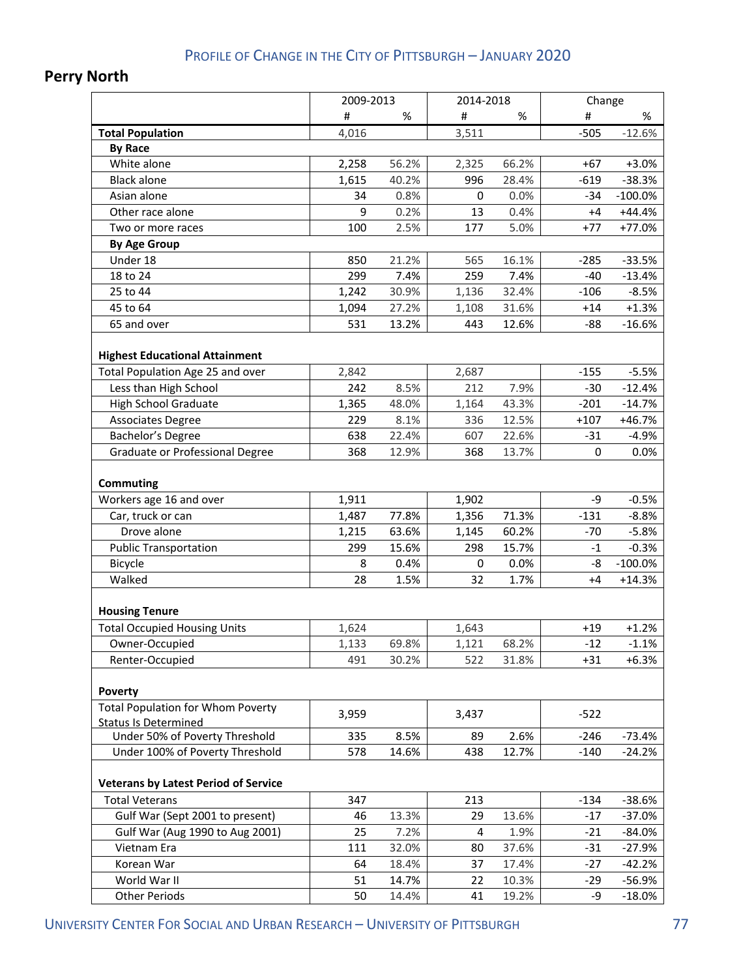## **Perry North**

|                                                                           | 2009-2013 |       | 2014-2018 |       | Change |            |
|---------------------------------------------------------------------------|-----------|-------|-----------|-------|--------|------------|
|                                                                           | #         | %     | #         | %     | #      | %          |
| <b>Total Population</b>                                                   | 4,016     |       | 3,511     |       | $-505$ | $-12.6%$   |
| <b>By Race</b>                                                            |           |       |           |       |        |            |
| White alone                                                               | 2,258     | 56.2% | 2,325     | 66.2% | $+67$  | $+3.0%$    |
| <b>Black alone</b>                                                        | 1,615     | 40.2% | 996       | 28.4% | $-619$ | $-38.3%$   |
| Asian alone                                                               | 34        | 0.8%  | 0         | 0.0%  | $-34$  | $-100.0\%$ |
| Other race alone                                                          | 9         | 0.2%  | 13        | 0.4%  | $+4$   | $+44.4%$   |
| Two or more races                                                         | 100       | 2.5%  | 177       | 5.0%  | $+77$  | +77.0%     |
| <b>By Age Group</b>                                                       |           |       |           |       |        |            |
| Under 18                                                                  | 850       | 21.2% | 565       | 16.1% | $-285$ | $-33.5%$   |
| 18 to 24                                                                  | 299       | 7.4%  | 259       | 7.4%  | $-40$  | $-13.4%$   |
| 25 to 44                                                                  | 1,242     | 30.9% | 1,136     | 32.4% | $-106$ | $-8.5%$    |
| 45 to 64                                                                  | 1,094     | 27.2% | 1,108     | 31.6% | $+14$  | $+1.3%$    |
| 65 and over                                                               | 531       | 13.2% | 443       | 12.6% | $-88$  | $-16.6%$   |
| <b>Highest Educational Attainment</b><br>Total Population Age 25 and over | 2,842     |       | 2,687     |       | $-155$ | $-5.5%$    |
| Less than High School                                                     | 242       | 8.5%  | 212       | 7.9%  | $-30$  | $-12.4%$   |
| <b>High School Graduate</b>                                               | 1,365     | 48.0% | 1,164     | 43.3% | $-201$ | $-14.7%$   |
| <b>Associates Degree</b>                                                  | 229       | 8.1%  | 336       | 12.5% | $+107$ | +46.7%     |
| Bachelor's Degree                                                         | 638       | 22.4% | 607       | 22.6% | $-31$  | $-4.9%$    |
| Graduate or Professional Degree                                           | 368       | 12.9% | 368       | 13.7% | 0      | 0.0%       |
| Commuting                                                                 |           |       |           |       |        |            |
| Workers age 16 and over                                                   | 1,911     |       | 1,902     |       | -9     | $-0.5%$    |
| Car, truck or can                                                         | 1,487     | 77.8% | 1,356     | 71.3% | $-131$ | $-8.8%$    |
| Drove alone                                                               | 1,215     | 63.6% | 1,145     | 60.2% | $-70$  | $-5.8%$    |
| <b>Public Transportation</b>                                              | 299       | 15.6% | 298       | 15.7% | $-1$   | $-0.3%$    |
| Bicycle                                                                   | 8         | 0.4%  | 0         | 0.0%  | -8     | $-100.0\%$ |
| Walked                                                                    | 28        | 1.5%  | 32        | 1.7%  | $+4$   | $+14.3%$   |
| <b>Housing Tenure</b>                                                     |           |       |           |       |        |            |
| <b>Total Occupied Housing Units</b>                                       | 1,624     |       | 1,643     |       | $+19$  | $+1.2%$    |
| Owner-Occupied                                                            | 1,133     | 69.8% | 1,121     | 68.2% | $-12$  | $-1.1%$    |
| Renter-Occupied                                                           | 491       | 30.2% | 522       | 31.8% | $+31$  | $+6.3%$    |
| <b>Poverty</b>                                                            |           |       |           |       |        |            |
| <b>Total Population for Whom Poverty</b><br><b>Status Is Determined</b>   | 3,959     |       | 3,437     |       | $-522$ |            |
| Under 50% of Poverty Threshold                                            | 335       | 8.5%  | 89        | 2.6%  | $-246$ | $-73.4%$   |
| Under 100% of Poverty Threshold                                           | 578       | 14.6% | 438       | 12.7% | $-140$ | $-24.2%$   |
| <b>Veterans by Latest Period of Service</b>                               |           |       |           |       |        |            |
| <b>Total Veterans</b>                                                     | 347       |       | 213       |       | $-134$ | $-38.6%$   |
| Gulf War (Sept 2001 to present)                                           | 46        | 13.3% | 29        | 13.6% | $-17$  | $-37.0%$   |
| Gulf War (Aug 1990 to Aug 2001)                                           | 25        | 7.2%  | 4         | 1.9%  | $-21$  | $-84.0%$   |
| Vietnam Era                                                               | 111       | 32.0% | 80        | 37.6% | $-31$  | $-27.9%$   |
| Korean War                                                                | 64        | 18.4% | 37        | 17.4% | $-27$  | $-42.2%$   |
| World War II                                                              | 51        | 14.7% | 22        | 10.3% | $-29$  | -56.9%     |
| <b>Other Periods</b>                                                      | 50        | 14.4% | 41        | 19.2% | -9     | $-18.0%$   |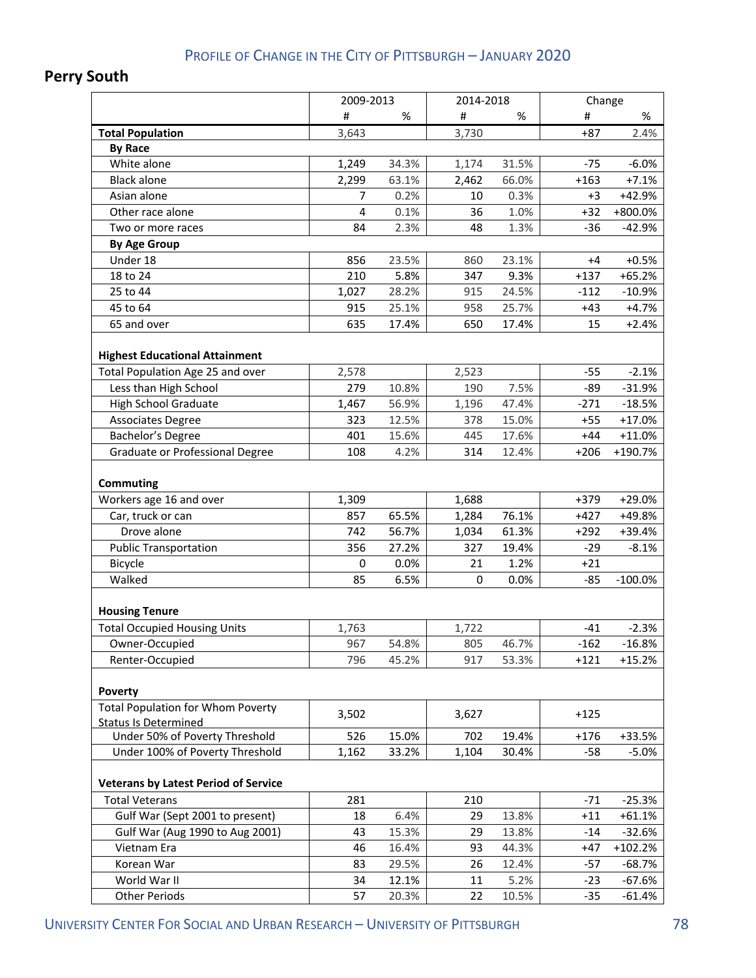## **Perry South**

|                                                                           | 2009-2013               |       | 2014-2018 |       | Change |            |
|---------------------------------------------------------------------------|-------------------------|-------|-----------|-------|--------|------------|
|                                                                           | #                       | %     | #         | %     | #      | %          |
| <b>Total Population</b>                                                   | 3,643                   |       | 3,730     |       | $+87$  | 2.4%       |
| <b>By Race</b>                                                            |                         |       |           |       |        |            |
| White alone                                                               | 1,249                   | 34.3% | 1,174     | 31.5% | $-75$  | $-6.0%$    |
| <b>Black alone</b>                                                        | 2,299                   | 63.1% | 2,462     | 66.0% | $+163$ | $+7.1%$    |
| Asian alone                                                               | $\overline{7}$          | 0.2%  | 10        | 0.3%  | $+3$   | +42.9%     |
| Other race alone                                                          | $\overline{\mathbf{4}}$ | 0.1%  | 36        | 1.0%  | $+32$  | +800.0%    |
| Two or more races                                                         | 84                      | 2.3%  | 48        | 1.3%  | $-36$  | $-42.9%$   |
| <b>By Age Group</b>                                                       |                         |       |           |       |        |            |
| Under 18                                                                  | 856                     | 23.5% | 860       | 23.1% | $+4$   | $+0.5%$    |
| 18 to 24                                                                  | 210                     | 5.8%  | 347       | 9.3%  | $+137$ | $+65.2%$   |
| 25 to 44                                                                  | 1,027                   | 28.2% | 915       | 24.5% | $-112$ | $-10.9%$   |
| 45 to 64                                                                  | 915                     | 25.1% | 958       | 25.7% | $+43$  | $+4.7%$    |
| 65 and over                                                               | 635                     | 17.4% | 650       | 17.4% | 15     | $+2.4%$    |
| <b>Highest Educational Attainment</b><br>Total Population Age 25 and over | 2,578                   |       | 2,523     |       | $-55$  | $-2.1%$    |
| Less than High School                                                     | 279                     | 10.8% | 190       | 7.5%  | $-89$  | $-31.9%$   |
| <b>High School Graduate</b>                                               | 1,467                   | 56.9% | 1,196     | 47.4% | $-271$ | $-18.5%$   |
| <b>Associates Degree</b>                                                  | 323                     | 12.5% | 378       | 15.0% | $+55$  | $+17.0%$   |
| Bachelor's Degree                                                         | 401                     | 15.6% | 445       | 17.6% | $+44$  | $+11.0%$   |
| Graduate or Professional Degree                                           | 108                     | 4.2%  | 314       | 12.4% | $+206$ | +190.7%    |
| Commuting                                                                 |                         |       |           |       |        |            |
| Workers age 16 and over                                                   | 1,309                   |       | 1,688     |       | $+379$ | +29.0%     |
| Car, truck or can                                                         | 857                     | 65.5% | 1,284     | 76.1% | $+427$ | +49.8%     |
| Drove alone                                                               | 742                     | 56.7% | 1,034     | 61.3% | $+292$ | +39.4%     |
| <b>Public Transportation</b>                                              | 356                     | 27.2% | 327       | 19.4% | $-29$  | $-8.1%$    |
| Bicycle                                                                   | 0                       | 0.0%  | 21        | 1.2%  | $+21$  |            |
| Walked                                                                    | 85                      | 6.5%  | 0         | 0.0%  | $-85$  | $-100.0\%$ |
| <b>Housing Tenure</b>                                                     |                         |       |           |       |        |            |
| <b>Total Occupied Housing Units</b>                                       | 1,763                   |       | 1,722     |       | $-41$  | $-2.3%$    |
| Owner-Occupied                                                            | 967                     | 54.8% | 805       | 46.7% | $-162$ | $-16.8%$   |
| Renter-Occupied                                                           | 796                     | 45.2% | 917       | 53.3% | $+121$ | $+15.2%$   |
| <b>Poverty</b>                                                            |                         |       |           |       |        |            |
| <b>Total Population for Whom Poverty</b><br><b>Status Is Determined</b>   | 3,502                   |       | 3,627     |       | $+125$ |            |
| Under 50% of Poverty Threshold                                            | 526                     | 15.0% | 702       | 19.4% | $+176$ | +33.5%     |
| Under 100% of Poverty Threshold                                           | 1,162                   | 33.2% | 1,104     | 30.4% | $-58$  | $-5.0%$    |
| <b>Veterans by Latest Period of Service</b>                               |                         |       |           |       |        |            |
| <b>Total Veterans</b>                                                     | 281                     |       | 210       |       | $-71$  | $-25.3%$   |
| Gulf War (Sept 2001 to present)                                           | 18                      | 6.4%  | 29        | 13.8% | $+11$  | $+61.1%$   |
| Gulf War (Aug 1990 to Aug 2001)                                           | 43                      | 15.3% | 29        | 13.8% | $-14$  | $-32.6%$   |
| Vietnam Era                                                               | 46                      | 16.4% | 93        | 44.3% | $+47$  | +102.2%    |
| Korean War                                                                | 83                      | 29.5% | 26        | 12.4% | $-57$  | $-68.7%$   |
| World War II                                                              | 34                      | 12.1% | 11        | 5.2%  | $-23$  | $-67.6%$   |
| <b>Other Periods</b>                                                      | 57                      | 20.3% | 22        | 10.5% | $-35$  | $-61.4%$   |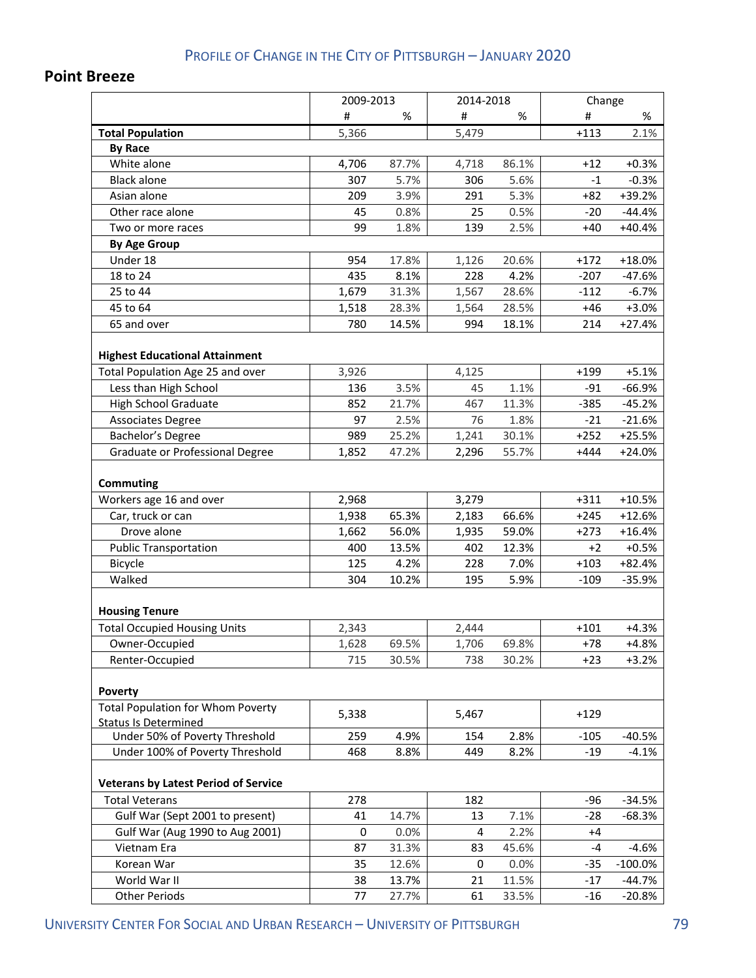#### **Point Breeze**

|                                                                           | 2009-2013 |       | 2014-2018 |       | Change |            |
|---------------------------------------------------------------------------|-----------|-------|-----------|-------|--------|------------|
|                                                                           | #         | %     | #         | %     | #      | %          |
| <b>Total Population</b>                                                   | 5,366     |       | 5,479     |       | $+113$ | 2.1%       |
| <b>By Race</b>                                                            |           |       |           |       |        |            |
| White alone                                                               | 4,706     | 87.7% | 4,718     | 86.1% | $+12$  | $+0.3%$    |
| <b>Black alone</b>                                                        | 307       | 5.7%  | 306       | 5.6%  | $-1$   | $-0.3%$    |
| Asian alone                                                               | 209       | 3.9%  | 291       | 5.3%  | $+82$  | +39.2%     |
| Other race alone                                                          | 45        | 0.8%  | 25        | 0.5%  | $-20$  | $-44.4%$   |
| Two or more races                                                         | 99        | 1.8%  | 139       | 2.5%  | $+40$  | $+40.4%$   |
| <b>By Age Group</b>                                                       |           |       |           |       |        |            |
| Under 18                                                                  | 954       | 17.8% | 1,126     | 20.6% | $+172$ | $+18.0%$   |
| 18 to 24                                                                  | 435       | 8.1%  | 228       | 4.2%  | $-207$ | $-47.6%$   |
| 25 to 44                                                                  | 1,679     | 31.3% | 1,567     | 28.6% | $-112$ | $-6.7%$    |
| 45 to 64                                                                  | 1,518     | 28.3% | 1,564     | 28.5% | $+46$  | $+3.0%$    |
| 65 and over                                                               | 780       | 14.5% | 994       | 18.1% | 214    | $+27.4%$   |
| <b>Highest Educational Attainment</b><br>Total Population Age 25 and over | 3,926     |       | 4,125     |       | $+199$ | $+5.1%$    |
| Less than High School                                                     | 136       | 3.5%  | 45        | 1.1%  | $-91$  | $-66.9%$   |
| <b>High School Graduate</b>                                               | 852       | 21.7% | 467       | 11.3% | $-385$ | $-45.2%$   |
| <b>Associates Degree</b>                                                  | 97        | 2.5%  | 76        | 1.8%  | $-21$  | $-21.6%$   |
| Bachelor's Degree                                                         | 989       | 25.2% | 1,241     | 30.1% | $+252$ | $+25.5%$   |
| Graduate or Professional Degree                                           | 1,852     | 47.2% | 2,296     | 55.7% | $+444$ | $+24.0%$   |
| Commuting                                                                 |           |       |           |       |        |            |
| Workers age 16 and over                                                   | 2,968     |       | 3,279     |       | $+311$ | $+10.5%$   |
| Car, truck or can                                                         | 1,938     | 65.3% | 2,183     | 66.6% | $+245$ | $+12.6%$   |
| Drove alone                                                               | 1,662     | 56.0% | 1,935     | 59.0% | $+273$ | $+16.4%$   |
| <b>Public Transportation</b>                                              | 400       | 13.5% | 402       | 12.3% | $+2$   | $+0.5%$    |
| Bicycle                                                                   | 125       | 4.2%  | 228       | 7.0%  | $+103$ | +82.4%     |
| Walked                                                                    | 304       | 10.2% | 195       | 5.9%  | $-109$ | $-35.9%$   |
| <b>Housing Tenure</b>                                                     |           |       |           |       |        |            |
| <b>Total Occupied Housing Units</b>                                       | 2,343     |       | 2,444     |       | $+101$ | $+4.3%$    |
| Owner-Occupied                                                            | 1,628     | 69.5% | 1,706     | 69.8% | $+78$  | $+4.8%$    |
| Renter-Occupied                                                           | 715       | 30.5% | 738       | 30.2% | $+23$  | $+3.2%$    |
| <b>Poverty</b>                                                            |           |       |           |       |        |            |
| <b>Total Population for Whom Poverty</b><br><b>Status Is Determined</b>   | 5,338     |       | 5,467     |       | $+129$ |            |
| Under 50% of Poverty Threshold                                            | 259       | 4.9%  | 154       | 2.8%  | $-105$ | $-40.5%$   |
| Under 100% of Poverty Threshold                                           | 468       | 8.8%  | 449       | 8.2%  | $-19$  | $-4.1%$    |
| <b>Veterans by Latest Period of Service</b>                               |           |       |           |       |        |            |
| <b>Total Veterans</b>                                                     | 278       |       | 182       |       | -96    | $-34.5%$   |
| Gulf War (Sept 2001 to present)                                           | 41        | 14.7% | 13        | 7.1%  | $-28$  | $-68.3%$   |
| Gulf War (Aug 1990 to Aug 2001)                                           | 0         | 0.0%  | 4         | 2.2%  | $+4$   |            |
| Vietnam Era                                                               | 87        | 31.3% | 83        | 45.6% | $-4$   | $-4.6%$    |
| Korean War                                                                | 35        | 12.6% | 0         | 0.0%  | $-35$  | $-100.0\%$ |
| World War II                                                              | 38        | 13.7% | 21        | 11.5% | $-17$  | $-44.7%$   |
| <b>Other Periods</b>                                                      | 77        | 27.7% | 61        | 33.5% | $-16$  | $-20.8%$   |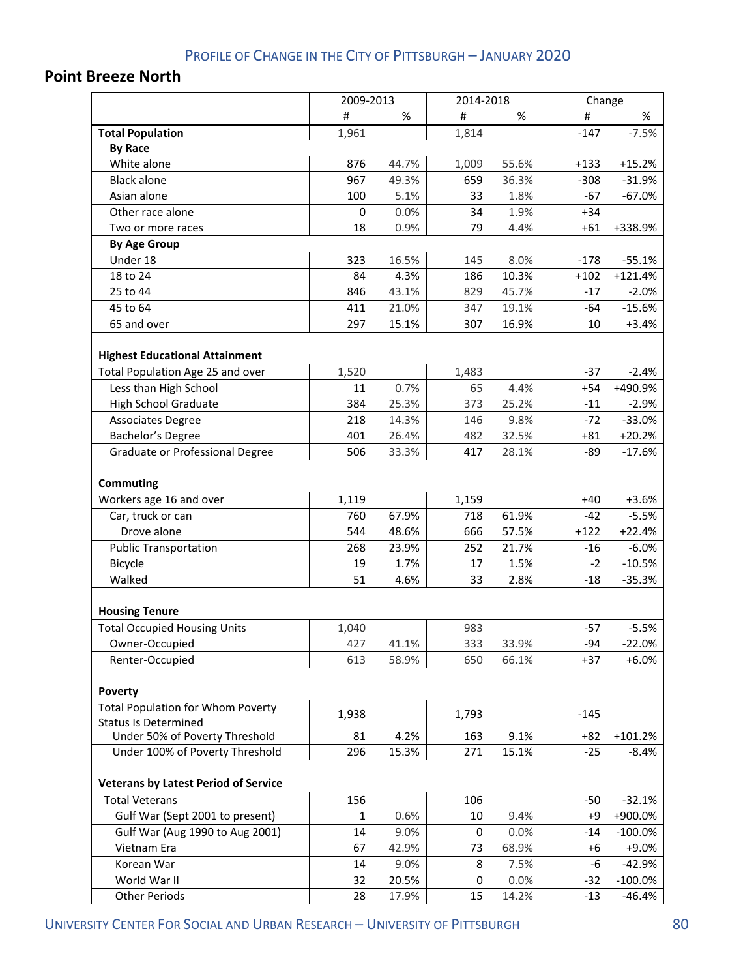#### **Point Breeze North**

|                                                                           | 2009-2013 |       | 2014-2018 |       | Change |            |
|---------------------------------------------------------------------------|-----------|-------|-----------|-------|--------|------------|
|                                                                           | #         | %     | #         | %     | #      | %          |
| <b>Total Population</b>                                                   | 1,961     |       | 1,814     |       | $-147$ | $-7.5%$    |
| <b>By Race</b>                                                            |           |       |           |       |        |            |
| White alone                                                               | 876       | 44.7% | 1,009     | 55.6% | $+133$ | $+15.2%$   |
| <b>Black alone</b>                                                        | 967       | 49.3% | 659       | 36.3% | $-308$ | $-31.9%$   |
| Asian alone                                                               | 100       | 5.1%  | 33        | 1.8%  | $-67$  | $-67.0%$   |
| Other race alone                                                          | 0         | 0.0%  | 34        | 1.9%  | $+34$  |            |
| Two or more races                                                         | 18        | 0.9%  | 79        | 4.4%  | $+61$  | +338.9%    |
| <b>By Age Group</b>                                                       |           |       |           |       |        |            |
| Under 18                                                                  | 323       | 16.5% | 145       | 8.0%  | $-178$ | $-55.1%$   |
| 18 to 24                                                                  | 84        | 4.3%  | 186       | 10.3% | $+102$ | $+121.4%$  |
| 25 to 44                                                                  | 846       | 43.1% | 829       | 45.7% | $-17$  | $-2.0%$    |
| 45 to 64                                                                  | 411       | 21.0% | 347       | 19.1% | $-64$  | $-15.6%$   |
| 65 and over                                                               | 297       | 15.1% | 307       | 16.9% | 10     | $+3.4%$    |
| <b>Highest Educational Attainment</b><br>Total Population Age 25 and over | 1,520     |       | 1,483     |       | $-37$  | $-2.4%$    |
| Less than High School                                                     | 11        | 0.7%  | 65        | 4.4%  | $+54$  | +490.9%    |
| <b>High School Graduate</b>                                               | 384       | 25.3% | 373       | 25.2% | $-11$  | $-2.9%$    |
| <b>Associates Degree</b>                                                  | 218       | 14.3% | 146       | 9.8%  | $-72$  | $-33.0%$   |
| Bachelor's Degree                                                         | 401       | 26.4% | 482       | 32.5% | $+81$  | $+20.2%$   |
| Graduate or Professional Degree                                           | 506       | 33.3% | 417       | 28.1% | -89    | $-17.6%$   |
| <b>Commuting</b><br>Workers age 16 and over                               | 1,119     |       | 1,159     |       | $+40$  | $+3.6%$    |
| Car, truck or can                                                         | 760       | 67.9% | 718       | 61.9% | $-42$  | $-5.5%$    |
| Drove alone                                                               | 544       | 48.6% | 666       | 57.5% | $+122$ | $+22.4%$   |
| <b>Public Transportation</b>                                              | 268       | 23.9% | 252       | 21.7% | $-16$  | $-6.0%$    |
| Bicycle                                                                   | 19        | 1.7%  | 17        | 1.5%  | $-2$   | $-10.5%$   |
| Walked                                                                    | 51        | 4.6%  | 33        | 2.8%  | $-18$  | $-35.3%$   |
| <b>Housing Tenure</b>                                                     |           |       |           |       |        |            |
| <b>Total Occupied Housing Units</b>                                       | 1,040     |       | 983       |       | $-57$  | $-5.5%$    |
| Owner-Occupied                                                            | 427       | 41.1% | 333       | 33.9% | $-94$  | $-22.0%$   |
| Renter-Occupied                                                           | 613       | 58.9% | 650       | 66.1% | $+37$  | $+6.0%$    |
| Poverty                                                                   |           |       |           |       |        |            |
| <b>Total Population for Whom Poverty</b><br><b>Status Is Determined</b>   | 1,938     |       | 1,793     |       | $-145$ |            |
| Under 50% of Poverty Threshold                                            | 81        | 4.2%  | 163       | 9.1%  | $+82$  | $+101.2%$  |
| Under 100% of Poverty Threshold                                           | 296       | 15.3% | 271       | 15.1% | $-25$  | $-8.4%$    |
| <b>Veterans by Latest Period of Service</b>                               |           |       |           |       |        |            |
| <b>Total Veterans</b>                                                     | 156       |       | 106       |       | $-50$  | $-32.1%$   |
| Gulf War (Sept 2001 to present)                                           | 1         | 0.6%  | 10        | 9.4%  | +9     | +900.0%    |
| Gulf War (Aug 1990 to Aug 2001)                                           | 14        | 9.0%  | 0         | 0.0%  | $-14$  | $-100.0\%$ |
| Vietnam Era                                                               | 67        | 42.9% | 73        | 68.9% | +6     | $+9.0%$    |
| Korean War                                                                | 14        | 9.0%  | 8         | 7.5%  | -6     | -42.9%     |
| World War II                                                              | 32        | 20.5% | 0         | 0.0%  | $-32$  | $-100.0\%$ |
| <b>Other Periods</b>                                                      | 28        | 17.9% | 15        | 14.2% | $-13$  | -46.4%     |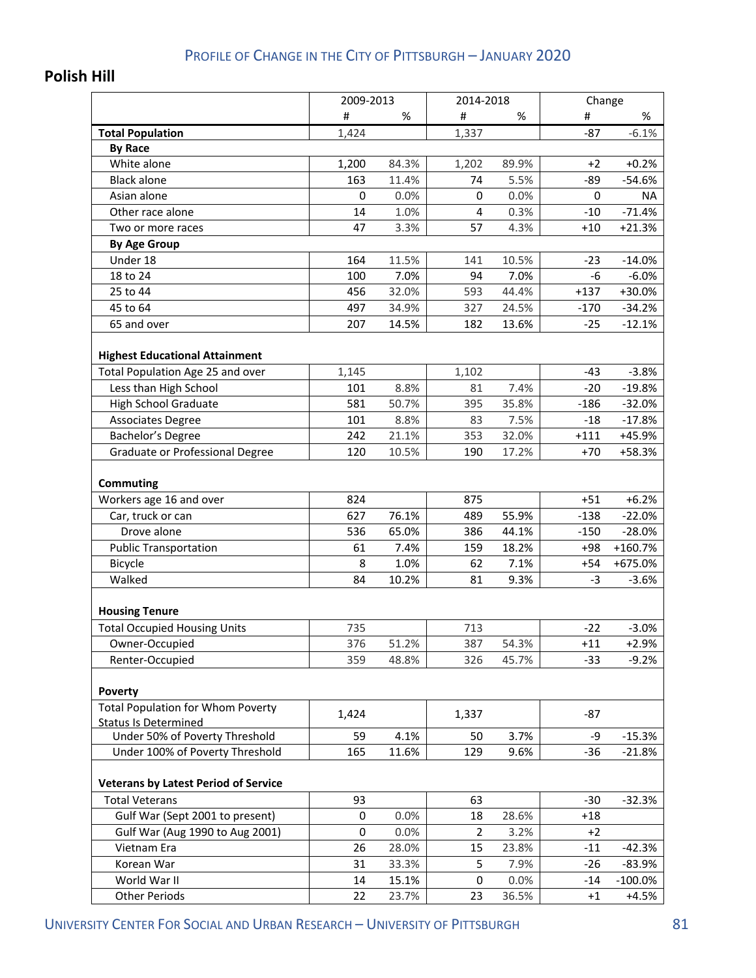## **Polish Hill**

|                                             | 2009-2013   |       | 2014-2018      |         | Change |            |
|---------------------------------------------|-------------|-------|----------------|---------|--------|------------|
|                                             | #           | %     | #              | %       | #      | %          |
| <b>Total Population</b>                     | 1,424       |       | 1,337          |         | $-87$  | $-6.1%$    |
| <b>By Race</b>                              |             |       |                |         |        |            |
| White alone                                 | 1,200       | 84.3% | 1,202          | 89.9%   | +2     | $+0.2%$    |
| <b>Black alone</b>                          | 163         | 11.4% | 74             | 5.5%    | $-89$  | $-54.6%$   |
| Asian alone                                 | $\mathbf 0$ | 0.0%  | $\mathbf 0$    | 0.0%    | 0      | <b>NA</b>  |
| Other race alone                            | 14          | 1.0%  | 4              | 0.3%    | $-10$  | $-71.4%$   |
| Two or more races                           | 47          | 3.3%  | 57             | 4.3%    | $+10$  | $+21.3%$   |
| <b>By Age Group</b>                         |             |       |                |         |        |            |
| Under 18                                    | 164         | 11.5% | 141            | 10.5%   | $-23$  | $-14.0%$   |
| 18 to 24                                    | 100         | 7.0%  | 94             | 7.0%    | -6     | $-6.0%$    |
| 25 to 44                                    | 456         | 32.0% | 593            | 44.4%   | $+137$ | +30.0%     |
| 45 to 64                                    | 497         | 34.9% | 327            | 24.5%   | $-170$ | $-34.2%$   |
| 65 and over                                 | 207         | 14.5% | 182            | 13.6%   | $-25$  | $-12.1%$   |
|                                             |             |       |                |         |        |            |
| <b>Highest Educational Attainment</b>       |             |       |                |         |        |            |
| Total Population Age 25 and over            | 1,145       |       | 1,102          |         | $-43$  | $-3.8%$    |
| Less than High School                       | 101         | 8.8%  | 81             | 7.4%    | $-20$  | $-19.8%$   |
| <b>High School Graduate</b>                 | 581         | 50.7% | 395            | 35.8%   | $-186$ | $-32.0%$   |
| <b>Associates Degree</b>                    | 101         | 8.8%  | 83             | 7.5%    | $-18$  | $-17.8%$   |
| Bachelor's Degree                           | 242         | 21.1% | 353            | 32.0%   | $+111$ | +45.9%     |
| Graduate or Professional Degree             | 120         | 10.5% | 190            | 17.2%   | $+70$  | +58.3%     |
|                                             |             |       |                |         |        |            |
| <b>Commuting</b>                            |             |       |                |         |        |            |
| Workers age 16 and over                     | 824         |       | 875            |         | $+51$  | $+6.2%$    |
| Car, truck or can                           | 627         | 76.1% | 489            | 55.9%   | $-138$ | $-22.0%$   |
| Drove alone                                 | 536         | 65.0% | 386            | 44.1%   | $-150$ | $-28.0%$   |
| <b>Public Transportation</b>                | 61          | 7.4%  | 159            | 18.2%   | $+98$  | $+160.7%$  |
| Bicycle                                     | 8           | 1.0%  | 62             | 7.1%    | $+54$  | +675.0%    |
| Walked                                      | 84          | 10.2% | 81             | 9.3%    | $-3$   | $-3.6%$    |
|                                             |             |       |                |         |        |            |
| <b>Housing Tenure</b>                       |             |       |                |         |        |            |
| <b>Total Occupied Housing Units</b>         | 735         |       | 713            |         | $-22$  | $-3.0%$    |
| Owner-Occupied                              | 376         | 51.2% | 387            | 54.3%   | $+11$  | $+2.9%$    |
| Renter-Occupied                             | 359         | 48.8% | 326            | 45.7%   | $-33$  | $-9.2%$    |
|                                             |             |       |                |         |        |            |
| Poverty                                     |             |       |                |         |        |            |
| <b>Total Population for Whom Poverty</b>    |             |       |                |         | -87    |            |
| <b>Status Is Determined</b>                 | 1,424       |       | 1,337          |         |        |            |
| Under 50% of Poverty Threshold              | 59          | 4.1%  | 50             | 3.7%    | -9     | $-15.3%$   |
| Under 100% of Poverty Threshold             | 165         | 11.6% | 129            | 9.6%    | $-36$  | $-21.8%$   |
|                                             |             |       |                |         |        |            |
| <b>Veterans by Latest Period of Service</b> |             |       |                |         |        |            |
| <b>Total Veterans</b>                       | 93          |       | 63             |         | $-30$  | $-32.3%$   |
| Gulf War (Sept 2001 to present)             | 0           | 0.0%  | 18             | 28.6%   | $+18$  |            |
| Gulf War (Aug 1990 to Aug 2001)             | 0           | 0.0%  | $\overline{2}$ | 3.2%    | $+2$   |            |
| Vietnam Era                                 | 26          | 28.0% | 15             | 23.8%   | $-11$  | $-42.3%$   |
| Korean War                                  | 31          | 33.3% | 5              | 7.9%    | $-26$  | $-83.9%$   |
| World War II                                | 14          | 15.1% | 0              | $0.0\%$ | $-14$  | $-100.0\%$ |
| <b>Other Periods</b>                        | 22          | 23.7% | 23             | 36.5%   | $+1$   | $+4.5%$    |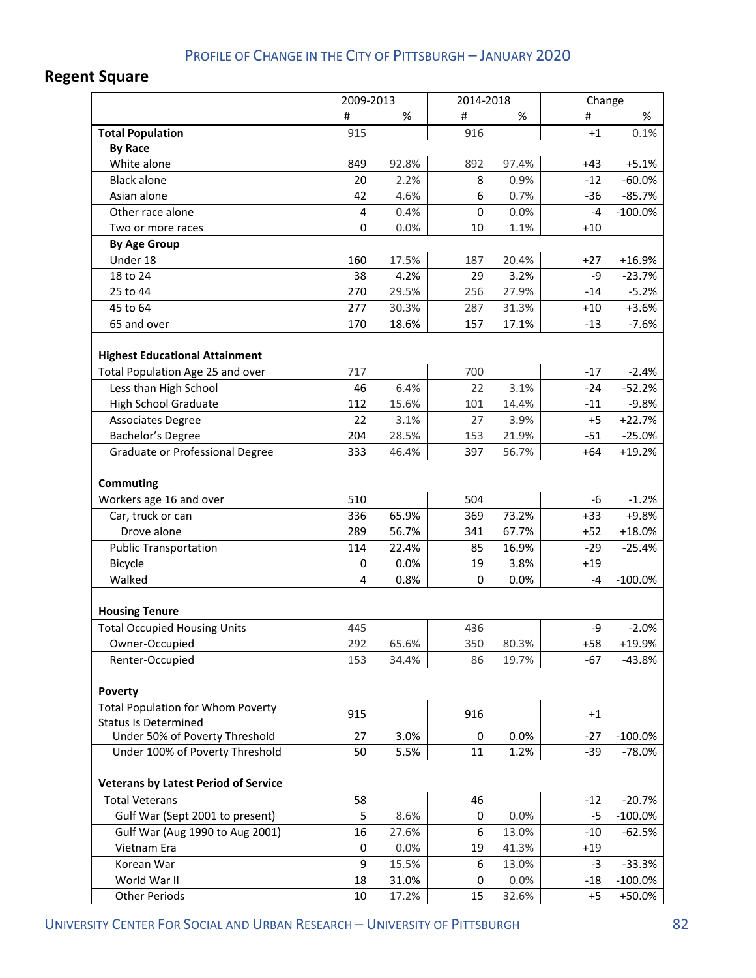## **Regent Square**

|                                                                           | 2009-2013      |       | 2014-2018   |       | Change |            |
|---------------------------------------------------------------------------|----------------|-------|-------------|-------|--------|------------|
|                                                                           | #              | %     | #           | %     | #      | %          |
| <b>Total Population</b>                                                   | 915            |       | 916         |       | $+1$   | 0.1%       |
| <b>By Race</b>                                                            |                |       |             |       |        |            |
| White alone                                                               | 849            | 92.8% | 892         | 97.4% | $+43$  | $+5.1%$    |
| <b>Black alone</b>                                                        | 20             | 2.2%  | 8           | 0.9%  | $-12$  | $-60.0%$   |
| Asian alone                                                               | 42             | 4.6%  | 6           | 0.7%  | $-36$  | $-85.7%$   |
| Other race alone                                                          | 4              | 0.4%  | 0           | 0.0%  | -4     | $-100.0\%$ |
| Two or more races                                                         | 0              | 0.0%  | 10          | 1.1%  | $+10$  |            |
| <b>By Age Group</b>                                                       |                |       |             |       |        |            |
| Under 18                                                                  | 160            | 17.5% | 187         | 20.4% | $+27$  | $+16.9%$   |
| 18 to 24                                                                  | 38             | 4.2%  | 29          | 3.2%  | -9     | $-23.7%$   |
| 25 to 44                                                                  | 270            | 29.5% | 256         | 27.9% | $-14$  | $-5.2%$    |
| 45 to 64                                                                  | 277            | 30.3% | 287         | 31.3% | $+10$  | $+3.6%$    |
| 65 and over                                                               | 170            | 18.6% | 157         | 17.1% | $-13$  | $-7.6%$    |
| <b>Highest Educational Attainment</b><br>Total Population Age 25 and over | 717            |       | 700         |       | $-17$  | $-2.4%$    |
| Less than High School                                                     | 46             | 6.4%  | 22          | 3.1%  | $-24$  | $-52.2%$   |
| <b>High School Graduate</b>                                               | 112            | 15.6% | 101         | 14.4% | $-11$  | $-9.8%$    |
| <b>Associates Degree</b>                                                  | 22             | 3.1%  | 27          | 3.9%  | $+5$   | $+22.7%$   |
| Bachelor's Degree                                                         | 204            | 28.5% | 153         | 21.9% | $-51$  | $-25.0%$   |
| Graduate or Professional Degree                                           | 333            | 46.4% | 397         | 56.7% | $+64$  | +19.2%     |
| <b>Commuting</b><br>Workers age 16 and over                               | 510            |       | 504         |       | -6     | $-1.2%$    |
| Car, truck or can                                                         | 336            | 65.9% | 369         | 73.2% | $+33$  | +9.8%      |
| Drove alone                                                               | 289            | 56.7% | 341         | 67.7% | $+52$  | $+18.0%$   |
| <b>Public Transportation</b>                                              | 114            | 22.4% | 85          | 16.9% | $-29$  | $-25.4%$   |
| Bicycle                                                                   | 0              | 0.0%  | 19          | 3.8%  | $+19$  |            |
| Walked                                                                    | $\overline{4}$ | 0.8%  | $\mathbf 0$ | 0.0%  | -4     | $-100.0\%$ |
| <b>Housing Tenure</b>                                                     |                |       |             |       |        |            |
| <b>Total Occupied Housing Units</b>                                       | 445            |       | 436         |       | -9     | $-2.0%$    |
| Owner-Occupied                                                            | 292            | 65.6% | 350         | 80.3% | $+58$  | +19.9%     |
| Renter-Occupied                                                           | 153            | 34.4% | 86          | 19.7% | $-67$  | $-43.8%$   |
| Poverty                                                                   |                |       |             |       |        |            |
| <b>Total Population for Whom Poverty</b><br><b>Status Is Determined</b>   | 915            |       | 916         |       | $+1$   |            |
| Under 50% of Poverty Threshold                                            | 27             | 3.0%  | 0           | 0.0%  | $-27$  | $-100.0%$  |
| Under 100% of Poverty Threshold                                           | 50             | 5.5%  | 11          | 1.2%  | $-39$  | $-78.0%$   |
| <b>Veterans by Latest Period of Service</b>                               |                |       |             |       |        |            |
| <b>Total Veterans</b>                                                     | 58             |       | 46          |       | $-12$  | $-20.7%$   |
| Gulf War (Sept 2001 to present)                                           | 5              | 8.6%  | 0           | 0.0%  | $-5$   | $-100.0%$  |
| Gulf War (Aug 1990 to Aug 2001)                                           | 16             | 27.6% | 6           | 13.0% | $-10$  | $-62.5%$   |
| Vietnam Era                                                               | 0              | 0.0%  | 19          | 41.3% | $+19$  |            |
| Korean War                                                                | 9              | 15.5% | 6           | 13.0% | -3     | $-33.3%$   |
| World War II                                                              | 18             | 31.0% | 0           | 0.0%  | $-18$  | $-100.0%$  |
| <b>Other Periods</b>                                                      | 10             | 17.2% | 15          | 32.6% | $+5$   | +50.0%     |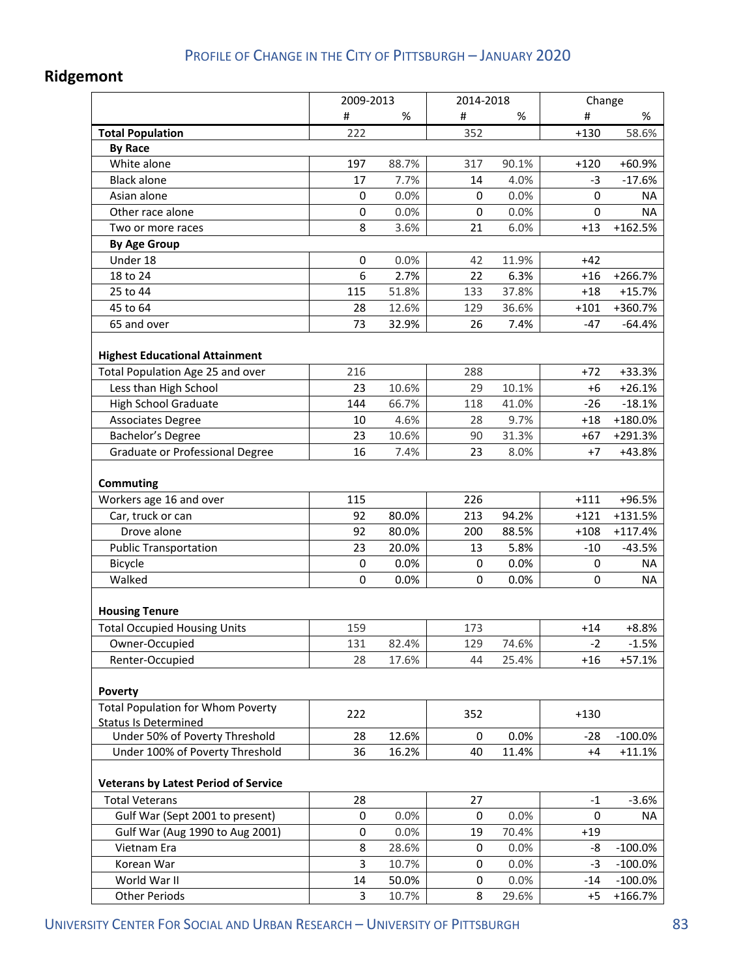## **Ridgemont**

|                                                                           |     | 2009-2013 |             | 2014-2018 |        | Change     |
|---------------------------------------------------------------------------|-----|-----------|-------------|-----------|--------|------------|
|                                                                           | #   | %         | #           | $\%$      | #      | %          |
| <b>Total Population</b>                                                   | 222 |           | 352         |           | $+130$ | 58.6%      |
| <b>By Race</b>                                                            |     |           |             |           |        |            |
| White alone                                                               | 197 | 88.7%     | 317         | 90.1%     | $+120$ | +60.9%     |
| <b>Black alone</b>                                                        | 17  | 7.7%      | 14          | 4.0%      | $-3$   | $-17.6%$   |
| Asian alone                                                               | 0   | 0.0%      | 0           | 0.0%      | 0      | NA.        |
| Other race alone                                                          | 0   | 0.0%      | $\mathbf 0$ | 0.0%      | 0      | <b>NA</b>  |
| Two or more races                                                         | 8   | 3.6%      | 21          | 6.0%      | $+13$  | +162.5%    |
| <b>By Age Group</b>                                                       |     |           |             |           |        |            |
| Under 18                                                                  | 0   | 0.0%      | 42          | 11.9%     | $+42$  |            |
| 18 to 24                                                                  | 6   | 2.7%      | 22          | 6.3%      | $+16$  | +266.7%    |
| 25 to 44                                                                  | 115 | 51.8%     | 133         | 37.8%     | $+18$  | $+15.7%$   |
| 45 to 64                                                                  | 28  | 12.6%     | 129         | 36.6%     | $+101$ | +360.7%    |
| 65 and over                                                               | 73  | 32.9%     | 26          | 7.4%      | $-47$  | $-64.4%$   |
| <b>Highest Educational Attainment</b><br>Total Population Age 25 and over | 216 |           | 288         |           | $+72$  | +33.3%     |
| Less than High School                                                     | 23  | 10.6%     | 29          | 10.1%     | $+6$   | $+26.1%$   |
| <b>High School Graduate</b>                                               | 144 | 66.7%     | 118         | 41.0%     | $-26$  | $-18.1%$   |
| <b>Associates Degree</b>                                                  | 10  | 4.6%      | 28          | 9.7%      | $+18$  | +180.0%    |
| Bachelor's Degree                                                         | 23  | 10.6%     | 90          | 31.3%     | $+67$  | +291.3%    |
| Graduate or Professional Degree                                           | 16  | 7.4%      | 23          | 8.0%      | +7     | +43.8%     |
| Commuting                                                                 |     |           |             |           |        |            |
| Workers age 16 and over                                                   | 115 |           | 226         |           | $+111$ | +96.5%     |
| Car, truck or can                                                         | 92  | 80.0%     | 213         | 94.2%     | $+121$ | +131.5%    |
| Drove alone                                                               | 92  | 80.0%     | 200         | 88.5%     | $+108$ | $+117.4%$  |
| <b>Public Transportation</b>                                              | 23  | 20.0%     | 13          | 5.8%      | $-10$  | $-43.5%$   |
| Bicycle                                                                   | 0   | 0.0%      | 0           | 0.0%      | 0      | NA         |
| Walked                                                                    | 0   | 0.0%      | 0           | 0.0%      | 0      | <b>NA</b>  |
| <b>Housing Tenure</b>                                                     |     |           |             |           |        |            |
| <b>Total Occupied Housing Units</b>                                       | 159 |           | 173         |           | $+14$  | $+8.8%$    |
| Owner-Occupied                                                            | 131 | 82.4%     | 129         | 74.6%     | $-2$   | $-1.5%$    |
| Renter-Occupied                                                           | 28  | 17.6%     | 44          | 25.4%     | $+16$  | $+57.1%$   |
| <b>Poverty</b>                                                            |     |           |             |           |        |            |
| <b>Total Population for Whom Poverty</b>                                  | 222 |           | 352         |           | $+130$ |            |
| <b>Status Is Determined</b>                                               |     |           |             |           |        |            |
| Under 50% of Poverty Threshold                                            | 28  | 12.6%     | 0           | 0.0%      | $-28$  | $-100.0\%$ |
| Under 100% of Poverty Threshold                                           | 36  | 16.2%     | 40          | 11.4%     | $+4$   | $+11.1%$   |
| <b>Veterans by Latest Period of Service</b>                               |     |           |             |           |        |            |
| <b>Total Veterans</b>                                                     | 28  |           | 27          |           | $-1$   | $-3.6%$    |
| Gulf War (Sept 2001 to present)                                           | 0   | 0.0%      | 0           | 0.0%      | 0      | <b>NA</b>  |
| Gulf War (Aug 1990 to Aug 2001)                                           | 0   | 0.0%      | 19          | 70.4%     | $+19$  |            |
| Vietnam Era                                                               | 8   | 28.6%     | $\mathbf 0$ | 0.0%      | -8     | $-100.0%$  |
| Korean War                                                                | 3   | 10.7%     | $\pmb{0}$   | 0.0%      | -3     | $-100.0%$  |
| World War II                                                              | 14  | 50.0%     | 0           | 0.0%      | $-14$  | $-100.0\%$ |
| <b>Other Periods</b>                                                      | 3   | 10.7%     | 8           | 29.6%     | $+5$   | +166.7%    |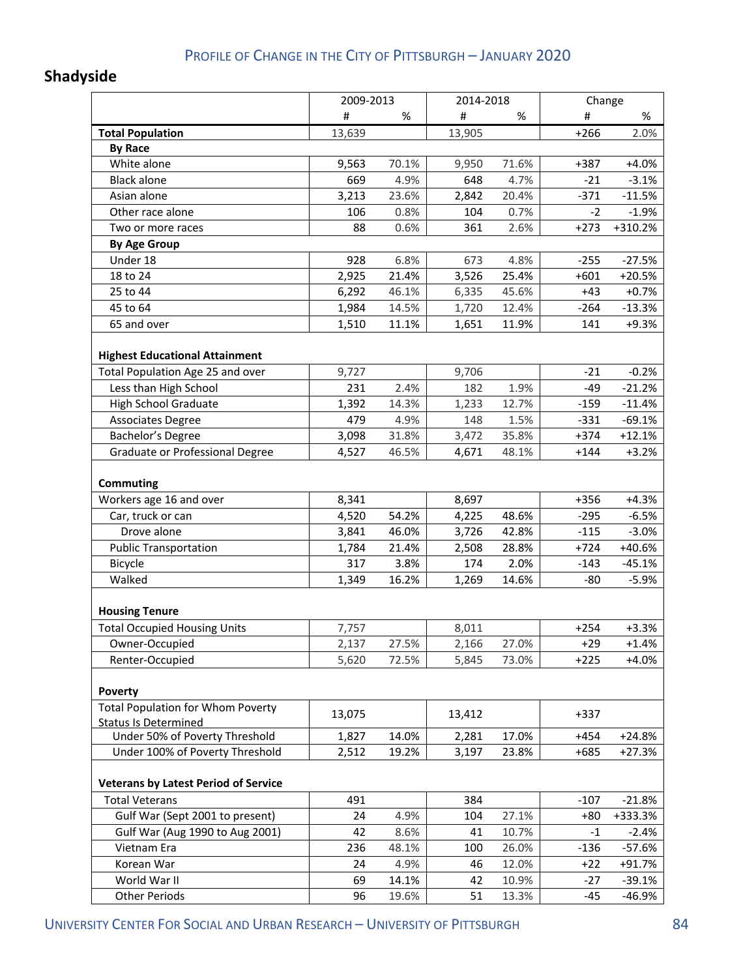# **Shadyside**

|                                                                           | 2009-2013 |               | 2014-2018 |       | Change           |                      |
|---------------------------------------------------------------------------|-----------|---------------|-----------|-------|------------------|----------------------|
|                                                                           | #         | %             | #         | %     | #                | %                    |
| <b>Total Population</b>                                                   | 13,639    |               | 13,905    |       | $+266$           | 2.0%                 |
| <b>By Race</b>                                                            |           |               |           |       |                  |                      |
| White alone                                                               | 9,563     | 70.1%         | 9,950     | 71.6% | $+387$           | $+4.0%$              |
| <b>Black alone</b>                                                        | 669       | 4.9%          | 648       | 4.7%  | $-21$            | $-3.1%$              |
| Asian alone                                                               | 3,213     | 23.6%         | 2,842     | 20.4% | $-371$           | $-11.5%$             |
| Other race alone                                                          | 106       | 0.8%          | 104       | 0.7%  | $-2$             | $-1.9%$              |
| Two or more races                                                         | 88        | 0.6%          | 361       | 2.6%  | $+273$           | +310.2%              |
| <b>By Age Group</b>                                                       |           |               |           |       |                  |                      |
| Under 18                                                                  | 928       | 6.8%          | 673       | 4.8%  | $-255$           | $-27.5%$             |
| 18 to 24                                                                  | 2,925     | 21.4%         | 3,526     | 25.4% | $+601$           | $+20.5%$             |
| 25 to 44                                                                  | 6,292     | 46.1%         | 6,335     | 45.6% | $+43$            | $+0.7%$              |
| 45 to 64                                                                  | 1,984     | 14.5%         | 1,720     | 12.4% | $-264$           | $-13.3%$             |
| 65 and over                                                               | 1,510     | 11.1%         | 1,651     | 11.9% | 141              | $+9.3%$              |
| <b>Highest Educational Attainment</b><br>Total Population Age 25 and over | 9,727     |               | 9,706     |       | $-21$            | $-0.2%$              |
| Less than High School                                                     | 231       | 2.4%          | 182       | 1.9%  | $-49$            | $-21.2%$             |
| <b>High School Graduate</b>                                               | 1,392     | 14.3%         | 1,233     | 12.7% | $-159$           | $-11.4%$             |
|                                                                           | 479       |               |           | 1.5%  |                  |                      |
| <b>Associates Degree</b><br>Bachelor's Degree                             | 3,098     | 4.9%<br>31.8% | 148       | 35.8% | $-331$<br>$+374$ | $-69.1%$<br>$+12.1%$ |
|                                                                           | 4,527     | 46.5%         | 3,472     | 48.1% |                  | $+3.2%$              |
| Graduate or Professional Degree                                           |           |               | 4,671     |       | $+144$           |                      |
| <b>Commuting</b>                                                          |           |               |           |       |                  |                      |
| Workers age 16 and over                                                   | 8,341     |               | 8,697     |       | $+356$           | $+4.3%$              |
| Car, truck or can                                                         | 4,520     | 54.2%         | 4,225     | 48.6% | $-295$           | $-6.5%$              |
| Drove alone                                                               | 3,841     | 46.0%         | 3,726     | 42.8% | $-115$           | $-3.0%$              |
| <b>Public Transportation</b>                                              | 1,784     | 21.4%         | 2,508     | 28.8% | $+724$           | +40.6%               |
| Bicycle                                                                   | 317       | 3.8%          | 174       | 2.0%  | $-143$           | $-45.1%$             |
| Walked                                                                    | 1,349     | 16.2%         | 1,269     | 14.6% | -80              | $-5.9%$              |
| <b>Housing Tenure</b>                                                     |           |               |           |       |                  |                      |
| <b>Total Occupied Housing Units</b>                                       | 7,757     |               | 8,011     |       | $+254$           | $+3.3%$              |
| Owner-Occupied                                                            | 2,137     | 27.5%         | 2,166     | 27.0% | $+29$            | $+1.4%$              |
| Renter-Occupied                                                           | 5,620     | 72.5%         | 5,845     | 73.0% | $+225$           | $+4.0%$              |
| Poverty                                                                   |           |               |           |       |                  |                      |
| <b>Total Population for Whom Poverty</b><br><b>Status Is Determined</b>   | 13,075    |               | 13,412    |       | $+337$           |                      |
| Under 50% of Poverty Threshold                                            | 1,827     | 14.0%         | 2,281     | 17.0% | $+454$           | $+24.8%$             |
| Under 100% of Poverty Threshold                                           | 2,512     | 19.2%         | 3,197     | 23.8% | $+685$           | $+27.3%$             |
| <b>Veterans by Latest Period of Service</b>                               |           |               |           |       |                  |                      |
| <b>Total Veterans</b>                                                     | 491       |               | 384       |       | $-107$           | $-21.8%$             |
| Gulf War (Sept 2001 to present)                                           | 24        | 4.9%          | 104       | 27.1% | $+80$            | +333.3%              |
| Gulf War (Aug 1990 to Aug 2001)                                           | 42        | 8.6%          | 41        | 10.7% | $-1$             | $-2.4%$              |
| Vietnam Era                                                               | 236       | 48.1%         | 100       | 26.0% | $-136$           | $-57.6%$             |
| Korean War                                                                | 24        | 4.9%          | 46        | 12.0% | $+22$            | +91.7%               |
| World War II                                                              | 69        | 14.1%         | 42        | 10.9% | $-27$            | $-39.1%$             |
| <b>Other Periods</b>                                                      | 96        | 19.6%         | 51        | 13.3% | $-45$            | $-46.9%$             |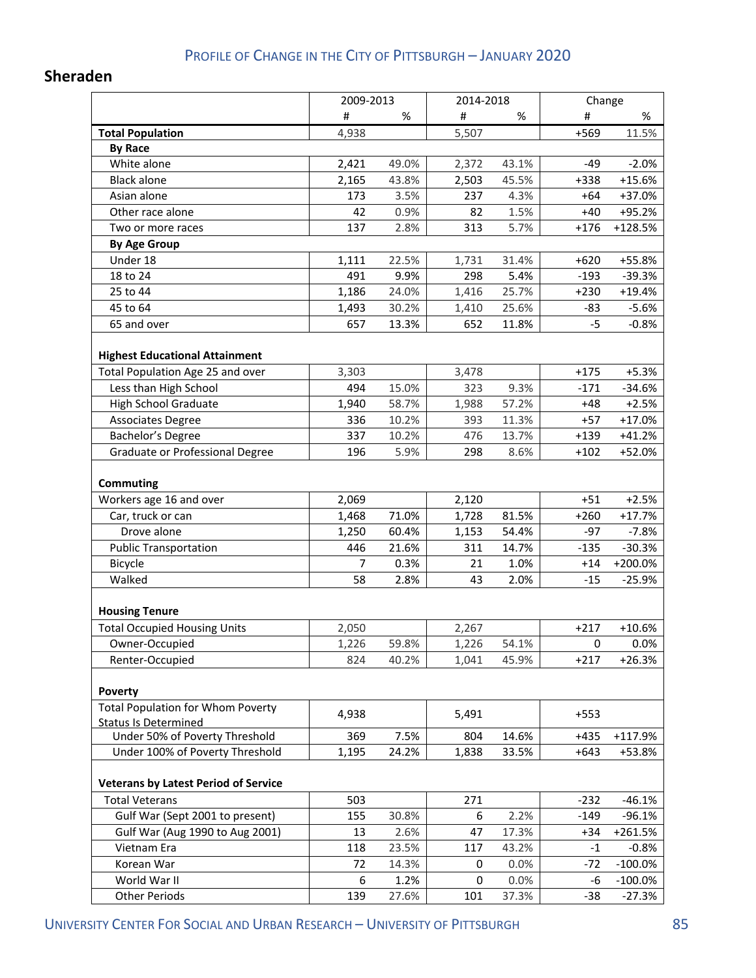## **Sheraden**

|                                                               | 2009-2013 |       | 2014-2018 |         | Change |            |
|---------------------------------------------------------------|-----------|-------|-----------|---------|--------|------------|
|                                                               | #         | %     | #         | %       | #      | %          |
| <b>Total Population</b>                                       | 4,938     |       | 5,507     |         | +569   | 11.5%      |
| <b>By Race</b>                                                |           |       |           |         |        |            |
| White alone                                                   | 2,421     | 49.0% | 2,372     | 43.1%   | $-49$  | $-2.0%$    |
| <b>Black alone</b>                                            | 2,165     | 43.8% | 2,503     | 45.5%   | $+338$ | $+15.6%$   |
| Asian alone                                                   | 173       | 3.5%  | 237       | 4.3%    | $+64$  | +37.0%     |
| Other race alone                                              | 42        | 0.9%  | 82        | 1.5%    | $+40$  | +95.2%     |
| Two or more races                                             | 137       | 2.8%  | 313       | 5.7%    | $+176$ | +128.5%    |
| <b>By Age Group</b>                                           |           |       |           |         |        |            |
| Under 18                                                      | 1,111     | 22.5% | 1,731     | 31.4%   | $+620$ | +55.8%     |
| 18 to 24                                                      | 491       | 9.9%  | 298       | 5.4%    | $-193$ | $-39.3%$   |
| 25 to 44                                                      | 1,186     | 24.0% | 1,416     | 25.7%   | $+230$ | $+19.4%$   |
| 45 to 64                                                      | 1,493     | 30.2% | 1,410     | 25.6%   | $-83$  | $-5.6%$    |
| 65 and over                                                   | 657       | 13.3% | 652       | 11.8%   | -5     | $-0.8%$    |
| <b>Highest Educational Attainment</b>                         |           |       |           |         |        |            |
| Total Population Age 25 and over                              | 3,303     |       | 3,478     |         | $+175$ | $+5.3%$    |
| Less than High School                                         | 494       | 15.0% | 323       | 9.3%    | $-171$ | $-34.6%$   |
| <b>High School Graduate</b>                                   | 1,940     | 58.7% | 1,988     | 57.2%   | $+48$  | $+2.5%$    |
| <b>Associates Degree</b>                                      | 336       | 10.2% | 393       | 11.3%   | $+57$  | $+17.0%$   |
| Bachelor's Degree                                             | 337       | 10.2% | 476       | 13.7%   | $+139$ | $+41.2%$   |
| Graduate or Professional Degree                               | 196       | 5.9%  | 298       | 8.6%    | $+102$ | +52.0%     |
| <b>Commuting</b>                                              |           |       |           |         |        |            |
| Workers age 16 and over                                       | 2,069     |       | 2,120     |         | $+51$  | $+2.5%$    |
| Car, truck or can                                             | 1,468     | 71.0% | 1,728     | 81.5%   | $+260$ | $+17.7%$   |
| Drove alone                                                   | 1,250     | 60.4% | 1,153     | 54.4%   | $-97$  | $-7.8%$    |
| <b>Public Transportation</b>                                  | 446       | 21.6% | 311       | 14.7%   | $-135$ | $-30.3%$   |
| Bicycle                                                       | 7         | 0.3%  | 21        | 1.0%    | $+14$  | +200.0%    |
| Walked                                                        | 58        | 2.8%  | 43        | 2.0%    | $-15$  | $-25.9%$   |
| <b>Housing Tenure</b>                                         |           |       |           |         |        |            |
| <b>Total Occupied Housing Units</b>                           | 2,050     |       | 2,267     |         | $+217$ | $+10.6%$   |
| Owner-Occupied                                                | 1,226     | 59.8% | 1,226     | 54.1%   | 0      | $0.0\%$    |
| Renter-Occupied                                               | 824       | 40.2% | 1,041     | 45.9%   | $+217$ | $+26.3%$   |
| Poverty                                                       |           |       |           |         |        |            |
| <b>Total Population for Whom Poverty</b>                      | 4,938     |       | 5,491     |         | $+553$ |            |
| <b>Status Is Determined</b><br>Under 50% of Poverty Threshold | 369       | 7.5%  | 804       | 14.6%   | $+435$ | +117.9%    |
| Under 100% of Poverty Threshold                               | 1,195     | 24.2% | 1,838     | 33.5%   | $+643$ | +53.8%     |
| <b>Veterans by Latest Period of Service</b>                   |           |       |           |         |        |            |
| <b>Total Veterans</b>                                         | 503       |       | 271       |         | $-232$ | $-46.1%$   |
| Gulf War (Sept 2001 to present)                               | 155       | 30.8% | 6         | 2.2%    | $-149$ | $-96.1%$   |
| Gulf War (Aug 1990 to Aug 2001)                               | 13        | 2.6%  | 47        | 17.3%   | $+34$  | +261.5%    |
| Vietnam Era                                                   | 118       | 23.5% | 117       | 43.2%   | $-1$   | $-0.8%$    |
| Korean War                                                    | 72        | 14.3% | 0         | 0.0%    | -72    | $-100.0\%$ |
| World War II                                                  | 6         | 1.2%  | 0         | $0.0\%$ | -6     | $-100.0\%$ |
| <b>Other Periods</b>                                          | 139       | 27.6% | 101       | 37.3%   | $-38$  | $-27.3%$   |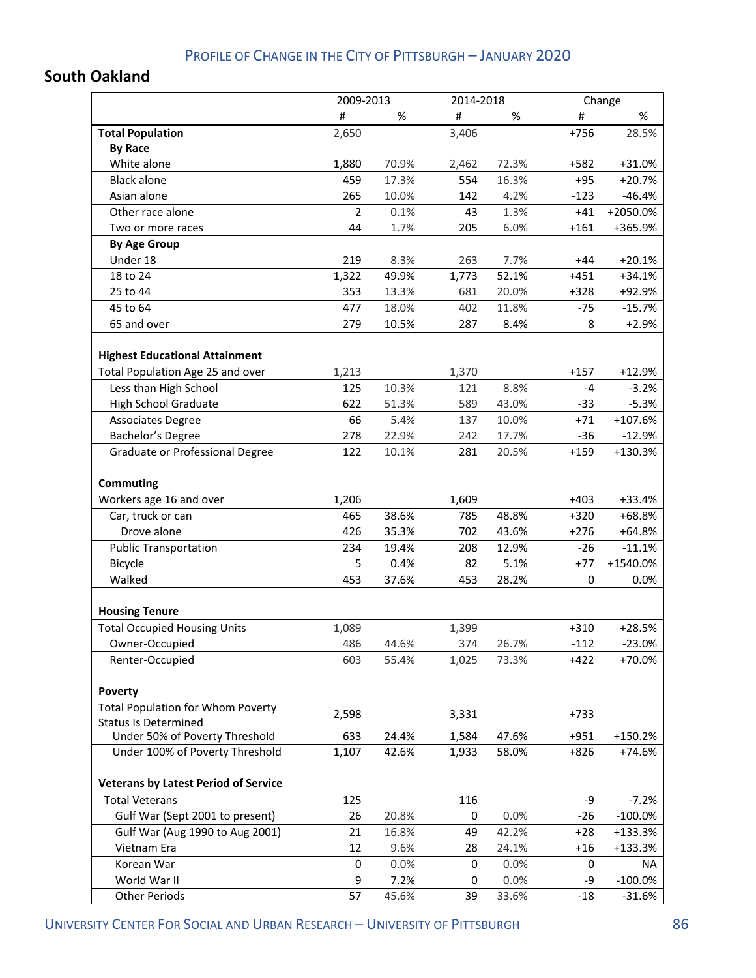## **South Oakland**

|                                                                           | 2009-2013      |       | 2014-2018 |       |        | Change    |
|---------------------------------------------------------------------------|----------------|-------|-----------|-------|--------|-----------|
|                                                                           | #              | %     | #         | %     | #      | %         |
| <b>Total Population</b>                                                   | 2,650          |       | 3,406     |       | $+756$ | 28.5%     |
| <b>By Race</b>                                                            |                |       |           |       |        |           |
| White alone                                                               | 1,880          | 70.9% | 2,462     | 72.3% | $+582$ | $+31.0%$  |
| <b>Black alone</b>                                                        | 459            | 17.3% | 554       | 16.3% | $+95$  | $+20.7%$  |
| Asian alone                                                               | 265            | 10.0% | 142       | 4.2%  | $-123$ | $-46.4%$  |
| Other race alone                                                          | $\overline{2}$ | 0.1%  | 43        | 1.3%  | $+41$  | +2050.0%  |
| Two or more races                                                         | 44             | 1.7%  | 205       | 6.0%  | $+161$ | +365.9%   |
| <b>By Age Group</b>                                                       |                |       |           |       |        |           |
| Under 18                                                                  | 219            | 8.3%  | 263       | 7.7%  | $+44$  | $+20.1%$  |
| 18 to 24                                                                  | 1,322          | 49.9% | 1,773     | 52.1% | $+451$ | $+34.1%$  |
| 25 to 44                                                                  | 353            | 13.3% | 681       | 20.0% | $+328$ | +92.9%    |
| 45 to 64                                                                  | 477            | 18.0% | 402       | 11.8% | $-75$  | $-15.7%$  |
| 65 and over                                                               | 279            | 10.5% | 287       | 8.4%  | 8      | $+2.9%$   |
| <b>Highest Educational Attainment</b><br>Total Population Age 25 and over | 1,213          |       | 1,370     |       | $+157$ | $+12.9%$  |
| Less than High School                                                     | 125            | 10.3% | 121       | 8.8%  | $-4$   | $-3.2%$   |
| <b>High School Graduate</b>                                               | 622            | 51.3% | 589       | 43.0% | -33    | $-5.3%$   |
| <b>Associates Degree</b>                                                  | 66             | 5.4%  | 137       | 10.0% | $+71$  | +107.6%   |
| Bachelor's Degree                                                         | 278            | 22.9% | 242       | 17.7% | $-36$  | $-12.9%$  |
| Graduate or Professional Degree                                           | 122            | 10.1% | 281       | 20.5% | $+159$ | +130.3%   |
| <b>Commuting</b><br>Workers age 16 and over                               | 1,206          |       | 1,609     |       | $+403$ | +33.4%    |
| Car, truck or can                                                         | 465            | 38.6% | 785       | 48.8% | $+320$ | +68.8%    |
| Drove alone                                                               | 426            | 35.3% | 702       | 43.6% | $+276$ | $+64.8%$  |
| <b>Public Transportation</b>                                              | 234            | 19.4% | 208       | 12.9% | $-26$  | $-11.1%$  |
| Bicycle                                                                   | 5              | 0.4%  | 82        | 5.1%  | $+77$  | +1540.0%  |
| Walked                                                                    | 453            | 37.6% | 453       | 28.2% | 0      | 0.0%      |
|                                                                           |                |       |           |       |        |           |
| <b>Housing Tenure</b>                                                     |                |       |           |       |        |           |
| <b>Total Occupied Housing Units</b>                                       | 1,089          |       | 1,399     |       | $+310$ | $+28.5%$  |
| Owner-Occupied                                                            | 486            | 44.6% | 374       | 26.7% | $-112$ | $-23.0\%$ |
| Renter-Occupied                                                           | 603            | 55.4% | 1,025     | 73.3% | $+422$ | +70.0%    |
| <b>Poverty</b>                                                            |                |       |           |       |        |           |
| <b>Total Population for Whom Poverty</b>                                  |                |       |           |       |        |           |
| <b>Status Is Determined</b>                                               | 2,598          |       | 3,331     |       | +733   |           |
| Under 50% of Poverty Threshold                                            | 633            | 24.4% | 1,584     | 47.6% | $+951$ | +150.2%   |
| Under 100% of Poverty Threshold                                           | 1,107          | 42.6% | 1,933     | 58.0% | $+826$ | $+74.6%$  |
| <b>Veterans by Latest Period of Service</b>                               |                |       |           |       |        |           |
| <b>Total Veterans</b>                                                     | 125            |       | 116       |       | -9     | $-7.2%$   |
| Gulf War (Sept 2001 to present)                                           | 26             | 20.8% | 0         | 0.0%  | $-26$  | $-100.0%$ |
| Gulf War (Aug 1990 to Aug 2001)                                           | 21             | 16.8% | 49        | 42.2% | $+28$  | +133.3%   |
| Vietnam Era                                                               | 12             | 9.6%  | 28        | 24.1% | $+16$  | +133.3%   |
| Korean War                                                                | 0              | 0.0%  | 0         | 0.0%  | 0      | ΝA        |
| World War II                                                              | 9              | 7.2%  | 0         | 0.0%  | -9     | $-100.0%$ |
| <b>Other Periods</b>                                                      | 57             | 45.6% | 39        | 33.6% | $-18$  | $-31.6%$  |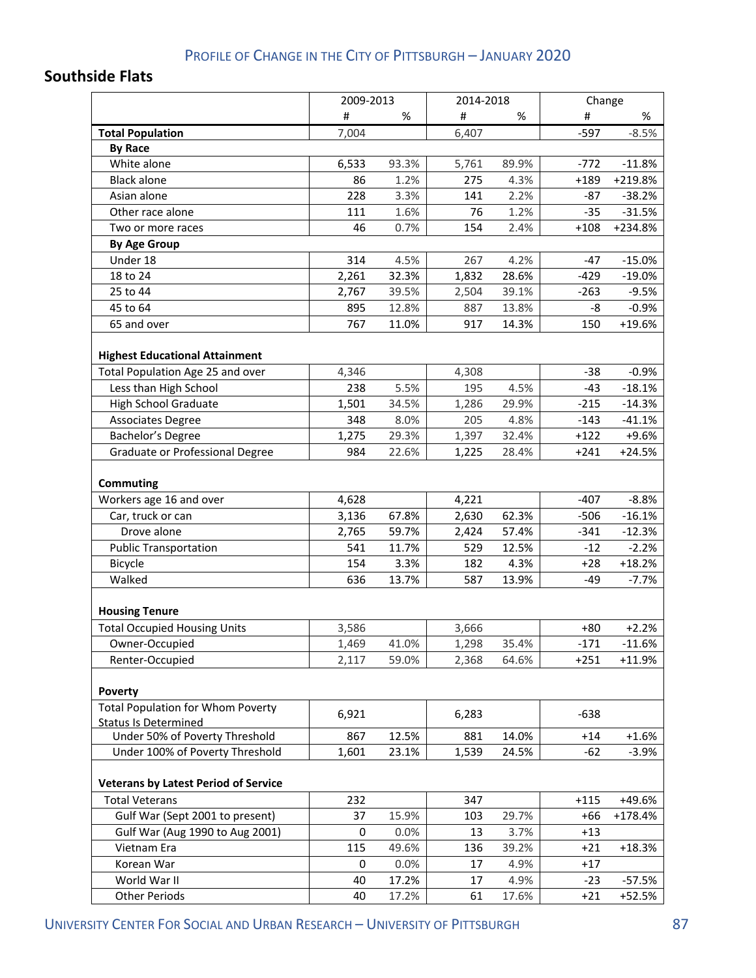#### **Southside Flats**

|                                                                           | 2009-2013 |       |       | 2014-2018 |        | Change   |
|---------------------------------------------------------------------------|-----------|-------|-------|-----------|--------|----------|
|                                                                           | #         | %     | #     | %         | #      | %        |
| <b>Total Population</b>                                                   | 7,004     |       | 6,407 |           | $-597$ | $-8.5%$  |
| <b>By Race</b>                                                            |           |       |       |           |        |          |
| White alone                                                               | 6,533     | 93.3% | 5,761 | 89.9%     | $-772$ | $-11.8%$ |
| <b>Black alone</b>                                                        | 86        | 1.2%  | 275   | 4.3%      | $+189$ | +219.8%  |
| Asian alone                                                               | 228       | 3.3%  | 141   | 2.2%      | $-87$  | $-38.2%$ |
| Other race alone                                                          | 111       | 1.6%  | 76    | 1.2%      | $-35$  | $-31.5%$ |
| Two or more races                                                         | 46        | 0.7%  | 154   | 2.4%      | $+108$ | +234.8%  |
| <b>By Age Group</b>                                                       |           |       |       |           |        |          |
| Under 18                                                                  | 314       | 4.5%  | 267   | 4.2%      | $-47$  | $-15.0%$ |
| 18 to 24                                                                  | 2,261     | 32.3% | 1,832 | 28.6%     | $-429$ | $-19.0%$ |
| 25 to 44                                                                  | 2,767     | 39.5% | 2,504 | 39.1%     | $-263$ | $-9.5%$  |
| 45 to 64                                                                  | 895       | 12.8% | 887   | 13.8%     | -8     | $-0.9%$  |
| 65 and over                                                               | 767       | 11.0% | 917   | 14.3%     | 150    | $+19.6%$ |
| <b>Highest Educational Attainment</b><br>Total Population Age 25 and over | 4,346     |       | 4,308 |           | $-38$  | $-0.9%$  |
| Less than High School                                                     | 238       | 5.5%  | 195   | 4.5%      | $-43$  | $-18.1%$ |
| <b>High School Graduate</b>                                               | 1,501     | 34.5% | 1,286 | 29.9%     | $-215$ | $-14.3%$ |
| <b>Associates Degree</b>                                                  | 348       | 8.0%  | 205   | 4.8%      | $-143$ | $-41.1%$ |
| Bachelor's Degree                                                         | 1,275     | 29.3% | 1,397 | 32.4%     | $+122$ | $+9.6%$  |
| Graduate or Professional Degree                                           | 984       | 22.6% | 1,225 | 28.4%     | $+241$ | +24.5%   |
| Commuting                                                                 |           |       |       |           |        |          |
| Workers age 16 and over                                                   | 4,628     |       | 4,221 |           | $-407$ | $-8.8%$  |
| Car, truck or can<br>Drove alone                                          | 3,136     | 67.8% | 2,630 | 62.3%     | $-506$ | $-16.1%$ |
|                                                                           | 2,765     | 59.7% | 2,424 | 57.4%     | $-341$ | $-12.3%$ |
| <b>Public Transportation</b>                                              | 541       | 11.7% | 529   | 12.5%     | $-12$  | $-2.2%$  |
| Bicycle                                                                   | 154       | 3.3%  | 182   | 4.3%      | $+28$  | $+18.2%$ |
| Walked                                                                    | 636       | 13.7% | 587   | 13.9%     | $-49$  | $-7.7%$  |
| <b>Housing Tenure</b>                                                     |           |       |       |           |        |          |
| <b>Total Occupied Housing Units</b>                                       | 3,586     |       | 3,666 |           | $+80$  | $+2.2%$  |
| Owner-Occupied                                                            | 1,469     | 41.0% | 1,298 | 35.4%     | $-171$ | $-11.6%$ |
| Renter-Occupied                                                           | 2,117     | 59.0% | 2,368 | 64.6%     | $+251$ | $+11.9%$ |
| Poverty                                                                   |           |       |       |           |        |          |
| <b>Total Population for Whom Poverty</b>                                  | 6,921     |       | 6,283 |           | $-638$ |          |
| <b>Status Is Determined</b>                                               |           |       |       |           |        |          |
| Under 50% of Poverty Threshold                                            | 867       | 12.5% | 881   | 14.0%     | $+14$  | $+1.6%$  |
| Under 100% of Poverty Threshold                                           | 1,601     | 23.1% | 1,539 | 24.5%     | $-62$  | $-3.9%$  |
| <b>Veterans by Latest Period of Service</b>                               |           |       |       |           |        |          |
| <b>Total Veterans</b>                                                     | 232       |       | 347   |           | $+115$ | +49.6%   |
| Gulf War (Sept 2001 to present)                                           | 37        | 15.9% | 103   | 29.7%     | $+66$  | +178.4%  |
| Gulf War (Aug 1990 to Aug 2001)                                           | 0         | 0.0%  | 13    | 3.7%      | $+13$  |          |
| Vietnam Era                                                               | 115       | 49.6% | 136   | 39.2%     | $+21$  | $+18.3%$ |
| Korean War                                                                | 0         | 0.0%  | 17    | 4.9%      | $+17$  |          |
| World War II                                                              | 40        | 17.2% | 17    | 4.9%      | $-23$  | $-57.5%$ |
| <b>Other Periods</b>                                                      | 40        | 17.2% | 61    | 17.6%     | $+21$  | +52.5%   |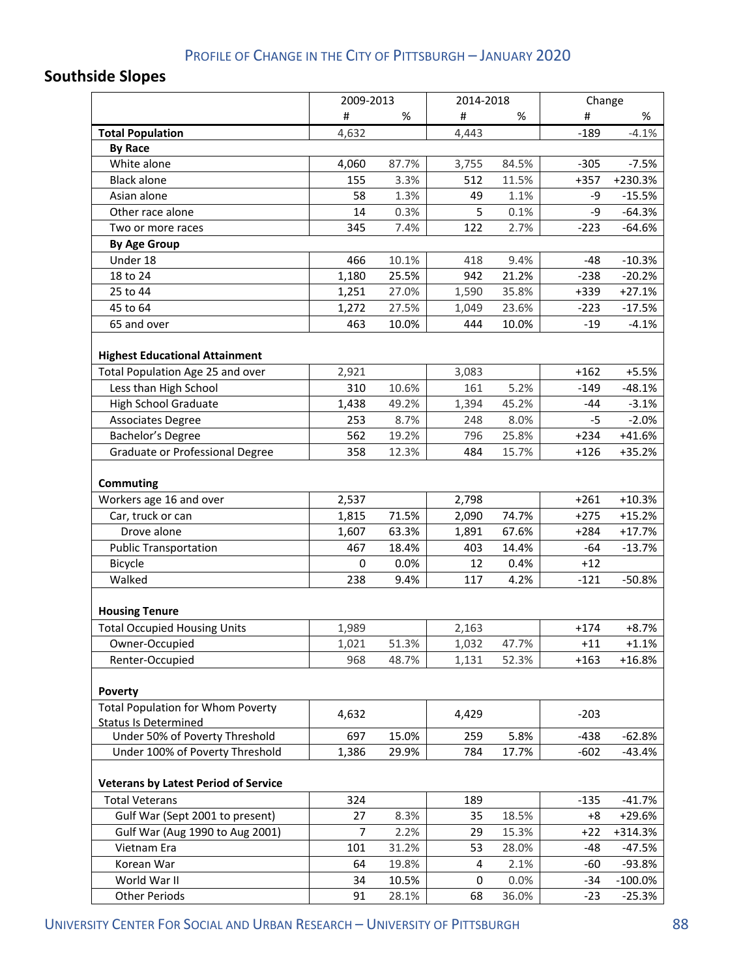## **Southside Slopes**

|                                                                           | 2009-2013 |       | 2014-2018 |       | Change |            |
|---------------------------------------------------------------------------|-----------|-------|-----------|-------|--------|------------|
|                                                                           | #         | %     | #         | $\%$  | #      | %          |
| <b>Total Population</b>                                                   | 4,632     |       | 4,443     |       | $-189$ | $-4.1%$    |
| <b>By Race</b>                                                            |           |       |           |       |        |            |
| White alone                                                               | 4,060     | 87.7% | 3,755     | 84.5% | $-305$ | $-7.5%$    |
| <b>Black alone</b>                                                        | 155       | 3.3%  | 512       | 11.5% | $+357$ | +230.3%    |
| Asian alone                                                               | 58        | 1.3%  | 49        | 1.1%  | -9     | $-15.5%$   |
| Other race alone                                                          | 14        | 0.3%  | 5         | 0.1%  | -9     | $-64.3%$   |
| Two or more races                                                         | 345       | 7.4%  | 122       | 2.7%  | $-223$ | $-64.6%$   |
| <b>By Age Group</b>                                                       |           |       |           |       |        |            |
| Under 18                                                                  | 466       | 10.1% | 418       | 9.4%  | -48    | $-10.3%$   |
| 18 to 24                                                                  | 1,180     | 25.5% | 942       | 21.2% | $-238$ | $-20.2%$   |
| 25 to 44                                                                  | 1,251     | 27.0% | 1,590     | 35.8% | $+339$ | $+27.1%$   |
| 45 to 64                                                                  | 1,272     | 27.5% | 1,049     | 23.6% | $-223$ | $-17.5%$   |
| 65 and over                                                               | 463       | 10.0% | 444       | 10.0% | $-19$  | $-4.1%$    |
| <b>Highest Educational Attainment</b><br>Total Population Age 25 and over | 2,921     |       | 3,083     |       | $+162$ | $+5.5%$    |
| Less than High School                                                     | 310       | 10.6% | 161       | 5.2%  | $-149$ | $-48.1%$   |
| <b>High School Graduate</b>                                               | 1,438     | 49.2% | 1,394     | 45.2% | -44    | $-3.1%$    |
| <b>Associates Degree</b>                                                  | 253       | 8.7%  | 248       | 8.0%  | $-5$   | $-2.0%$    |
| Bachelor's Degree                                                         | 562       | 19.2% | 796       | 25.8% | $+234$ | $+41.6%$   |
| Graduate or Professional Degree                                           | 358       | 12.3% | 484       | 15.7% | $+126$ | $+35.2%$   |
| Commuting                                                                 |           |       |           |       |        |            |
| Workers age 16 and over                                                   | 2,537     |       | 2,798     |       | $+261$ | $+10.3%$   |
| Car, truck or can                                                         | 1,815     | 71.5% | 2,090     | 74.7% | $+275$ | $+15.2%$   |
| Drove alone                                                               | 1,607     | 63.3% | 1,891     | 67.6% | $+284$ | $+17.7%$   |
| <b>Public Transportation</b>                                              | 467       | 18.4% | 403       | 14.4% | -64    | $-13.7%$   |
| Bicycle                                                                   | 0         | 0.0%  | 12        | 0.4%  | $+12$  |            |
| Walked                                                                    | 238       | 9.4%  | 117       | 4.2%  | $-121$ | $-50.8%$   |
| <b>Housing Tenure</b>                                                     |           |       |           |       |        |            |
| <b>Total Occupied Housing Units</b>                                       | 1,989     |       | 2,163     |       | $+174$ | $+8.7%$    |
| Owner-Occupied                                                            | 1,021     | 51.3% | 1,032     | 47.7% | $+11$  | $+1.1%$    |
| Renter-Occupied                                                           | 968       | 48.7% | 1,131     | 52.3% | $+163$ | $+16.8%$   |
| <b>Poverty</b>                                                            |           |       |           |       |        |            |
| <b>Total Population for Whom Poverty</b><br><b>Status Is Determined</b>   | 4,632     |       | 4,429     |       | $-203$ |            |
| Under 50% of Poverty Threshold                                            | 697       | 15.0% | 259       | 5.8%  | $-438$ | $-62.8%$   |
| Under 100% of Poverty Threshold                                           | 1,386     | 29.9% | 784       | 17.7% | $-602$ | $-43.4%$   |
| <b>Veterans by Latest Period of Service</b>                               |           |       |           |       |        |            |
| <b>Total Veterans</b>                                                     | 324       |       | 189       |       | $-135$ | $-41.7%$   |
| Gulf War (Sept 2001 to present)                                           | 27        | 8.3%  | 35        | 18.5% | +8     | +29.6%     |
| Gulf War (Aug 1990 to Aug 2001)                                           | 7         | 2.2%  | 29        | 15.3% | $+22$  | +314.3%    |
| Vietnam Era                                                               | 101       | 31.2% | 53        | 28.0% | -48    | $-47.5%$   |
| Korean War                                                                | 64        | 19.8% | 4         | 2.1%  | $-60$  | -93.8%     |
| World War II                                                              | 34        | 10.5% | 0         | 0.0%  | $-34$  | $-100.0\%$ |
| <b>Other Periods</b>                                                      | 91        | 28.1% | 68        | 36.0% | $-23$  | $-25.3%$   |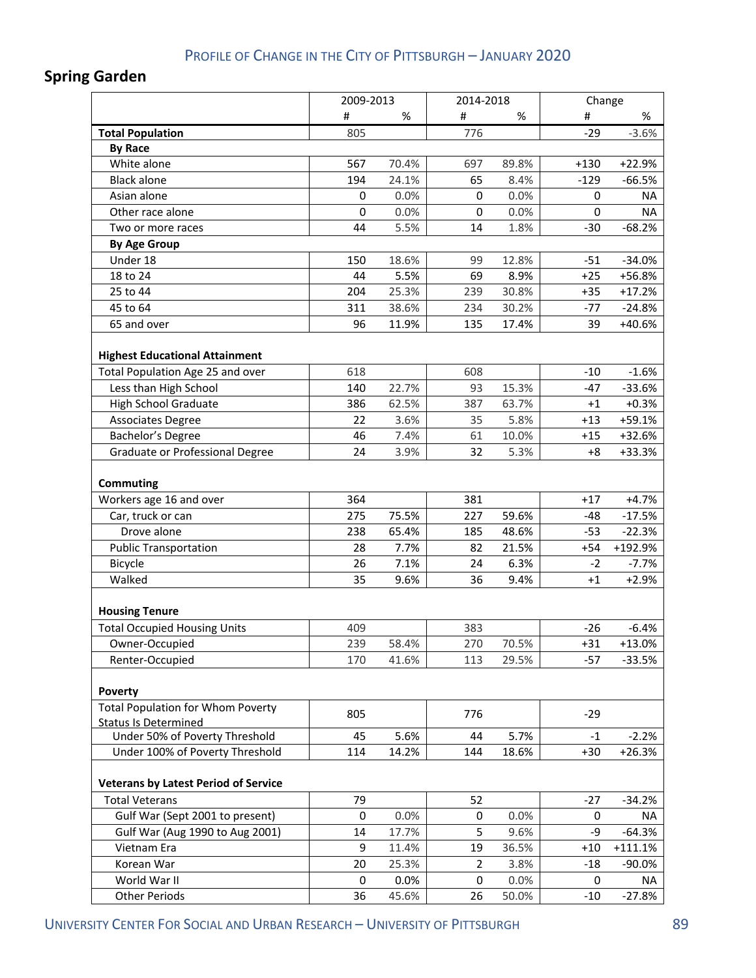## **Spring Garden**

|                                                                           | 2009-2013 |       |                | 2014-2018 |        | Change    |
|---------------------------------------------------------------------------|-----------|-------|----------------|-----------|--------|-----------|
|                                                                           | #         | %     | #              | %         | #      | %         |
| <b>Total Population</b>                                                   | 805       |       | 776            |           | $-29$  | $-3.6%$   |
| <b>By Race</b>                                                            |           |       |                |           |        |           |
| White alone                                                               | 567       | 70.4% | 697            | 89.8%     | $+130$ | $+22.9%$  |
| <b>Black alone</b>                                                        | 194       | 24.1% | 65             | 8.4%      | $-129$ | $-66.5%$  |
| Asian alone                                                               | 0         | 0.0%  | 0              | 0.0%      | 0      | NA        |
| Other race alone                                                          | 0         | 0.0%  | 0              | 0.0%      | 0      | NA        |
| Two or more races                                                         | 44        | 5.5%  | 14             | 1.8%      | $-30$  | $-68.2%$  |
| <b>By Age Group</b>                                                       |           |       |                |           |        |           |
| Under 18                                                                  | 150       | 18.6% | 99             | 12.8%     | $-51$  | $-34.0%$  |
| 18 to 24                                                                  | 44        | 5.5%  | 69             | 8.9%      | $+25$  | +56.8%    |
| 25 to 44                                                                  | 204       | 25.3% | 239            | 30.8%     | $+35$  | $+17.2%$  |
| 45 to 64                                                                  | 311       | 38.6% | 234            | 30.2%     | $-77$  | $-24.8%$  |
| 65 and over                                                               | 96        | 11.9% | 135            | 17.4%     | 39     | +40.6%    |
| <b>Highest Educational Attainment</b><br>Total Population Age 25 and over | 618       |       | 608            |           | $-10$  | $-1.6%$   |
|                                                                           |           | 22.7% |                | 15.3%     |        | $-33.6%$  |
| Less than High School                                                     | 140       |       | 93             |           | $-47$  |           |
| <b>High School Graduate</b>                                               | 386       | 62.5% | 387            | 63.7%     | $+1$   | $+0.3%$   |
| <b>Associates Degree</b>                                                  | 22        | 3.6%  | 35             | 5.8%      | $+13$  | +59.1%    |
| Bachelor's Degree                                                         | 46        | 7.4%  | 61             | 10.0%     | $+15$  | +32.6%    |
| Graduate or Professional Degree                                           | 24        | 3.9%  | 32             | 5.3%      | $+8$   | +33.3%    |
| Commuting                                                                 |           |       |                |           |        |           |
| Workers age 16 and over                                                   | 364       |       | 381            |           | $+17$  | $+4.7%$   |
| Car, truck or can                                                         | 275       | 75.5% | 227            | 59.6%     | -48    | $-17.5%$  |
| Drove alone                                                               | 238       | 65.4% | 185            | 48.6%     | $-53$  | $-22.3%$  |
| <b>Public Transportation</b>                                              | 28        | 7.7%  | 82             | 21.5%     | $+54$  | +192.9%   |
| Bicycle                                                                   | 26        | 7.1%  | 24             | 6.3%      | $-2$   | $-7.7%$   |
| Walked                                                                    | 35        | 9.6%  | 36             | 9.4%      | $+1$   | $+2.9%$   |
| <b>Housing Tenure</b>                                                     |           |       |                |           |        |           |
| <b>Total Occupied Housing Units</b>                                       | 409       |       | 383            |           | $-26$  | $-6.4%$   |
| Owner-Occupied                                                            | 239       | 58.4% | 270            | 70.5%     | $+31$  | +13.0%    |
| Renter-Occupied                                                           | 170       | 41.6% | 113            | 29.5%     | $-57$  | $-33.5%$  |
| Poverty                                                                   |           |       |                |           |        |           |
| <b>Total Population for Whom Poverty</b>                                  | 805       |       | 776            |           | $-29$  |           |
| <b>Status Is Determined</b>                                               |           |       |                |           |        |           |
| Under 50% of Poverty Threshold                                            | 45        | 5.6%  | 44             | 5.7%      | $-1$   | $-2.2%$   |
| Under 100% of Poverty Threshold                                           | 114       | 14.2% | 144            | 18.6%     | $+30$  | $+26.3%$  |
| <b>Veterans by Latest Period of Service</b>                               |           |       |                |           |        |           |
| <b>Total Veterans</b>                                                     | 79        |       | 52             |           | $-27$  | $-34.2%$  |
| Gulf War (Sept 2001 to present)                                           | 0         | 0.0%  | 0              | 0.0%      | 0      | <b>NA</b> |
| Gulf War (Aug 1990 to Aug 2001)                                           | 14        | 17.7% | 5              | 9.6%      | -9     | $-64.3%$  |
| Vietnam Era                                                               | 9         | 11.4% | 19             | 36.5%     | $+10$  | $+111.1%$ |
| Korean War                                                                | 20        | 25.3% | $\overline{2}$ | 3.8%      | $-18$  | -90.0%    |
| World War II                                                              | 0         | 0.0%  | 0              | 0.0%      | 0      | NA        |
| <b>Other Periods</b>                                                      | 36        | 45.6% | 26             | 50.0%     | $-10$  | $-27.8%$  |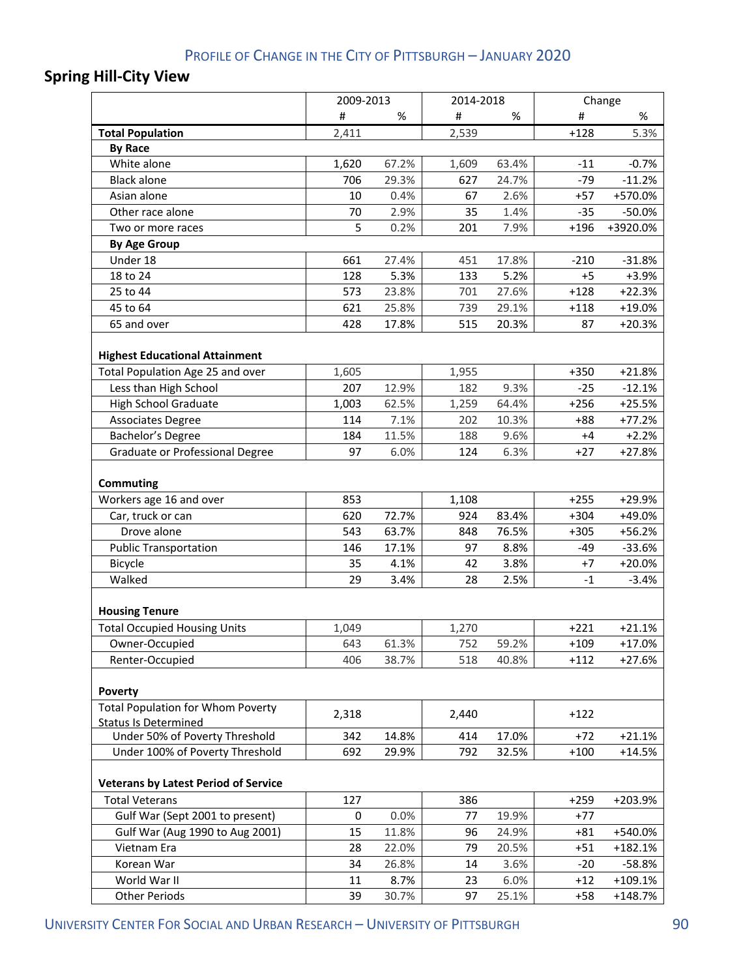## **Spring Hill‐City View**

|                                                                                                    | 2009-2013    |               | 2014-2018    |              | Change          |                      |
|----------------------------------------------------------------------------------------------------|--------------|---------------|--------------|--------------|-----------------|----------------------|
|                                                                                                    | #            | %             | #            | %            | #               | %                    |
| <b>Total Population</b>                                                                            | 2,411        |               | 2,539        |              | $+128$          | 5.3%                 |
| <b>By Race</b>                                                                                     |              |               |              |              |                 |                      |
| White alone                                                                                        | 1,620        | 67.2%         | 1,609        | 63.4%        | $-11$           | $-0.7%$              |
| <b>Black alone</b>                                                                                 | 706          | 29.3%         | 627          | 24.7%        | $-79$           | $-11.2%$             |
| Asian alone                                                                                        | 10           | 0.4%          | 67           | 2.6%         | $+57$           | +570.0%              |
| Other race alone                                                                                   | 70           | 2.9%          | 35           | 1.4%         | $-35$           | $-50.0%$             |
| Two or more races                                                                                  | 5            | 0.2%          | 201          | 7.9%         | $+196$          | +3920.0%             |
| <b>By Age Group</b>                                                                                |              |               |              |              |                 |                      |
| Under 18                                                                                           | 661          | 27.4%         | 451          | 17.8%        | $-210$          | $-31.8%$             |
| 18 to 24                                                                                           | 128          | 5.3%          | 133          | 5.2%         | $+5$            | $+3.9%$              |
| 25 to 44                                                                                           | 573          | 23.8%         | 701          | 27.6%        | $+128$          | $+22.3%$             |
| 45 to 64                                                                                           | 621          | 25.8%         | 739          | 29.1%        | $+118$          | $+19.0%$             |
| 65 and over                                                                                        | 428          | 17.8%         | 515          | 20.3%        | 87              | $+20.3%$             |
| <b>Highest Educational Attainment</b><br>Total Population Age 25 and over<br>Less than High School | 1,605<br>207 | 12.9%         | 1,955<br>182 | 9.3%         | $+350$<br>$-25$ | $+21.8%$<br>$-12.1%$ |
|                                                                                                    |              |               |              |              |                 |                      |
| <b>High School Graduate</b>                                                                        | 1,003        | 62.5%         | 1,259        | 64.4%        | $+256$          | $+25.5%$             |
| <b>Associates Degree</b>                                                                           | 114          | 7.1%          | 202          | 10.3%        | $+88$           | $+77.2%$             |
| Bachelor's Degree<br>Graduate or Professional Degree                                               | 184<br>97    | 11.5%<br>6.0% | 188<br>124   | 9.6%<br>6.3% | $+4$<br>$+27$   | $+2.2%$<br>$+27.8%$  |
| Commuting                                                                                          |              |               |              |              |                 |                      |
| Workers age 16 and over                                                                            | 853          |               | 1,108        |              | $+255$          | +29.9%               |
| Car, truck or can                                                                                  | 620          | 72.7%         | 924          | 83.4%        | $+304$          | +49.0%               |
| Drove alone                                                                                        | 543          | 63.7%         | 848          | 76.5%        | $+305$          | $+56.2%$             |
| <b>Public Transportation</b>                                                                       | 146          | 17.1%         | 97           | 8.8%         | -49             | $-33.6%$             |
| Bicycle                                                                                            | 35           | 4.1%          | 42           | 3.8%         | $+7$            | $+20.0%$             |
| Walked                                                                                             | 29           | 3.4%          | 28           | 2.5%         | $-1$            | $-3.4%$              |
| <b>Housing Tenure</b>                                                                              |              |               |              |              |                 |                      |
| <b>Total Occupied Housing Units</b>                                                                | 1,049        |               | 1,270        |              | $+221$          | $+21.1%$             |
| Owner-Occupied                                                                                     | 643          | 61.3%         | 752          | 59.2%        | +109            | $+17.0%$             |
| Renter-Occupied                                                                                    | 406          | 38.7%         | 518          | 40.8%        | $+112$          | $+27.6%$             |
| Poverty                                                                                            |              |               |              |              |                 |                      |
| <b>Total Population for Whom Poverty</b><br><b>Status Is Determined</b>                            | 2,318        |               | 2,440        |              | $+122$          |                      |
| Under 50% of Poverty Threshold                                                                     | 342          | 14.8%         | 414          | 17.0%        | $+72$           | $+21.1%$             |
| Under 100% of Poverty Threshold                                                                    | 692          | 29.9%         | 792          | 32.5%        | $+100$          | $+14.5%$             |
| <b>Veterans by Latest Period of Service</b>                                                        |              |               |              |              |                 |                      |
| <b>Total Veterans</b>                                                                              | 127          |               | 386          |              | $+259$          | +203.9%              |
| Gulf War (Sept 2001 to present)                                                                    | 0            | 0.0%          | 77           | 19.9%        | $+77$           |                      |
| Gulf War (Aug 1990 to Aug 2001)                                                                    | 15           | 11.8%         | 96           | 24.9%        | $+81$           | +540.0%              |
| Vietnam Era                                                                                        | 28           | 22.0%         | 79           | 20.5%        | $+51$           | $+182.1%$            |
| Korean War                                                                                         | 34           | 26.8%         | 14           | 3.6%         | $-20$           | $-58.8%$             |
| World War II                                                                                       | 11           | 8.7%          | 23           | 6.0%         | $+12$           | +109.1%              |
| <b>Other Periods</b>                                                                               | 39           | 30.7%         | 97           | 25.1%        | $+58$           | +148.7%              |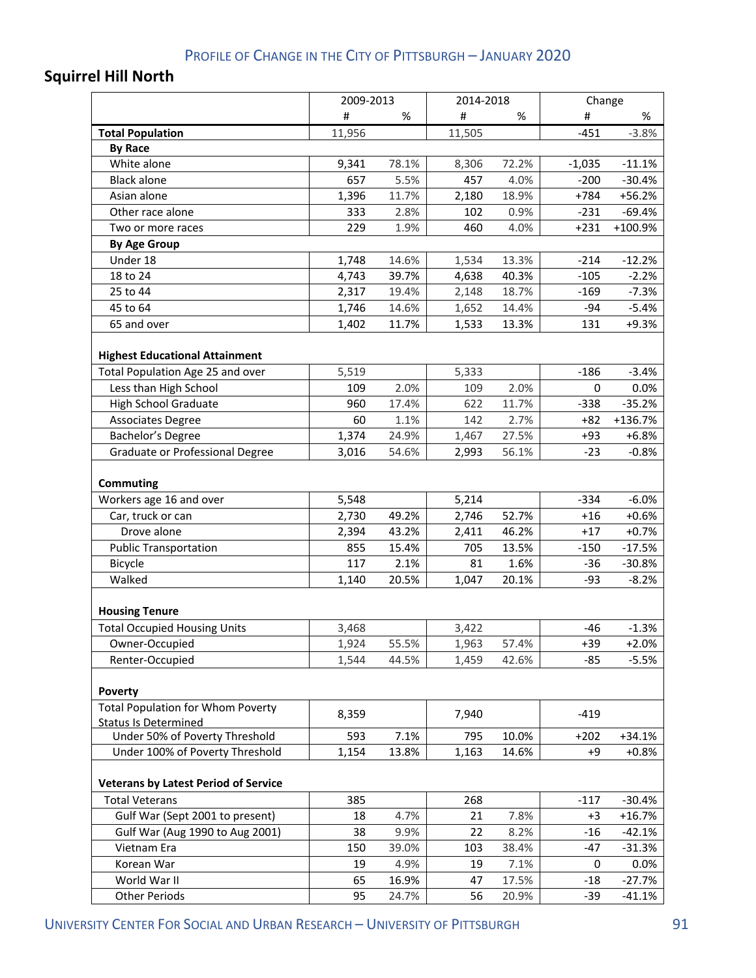#### **Squirrel Hill North**

|                                                                           |        | 2009-2013 |        | 2014-2018 |          | Change   |  |
|---------------------------------------------------------------------------|--------|-----------|--------|-----------|----------|----------|--|
|                                                                           | #      | %         | #      | %         | #        | %        |  |
| <b>Total Population</b>                                                   | 11,956 |           | 11,505 |           | $-451$   | $-3.8%$  |  |
| <b>By Race</b>                                                            |        |           |        |           |          |          |  |
| White alone                                                               | 9,341  | 78.1%     | 8,306  | 72.2%     | $-1,035$ | $-11.1%$ |  |
| <b>Black alone</b>                                                        | 657    | 5.5%      | 457    | 4.0%      | $-200$   | $-30.4%$ |  |
| Asian alone                                                               | 1,396  | 11.7%     | 2,180  | 18.9%     | $+784$   | $+56.2%$ |  |
| Other race alone                                                          | 333    | 2.8%      | 102    | 0.9%      | $-231$   | $-69.4%$ |  |
| Two or more races                                                         | 229    | 1.9%      | 460    | 4.0%      | $+231$   | +100.9%  |  |
| <b>By Age Group</b>                                                       |        |           |        |           |          |          |  |
| Under 18                                                                  | 1,748  | 14.6%     | 1,534  | 13.3%     | $-214$   | $-12.2%$ |  |
| 18 to 24                                                                  | 4,743  | 39.7%     | 4,638  | 40.3%     | $-105$   | $-2.2%$  |  |
| 25 to 44                                                                  | 2,317  | 19.4%     | 2,148  | 18.7%     | $-169$   | $-7.3%$  |  |
| 45 to 64                                                                  | 1,746  | 14.6%     | 1,652  | 14.4%     | -94      | $-5.4%$  |  |
| 65 and over                                                               | 1,402  | 11.7%     | 1,533  | 13.3%     | 131      | $+9.3%$  |  |
| <b>Highest Educational Attainment</b><br>Total Population Age 25 and over | 5,519  |           | 5,333  |           | $-186$   | $-3.4%$  |  |
| Less than High School                                                     | 109    | 2.0%      | 109    | 2.0%      | 0        | 0.0%     |  |
| <b>High School Graduate</b>                                               | 960    | 17.4%     | 622    | 11.7%     | $-338$   | $-35.2%$ |  |
| <b>Associates Degree</b>                                                  | 60     | 1.1%      | 142    | 2.7%      | $+82$    | +136.7%  |  |
| Bachelor's Degree                                                         | 1,374  | 24.9%     | 1,467  | 27.5%     | $+93$    | $+6.8%$  |  |
| Graduate or Professional Degree                                           | 3,016  | 54.6%     | 2,993  | 56.1%     | $-23$    | $-0.8%$  |  |
| Commuting                                                                 |        |           |        |           |          |          |  |
| Workers age 16 and over                                                   | 5,548  |           | 5,214  |           | $-334$   | $-6.0%$  |  |
| Car, truck or can                                                         | 2,730  | 49.2%     | 2,746  | 52.7%     | $+16$    | $+0.6%$  |  |
| Drove alone                                                               | 2,394  | 43.2%     | 2,411  | 46.2%     | $+17$    | $+0.7%$  |  |
| <b>Public Transportation</b>                                              | 855    | 15.4%     | 705    | 13.5%     | $-150$   | $-17.5%$ |  |
| Bicycle                                                                   | 117    | 2.1%      | 81     | 1.6%      | $-36$    | $-30.8%$ |  |
| Walked                                                                    | 1,140  | 20.5%     | 1,047  | 20.1%     | $-93$    | $-8.2%$  |  |
| <b>Housing Tenure</b>                                                     |        |           |        |           |          |          |  |
| <b>Total Occupied Housing Units</b>                                       | 3,468  |           | 3,422  |           | $-46$    | $-1.3%$  |  |
| Owner-Occupied                                                            | 1,924  | 55.5%     | 1,963  | 57.4%     | $+39$    | +2.0%    |  |
| Renter-Occupied                                                           | 1,544  | 44.5%     | 1,459  | 42.6%     | $-85$    | $-5.5%$  |  |
| Poverty                                                                   |        |           |        |           |          |          |  |
| <b>Total Population for Whom Poverty</b><br><b>Status Is Determined</b>   | 8,359  |           | 7,940  |           | $-419$   |          |  |
| Under 50% of Poverty Threshold                                            | 593    | 7.1%      | 795    | 10.0%     | $+202$   | $+34.1%$ |  |
| Under 100% of Poverty Threshold                                           | 1,154  | 13.8%     | 1,163  | 14.6%     | $+9$     | $+0.8%$  |  |
| <b>Veterans by Latest Period of Service</b>                               |        |           |        |           |          |          |  |
| <b>Total Veterans</b>                                                     | 385    |           | 268    |           | $-117$   | $-30.4%$ |  |
| Gulf War (Sept 2001 to present)                                           | 18     | 4.7%      | 21     | 7.8%      | $+3$     | $+16.7%$ |  |
| Gulf War (Aug 1990 to Aug 2001)                                           | 38     | 9.9%      | 22     | 8.2%      | $-16$    | $-42.1%$ |  |
| Vietnam Era                                                               | 150    | 39.0%     | 103    | 38.4%     | $-47$    | $-31.3%$ |  |
| Korean War                                                                | 19     | 4.9%      | 19     | 7.1%      | 0        | 0.0%     |  |
| World War II                                                              | 65     | 16.9%     | 47     | 17.5%     | $-18$    | $-27.7%$ |  |
| <b>Other Periods</b>                                                      | 95     | 24.7%     | 56     | 20.9%     | $-39$    | $-41.1%$ |  |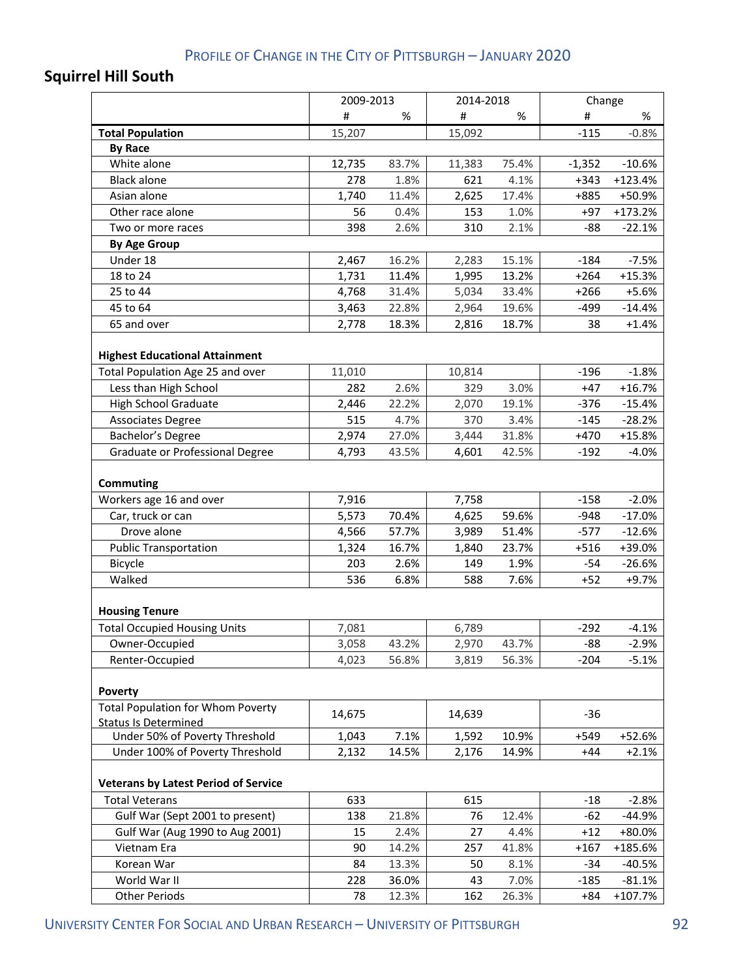## **Squirrel Hill South**

|                                                                           | 2009-2013 |       | 2014-2018 |       | Change   |           |
|---------------------------------------------------------------------------|-----------|-------|-----------|-------|----------|-----------|
|                                                                           | #         | %     | #         | %     | #        | %         |
| <b>Total Population</b>                                                   | 15,207    |       | 15,092    |       | $-115$   | $-0.8%$   |
| <b>By Race</b>                                                            |           |       |           |       |          |           |
| White alone                                                               | 12,735    | 83.7% | 11,383    | 75.4% | $-1,352$ | $-10.6%$  |
| <b>Black alone</b>                                                        | 278       | 1.8%  | 621       | 4.1%  | $+343$   | $+123.4%$ |
| Asian alone                                                               | 1,740     | 11.4% | 2,625     | 17.4% | $+885$   | +50.9%    |
| Other race alone                                                          | 56        | 0.4%  | 153       | 1.0%  | $+97$    | $+173.2%$ |
| Two or more races                                                         | 398       | 2.6%  | 310       | 2.1%  | $-88$    | $-22.1%$  |
| <b>By Age Group</b>                                                       |           |       |           |       |          |           |
| Under 18                                                                  | 2,467     | 16.2% | 2,283     | 15.1% | $-184$   | $-7.5%$   |
| 18 to 24                                                                  | 1,731     | 11.4% | 1,995     | 13.2% | $+264$   | $+15.3%$  |
| 25 to 44                                                                  | 4,768     | 31.4% | 5,034     | 33.4% | $+266$   | $+5.6%$   |
| 45 to 64                                                                  | 3,463     | 22.8% | 2,964     | 19.6% | -499     | $-14.4%$  |
| 65 and over                                                               | 2,778     | 18.3% | 2,816     | 18.7% | 38       | $+1.4%$   |
| <b>Highest Educational Attainment</b><br>Total Population Age 25 and over | 11,010    |       | 10,814    |       | $-196$   | $-1.8%$   |
| Less than High School                                                     | 282       | 2.6%  | 329       | 3.0%  | $+47$    | $+16.7%$  |
| <b>High School Graduate</b>                                               | 2,446     | 22.2% | 2,070     | 19.1% | $-376$   | $-15.4%$  |
| <b>Associates Degree</b>                                                  | 515       | 4.7%  | 370       | 3.4%  | $-145$   | $-28.2%$  |
| Bachelor's Degree                                                         | 2,974     | 27.0% | 3,444     | 31.8% | $+470$   | $+15.8%$  |
| Graduate or Professional Degree                                           | 4,793     | 43.5% | 4,601     | 42.5% | $-192$   | $-4.0%$   |
| Commuting<br>Workers age 16 and over                                      | 7,916     |       | 7,758     |       | $-158$   | $-2.0%$   |
| Car, truck or can                                                         | 5,573     | 70.4% | 4,625     | 59.6% | $-948$   | $-17.0%$  |
| Drove alone                                                               | 4,566     | 57.7% | 3,989     | 51.4% | $-577$   | $-12.6%$  |
| <b>Public Transportation</b>                                              | 1,324     | 16.7% | 1,840     | 23.7% | $+516$   | +39.0%    |
| Bicycle                                                                   | 203       | 2.6%  | 149       | 1.9%  | $-54$    | $-26.6%$  |
| Walked                                                                    | 536       | 6.8%  | 588       | 7.6%  | $+52$    | $+9.7%$   |
| <b>Housing Tenure</b>                                                     |           |       |           |       |          |           |
| <b>Total Occupied Housing Units</b>                                       | 7,081     |       | 6,789     |       | $-292$   | $-4.1%$   |
| Owner-Occupied                                                            | 3,058     | 43.2% | 2,970     | 43.7% | $-88$    | $-2.9%$   |
| Renter-Occupied                                                           | 4,023     | 56.8% | 3,819     | 56.3% | $-204$   | $-5.1%$   |
| Poverty                                                                   |           |       |           |       |          |           |
| <b>Total Population for Whom Poverty</b><br><b>Status Is Determined</b>   | 14,675    |       | 14,639    |       | $-36$    |           |
| Under 50% of Poverty Threshold                                            | 1,043     | 7.1%  | 1,592     | 10.9% | $+549$   | +52.6%    |
| Under 100% of Poverty Threshold                                           | 2,132     | 14.5% | 2,176     | 14.9% | $+44$    | $+2.1%$   |
| <b>Veterans by Latest Period of Service</b>                               |           |       |           |       |          |           |
| <b>Total Veterans</b>                                                     | 633       |       | 615       |       | $-18$    | $-2.8%$   |
| Gulf War (Sept 2001 to present)                                           | 138       | 21.8% | 76        | 12.4% | $-62$    | $-44.9%$  |
| Gulf War (Aug 1990 to Aug 2001)                                           | 15        | 2.4%  | 27        | 4.4%  | $+12$    | +80.0%    |
| Vietnam Era                                                               | 90        | 14.2% | 257       | 41.8% | $+167$   | +185.6%   |
| Korean War                                                                | 84        | 13.3% | 50        | 8.1%  | -34      | $-40.5%$  |
| World War II                                                              | 228       | 36.0% | 43        | 7.0%  | $-185$   | $-81.1%$  |
| <b>Other Periods</b>                                                      | 78        | 12.3% | 162       | 26.3% | $+84$    | $+107.7%$ |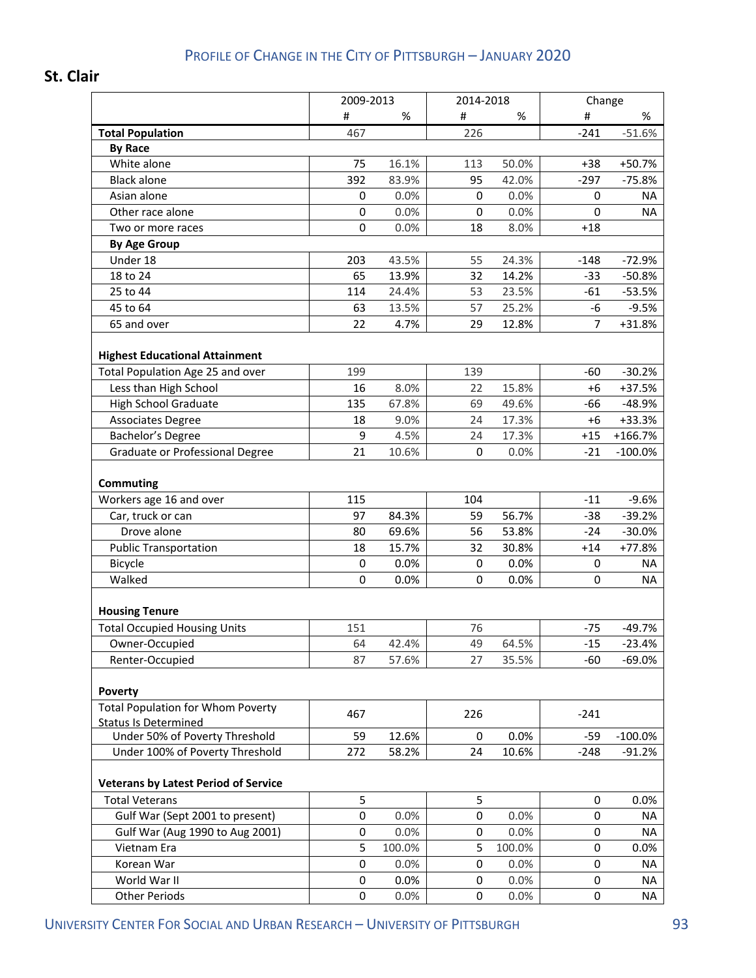## **St. Clair**

|                                                                         | 2009-2013 |        | 2014-2018   |        | Change         |            |
|-------------------------------------------------------------------------|-----------|--------|-------------|--------|----------------|------------|
|                                                                         | #         | %      | #           | %      | #              | %          |
| <b>Total Population</b>                                                 | 467       |        | 226         |        | $-241$         | $-51.6%$   |
| <b>By Race</b>                                                          |           |        |             |        |                |            |
| White alone                                                             | 75        | 16.1%  | 113         | 50.0%  | $+38$          | +50.7%     |
| <b>Black alone</b>                                                      | 392       | 83.9%  | 95          | 42.0%  | $-297$         | $-75.8%$   |
| Asian alone                                                             | 0         | 0.0%   | 0           | 0.0%   | 0              | NA         |
| Other race alone                                                        | 0         | 0.0%   | 0           | 0.0%   | 0              | NA         |
| Two or more races                                                       | 0         | 0.0%   | 18          | 8.0%   | $+18$          |            |
| <b>By Age Group</b>                                                     |           |        |             |        |                |            |
| Under 18                                                                | 203       | 43.5%  | 55          | 24.3%  | $-148$         | $-72.9%$   |
| 18 to 24                                                                | 65        | 13.9%  | 32          | 14.2%  | $-33$          | $-50.8%$   |
| 25 to 44                                                                | 114       | 24.4%  | 53          | 23.5%  | $-61$          | $-53.5%$   |
| 45 to 64                                                                | 63        | 13.5%  | 57          | 25.2%  | -6             | $-9.5%$    |
| 65 and over                                                             | 22        | 4.7%   | 29          | 12.8%  | $\overline{7}$ | +31.8%     |
| <b>Highest Educational Attainment</b>                                   |           |        |             |        |                |            |
| Total Population Age 25 and over                                        | 199       |        | 139         |        | $-60$          | $-30.2%$   |
| Less than High School                                                   | 16        | 8.0%   | 22          | 15.8%  | $+6$           | +37.5%     |
| <b>High School Graduate</b>                                             | 135       | 67.8%  | 69          | 49.6%  | -66            | $-48.9%$   |
| <b>Associates Degree</b>                                                | 18        | 9.0%   | 24          | 17.3%  | $+6$           | +33.3%     |
| Bachelor's Degree                                                       | 9         | 4.5%   | 24          | 17.3%  | $+15$          | $+166.7%$  |
| Graduate or Professional Degree                                         | 21        | 10.6%  | $\mathbf 0$ | 0.0%   | $-21$          | $-100.0%$  |
| Commuting                                                               |           |        |             |        |                |            |
| Workers age 16 and over                                                 | 115       |        | 104         |        | $-11$          | $-9.6%$    |
| Car, truck or can                                                       | 97        | 84.3%  | 59          | 56.7%  | $-38$          | $-39.2%$   |
| Drove alone                                                             | 80        | 69.6%  | 56          | 53.8%  | $-24$          | $-30.0%$   |
| <b>Public Transportation</b>                                            | 18        | 15.7%  | 32          | 30.8%  | $+14$          | +77.8%     |
| Bicycle                                                                 | 0         | 0.0%   | 0           | 0.0%   | 0              | <b>NA</b>  |
| Walked                                                                  | 0         | 0.0%   | 0           | 0.0%   | 0              | NA.        |
| <b>Housing Tenure</b>                                                   |           |        |             |        |                |            |
| <b>Total Occupied Housing Units</b>                                     | 151       |        | 76          |        | $-75$          | $-49.7%$   |
| Owner-Occupied                                                          | 64        | 42.4%  | 49          | 64.5%  | $-15$          | $-23.4%$   |
| Renter-Occupied                                                         | 87        | 57.6%  | 27          | 35.5%  | -60            | $-69.0%$   |
| <b>Poverty</b>                                                          |           |        |             |        |                |            |
| <b>Total Population for Whom Poverty</b><br><b>Status Is Determined</b> | 467       |        | 226         |        | $-241$         |            |
| Under 50% of Poverty Threshold                                          | 59        | 12.6%  | $\mathbf 0$ | 0.0%   | $-59$          | $-100.0\%$ |
| Under 100% of Poverty Threshold                                         | 272       | 58.2%  | 24          | 10.6%  | $-248$         | $-91.2%$   |
| <b>Veterans by Latest Period of Service</b>                             |           |        |             |        |                |            |
| <b>Total Veterans</b>                                                   | 5         |        | 5           |        | 0              | 0.0%       |
| Gulf War (Sept 2001 to present)                                         | 0         | 0.0%   | 0           | 0.0%   | 0              | NA         |
| Gulf War (Aug 1990 to Aug 2001)                                         | $\pmb{0}$ | 0.0%   | 0           | 0.0%   | 0              | NA         |
| Vietnam Era                                                             | 5         | 100.0% | 5           | 100.0% | 0              | 0.0%       |
| Korean War                                                              | 0         | 0.0%   | 0           | 0.0%   | 0              | NA         |
| World War II                                                            | 0         | 0.0%   | 0           | 0.0%   | 0              | NA         |
| <b>Other Periods</b>                                                    | 0         | 0.0%   | 0           | 0.0%   | 0              | NA         |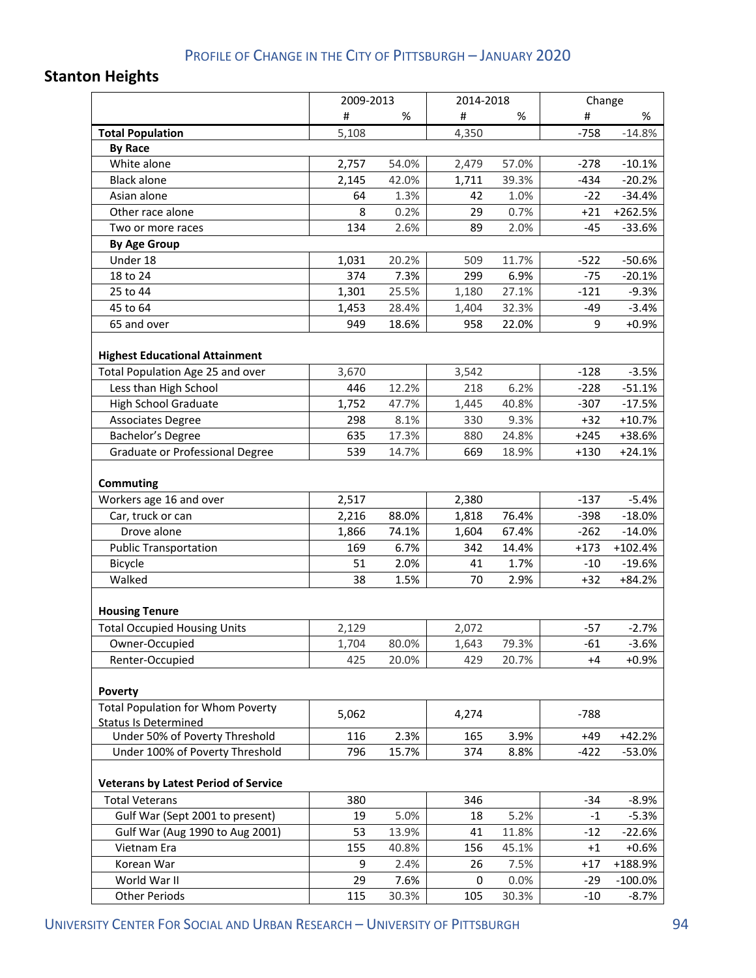## **Stanton Heights**

|                                                                           | 2009-2013 |       | 2014-2018 |       | Change |            |
|---------------------------------------------------------------------------|-----------|-------|-----------|-------|--------|------------|
|                                                                           | #         | %     | #         | %     | #      | %          |
| <b>Total Population</b>                                                   | 5,108     |       | 4,350     |       | $-758$ | $-14.8%$   |
| <b>By Race</b>                                                            |           |       |           |       |        |            |
| White alone                                                               | 2,757     | 54.0% | 2,479     | 57.0% | $-278$ | $-10.1%$   |
| <b>Black alone</b>                                                        | 2,145     | 42.0% | 1,711     | 39.3% | $-434$ | $-20.2%$   |
| Asian alone                                                               | 64        | 1.3%  | 42        | 1.0%  | $-22$  | $-34.4%$   |
| Other race alone                                                          | 8         | 0.2%  | 29        | 0.7%  | $+21$  | +262.5%    |
| Two or more races                                                         | 134       | 2.6%  | 89        | 2.0%  | $-45$  | $-33.6%$   |
| <b>By Age Group</b>                                                       |           |       |           |       |        |            |
| Under 18                                                                  | 1,031     | 20.2% | 509       | 11.7% | $-522$ | $-50.6%$   |
| 18 to 24                                                                  | 374       | 7.3%  | 299       | 6.9%  | $-75$  | $-20.1%$   |
| 25 to 44                                                                  | 1,301     | 25.5% | 1,180     | 27.1% | $-121$ | $-9.3%$    |
| 45 to 64                                                                  | 1,453     | 28.4% | 1,404     | 32.3% | $-49$  | $-3.4%$    |
| 65 and over                                                               | 949       | 18.6% | 958       | 22.0% | 9      | $+0.9%$    |
| <b>Highest Educational Attainment</b><br>Total Population Age 25 and over | 3,670     |       | 3,542     |       | $-128$ | $-3.5%$    |
| Less than High School                                                     | 446       | 12.2% | 218       | 6.2%  | $-228$ | $-51.1%$   |
| <b>High School Graduate</b>                                               | 1,752     | 47.7% | 1,445     | 40.8% | $-307$ | $-17.5%$   |
| <b>Associates Degree</b>                                                  | 298       | 8.1%  | 330       | 9.3%  | $+32$  | $+10.7%$   |
| Bachelor's Degree                                                         | 635       | 17.3% | 880       | 24.8% | $+245$ | +38.6%     |
| Graduate or Professional Degree                                           | 539       | 14.7% | 669       | 18.9% | $+130$ | $+24.1%$   |
| Commuting<br>Workers age 16 and over                                      | 2,517     |       | 2,380     |       | $-137$ | $-5.4%$    |
| Car, truck or can                                                         | 2,216     | 88.0% | 1,818     | 76.4% | $-398$ | $-18.0%$   |
| Drove alone                                                               | 1,866     | 74.1% | 1,604     | 67.4% | $-262$ | $-14.0%$   |
| <b>Public Transportation</b>                                              | 169       | 6.7%  | 342       | 14.4% | $+173$ | +102.4%    |
| Bicycle                                                                   | 51        | 2.0%  | 41        | 1.7%  | $-10$  | $-19.6%$   |
| Walked                                                                    | 38        | 1.5%  | 70        | 2.9%  | $+32$  | $+84.2%$   |
|                                                                           |           |       |           |       |        |            |
| <b>Housing Tenure</b>                                                     |           |       |           |       |        |            |
| <b>Total Occupied Housing Units</b>                                       | 2,129     |       | 2,072     |       | $-57$  | $-2.7%$    |
| Owner-Occupied                                                            | 1,704     | 80.0% | 1,643     | 79.3% | $-61$  | $-3.6%$    |
| Renter-Occupied                                                           | 425       | 20.0% | 429       | 20.7% | $+4$   | $+0.9%$    |
| Poverty                                                                   |           |       |           |       |        |            |
| <b>Total Population for Whom Poverty</b><br><b>Status Is Determined</b>   | 5,062     |       | 4,274     |       | $-788$ |            |
| Under 50% of Poverty Threshold                                            | 116       | 2.3%  | 165       | 3.9%  | $+49$  | $+42.2%$   |
| Under 100% of Poverty Threshold                                           | 796       | 15.7% | 374       | 8.8%  | $-422$ | $-53.0%$   |
| <b>Veterans by Latest Period of Service</b>                               |           |       |           |       |        |            |
| <b>Total Veterans</b>                                                     | 380       |       | 346       |       | $-34$  | $-8.9%$    |
| Gulf War (Sept 2001 to present)                                           | 19        | 5.0%  | 18        | 5.2%  | $-1$   | $-5.3%$    |
| Gulf War (Aug 1990 to Aug 2001)                                           | 53        | 13.9% | 41        | 11.8% | $-12$  | $-22.6%$   |
| Vietnam Era                                                               | 155       | 40.8% | 156       | 45.1% | $+1$   | $+0.6%$    |
| Korean War                                                                | 9         | 2.4%  | 26        | 7.5%  | $+17$  | +188.9%    |
| World War II                                                              | 29        | 7.6%  | 0         | 0.0%  | $-29$  | $-100.0\%$ |
| <b>Other Periods</b>                                                      | 115       | 30.3% | 105       | 30.3% | $-10$  | $-8.7%$    |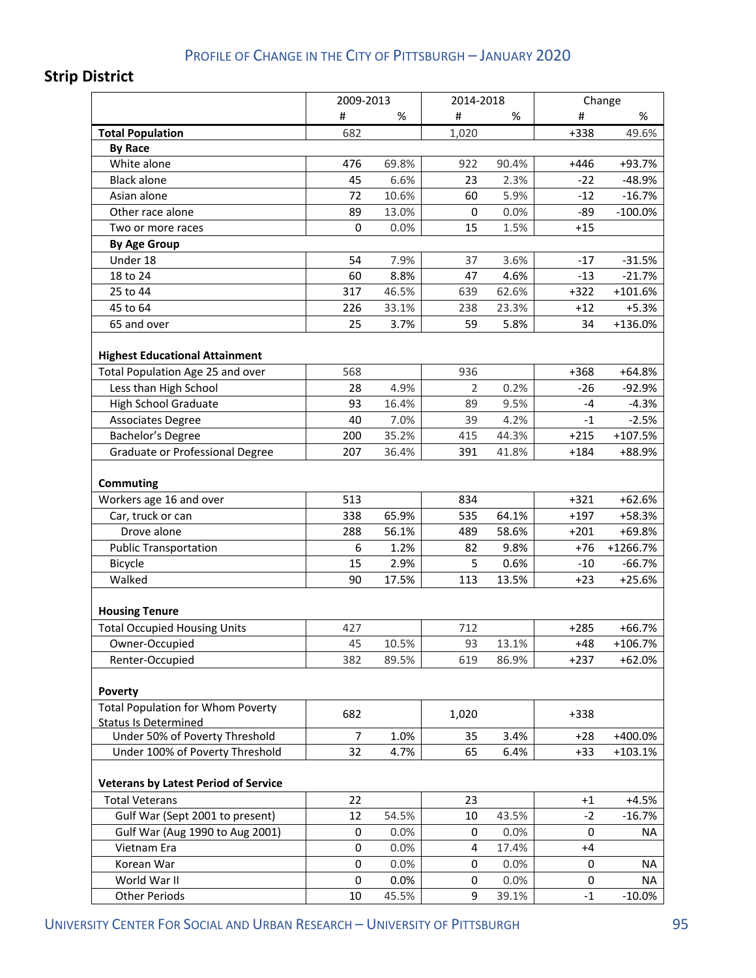## **Strip District**

|                                                                           | 2009-2013      |       | 2014-2018      |       | Change    |           |
|---------------------------------------------------------------------------|----------------|-------|----------------|-------|-----------|-----------|
|                                                                           | #              | %     | #              | %     | #         | %         |
| <b>Total Population</b>                                                   | 682            |       | 1,020          |       | $+338$    | 49.6%     |
| <b>By Race</b>                                                            |                |       |                |       |           |           |
| White alone                                                               | 476            | 69.8% | 922            | 90.4% | $+446$    | +93.7%    |
| <b>Black alone</b>                                                        | 45             | 6.6%  | 23             | 2.3%  | $-22$     | $-48.9%$  |
| Asian alone                                                               | 72             | 10.6% | 60             | 5.9%  | $-12$     | $-16.7%$  |
| Other race alone                                                          | 89             | 13.0% | 0              | 0.0%  | -89       | $-100.0%$ |
| Two or more races                                                         | $\mathbf 0$    | 0.0%  | 15             | 1.5%  | $+15$     |           |
| <b>By Age Group</b>                                                       |                |       |                |       |           |           |
| Under 18                                                                  | 54             | 7.9%  | 37             | 3.6%  | $-17$     | $-31.5%$  |
| 18 to 24                                                                  | 60             | 8.8%  | 47             | 4.6%  | $-13$     | $-21.7%$  |
| 25 to 44                                                                  | 317            | 46.5% | 639            | 62.6% | $+322$    | $+101.6%$ |
| 45 to 64                                                                  | 226            | 33.1% | 238            | 23.3% | $+12$     | $+5.3%$   |
| 65 and over                                                               | 25             | 3.7%  | 59             | 5.8%  | 34        | +136.0%   |
| <b>Highest Educational Attainment</b><br>Total Population Age 25 and over | 568            |       | 936            |       | $+368$    | $+64.8%$  |
| Less than High School                                                     | 28             | 4.9%  | $\overline{2}$ | 0.2%  | $-26$     | $-92.9%$  |
| <b>High School Graduate</b>                                               | 93             | 16.4% | 89             | 9.5%  | $-4$      | $-4.3%$   |
| <b>Associates Degree</b>                                                  | 40             | 7.0%  | 39             | 4.2%  | $-1$      | $-2.5%$   |
| Bachelor's Degree                                                         | 200            | 35.2% | 415            | 44.3% | $+215$    | +107.5%   |
| Graduate or Professional Degree                                           | 207            | 36.4% | 391            | 41.8% | $+184$    | +88.9%    |
| Commuting<br>Workers age 16 and over                                      | 513            |       | 834            |       | $+321$    | $+62.6%$  |
| Car, truck or can                                                         | 338            | 65.9% | 535            | 64.1% | $+197$    | +58.3%    |
| Drove alone                                                               | 288            | 56.1% | 489            | 58.6% | $+201$    | +69.8%    |
| <b>Public Transportation</b>                                              | 6              | 1.2%  | 82             | 9.8%  | $+76$     | +1266.7%  |
| Bicycle                                                                   | 15             | 2.9%  | 5              | 0.6%  | $-10$     | $-66.7%$  |
| Walked                                                                    | 90             | 17.5% | 113            | 13.5% | $+23$     | $+25.6%$  |
| <b>Housing Tenure</b>                                                     |                |       |                |       |           |           |
| <b>Total Occupied Housing Units</b>                                       | 427            |       | 712            |       | $+285$    | $+66.7%$  |
| Owner-Occupied                                                            | 45             | 10.5% | 93             | 13.1% | $+48$     | +106.7%   |
| Renter-Occupied                                                           | 382            | 89.5% | 619            | 86.9% | $+237$    | $+62.0%$  |
| Poverty                                                                   |                |       |                |       |           |           |
| <b>Total Population for Whom Poverty</b><br><b>Status Is Determined</b>   | 682            |       | 1,020          |       | $+338$    |           |
| Under 50% of Poverty Threshold                                            | $\overline{7}$ | 1.0%  | 35             | 3.4%  | $+28$     | +400.0%   |
| Under 100% of Poverty Threshold                                           | 32             | 4.7%  | 65             | 6.4%  | $+33$     | +103.1%   |
| <b>Veterans by Latest Period of Service</b>                               |                |       |                |       |           |           |
| <b>Total Veterans</b>                                                     | 22             |       | 23             |       | $+1$      | $+4.5%$   |
| Gulf War (Sept 2001 to present)                                           | 12             | 54.5% | 10             | 43.5% | $-2$      | $-16.7%$  |
| Gulf War (Aug 1990 to Aug 2001)                                           | 0              | 0.0%  | 0              | 0.0%  | 0         | NA        |
| Vietnam Era                                                               | 0              | 0.0%  | 4              | 17.4% | $+4$      |           |
| Korean War                                                                | 0              | 0.0%  | 0              | 0.0%  | $\pmb{0}$ | NA.       |
| World War II                                                              | 0              | 0.0%  | 0              | 0.0%  | 0         | NA        |
| <b>Other Periods</b>                                                      | 10             | 45.5% | 9              | 39.1% | $-1$      | $-10.0\%$ |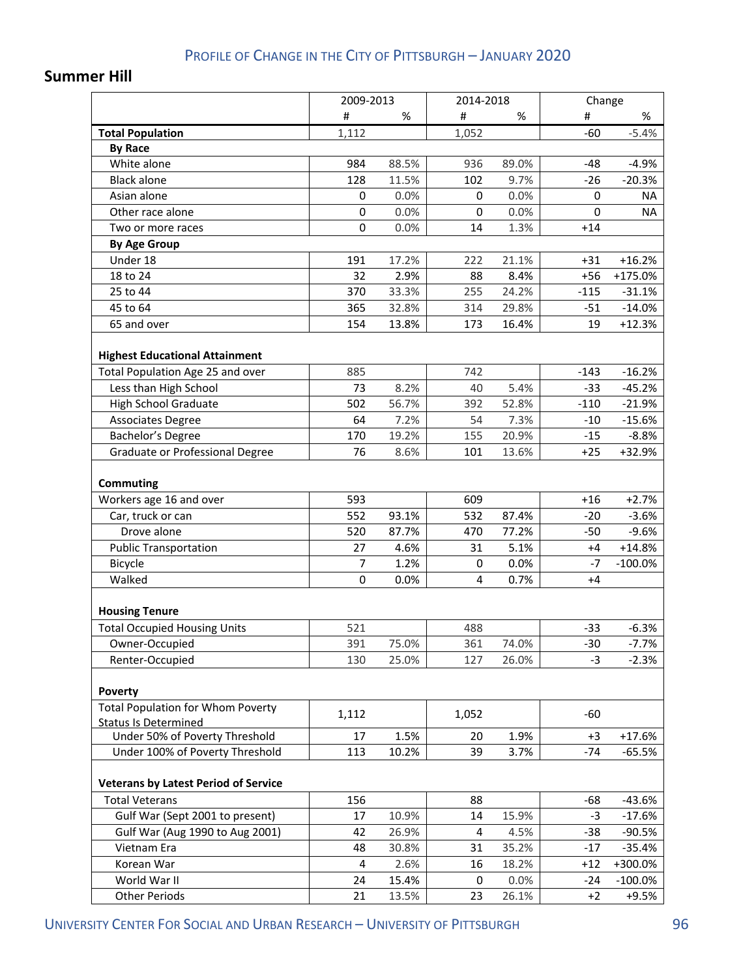#### **Summer Hill**

|                                                                           | 2009-2013 |       | 2014-2018   |       | Change |            |
|---------------------------------------------------------------------------|-----------|-------|-------------|-------|--------|------------|
|                                                                           | #         | %     | #           | %     | #      | %          |
| <b>Total Population</b>                                                   | 1,112     |       | 1,052       |       | $-60$  | $-5.4%$    |
| <b>By Race</b>                                                            |           |       |             |       |        |            |
| White alone                                                               | 984       | 88.5% | 936         | 89.0% | $-48$  | $-4.9%$    |
| <b>Black alone</b>                                                        | 128       | 11.5% | 102         | 9.7%  | $-26$  | $-20.3%$   |
| Asian alone                                                               | 0         | 0.0%  | 0           | 0.0%  | 0      | NA         |
| Other race alone                                                          | $\pmb{0}$ | 0.0%  | $\mathbf 0$ | 0.0%  | 0      | NA         |
| Two or more races                                                         | 0         | 0.0%  | 14          | 1.3%  | $+14$  |            |
| <b>By Age Group</b>                                                       |           |       |             |       |        |            |
| Under 18                                                                  | 191       | 17.2% | 222         | 21.1% | $+31$  | $+16.2%$   |
| 18 to 24                                                                  | 32        | 2.9%  | 88          | 8.4%  | $+56$  | +175.0%    |
| 25 to 44                                                                  | 370       | 33.3% | 255         | 24.2% | $-115$ | $-31.1%$   |
| 45 to 64                                                                  | 365       | 32.8% | 314         | 29.8% | $-51$  | $-14.0%$   |
| 65 and over                                                               | 154       | 13.8% | 173         | 16.4% | 19     | $+12.3%$   |
| <b>Highest Educational Attainment</b><br>Total Population Age 25 and over | 885       |       | 742         |       | $-143$ | $-16.2%$   |
| Less than High School                                                     | 73        | 8.2%  | 40          | 5.4%  | $-33$  | $-45.2%$   |
| <b>High School Graduate</b>                                               | 502       | 56.7% | 392         | 52.8% | $-110$ | $-21.9%$   |
| <b>Associates Degree</b>                                                  | 64        | 7.2%  | 54          | 7.3%  | $-10$  | $-15.6%$   |
| Bachelor's Degree                                                         | 170       | 19.2% | 155         | 20.9% | $-15$  | $-8.8%$    |
| Graduate or Professional Degree                                           | 76        | 8.6%  | 101         | 13.6% | $+25$  | +32.9%     |
| Commuting                                                                 |           |       |             |       |        |            |
| Workers age 16 and over                                                   | 593       |       | 609         |       | $+16$  | $+2.7%$    |
| Car, truck or can                                                         | 552       | 93.1% | 532         | 87.4% | $-20$  | $-3.6%$    |
| Drove alone                                                               | 520       | 87.7% | 470         | 77.2% | $-50$  | $-9.6%$    |
| <b>Public Transportation</b>                                              | 27        | 4.6%  | 31          | 5.1%  | $+4$   | $+14.8%$   |
| Bicycle                                                                   | 7         | 1.2%  | 0           | 0.0%  | $-7$   | $-100.0%$  |
| Walked                                                                    | 0         | 0.0%  | 4           | 0.7%  | +4     |            |
| <b>Housing Tenure</b>                                                     |           |       |             |       |        |            |
| <b>Total Occupied Housing Units</b>                                       | 521       |       | 488         |       | $-33$  | $-6.3%$    |
| Owner-Occupied                                                            | 391       | 75.0% | 361         | 74.0% | $-30$  | -7.7%      |
| Renter-Occupied                                                           | 130       | 25.0% | 127         | 26.0% | $-3$   | $-2.3%$    |
| Poverty                                                                   |           |       |             |       |        |            |
| <b>Total Population for Whom Poverty</b><br><b>Status Is Determined</b>   | 1,112     |       | 1,052       |       | -60    |            |
| Under 50% of Poverty Threshold                                            | 17        | 1.5%  | 20          | 1.9%  | $+3$   | $+17.6%$   |
| Under 100% of Poverty Threshold                                           | 113       | 10.2% | 39          | 3.7%  | $-74$  | $-65.5%$   |
| <b>Veterans by Latest Period of Service</b>                               |           |       |             |       |        |            |
| <b>Total Veterans</b>                                                     | 156       |       | 88          |       | -68    | $-43.6%$   |
| Gulf War (Sept 2001 to present)                                           | 17        | 10.9% | 14          | 15.9% | $-3$   | $-17.6%$   |
| Gulf War (Aug 1990 to Aug 2001)                                           | 42        | 26.9% | 4           | 4.5%  | $-38$  | $-90.5%$   |
| Vietnam Era                                                               | 48        | 30.8% | 31          | 35.2% | $-17$  | $-35.4%$   |
| Korean War                                                                | 4         | 2.6%  | 16          | 18.2% | $+12$  | +300.0%    |
| World War II                                                              | 24        | 15.4% | 0           | 0.0%  | $-24$  | $-100.0\%$ |
| <b>Other Periods</b>                                                      | 21        | 13.5% | 23          | 26.1% | $+2$   | $+9.5%$    |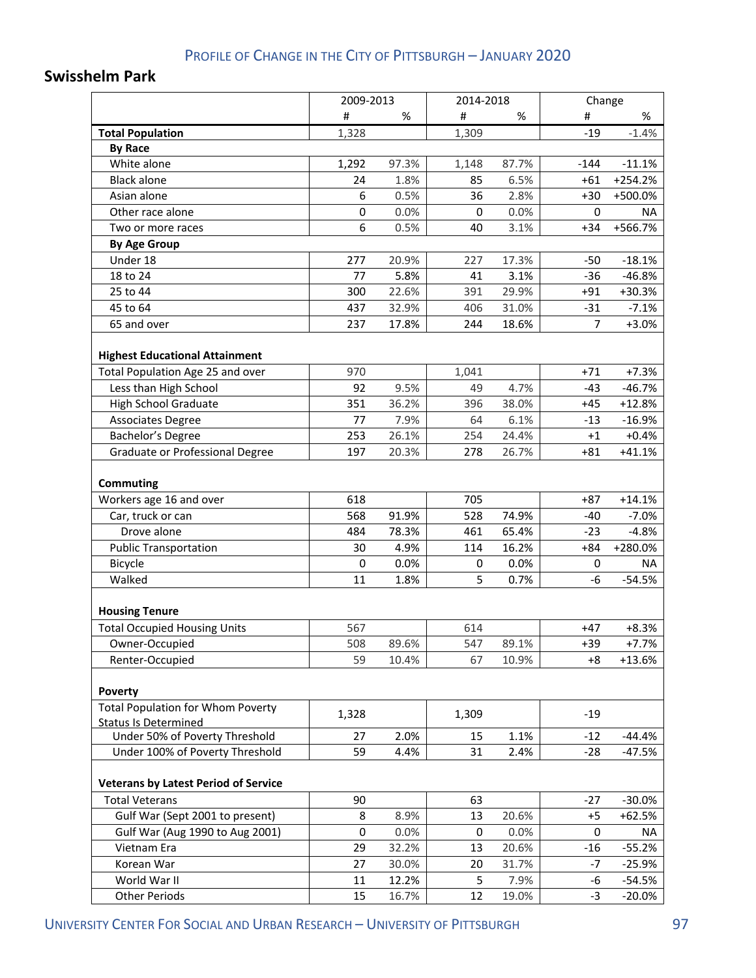#### **Swisshelm Park**

|                                                                           | 2009-2013   |       | 2014-2018 |       | Change |           |
|---------------------------------------------------------------------------|-------------|-------|-----------|-------|--------|-----------|
|                                                                           | #           | %     | #         | %     | #      | %         |
| <b>Total Population</b>                                                   | 1,328       |       | 1,309     |       | $-19$  | $-1.4%$   |
| <b>By Race</b>                                                            |             |       |           |       |        |           |
| White alone                                                               | 1,292       | 97.3% | 1,148     | 87.7% | $-144$ | $-11.1%$  |
| <b>Black alone</b>                                                        | 24          | 1.8%  | 85        | 6.5%  | $+61$  | $+254.2%$ |
| Asian alone                                                               | 6           | 0.5%  | 36        | 2.8%  | $+30$  | +500.0%   |
| Other race alone                                                          | $\mathsf 0$ | 0.0%  | 0         | 0.0%  | 0      | <b>NA</b> |
| Two or more races                                                         | 6           | 0.5%  | 40        | 3.1%  | $+34$  | +566.7%   |
| <b>By Age Group</b>                                                       |             |       |           |       |        |           |
| Under 18                                                                  | 277         | 20.9% | 227       | 17.3% | $-50$  | $-18.1%$  |
| 18 to 24                                                                  | 77          | 5.8%  | 41        | 3.1%  | $-36$  | $-46.8%$  |
| 25 to 44                                                                  | 300         | 22.6% | 391       | 29.9% | $+91$  | +30.3%    |
| 45 to 64                                                                  | 437         | 32.9% | 406       | 31.0% | $-31$  | $-7.1%$   |
| 65 and over                                                               | 237         | 17.8% | 244       | 18.6% | 7      | $+3.0%$   |
| <b>Highest Educational Attainment</b><br>Total Population Age 25 and over | 970         |       | 1,041     |       | $+71$  | $+7.3%$   |
| Less than High School                                                     | 92          | 9.5%  | 49        | 4.7%  | $-43$  | $-46.7%$  |
| <b>High School Graduate</b>                                               | 351         | 36.2% | 396       | 38.0% | $+45$  | $+12.8%$  |
| <b>Associates Degree</b>                                                  | 77          | 7.9%  | 64        | 6.1%  | $-13$  | $-16.9%$  |
| Bachelor's Degree                                                         | 253         | 26.1% | 254       | 24.4% | $+1$   | $+0.4%$   |
| Graduate or Professional Degree                                           | 197         | 20.3% | 278       | 26.7% | $+81$  | $+41.1%$  |
| Commuting                                                                 |             |       |           |       |        |           |
| Workers age 16 and over                                                   | 618         |       | 705       |       | $+87$  | $+14.1%$  |
| Car, truck or can                                                         | 568         | 91.9% | 528       | 74.9% | $-40$  | $-7.0%$   |
| Drove alone                                                               | 484         | 78.3% | 461       | 65.4% | $-23$  | $-4.8%$   |
| <b>Public Transportation</b>                                              | 30          | 4.9%  | 114       | 16.2% | $+84$  | +280.0%   |
| Bicycle                                                                   | 0           | 0.0%  | 0         | 0.0%  | 0      | NA        |
| Walked                                                                    | 11          | 1.8%  | 5         | 0.7%  | $-6$   | $-54.5%$  |
| <b>Housing Tenure</b>                                                     |             |       |           |       |        |           |
| <b>Total Occupied Housing Units</b>                                       | 567         |       | 614       |       | $+47$  | $+8.3%$   |
| Owner-Occupied                                                            | 508         | 89.6% | 547       | 89.1% | $+39$  | +7.7%     |
| Renter-Occupied                                                           | 59          | 10.4% | 67        | 10.9% | $+8$   | $+13.6%$  |
| Poverty                                                                   |             |       |           |       |        |           |
| <b>Total Population for Whom Poverty</b><br><b>Status Is Determined</b>   | 1,328       |       | 1,309     |       | $-19$  |           |
| Under 50% of Poverty Threshold                                            | 27          | 2.0%  | 15        | 1.1%  | $-12$  | $-44.4%$  |
| Under 100% of Poverty Threshold                                           | 59          | 4.4%  | 31        | 2.4%  | $-28$  | $-47.5%$  |
| <b>Veterans by Latest Period of Service</b>                               |             |       |           |       |        |           |
| <b>Total Veterans</b>                                                     | 90          |       | 63        |       | $-27$  | $-30.0%$  |
| Gulf War (Sept 2001 to present)                                           | 8           | 8.9%  | 13        | 20.6% | $+5$   | $+62.5%$  |
| Gulf War (Aug 1990 to Aug 2001)                                           | 0           | 0.0%  | 0         | 0.0%  | 0      | <b>NA</b> |
| Vietnam Era                                                               | 29          | 32.2% | 13        | 20.6% | $-16$  | $-55.2%$  |
| Korean War                                                                | 27          | 30.0% | 20        | 31.7% | $-7$   | $-25.9%$  |
| World War II                                                              | 11          | 12.2% | 5         | 7.9%  | -6     | $-54.5%$  |
| <b>Other Periods</b>                                                      | 15          | 16.7% | 12        | 19.0% | $-3$   | $-20.0%$  |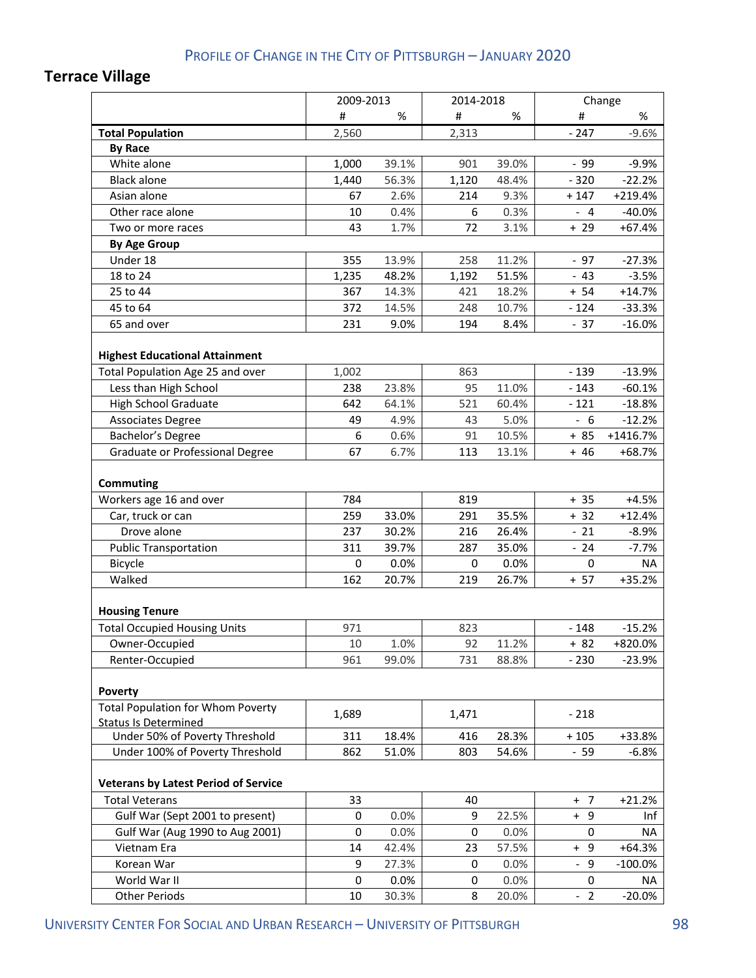## **Terrace Village**

|                                                                                                    | 2009-2013    |         | 2014-2018 |       | Change           |                      |
|----------------------------------------------------------------------------------------------------|--------------|---------|-----------|-------|------------------|----------------------|
|                                                                                                    | #            | %       | #         | %     | #                | %                    |
| <b>Total Population</b>                                                                            | 2,560        |         | 2,313     |       | $-247$           | $-9.6%$              |
| <b>By Race</b>                                                                                     |              |         |           |       |                  |                      |
| White alone                                                                                        | 1,000        | 39.1%   | 901       | 39.0% | $-99$            | $-9.9%$              |
| <b>Black alone</b>                                                                                 | 1,440        | 56.3%   | 1,120     | 48.4% | $-320$           | $-22.2%$             |
| Asian alone                                                                                        | 67           | 2.6%    | 214       | 9.3%  | $+147$           | +219.4%              |
| Other race alone                                                                                   | 10           | 0.4%    | 6         | 0.3%  | $-4$             | $-40.0%$             |
| Two or more races                                                                                  | 43           | 1.7%    | 72        | 3.1%  | $+29$            | $+67.4%$             |
| <b>By Age Group</b>                                                                                |              |         |           |       |                  |                      |
| Under 18                                                                                           | 355          | 13.9%   | 258       | 11.2% | $-97$            | $-27.3%$             |
| 18 to 24                                                                                           | 1,235        | 48.2%   | 1,192     | 51.5% | $-43$            | $-3.5%$              |
| 25 to 44                                                                                           | 367          | 14.3%   | 421       | 18.2% | $+ 54$           | $+14.7%$             |
| 45 to 64                                                                                           | 372          | 14.5%   | 248       | 10.7% | $-124$           | $-33.3%$             |
| 65 and over                                                                                        | 231          | 9.0%    | 194       | 8.4%  | $-37$            | $-16.0%$             |
| <b>Highest Educational Attainment</b><br>Total Population Age 25 and over<br>Less than High School | 1,002<br>238 | 23.8%   | 863<br>95 | 11.0% | $-139$<br>$-143$ | $-13.9%$<br>$-60.1%$ |
| <b>High School Graduate</b>                                                                        | 642          | 64.1%   | 521       | 60.4% | $-121$           | $-18.8%$             |
| <b>Associates Degree</b>                                                                           | 49           | 4.9%    | 43        | 5.0%  | - 6              | $-12.2%$             |
| Bachelor's Degree                                                                                  | 6            | 0.6%    | 91        | 10.5% | $+85$            | $+1416.7%$           |
| Graduate or Professional Degree                                                                    | 67           | 6.7%    | 113       | 13.1% | $+46$            | $+68.7%$             |
| Commuting                                                                                          |              |         |           |       |                  |                      |
| Workers age 16 and over                                                                            | 784          |         | 819       |       | $+ 35$           | $+4.5%$              |
| Car, truck or can                                                                                  | 259          | 33.0%   | 291       | 35.5% | $+ 32$           | $+12.4%$             |
| Drove alone                                                                                        | 237          | 30.2%   | 216       | 26.4% | $-21$            | $-8.9%$              |
| <b>Public Transportation</b>                                                                       | 311          | 39.7%   | 287       | 35.0% | $-24$            | $-7.7%$              |
| Bicycle                                                                                            | 0            | $0.0\%$ | 0         | 0.0%  | 0                | NA                   |
| Walked                                                                                             | 162          | 20.7%   | 219       | 26.7% | $+ 57$           | $+35.2%$             |
| <b>Housing Tenure</b>                                                                              |              |         |           |       |                  |                      |
| <b>Total Occupied Housing Units</b>                                                                | 971          |         | 823       |       | $-148$           | $-15.2%$             |
| Owner-Occupied                                                                                     | 10           | 1.0%    | 92        | 11.2% | $+82$            | +820.0%              |
| Renter-Occupied                                                                                    | 961          | 99.0%   | 731       | 88.8% | $-230$           | $-23.9%$             |
| Poverty                                                                                            |              |         |           |       |                  |                      |
| <b>Total Population for Whom Poverty</b><br><b>Status Is Determined</b>                            | 1,689        |         | 1,471     |       | $-218$           |                      |
| Under 50% of Poverty Threshold                                                                     | 311          | 18.4%   | 416       | 28.3% | $+105$           | +33.8%               |
| Under 100% of Poverty Threshold                                                                    | 862          | 51.0%   | 803       | 54.6% | $-59$            | $-6.8%$              |
| <b>Veterans by Latest Period of Service</b>                                                        |              |         |           |       |                  |                      |
| <b>Total Veterans</b>                                                                              | 33           |         | 40        |       | + 7              | $+21.2%$             |
| Gulf War (Sept 2001 to present)                                                                    | 0            | 0.0%    | 9         | 22.5% | + 9              | Inf                  |
| Gulf War (Aug 1990 to Aug 2001)                                                                    | 0            | 0.0%    | 0         | 0.0%  | 0                | NA                   |
| Vietnam Era                                                                                        | 14           | 42.4%   | 23        | 57.5% | 9<br>$+$         | $+64.3%$             |
| Korean War                                                                                         | 9            | 27.3%   | 0         | 0.0%  | - 9              | $-100.0\%$           |
| World War II                                                                                       | 0            | 0.0%    | 0         | 0.0%  | 0                | NA                   |
| <b>Other Periods</b>                                                                               | 10           | 30.3%   | 8         | 20.0% | $-2$             | $-20.0%$             |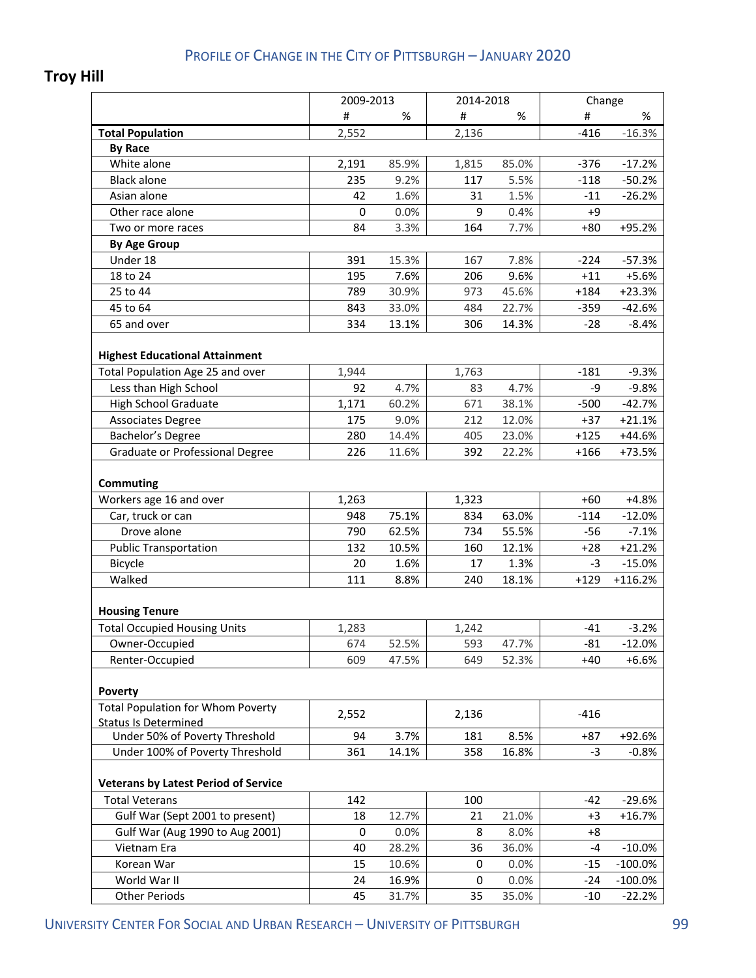## **Troy Hill**

|                                                                         | 2009-2013 |       | 2014-2018 |       | Change |            |
|-------------------------------------------------------------------------|-----------|-------|-----------|-------|--------|------------|
|                                                                         | #         | %     | #         | %     | #      | %          |
| <b>Total Population</b>                                                 | 2,552     |       | 2,136     |       | $-416$ | $-16.3%$   |
| <b>By Race</b>                                                          |           |       |           |       |        |            |
| White alone                                                             | 2,191     | 85.9% | 1,815     | 85.0% | $-376$ | $-17.2%$   |
| <b>Black alone</b>                                                      | 235       | 9.2%  | 117       | 5.5%  | $-118$ | $-50.2%$   |
| Asian alone                                                             | 42        | 1.6%  | 31        | 1.5%  | $-11$  | $-26.2%$   |
| Other race alone                                                        | 0         | 0.0%  | 9         | 0.4%  | $+9$   |            |
| Two or more races                                                       | 84        | 3.3%  | 164       | 7.7%  | $+80$  | +95.2%     |
| <b>By Age Group</b>                                                     |           |       |           |       |        |            |
| Under 18                                                                | 391       | 15.3% | 167       | 7.8%  | $-224$ | $-57.3%$   |
| 18 to 24                                                                | 195       | 7.6%  | 206       | 9.6%  | $+11$  | $+5.6%$    |
| 25 to 44                                                                | 789       | 30.9% | 973       | 45.6% | $+184$ | $+23.3%$   |
| 45 to 64                                                                | 843       | 33.0% | 484       | 22.7% | $-359$ | $-42.6%$   |
| 65 and over                                                             | 334       | 13.1% | 306       | 14.3% | $-28$  | $-8.4\%$   |
| <b>Highest Educational Attainment</b>                                   |           |       |           |       |        |            |
| Total Population Age 25 and over                                        | 1,944     |       | 1,763     |       | $-181$ | $-9.3%$    |
| Less than High School                                                   | 92        | 4.7%  | 83        | 4.7%  | -9     | $-9.8%$    |
| <b>High School Graduate</b>                                             | 1,171     | 60.2% | 671       | 38.1% | $-500$ | $-42.7%$   |
| <b>Associates Degree</b>                                                | 175       | 9.0%  | 212       | 12.0% | $+37$  | $+21.1%$   |
| Bachelor's Degree                                                       | 280       | 14.4% | 405       | 23.0% | $+125$ | $+44.6%$   |
| Graduate or Professional Degree                                         | 226       | 11.6% | 392       | 22.2% | $+166$ | +73.5%     |
|                                                                         |           |       |           |       |        |            |
| Commuting                                                               |           |       |           |       |        |            |
| Workers age 16 and over                                                 | 1,263     |       | 1,323     |       | $+60$  | $+4.8%$    |
| Car, truck or can                                                       | 948       | 75.1% | 834       | 63.0% | $-114$ | $-12.0%$   |
| Drove alone                                                             | 790       | 62.5% | 734       | 55.5% | $-56$  | $-7.1%$    |
| <b>Public Transportation</b>                                            | 132       | 10.5% | 160       | 12.1% | $+28$  | $+21.2%$   |
| Bicycle                                                                 | 20        | 1.6%  | 17        | 1.3%  | $-3$   | $-15.0%$   |
| Walked                                                                  | 111       | 8.8%  | 240       | 18.1% | $+129$ | $+116.2%$  |
| <b>Housing Tenure</b>                                                   |           |       |           |       |        |            |
| <b>Total Occupied Housing Units</b>                                     | 1,283     |       | 1,242     |       | $-41$  | $-3.2%$    |
| Owner-Occupied                                                          | 674       | 52.5% | 593       | 47.7% | $-81$  | $-12.0%$   |
| Renter-Occupied                                                         | 609       | 47.5% | 649       | 52.3% | $+40$  | $+6.6%$    |
|                                                                         |           |       |           |       |        |            |
| <b>Poverty</b>                                                          |           |       |           |       |        |            |
| <b>Total Population for Whom Poverty</b><br><b>Status Is Determined</b> | 2,552     |       | 2,136     |       | $-416$ |            |
| Under 50% of Poverty Threshold                                          | 94        | 3.7%  | 181       | 8.5%  | $+87$  | +92.6%     |
| Under 100% of Poverty Threshold                                         | 361       | 14.1% | 358       | 16.8% | $-3$   | $-0.8%$    |
|                                                                         |           |       |           |       |        |            |
| <b>Veterans by Latest Period of Service</b>                             |           |       |           |       |        |            |
| <b>Total Veterans</b>                                                   | 142       |       | 100       |       | $-42$  | $-29.6%$   |
| Gulf War (Sept 2001 to present)                                         | 18        | 12.7% | 21        | 21.0% | $+3$   | +16.7%     |
| Gulf War (Aug 1990 to Aug 2001)                                         | 0         | 0.0%  | 8         | 8.0%  | +8     |            |
| Vietnam Era                                                             | 40        | 28.2% | 36        | 36.0% | $-4$   | $-10.0%$   |
| Korean War                                                              | 15        | 10.6% | 0         | 0.0%  | $-15$  | $-100.0\%$ |
| World War II                                                            | 24        | 16.9% | 0         | 0.0%  | $-24$  | $-100.0\%$ |
| <b>Other Periods</b>                                                    | 45        | 31.7% | 35        | 35.0% | $-10$  | $-22.2%$   |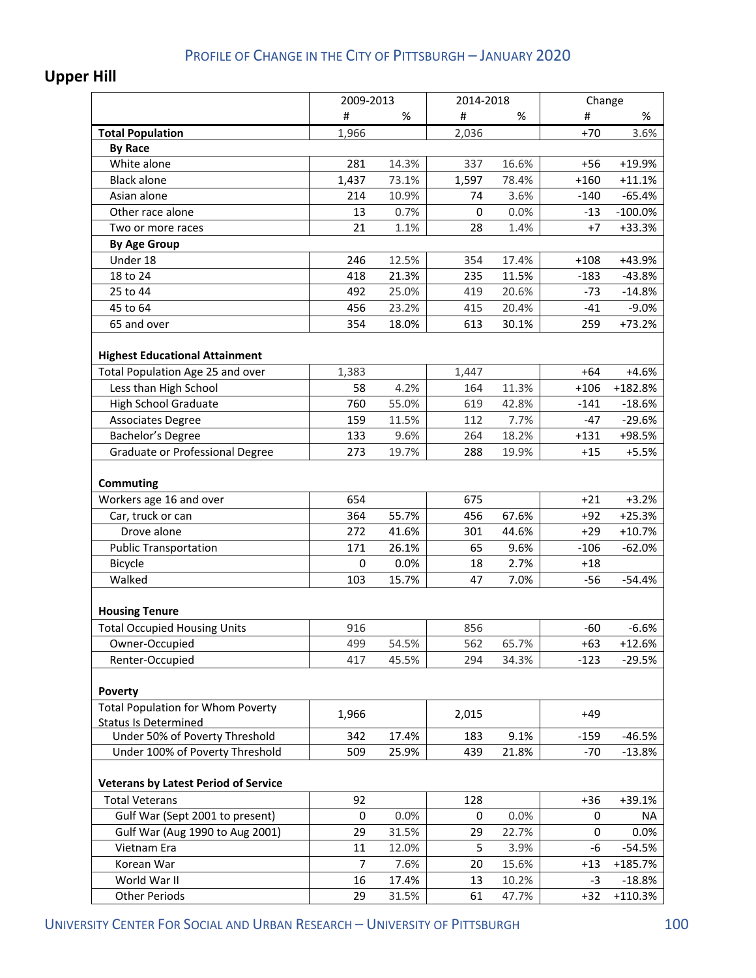## **Upper Hill**

|                                             | 2009-2013      |       | 2014-2018 |       | Change |           |
|---------------------------------------------|----------------|-------|-----------|-------|--------|-----------|
|                                             | #              | $\%$  | #         | %     | #      | %         |
| <b>Total Population</b>                     | 1,966          |       | 2,036     |       | $+70$  | 3.6%      |
| <b>By Race</b>                              |                |       |           |       |        |           |
| White alone                                 | 281            | 14.3% | 337       | 16.6% | $+56$  | +19.9%    |
| <b>Black alone</b>                          | 1,437          | 73.1% | 1,597     | 78.4% | $+160$ | $+11.1%$  |
| Asian alone                                 | 214            | 10.9% | 74        | 3.6%  | $-140$ | $-65.4%$  |
| Other race alone                            | 13             | 0.7%  | 0         | 0.0%  | $-13$  | $-100.0%$ |
| Two or more races                           | 21             | 1.1%  | 28        | 1.4%  | $+7$   | +33.3%    |
| <b>By Age Group</b>                         |                |       |           |       |        |           |
| Under 18                                    | 246            | 12.5% | 354       | 17.4% | $+108$ | +43.9%    |
| 18 to 24                                    | 418            | 21.3% | 235       | 11.5% | $-183$ | $-43.8%$  |
| 25 to 44                                    | 492            | 25.0% | 419       | 20.6% | $-73$  | $-14.8%$  |
| 45 to 64                                    | 456            | 23.2% | 415       | 20.4% | $-41$  | $-9.0%$   |
| 65 and over                                 | 354            | 18.0% | 613       | 30.1% | 259    | +73.2%    |
|                                             |                |       |           |       |        |           |
| <b>Highest Educational Attainment</b>       |                |       |           |       |        |           |
| Total Population Age 25 and over            | 1,383          |       | 1,447     |       | $+64$  | $+4.6%$   |
| Less than High School                       | 58             | 4.2%  | 164       | 11.3% | $+106$ | +182.8%   |
| <b>High School Graduate</b>                 | 760            | 55.0% | 619       | 42.8% | $-141$ | $-18.6%$  |
| <b>Associates Degree</b>                    | 159            | 11.5% | 112       | 7.7%  | $-47$  | $-29.6%$  |
| Bachelor's Degree                           | 133            | 9.6%  | 264       | 18.2% | $+131$ | +98.5%    |
| Graduate or Professional Degree             | 273            | 19.7% | 288       | 19.9% | $+15$  | $+5.5%$   |
|                                             |                |       |           |       |        |           |
| Commuting                                   |                |       |           |       |        |           |
| Workers age 16 and over                     | 654            |       | 675       |       | $+21$  | $+3.2%$   |
| Car, truck or can                           | 364            | 55.7% | 456       | 67.6% | $+92$  | $+25.3%$  |
| Drove alone                                 | 272            | 41.6% | 301       | 44.6% | $+29$  | $+10.7%$  |
| <b>Public Transportation</b>                | 171            | 26.1% | 65        | 9.6%  | $-106$ | $-62.0%$  |
| Bicycle                                     | 0              | 0.0%  | 18        | 2.7%  | $+18$  |           |
| Walked                                      | 103            | 15.7% | 47        | 7.0%  | $-56$  | $-54.4%$  |
|                                             |                |       |           |       |        |           |
| <b>Housing Tenure</b>                       |                |       |           |       |        |           |
| <b>Total Occupied Housing Units</b>         | 916            |       | 856       |       | -60    | $-6.6%$   |
| Owner-Occupied                              | 499            | 54.5% | 562       | 65.7% | $+63$  | $+12.6%$  |
| Renter-Occupied                             | 417            | 45.5% | 294       | 34.3% | $-123$ | $-29.5%$  |
|                                             |                |       |           |       |        |           |
| Poverty                                     |                |       |           |       |        |           |
| <b>Total Population for Whom Poverty</b>    |                |       |           |       |        |           |
| <b>Status Is Determined</b>                 | 1,966          |       | 2,015     |       | +49    |           |
| Under 50% of Poverty Threshold              | 342            | 17.4% | 183       | 9.1%  | $-159$ | $-46.5%$  |
| Under 100% of Poverty Threshold             | 509            | 25.9% | 439       | 21.8% | $-70$  | $-13.8%$  |
|                                             |                |       |           |       |        |           |
| <b>Veterans by Latest Period of Service</b> |                |       |           |       |        |           |
| <b>Total Veterans</b>                       | 92             |       | 128       |       | $+36$  | +39.1%    |
| Gulf War (Sept 2001 to present)             | 0              | 0.0%  | 0         | 0.0%  | 0      | NA        |
| Gulf War (Aug 1990 to Aug 2001)             | 29             | 31.5% | 29        | 22.7% | 0      | 0.0%      |
| Vietnam Era                                 | 11             | 12.0% | 5         | 3.9%  | -6     | $-54.5%$  |
| Korean War                                  | $\overline{7}$ | 7.6%  | 20        | 15.6% | $+13$  | +185.7%   |
| World War II                                | 16             | 17.4% | 13        | 10.2% | $-3$   | $-18.8%$  |
| <b>Other Periods</b>                        | 29             | 31.5% | 61        | 47.7% | $+32$  | +110.3%   |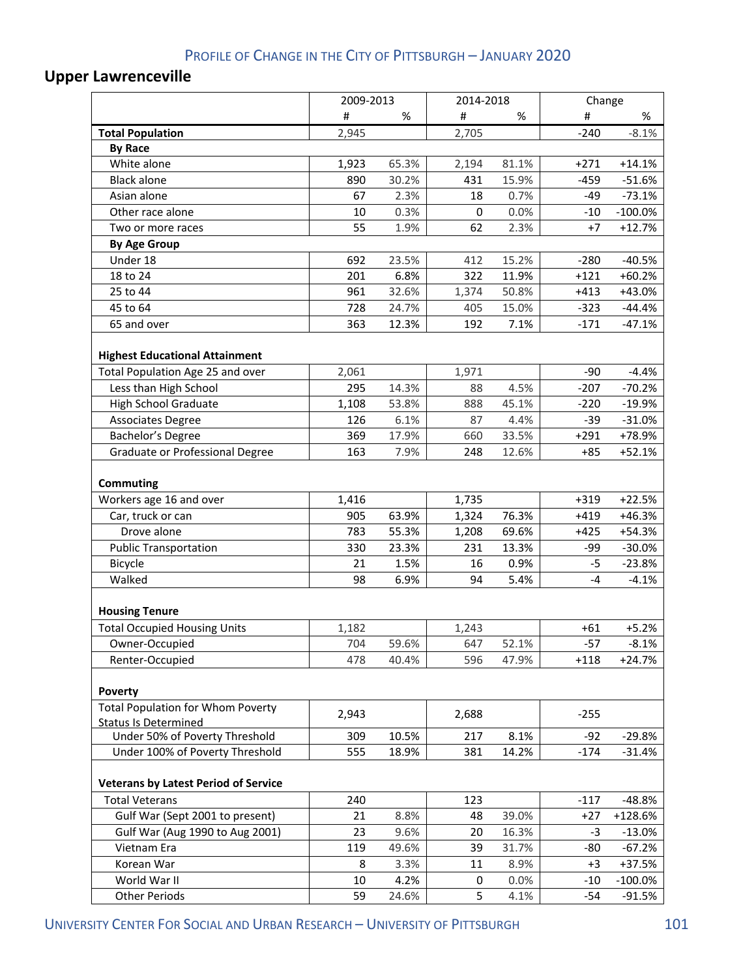# **Upper Lawrenceville**

|                                                                           | 2009-2013 |       | 2014-2018   |       | Change |            |
|---------------------------------------------------------------------------|-----------|-------|-------------|-------|--------|------------|
|                                                                           | #         | %     | #           | %     | #      | %          |
| <b>Total Population</b>                                                   | 2,945     |       | 2,705       |       | $-240$ | $-8.1%$    |
| <b>By Race</b>                                                            |           |       |             |       |        |            |
| White alone                                                               | 1,923     | 65.3% | 2,194       | 81.1% | $+271$ | $+14.1%$   |
| <b>Black alone</b>                                                        | 890       | 30.2% | 431         | 15.9% | $-459$ | $-51.6%$   |
| Asian alone                                                               | 67        | 2.3%  | 18          | 0.7%  | $-49$  | $-73.1%$   |
| Other race alone                                                          | 10        | 0.3%  | $\mathbf 0$ | 0.0%  | $-10$  | $-100.0\%$ |
| Two or more races                                                         | 55        | 1.9%  | 62          | 2.3%  | $+7$   | $+12.7%$   |
| <b>By Age Group</b>                                                       |           |       |             |       |        |            |
| Under 18                                                                  | 692       | 23.5% | 412         | 15.2% | $-280$ | $-40.5%$   |
| 18 to 24                                                                  | 201       | 6.8%  | 322         | 11.9% | $+121$ | $+60.2%$   |
| 25 to 44                                                                  | 961       | 32.6% | 1,374       | 50.8% | $+413$ | +43.0%     |
| 45 to 64                                                                  | 728       | 24.7% | 405         | 15.0% | $-323$ | $-44.4%$   |
| 65 and over                                                               | 363       | 12.3% | 192         | 7.1%  | $-171$ | $-47.1%$   |
| <b>Highest Educational Attainment</b><br>Total Population Age 25 and over | 2,061     |       | 1,971       |       | -90    | $-4.4%$    |
| Less than High School                                                     | 295       | 14.3% | 88          | 4.5%  | $-207$ | $-70.2%$   |
| <b>High School Graduate</b>                                               | 1,108     | 53.8% | 888         | 45.1% | $-220$ | $-19.9%$   |
| <b>Associates Degree</b>                                                  | 126       | 6.1%  | 87          | 4.4%  | -39    | $-31.0%$   |
| Bachelor's Degree                                                         | 369       | 17.9% | 660         | 33.5% | $+291$ | +78.9%     |
| Graduate or Professional Degree                                           | 163       | 7.9%  | 248         | 12.6% | $+85$  | $+52.1%$   |
| Commuting<br>Workers age 16 and over                                      | 1,416     |       | 1,735       |       | $+319$ | $+22.5%$   |
| Car, truck or can                                                         | 905       | 63.9% | 1,324       | 76.3% | $+419$ | $+46.3%$   |
| Drove alone                                                               | 783       | 55.3% | 1,208       | 69.6% | $+425$ | $+54.3%$   |
| <b>Public Transportation</b>                                              | 330       | 23.3% | 231         | 13.3% | -99    | $-30.0%$   |
| Bicycle                                                                   | 21        | 1.5%  | 16          | 0.9%  | -5     | $-23.8%$   |
| Walked                                                                    | 98        | 6.9%  | 94          | 5.4%  | -4     | $-4.1%$    |
| <b>Housing Tenure</b>                                                     |           |       |             |       |        |            |
| <b>Total Occupied Housing Units</b>                                       | 1,182     |       | 1,243       |       | $+61$  | $+5.2%$    |
| Owner-Occupied                                                            | 704       | 59.6% | 647         | 52.1% | $-57$  | $-8.1%$    |
| Renter-Occupied                                                           | 478       | 40.4% | 596         | 47.9% | $+118$ | $+24.7%$   |
| <b>Poverty</b>                                                            |           |       |             |       |        |            |
| <b>Total Population for Whom Poverty</b><br><b>Status Is Determined</b>   | 2,943     |       | 2,688       |       | $-255$ |            |
| Under 50% of Poverty Threshold                                            | 309       | 10.5% | 217         | 8.1%  | $-92$  | $-29.8%$   |
| Under 100% of Poverty Threshold                                           | 555       | 18.9% | 381         | 14.2% | $-174$ | $-31.4%$   |
| <b>Veterans by Latest Period of Service</b>                               |           |       |             |       |        |            |
| <b>Total Veterans</b>                                                     | 240       |       | 123         |       | $-117$ | $-48.8%$   |
| Gulf War (Sept 2001 to present)                                           | 21        | 8.8%  | 48          | 39.0% | $+27$  | +128.6%    |
| Gulf War (Aug 1990 to Aug 2001)                                           | 23        | 9.6%  | 20          | 16.3% | $-3$   | $-13.0%$   |
| Vietnam Era                                                               | 119       | 49.6% | 39          | 31.7% | -80    | $-67.2%$   |
| Korean War                                                                | 8         | 3.3%  | 11          | 8.9%  | $+3$   | +37.5%     |
| World War II                                                              | 10        | 4.2%  | 0           | 0.0%  | $-10$  | $-100.0\%$ |
| <b>Other Periods</b>                                                      | 59        | 24.6% | 5           | 4.1%  | $-54$  | $-91.5%$   |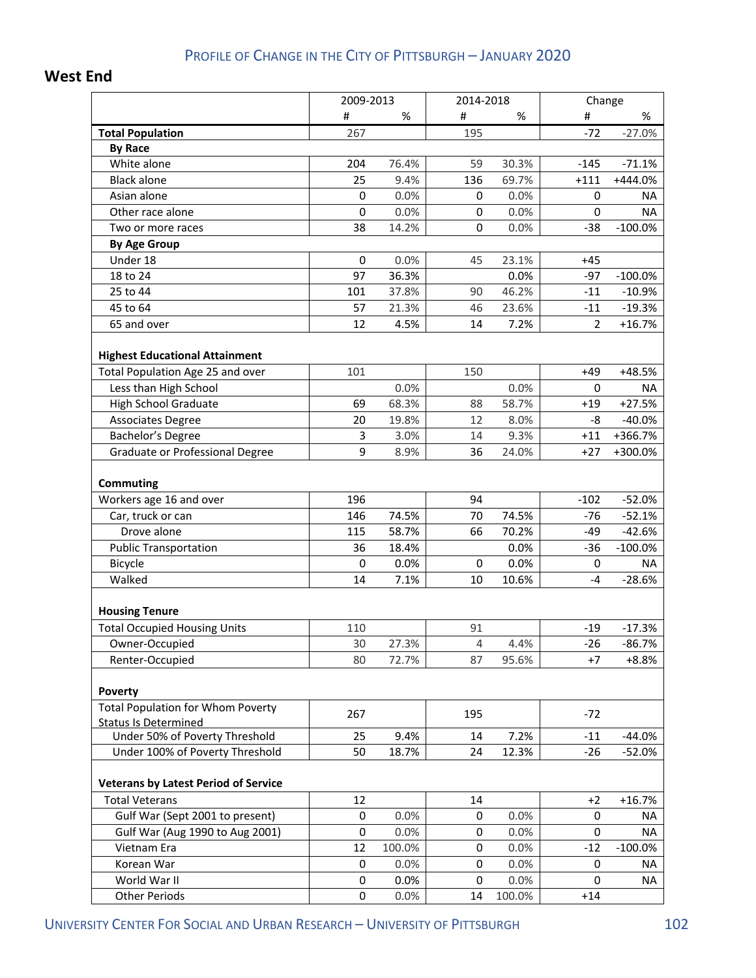#### **West End**

|                                                               | 2009-2013   |        | 2014-2018   |        | Change         |            |
|---------------------------------------------------------------|-------------|--------|-------------|--------|----------------|------------|
|                                                               | #           | %      | #           | %      | #              | %          |
| <b>Total Population</b>                                       | 267         |        | 195         |        | $-72$          | $-27.0%$   |
| <b>By Race</b>                                                |             |        |             |        |                |            |
| White alone                                                   | 204         | 76.4%  | 59          | 30.3%  | $-145$         | $-71.1%$   |
| <b>Black alone</b>                                            | 25          | 9.4%   | 136         | 69.7%  | $+111$         | +444.0%    |
| Asian alone                                                   | $\mathbf 0$ | 0.0%   | 0           | 0.0%   | 0              | NA         |
| Other race alone                                              | 0           | 0.0%   | 0           | 0.0%   | 0              | <b>NA</b>  |
| Two or more races                                             | 38          | 14.2%  | $\mathbf 0$ | 0.0%   | $-38$          | $-100.0\%$ |
| <b>By Age Group</b>                                           |             |        |             |        |                |            |
| Under 18                                                      | $\mathbf 0$ | 0.0%   | 45          | 23.1%  | $+45$          |            |
| 18 to 24                                                      | 97          | 36.3%  |             | 0.0%   | $-97$          | $-100.0\%$ |
| 25 to 44                                                      | 101         | 37.8%  | 90          | 46.2%  | $-11$          | $-10.9%$   |
| 45 to 64                                                      | 57          | 21.3%  | 46          | 23.6%  | $-11$          | $-19.3%$   |
| 65 and over                                                   | 12          | 4.5%   | 14          | 7.2%   | $\overline{2}$ | $+16.7%$   |
| <b>Highest Educational Attainment</b>                         |             |        |             |        |                |            |
| Total Population Age 25 and over                              | 101         |        | 150         |        | $+49$          | +48.5%     |
| Less than High School                                         |             | 0.0%   |             | 0.0%   | 0              | NA         |
|                                                               |             |        |             |        |                | $+27.5%$   |
| <b>High School Graduate</b>                                   | 69          | 68.3%  | 88          | 58.7%  | $+19$          |            |
| <b>Associates Degree</b>                                      | 20          | 19.8%  | 12          | 8.0%   | -8             | $-40.0%$   |
| Bachelor's Degree                                             | 3           | 3.0%   | 14          | 9.3%   | $+11$          | +366.7%    |
| Graduate or Professional Degree                               | 9           | 8.9%   | 36          | 24.0%  | $+27$          | +300.0%    |
| Commuting                                                     |             |        |             |        |                |            |
| Workers age 16 and over                                       | 196         |        | 94          |        | $-102$         | $-52.0%$   |
| Car, truck or can                                             | 146         | 74.5%  | 70          | 74.5%  | $-76$          | $-52.1%$   |
| Drove alone                                                   | 115         | 58.7%  | 66          | 70.2%  | -49            | $-42.6%$   |
| <b>Public Transportation</b>                                  | 36          | 18.4%  |             | 0.0%   | $-36$          | $-100.0%$  |
| Bicycle                                                       | 0           | 0.0%   | $\mathbf 0$ | 0.0%   | 0              | NA         |
| Walked                                                        | 14          | 7.1%   | 10          | 10.6%  | $-4$           | $-28.6%$   |
|                                                               |             |        |             |        |                |            |
| <b>Housing Tenure</b>                                         |             |        |             |        |                |            |
| <b>Total Occupied Housing Units</b>                           | 110         |        | 91          |        | $-19$          | $-17.3%$   |
| Owner-Occupied                                                | 30          | 27.3%  | 4           | 4.4%   | $-26$          | $-86.7%$   |
| Renter-Occupied                                               | 80          | 72.7%  | 87          | 95.6%  | $+7$           | $+8.8%$    |
|                                                               |             |        |             |        |                |            |
| Poverty                                                       |             |        |             |        |                |            |
| <b>Total Population for Whom Poverty</b>                      | 267         |        | 195         |        | $-72$          |            |
| <b>Status Is Determined</b><br>Under 50% of Poverty Threshold | 25          | 9.4%   | 14          | 7.2%   | $-11$          | $-44.0%$   |
| Under 100% of Poverty Threshold                               | 50          | 18.7%  | 24          | 12.3%  | $-26$          | $-52.0%$   |
|                                                               |             |        |             |        |                |            |
| <b>Veterans by Latest Period of Service</b>                   |             |        |             |        |                |            |
| <b>Total Veterans</b>                                         | 12          |        | 14          |        | $+2$           | $+16.7%$   |
| Gulf War (Sept 2001 to present)                               | 0           | 0.0%   | $\mathbf 0$ | 0.0%   | 0              | NA.        |
| Gulf War (Aug 1990 to Aug 2001)                               | 0           | 0.0%   | 0           | 0.0%   | 0              | NA         |
| Vietnam Era                                                   | 12          | 100.0% | 0           | 0.0%   | $-12$          | $-100.0\%$ |
| Korean War                                                    | 0           | 0.0%   | 0           | 0.0%   | 0              | NA         |
| World War II                                                  | 0           | 0.0%   | 0           | 0.0%   | 0              | NA         |
| <b>Other Periods</b>                                          | 0           | 0.0%   | 14          | 100.0% | $+14$          |            |